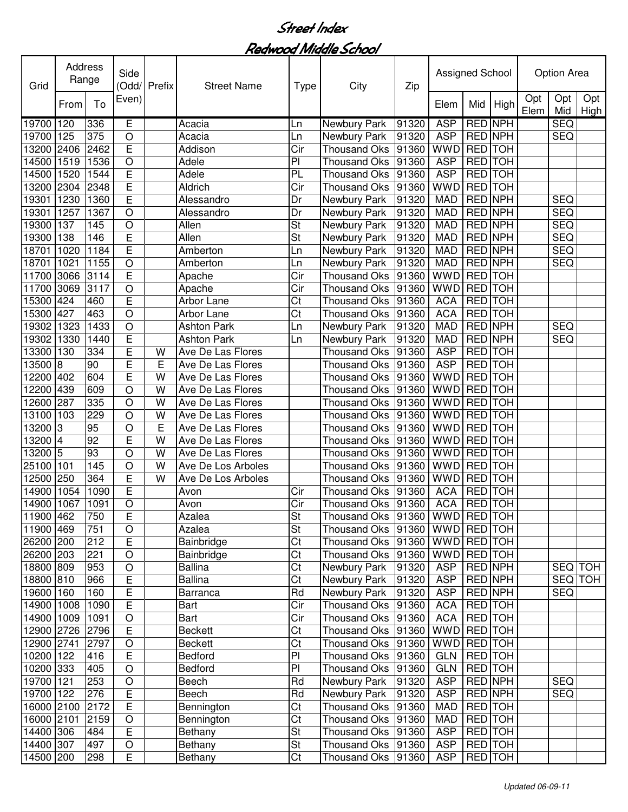| Grid            | Address<br>Range |                 | Side                    | Odd/ Prefix | <b>Street Name</b> | <b>Type</b>              | City                           | Zip   | Assigned School |                |                |             | <b>Option Area</b> |               |
|-----------------|------------------|-----------------|-------------------------|-------------|--------------------|--------------------------|--------------------------------|-------|-----------------|----------------|----------------|-------------|--------------------|---------------|
|                 | From             | To              | Even)                   |             |                    |                          |                                |       | Elem            | Mid            | High           | Opt<br>Elem | Opt<br>Mid         | Opt<br>High I |
| 19700           | 120              | 336             | Е                       |             | Acacia             | Ln                       | <b>Newbury Park</b>            | 91320 | <b>ASP</b>      | <b>RED NPH</b> |                |             | <b>SEQ</b>         |               |
| 19700           | 125              | 375             | $\bigcirc$              |             | Acacia             | Ln                       | Newbury Park                   | 91320 | <b>ASP</b>      | <b>RED NPH</b> |                |             | <b>SEQ</b>         |               |
| 13200           | 2406             | 2462            | E                       |             | Addison            | $\overline{\text{Cir}}$  | <b>Thousand Oks</b>            | 91360 | <b>WWD</b>      | <b>RED</b> TOH |                |             |                    |               |
| 14500           | 1519             | 1536            | O                       |             | Adele              | P                        | Thousand Oks                   | 91360 | <b>ASP</b>      | RED TOH        |                |             |                    |               |
| 14500           | 1520             | 1544            | E                       |             | Adele              | PL                       | <b>Thousand Oks</b>            | 91360 | <b>ASP</b>      | RED TOH        |                |             |                    |               |
| 13200           | 2304             | 2348            | E                       |             | Aldrich            | Cir                      | <b>Thousand Oks</b>            | 91360 | <b>WWD</b>      | RED            | <b>TOH</b>     |             |                    |               |
| 19301           | 1230             | 1360            | E                       |             | Alessandro         | Dr                       | Newbury Park                   | 91320 | <b>MAD</b>      | <b>RED NPH</b> |                |             | <b>SEQ</b>         |               |
| 19301           | 1257             | 1367            | O                       |             | Alessandro         | Dr                       | Newbury Park                   | 91320 | <b>MAD</b>      | RED NPH        |                |             | <b>SEQ</b>         |               |
| 19300           | 137              | 145             | $\circ$                 |             | Allen              | St                       | Newbury Park                   | 91320 | <b>MAD</b>      | <b>RED</b> NPH |                |             | <b>SEQ</b>         |               |
| 19300           | 138              | 146             | E                       |             | Allen              | St                       | Newbury Park                   | 91320 | <b>MAD</b>      | <b>RED</b> NPH |                |             | <b>SEQ</b>         |               |
| 18701           | 1020             | 1184            | E                       |             | Amberton           | Ln                       | Newbury Park                   | 91320 | <b>MAD</b>      | RED NPH        |                |             | <b>SEQ</b>         |               |
| 18701           | 1021             | 1155            | O                       |             | Amberton           | Ln                       | Newbury Park                   | 91320 | <b>MAD</b>      | <b>RED NPH</b> |                |             | <b>SEQ</b>         |               |
| 11700           | 3066             | 3114            | E                       |             | Apache             | Cir                      | <b>Thousand Oks</b>            | 91360 | <b>WWD</b>      | RED TOH        |                |             |                    |               |
| 11700           | 3069             | 3117            | $\circ$                 |             | Apache             | Cir                      | Thousand Oks                   | 91360 | <b>WWD</b>      | RED TOH        |                |             |                    |               |
| 15300           | 424              | 460             | E                       |             | Arbor Lane         | Ct                       | Thousand Oks                   | 91360 | <b>ACA</b>      | RED TOH        |                |             |                    |               |
| 15300           | 427              | 463             | $\circ$                 |             | Arbor Lane         | Ct                       | <b>Thousand Oks</b>            | 91360 | <b>ACA</b>      | RED TOH        |                |             |                    |               |
| 19302           | 1323             | 1433            | $\circ$                 |             | <b>Ashton Park</b> | Ln                       | Newbury Park                   | 91320 | <b>MAD</b>      | RED NPH        |                |             | <b>SEQ</b>         |               |
| 19302           | 1330             | 1440            | E                       |             | <b>Ashton Park</b> | Ln                       | Newbury Park                   | 91320 | <b>MAD</b>      | RED NPH        |                |             | <b>SEQ</b>         |               |
| 13300           | 130              | 334             | E                       | W           | Ave De Las Flores  |                          | <b>Thousand Oks</b>            | 91360 | <b>ASP</b>      | <b>RED TOH</b> |                |             |                    |               |
| 13500           | 8                | 90              | Ē                       | E           | Ave De Las Flores  |                          | <b>Thousand Oks</b>            | 91360 | <b>ASP</b>      | <b>RED</b> TOH |                |             |                    |               |
| 12200           | 402              | 604             | E                       | W           | Ave De Las Flores  |                          | <b>Thousand Oks</b>            | 91360 | <b>WWD</b>      | <b>RED</b> TOH |                |             |                    |               |
| 12200           | 439              | 609             | $\circ$                 | W           | Ave De Las Flores  |                          | <b>Thousand Oks</b>            | 91360 | <b>WWD</b>      | RED TOH        |                |             |                    |               |
| 12600           | 287              | 335             | $\circ$                 | W           | Ave De Las Flores  |                          | <b>Thousand Oks</b>            | 91360 | <b>WWD</b>      | RED TOH        |                |             |                    |               |
| 13100           | 103              | 229             | $\circ$                 | W           | Ave De Las Flores  |                          | <b>Thousand Oks</b>            | 91360 | <b>WWD</b>      | RED TOH        |                |             |                    |               |
| 13200           | 13               | 95              | $\circ$                 | E           | Ave De Las Flores  |                          | <b>Thousand Oks</b>            | 91360 | <b>WWD</b>      | RED TOH        |                |             |                    |               |
| 13200           | 14               | $\overline{92}$ | E                       | W           | Ave De Las Flores  |                          | <b>Thousand Oks</b>            | 91360 | <b>WWD</b>      | RED TOH        |                |             |                    |               |
| 13200           | 5                | 93              | $\circ$                 | W           | Ave De Las Flores  |                          | <b>Thousand Oks</b>            | 91360 | <b>WWD</b>      | RED TOH        |                |             |                    |               |
| 25100           | 101              | 145             | $\circ$                 | W           | Ave De Los Arboles |                          | <b>Thousand Oks</b>            | 91360 | <b>WWD</b>      | <b>RED</b> TOH |                |             |                    |               |
| 12500           | 250              | 364             | E                       | W           | Ave De Los Arboles |                          | <b>Thousand Oks</b>            | 91360 | <b>WWD</b>      | RED TOH        |                |             |                    |               |
| 14900           | 1054             | 1090            | E                       |             | Avon               | Cir                      | <b>Thousand Oks</b>            | 91360 | <b>ACA</b>      | <b>RED</b> TOH |                |             |                    |               |
| 14900 1067      |                  | 1091            | $\circ$                 |             | Avon               | Cir                      | Thousand Oks                   | 91360 | <b>ACA</b>      | <b>RED</b> TOH |                |             |                    |               |
| 11900 462       |                  | 750             | $\mathsf E$             |             | Azalea             | St                       | Thousand Oks 91360 WWD RED TOH |       |                 |                |                |             |                    |               |
| 11900 469       |                  | 751             | $\bigcirc$              |             | Azalea             | $\overline{\mathsf{St}}$ | Thousand Oks 91360             |       | WWD RED TOH     |                |                |             |                    |               |
| 26200 200       |                  | 212             | E                       |             | Bainbridge         | Ct                       | <b>Thousand Oks</b>            | 91360 | WWD RED TOH     |                |                |             |                    |               |
| 26200 203       |                  | 221             | $\mathsf O$             |             | Bainbridge         | Ct                       | <b>Thousand Oks</b>            | 91360 | <b>WWD</b>      | <b>RED</b> TOH |                |             |                    |               |
| 18800 809       |                  | 953             | O                       |             | Ballina            | Ct                       | Newbury Park                   | 91320 | <b>ASP</b>      | RED NPH        |                |             |                    | SEQ TOH       |
| 18800 810       |                  | 966             | E                       |             | Ballina            | Ct                       | Newbury Park                   | 91320 | <b>ASP</b>      |                | RED NPH        |             |                    | SEQ TOH       |
| 19600 160       |                  | 160             | E                       |             | Barranca           | Rd                       | Newbury Park                   | 91320 | <b>ASP</b>      |                | RED NPH        |             | <b>SEQ</b>         |               |
| 14900 1008      |                  | 1090            | $\overline{E}$          |             | Bart               | Cir                      | <b>Thousand Oks</b>            | 91360 | <b>ACA</b>      |                | RED TOH        |             |                    |               |
| 14900 1009      |                  | 1091            | $\bigcirc$              |             | Bart               | Cir                      | <b>Thousand Oks</b>            | 91360 | <b>ACA</b>      | RED TOH        |                |             |                    |               |
| 12900 2726 2796 |                  |                 | $\overline{E}$          |             | Beckett            | Ct                       | <b>Thousand Oks</b>            | 91360 | <b>WWD</b>      | RED TOH        |                |             |                    |               |
| 12900 2741      |                  | 2797            | $\bigcirc$              |             | <b>Beckett</b>     | Ct                       | <b>Thousand Oks</b>            | 91360 | <b>WWD</b>      | RED TOH        |                |             |                    |               |
| 10200 122       |                  | 416             | E                       |             | Bedford            | P                        | <b>Thousand Oks</b>            | 91360 | GLN             | RED TOH        |                |             |                    |               |
| 10200 333       |                  | 405             | $\bigcirc$              |             | Bedford            | $\overline{P}$           | <b>Thousand Oks</b>            | 91360 | <b>GLN</b>      | RED TOH        |                |             |                    |               |
| 19700 121       |                  | 253             | $\bigcirc$              |             | Beech              | Rd                       | <b>Newbury Park</b>            | 91320 | <b>ASP</b>      |                | RED NPH        |             | <b>SEQ</b>         |               |
| 19700 122       |                  | 276             | $\overline{\mathsf{E}}$ |             | Beech              | Rd                       | Newbury Park                   | 91320 | <b>ASP</b>      | RED NPH        |                |             | <b>SEQ</b>         |               |
| 16000 2100      |                  | 2172            | $\overline{E}$          |             | Bennington         | $\overline{\text{C}t}$   | <b>Thousand Oks</b>            | 91360 | <b>MAD</b>      | RED TOH        |                |             |                    |               |
| 16000 2101      |                  | 2159            | $\bigcirc$              |             | Bennington         | $\overline{\text{C}t}$   | <b>Thousand Oks</b>            | 91360 | <b>MAD</b>      |                | RED TOH        |             |                    |               |
| 14400 306       |                  | 484             | E                       |             | Bethany            | $\overline{\mathsf{St}}$ | <b>Thousand Oks</b>            | 91360 | <b>ASP</b>      | RED TOH        |                |             |                    |               |
| 14400 307       |                  | 497             | $\hbox{O}$              |             | Bethany            | $\overline{\mathsf{St}}$ | <b>Thousand Oks</b>            | 91360 | <b>ASP</b>      |                | <b>RED</b> TOH |             |                    |               |
| 14500 200       |                  | 298             | E                       |             | Bethany            | $\overline{\text{C}t}$   | Thousand Oks                   | 91360 | <b>ASP</b>      |                | RED TOH        |             |                    |               |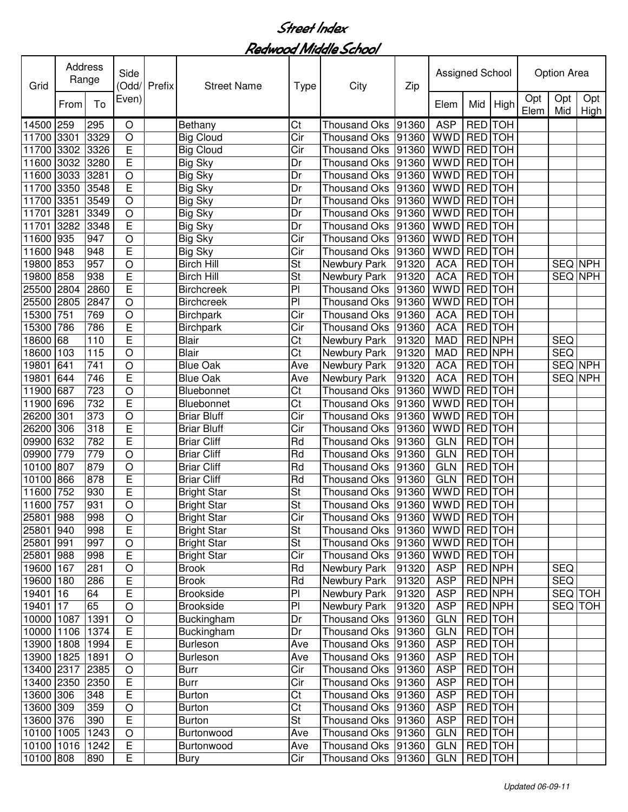| Grid       | Address | Range | Side<br>(Odd/  | Prefix | <b>Street Name</b> | Type                   | City                                 | Zip   | Assigned School |                |         |             | <b>Option Area</b> |             |
|------------|---------|-------|----------------|--------|--------------------|------------------------|--------------------------------------|-------|-----------------|----------------|---------|-------------|--------------------|-------------|
|            | From    | To    | Even)          |        |                    |                        |                                      |       | Elem            | Mid            | High    | Opt<br>Elem | Opt<br>Mid         | Opt<br>High |
| 14500      | 259     | 295   | O              |        | Bethany            | Ct                     | <b>Thousand Oks</b>                  | 91360 | <b>ASP</b>      | RED TOH        |         |             |                    |             |
| 11700      | 3301    | 3329  | $\circ$        |        | <b>Big Cloud</b>   | $\overline{C}$ ir      | <b>Thousand Oks</b>                  | 91360 | WWD             | RED TOH        |         |             |                    |             |
| 11700      | 3302    | 3326  | E              |        | <b>Big Cloud</b>   | Cir                    | <b>Thousand Oks</b>                  | 91360 | <b>WWD</b>      | RED TOH        |         |             |                    |             |
| 11600      | 3032    | 3280  | E              |        | <b>Big Sky</b>     | Dr                     | <b>Thousand Oks</b>                  | 91360 | <b>WWD</b>      | <b>RED</b> TOH |         |             |                    |             |
| 11600      | 3033    | 3281  | $\circ$        |        | <b>Big Sky</b>     | Dr                     | <b>Thousand Oks</b>                  | 91360 | <b>WWD</b>      | <b>RED</b> TOH |         |             |                    |             |
| 11700      | 3350    | 3548  | E              |        | <b>Big Sky</b>     | Dr                     | <b>Thousand Oks</b>                  | 91360 | <b>WWD</b>      | RED TOH        |         |             |                    |             |
| 11700      | 3351    | 3549  | $\circ$        |        | <b>Big Sky</b>     | Dr                     | <b>Thousand Oks</b>                  | 91360 | <b>WWD</b>      | RED TOH        |         |             |                    |             |
| 11701      | 3281    | 3349  | $\circ$        |        | <b>Big Sky</b>     | Dr                     | <b>Thousand Oks</b>                  | 91360 | <b>WWD</b>      | <b>RED</b> TOH |         |             |                    |             |
| 11701      | 3282    | 3348  | E              |        | <b>Big Sky</b>     | Dr                     | <b>Thousand Oks</b>                  | 91360 | <b>WWD</b>      | <b>RED</b> TOH |         |             |                    |             |
| 11600      | 935     | 947   | $\circ$        |        | <b>Big Sky</b>     | Cir                    | <b>Thousand Oks</b>                  | 91360 | <b>WWD</b>      | <b>RED</b> TOH |         |             |                    |             |
| 11600      | 948     | 948   | $\overline{E}$ |        | <b>Big Sky</b>     | $\overline{C}$ ir      | <b>Thousand Oks</b>                  | 91360 | <b>WWD</b>      | <b>RED</b> TOH |         |             |                    |             |
| 19800      | 853     | 957   | $\circ$        |        | <b>Birch Hill</b>  | <b>St</b>              | Newbury Park                         | 91320 | <b>ACA</b>      | <b>RED</b> TOH |         |             | <b>SEQ NPH</b>     |             |
| 19800      | 858     | 938   | E              |        | <b>Birch Hill</b>  | St                     | Newbury Park                         | 91320 | <b>ACA</b>      | <b>RED</b> TOH |         |             | SEQ NPH            |             |
| 25500      | 2804    | 2860  | Ē              |        | <b>Birchcreek</b>  | P                      | <b>Thousand Oks</b>                  | 91360 | <b>WWD</b>      | <b>RED</b> TOH |         |             |                    |             |
| 25500      | 2805    | 2847  | $\circ$        |        | <b>Birchcreek</b>  | P                      | <b>Thousand Oks</b>                  | 91360 | <b>WWD</b>      | <b>RED</b> TOH |         |             |                    |             |
| 15300      | 751     | 769   | $\circ$        |        | <b>Birchpark</b>   | $\overline{C}$ ir      | <b>Thousand Oks</b>                  | 91360 | <b>ACA</b>      | <b>RED</b> TOH |         |             |                    |             |
| 15300      | 786     | 786   | E              |        | <b>Birchpark</b>   | Cir                    | <b>Thousand Oks</b>                  | 91360 | <b>ACA</b>      | <b>RED</b> TOH |         |             |                    |             |
| 18600      | 68      | 110   | E              |        | Blair              | Ct                     | Newbury Park                         | 91320 | <b>MAD</b>      | RED NPH        |         |             | <b>SEQ</b>         |             |
| 18600      | 103     | 115   | O              |        | <b>Blair</b>       | $\overline{\text{C}t}$ | Newbury Park                         | 91320 | <b>MAD</b>      | RED NPH        |         |             | <b>SEQ</b>         |             |
| 19801      | 641     | 741   | $\circ$        |        | <b>Blue Oak</b>    | Ave                    | Newbury Park                         | 91320 | <b>ACA</b>      | RED TOH        |         |             | SEQ NPH            |             |
| 19801      | 644     | 746   | E              |        | <b>Blue Oak</b>    | Ave                    | Newbury Park                         | 91320 | <b>ACA</b>      | RED TOH        |         |             | SEQ NPH            |             |
| 11900      | 687     | 723   | $\circ$        |        | Bluebonnet         | Ct                     | <b>Thousand Oks</b>                  | 91360 | <b>WWD</b>      | RED TOH        |         |             |                    |             |
| 11900      | 696     | 732   | E              |        | Bluebonnet         | $\overline{\text{C}t}$ | <b>Thousand Oks</b>                  | 91360 | <b>WWD</b>      | RED TOH        |         |             |                    |             |
| 26200      | 301     | 373   | $\circ$        |        | <b>Briar Bluff</b> | Cir                    | <b>Thousand Oks</b>                  | 91360 | <b>WWD</b>      | RED TOH        |         |             |                    |             |
| 26200      | 306     | 318   | E              |        | <b>Briar Bluff</b> | Cir                    | <b>Thousand Oks</b>                  | 91360 | <b>WWD</b>      | RED TOH        |         |             |                    |             |
| 09900      | 632     | 782   | E              |        | <b>Briar Cliff</b> | Rd                     | <b>Thousand Oks</b>                  | 91360 | <b>GLN</b>      | RED TOH        |         |             |                    |             |
| 09900      | 779     | 779   | $\overline{O}$ |        | <b>Briar Cliff</b> | Rd                     | <b>Thousand Oks</b>                  | 91360 | <b>GLN</b>      | RED TOH        |         |             |                    |             |
| 10100      | 807     | 879   | $\circ$        |        | <b>Briar Cliff</b> | Rd                     | <b>Thousand Oks</b>                  | 91360 | <b>GLN</b>      | RED TOH        |         |             |                    |             |
| 10100      | 866     | 878   | E              |        | <b>Briar Cliff</b> | Rd                     | <b>Thousand Oks</b>                  | 91360 | <b>GLN</b>      | RED TOH        |         |             |                    |             |
| 11600      | 752     | 930   | E              |        | <b>Bright Star</b> | St                     | Thousand Oks                         | 91360 | WWD             | <b>RED</b> TOH |         |             |                    |             |
| 11600      | 757     | 931   | O              |        | <b>Bright Star</b> | St                     | Thousand Oks                         | 91360 | <b>WWD</b>      | RED TOH        |         |             |                    |             |
| 25801 988  |         | 998   | O              |        | <b>Bright Star</b> | Cir                    | Thousand Oks  91360   WWD   RED  TOH |       |                 |                |         |             |                    |             |
| 25801      | 940     | 998   | E              |        | <b>Bright Star</b> | <b>St</b>              | Thousand Oks                         | 91360 | WWD RED TOH     |                |         |             |                    |             |
| 25801 991  |         | 997   | O              |        | <b>Bright Star</b> | <b>St</b>              | Thousand Oks                         | 91360 | WWD RED TOH     |                |         |             |                    |             |
| 25801      | 988     | 998   | E              |        | <b>Bright Star</b> | $\overline{C}$ ir      | <b>Thousand Oks</b>                  | 91360 | WWD RED TOH     |                |         |             |                    |             |
| 19600 167  |         | 281   | O              |        | <b>Brook</b>       | Rd                     | Newbury Park                         | 91320 | <b>ASP</b>      | RED NPH        |         |             | <b>SEQ</b>         |             |
| 19600      | 180     | 286   | E              |        | <b>Brook</b>       | Rd                     | Newbury Park                         | 91320 | <b>ASP</b>      | RED NPH        |         |             | <b>SEQ</b>         |             |
| 19401      | 16      | 64    | E              |        | <b>Brookside</b>   | $\overline{P}$         | Newbury Park                         | 91320 | <b>ASP</b>      | RED NPH        |         |             |                    | SEQ TOH     |
| 19401      | 17      | 65    | $\overline{O}$ |        | <b>Brookside</b>   | $\overline{P}$         | Newbury Park                         | 91320 | <b>ASP</b>      | <b>RED NPH</b> |         |             |                    | SEQ TOH     |
| 10000 1087 |         | 1391  | $\circ$        |        | Buckingham         | Dr                     | Thousand Oks                         | 91360 | <b>GLN</b>      | RED TOH        |         |             |                    |             |
| 10000 1106 |         | 1374  | $\overline{E}$ |        | Buckingham         | Dr                     | <b>Thousand Oks</b>                  | 91360 | <b>GLN</b>      | <b>RED</b> TOH |         |             |                    |             |
| 13900 1808 |         | 1994  | $\overline{E}$ |        | <b>Burleson</b>    | Ave                    | Thousand Oks                         | 91360 | <b>ASP</b>      | <b>RED</b> TOH |         |             |                    |             |
| 13900 1825 |         | 1891  | $\bigcirc$     |        | <b>Burleson</b>    | Ave                    | Thousand Oks                         | 91360 | <b>ASP</b>      | RED TOH        |         |             |                    |             |
| 13400 2317 |         | 2385  | $\bigcirc$     |        | <b>Burr</b>        | $\overline{C}$ ir      | Thousand Oks                         | 91360 | <b>ASP</b>      | RED TOH        |         |             |                    |             |
| 13400 2350 |         | 2350  | E              |        | <b>Burr</b>        | Cir                    | <b>Thousand Oks</b>                  | 91360 | <b>ASP</b>      | RED TOH        |         |             |                    |             |
| 13600 306  |         | 348   | E              |        | <b>Burton</b>      | Ct                     | <b>Thousand Oks</b>                  | 91360 | <b>ASP</b>      | RED TOH        |         |             |                    |             |
| 13600 309  |         | 359   | $\circ$        |        | <b>Burton</b>      | Ct                     | <b>Thousand Oks</b>                  | 91360 | <b>ASP</b>      |                | RED TOH |             |                    |             |
| 13600 376  |         | 390   | E              |        | <b>Burton</b>      | <b>St</b>              | <b>Thousand Oks</b>                  | 91360 | <b>ASP</b>      |                | RED TOH |             |                    |             |
| 10100 1005 |         | 1243  | $\circ$        |        | Burtonwood         | Ave                    | <b>Thousand Oks</b>                  | 91360 | <b>GLN</b>      |                | RED TOH |             |                    |             |
| 10100 1016 |         | 1242  | $\overline{E}$ |        | Burtonwood         | Ave                    | Thousand Oks 91360                   |       | <b>GLN</b>      |                | RED TOH |             |                    |             |
| 10100 808  |         | 890   | E              |        | <b>Bury</b>        | Cir                    | Thousand Oks 91360                   |       | <b>GLN</b>      | RED TOH        |         |             |                    |             |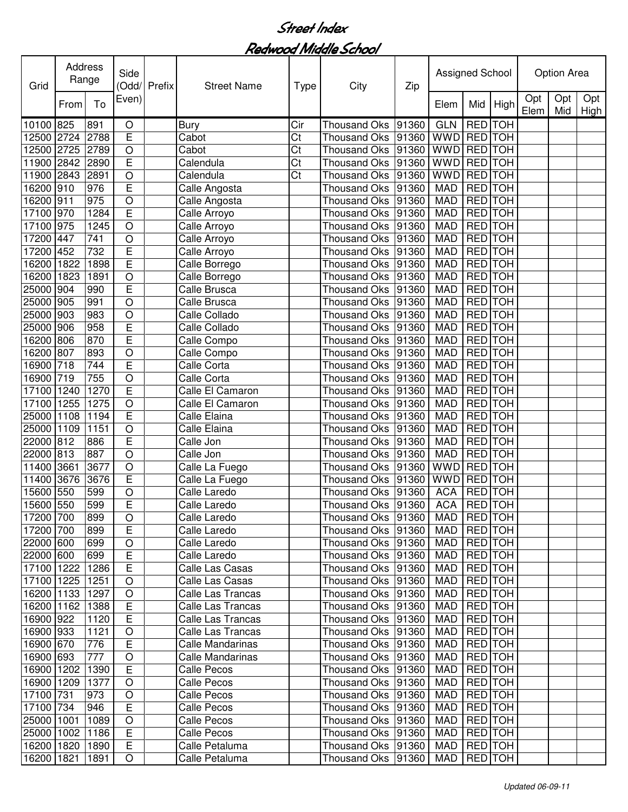| Grid               | Address<br>Range |              | Side                | (Odd/ Prefix | <b>Street Name</b>           | Type                   | City                                     | Zip   | Assigned School             |                           |                |             | <b>Option Area</b> |             |
|--------------------|------------------|--------------|---------------------|--------------|------------------------------|------------------------|------------------------------------------|-------|-----------------------------|---------------------------|----------------|-------------|--------------------|-------------|
|                    | From             | To           | Even)               |              |                              |                        |                                          |       | Elem                        | Mid                       | High           | Opt<br>Elem | Opt<br>Mid         | Opt<br>High |
| 10100              | 825              | 891          | O                   |              | <b>Bury</b>                  | Cir                    | <b>Thousand Oks</b>                      | 91360 | <b>GLN</b>                  | RED TOH                   |                |             |                    |             |
| 12500              | 2724             | 2788         | E                   |              | Cabot                        | Ct                     | <b>Thousand Oks</b>                      | 91360 | <b>WWD</b>                  | RED TOH                   |                |             |                    |             |
| 12500              | 2725             | 2789         | O                   |              | Cabot                        | Ct                     | <b>Thousand Oks</b>                      | 91360 | <b>WWD</b>                  | RED TOH                   |                |             |                    |             |
| 11900              | 2842             | 2890         | E                   |              | Calendula                    | Ct                     | <b>Thousand Oks</b>                      | 91360 | <b>WWD</b>                  | <b>RED</b> TOH            |                |             |                    |             |
| 11900 2843         |                  | 2891         | $\circ$             |              | Calendula                    | $\overline{\text{C}t}$ | <b>Thousand Oks</b>                      | 91360 | <b>WWD</b>                  | <b>RED</b> TOH            |                |             |                    |             |
| 16200              | 910              | 976          | Ē                   |              | Calle Angosta                |                        | Thousand Oks                             | 91360 | <b>MAD</b>                  | RED TOH                   |                |             |                    |             |
| 16200              | 911              | 975          | $\overline{O}$      |              | Calle Angosta                |                        | <b>Thousand Oks</b>                      | 91360 | <b>MAD</b>                  | RED TOH                   |                |             |                    |             |
| 17100              | 970              | 1284         | $\overline{E}$      |              | Calle Arroyo                 |                        | Thousand Oks                             | 91360 | <b>MAD</b>                  | <b>RED</b> TOH            |                |             |                    |             |
| 17100              | 975              | 1245         | $\overline{O}$      |              | Calle Arroyo                 |                        | Thousand Oks                             | 91360 | <b>MAD</b>                  | <b>RED</b> TOH            |                |             |                    |             |
| 17200              | 447              | 741          | $\circ$             |              | Calle Arroyo                 |                        | <b>Thousand Oks</b>                      | 91360 | <b>MAD</b>                  | <b>RED</b> TOH            |                |             |                    |             |
| 17200              | 452              | 732          | $\overline{E}$      |              | Calle Arroyo                 |                        | <b>Thousand Oks</b>                      | 91360 | <b>MAD</b>                  | <b>RED</b> TOH            |                |             |                    |             |
| 16200              | 1822             | 1898         | Ē                   |              | Calle Borrego                |                        | <b>Thousand Oks</b>                      | 91360 | <b>MAD</b>                  | <b>RED</b> TOH            |                |             |                    |             |
| 16200              | 1823             | 1891         | $\circ$             |              | Calle Borrego                |                        | <b>Thousand Oks</b>                      | 91360 | <b>MAD</b>                  | <b>RED</b> TOH            |                |             |                    |             |
| 25000              | 904              | 990          | E                   |              | Calle Brusca                 |                        | <b>Thousand Oks</b>                      | 91360 | <b>MAD</b>                  | <b>RED</b> TOH            |                |             |                    |             |
| 25000              | 905              | 991          | $\circ$             |              | Calle Brusca                 |                        | <b>Thousand Oks</b>                      | 91360 | <b>MAD</b>                  | <b>RED</b> TOH            |                |             |                    |             |
| 25000              | 903              | 983          | $\circ$             |              | Calle Collado                |                        | <b>Thousand Oks</b>                      | 91360 | <b>MAD</b>                  | <b>RED</b> TOH            |                |             |                    |             |
| 25000              | 906              | 958          | E                   |              | Calle Collado                |                        | <b>Thousand Oks</b>                      | 91360 | <b>MAD</b>                  | <b>RED</b> TOH            |                |             |                    |             |
| 16200              | 806              | 870          | E                   |              | Calle Compo                  |                        | <b>Thousand Oks</b>                      | 91360 | <b>MAD</b>                  | RED TOH                   |                |             |                    |             |
| 16200              | 807              | 893          | $\circ$             |              | Calle Compo                  |                        | <b>Thousand Oks</b>                      | 91360 | <b>MAD</b>                  | <b>RED</b> TOH            |                |             |                    |             |
| 16900              | 718              | 744          | E                   |              | Calle Corta                  |                        | <b>Thousand Oks</b>                      | 91360 | <b>MAD</b>                  | RED TOH                   |                |             |                    |             |
| 16900              | 719              | 755          | $\circ$             |              | Calle Corta                  |                        | <b>Thousand Oks</b>                      | 91360 | <b>MAD</b>                  | RED TOH                   |                |             |                    |             |
| 17100              | 1240             | 1270         | E                   |              | Calle El Camaron             |                        | <b>Thousand Oks</b>                      | 91360 | <b>MAD</b>                  | RED TOH                   |                |             |                    |             |
| 17100              | 1255             | 1275         | $\mathsf O$         |              | Calle El Camaron             |                        | Thousand Oks                             | 91360 | <b>MAD</b>                  | RED TOH                   |                |             |                    |             |
| 25000              | 1108             | 1194         | Ē                   |              | Calle Elaina                 |                        | <b>Thousand Oks</b>                      | 91360 | <b>MAD</b>                  | RED TOH                   |                |             |                    |             |
| 25000              | 1109             | 1151         | $\circ$             |              | Calle Elaina                 |                        | Thousand Oks                             | 91360 | <b>MAD</b>                  | RED TOH                   |                |             |                    |             |
| 22000              | 812              | 886          | E<br>$\overline{O}$ |              | Calle Jon                    |                        | <b>Thousand Oks</b>                      | 91360 | <b>MAD</b>                  | RED TOH                   |                |             |                    |             |
| 22000              | 813              | 887          |                     |              | Calle Jon                    |                        | <b>Thousand Oks</b>                      | 91360 | <b>MAD</b><br><b>WWD</b>    | RED TOH                   |                |             |                    |             |
| 11400              | 3661<br>3676     | 3677<br>3676 | O<br>E              |              | Calle La Fuego               |                        | <b>Thousand Oks</b>                      | 91360 |                             | RED TOH                   |                |             |                    |             |
| 11400              |                  | 599          |                     |              | Calle La Fuego               |                        | <b>Thousand Oks</b>                      | 91360 | <b>WWD</b>                  | RED TOH<br><b>RED</b> TOH |                |             |                    |             |
| 15600<br>15600 550 | 550              | 599          | O<br>Ē              |              | Calle Laredo<br>Calle Laredo |                        | Thousand Oks                             | 91360 | <b>ACA</b>                  | RED TOH                   |                |             |                    |             |
| 17200 700          |                  |              |                     |              | Calle Laredo                 |                        | Thousand Oks                             | 91360 | <b>ACA</b><br>MAD   RED TOH |                           |                |             |                    |             |
| 17200 700          |                  | 899<br>899   | O<br>E              |              | Calle Laredo                 |                        | Thousand Oks 91360<br>Thousand Oks 91360 |       | MAD                         |                           | RED TOH        |             |                    |             |
| 22000 600          |                  | 699          | O                   |              | Calle Laredo                 |                        | Thousand Oks 91360                       |       | MAD                         |                           | RED TOH        |             |                    |             |
| 22000 600          |                  | 699          | $\overline{E}$      |              | Calle Laredo                 |                        | Thousand Oks 91360                       |       | MAD                         |                           | RED TOH        |             |                    |             |
| 17100 1222         |                  | 1286         | E                   |              | Calle Las Casas              |                        | Thousand Oks                             | 91360 | <b>MAD</b>                  |                           | RED TOH        |             |                    |             |
| 17100 1225         |                  | 1251         | O                   |              | Calle Las Casas              |                        | Thousand Oks                             | 91360 | <b>MAD</b>                  |                           | RED TOH        |             |                    |             |
| 16200 1133         |                  | 1297         | $\circ$             |              | Calle Las Trancas            |                        | Thousand Oks 91360                       |       | MAD                         |                           | <b>RED</b> TOH |             |                    |             |
| 16200 1162         |                  | 1388         | E                   |              | Calle Las Trancas            |                        | Thousand Oks                             | 91360 | MAD                         | <b>RED</b> TOH            |                |             |                    |             |
| 16900 922          |                  | 1120         | E                   |              | Calle Las Trancas            |                        | Thousand Oks 91360                       |       | MAD                         |                           | <b>RED</b> TOH |             |                    |             |
| 16900 933          |                  | 1121         | $\circ$             |              | Calle Las Trancas            |                        | Thousand Oks 91360                       |       | MAD                         |                           | RED TOH        |             |                    |             |
| 16900 670          |                  | 776          | E                   |              | Calle Mandarinas             |                        | Thousand Oks 91360                       |       | MAD                         |                           | RED TOH        |             |                    |             |
| 16900 693          |                  | 777          | $\mathsf O$         |              | Calle Mandarinas             |                        | Thousand Oks 91360                       |       | MAD                         |                           | RED TOH        |             |                    |             |
| 16900 1202         |                  | 1390         | E                   |              | Calle Pecos                  |                        | Thousand Oks  91360                      |       | MAD                         |                           | RED TOH        |             |                    |             |
| 16900 1209         |                  | 1377         | O                   |              | Calle Pecos                  |                        | Thousand Oks 91360                       |       | MAD                         |                           | RED TOH        |             |                    |             |
| 17100 731          |                  | 973          | O                   |              | Calle Pecos                  |                        | Thousand Oks 91360                       |       | MAD                         |                           | RED TOH        |             |                    |             |
| 17100 734          |                  | 946          | E                   |              | Calle Pecos                  |                        | Thousand Oks 91360                       |       | MAD                         |                           | RED TOH        |             |                    |             |
| 25000 1001         |                  | 1089         | O                   |              | Calle Pecos                  |                        | Thousand Oks 91360                       |       | MAD                         |                           | RED TOH        |             |                    |             |
| 25000 1002         |                  | 1186         | E                   |              | Calle Pecos                  |                        | Thousand Oks 91360                       |       | MAD                         |                           | RED TOH        |             |                    |             |
| 16200 1820 1890    |                  |              | Е                   |              | Calle Petaluma               |                        | Thousand Oks 91360                       |       | MAD   RED   TOH             |                           |                |             |                    |             |
| 16200 1821 1891    |                  |              | O                   |              | Calle Petaluma               |                        | Thousand Oks 91360                       |       | MAD                         | <b>RED</b> TOH            |                |             |                    |             |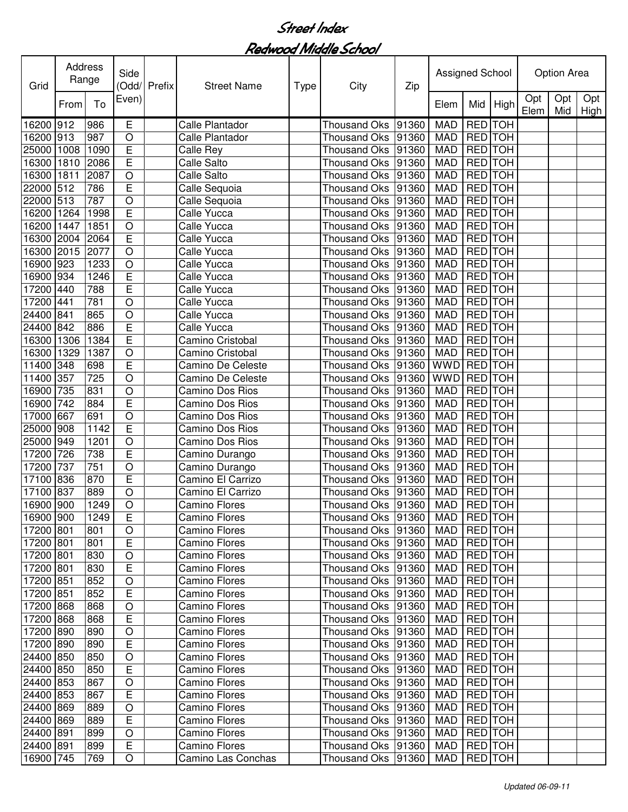| Grid      | Address | Range | Side           | Odd/ Prefix | <b>Street Name</b>       | <b>Type</b> | City                | Zip   | Assigned School |                |            |             | Option Area |             |
|-----------|---------|-------|----------------|-------------|--------------------------|-------------|---------------------|-------|-----------------|----------------|------------|-------------|-------------|-------------|
|           | From    | To    | Even)          |             |                          |             |                     |       | Elem            | Mid            | High       | Opt<br>Elem | Opt<br>Mid  | Opt<br>High |
| 16200     | 912     | 986   | Е              |             | Calle Plantador          |             | <b>Thousand Oks</b> | 91360 | <b>MAD</b>      | RED TOH        |            |             |             |             |
| 16200     | 913     | 987   | $\bigcirc$     |             | Calle Plantador          |             | <b>Thousand Oks</b> | 91360 | <b>MAD</b>      | RED TOH        |            |             |             |             |
| 25000     | 1008    | 1090  | E              |             | Calle Rey                |             | <b>Thousand Oks</b> | 91360 | <b>MAD</b>      | RED TOH        |            |             |             |             |
| 16300     | 1810    | 2086  | E              |             | <b>Calle Salto</b>       |             | <b>Thousand Oks</b> | 91360 | <b>MAD</b>      | RED TOH        |            |             |             |             |
| 16300     | 1811    | 2087  | O              |             | <b>Calle Salto</b>       |             | <b>Thousand Oks</b> | 91360 | <b>MAD</b>      | RED TOH        |            |             |             |             |
| 22000     | 512     | 786   | E              |             | Calle Sequoia            |             | <b>Thousand Oks</b> | 91360 | <b>MAD</b>      | RED TOH        |            |             |             |             |
| 22000     | 513     | 787   | O              |             | Calle Sequoia            |             | Thousand Oks        | 91360 | <b>MAD</b>      | RED TOH        |            |             |             |             |
| 16200     | 1264    | 1998  | Ē              |             | Calle Yucca              |             | Thousand Oks        | 91360 | <b>MAD</b>      | <b>RED</b> TOH |            |             |             |             |
| 16200     | 1447    | 1851  | $\circ$        |             | Calle Yucca              |             | <b>Thousand Oks</b> | 91360 | <b>MAD</b>      | <b>RED</b> TOH |            |             |             |             |
| 16300     | 2004    | 2064  | $\overline{E}$ |             | <b>Calle Yucca</b>       |             | <b>Thousand Oks</b> | 91360 | <b>MAD</b>      | <b>RED</b> TOH |            |             |             |             |
| 16300     | 2015    | 2077  | O              |             | <b>Calle Yucca</b>       |             | <b>Thousand Oks</b> | 91360 | <b>MAD</b>      | <b>RED</b> TOH |            |             |             |             |
| 16900     | 923     | 1233  | $\circ$        |             | Calle Yucca              |             | <b>Thousand Oks</b> | 91360 | <b>MAD</b>      | <b>RED</b> TOH |            |             |             |             |
| 16900     | 934     | 1246  | E              |             | Calle Yucca              |             | <b>Thousand Oks</b> | 91360 | <b>MAD</b>      | <b>RED</b> TOH |            |             |             |             |
| 17200     | 440     | 788   | E              |             | Calle Yucca              |             | Thousand Oks        | 91360 | <b>MAD</b>      | RED TOH        |            |             |             |             |
| 17200     | 441     | 781   | $\circ$        |             | Calle Yucca              |             | <b>Thousand Oks</b> | 91360 | <b>MAD</b>      | RED TOH        |            |             |             |             |
| 24400     | 841     | 865   | $\circ$        |             | Calle Yucca              |             | <b>Thousand Oks</b> | 91360 | <b>MAD</b>      | <b>RED</b> TOH |            |             |             |             |
| 24400     | 842     | 886   | E              |             | <b>Calle Yucca</b>       |             | <b>Thousand Oks</b> | 91360 | <b>MAD</b>      | <b>RED</b> TOH |            |             |             |             |
| 16300     | 1306    | 1384  | E              |             | Camino Cristobal         |             | <b>Thousand Oks</b> | 91360 | <b>MAD</b>      | RED TOH        |            |             |             |             |
| 16300     | 1329    | 1387  | $\circ$        |             | Camino Cristobal         |             | <b>Thousand Oks</b> | 91360 | <b>MAD</b>      | RED TOH        |            |             |             |             |
| 11400     | 348     | 698   | E              |             | Camino De Celeste        |             | <b>Thousand Oks</b> | 91360 | <b>WWD</b>      | RED TOH        |            |             |             |             |
| 11400     | 357     | 725   | $\circ$        |             | <b>Camino De Celeste</b> |             | <b>Thousand Oks</b> | 91360 | <b>WWD</b>      | RED TOH        |            |             |             |             |
| 16900     | 735     | 831   | $\circ$        |             | <b>Camino Dos Rios</b>   |             | <b>Thousand Oks</b> | 91360 | <b>MAD</b>      | RED TOH        |            |             |             |             |
| 16900     | 742     | 884   | E              |             | <b>Camino Dos Rios</b>   |             | <b>Thousand Oks</b> | 91360 | <b>MAD</b>      | RED TOH        |            |             |             |             |
| 17000     | 667     | 691   | $\circ$        |             | Camino Dos Rios          |             | Thousand Oks        | 91360 | <b>MAD</b>      | RED TOH        |            |             |             |             |
| 25000     | 908     | 1142  | $\overline{E}$ |             | <b>Camino Dos Rios</b>   |             | Thousand Oks        | 91360 | <b>MAD</b>      | RED TOH        |            |             |             |             |
| 25000     | 949     | 1201  | $\circ$        |             | <b>Camino Dos Rios</b>   |             | <b>Thousand Oks</b> | 91360 | <b>MAD</b>      | RED TOH        |            |             |             |             |
| 17200     | 726     | 738   | E              |             | Camino Durango           |             | <b>Thousand Oks</b> | 91360 | <b>MAD</b>      | RED TOH        |            |             |             |             |
| 17200     | 737     | 751   | O              |             | Camino Durango           |             | Thousand Oks        | 91360 | <b>MAD</b>      | RED TOH        |            |             |             |             |
| 17100     | 836     | 870   | E              |             | Camino El Carrizo        |             | <b>Thousand Oks</b> | 91360 | <b>MAD</b>      | <b>RED</b>     | <b>TOH</b> |             |             |             |
| 17100     | 837     | 889   | O              |             | Camino El Carrizo        |             | <b>Thousand Oks</b> | 91360 | <b>MAD</b>      | <b>RED</b>     | <b>TOH</b> |             |             |             |
| 16900     | 900     | 1249  | O              |             | <b>Camino Flores</b>     |             | Thousand Oks        | 91360 | <b>MAD</b>      | RED TOH        |            |             |             |             |
| 16900 900 |         | 1249  | E.             |             | <b>Camino Flores</b>     |             | Thousand Oks 91360  |       | MAD   RED   TOH |                |            |             |             |             |
| 17200 801 |         | 801   | O              |             | <b>Camino Flores</b>     |             | Thousand Oks        | 91360 | MAD             | RED TOH        |            |             |             |             |
| 17200 801 |         | 801   | E              |             | <b>Camino Flores</b>     |             | Thousand Oks        | 91360 | <b>MAD</b>      | RED TOH        |            |             |             |             |
| 17200 801 |         | 830   | O              |             | <b>Camino Flores</b>     |             | Thousand Oks        | 91360 | <b>MAD</b>      | RED TOH        |            |             |             |             |
| 17200 801 |         | 830   | $\overline{E}$ |             | Camino Flores            |             | Thousand Oks        | 91360 | <b>MAD</b>      | <b>RED</b> TOH |            |             |             |             |
| 17200 851 |         | 852   | O              |             | <b>Camino Flores</b>     |             | Thousand Oks        | 91360 | <b>MAD</b>      | RED TOH        |            |             |             |             |
| 17200 851 |         | 852   | E              |             | <b>Camino Flores</b>     |             | Thousand Oks        | 91360 | <b>MAD</b>      | RED TOH        |            |             |             |             |
| 17200 868 |         | 868   | $\circ$        |             | <b>Camino Flores</b>     |             | Thousand Oks        | 91360 | <b>MAD</b>      | <b>RED</b> TOH |            |             |             |             |
| 17200 868 |         | 868   | $\overline{E}$ |             | <b>Camino Flores</b>     |             | Thousand Oks        | 91360 | MAD             | RED TOH        |            |             |             |             |
| 17200 890 |         | 890   | $\circ$        |             | Camino Flores            |             | Thousand Oks        | 91360 | <b>MAD</b>      | RED TOH        |            |             |             |             |
| 17200 890 |         | 890   | E              |             | <b>Camino Flores</b>     |             | Thousand Oks        | 91360 | <b>MAD</b>      | RED TOH        |            |             |             |             |
| 24400 850 |         | 850   | $\circ$        |             | Camino Flores            |             | Thousand Oks        | 91360 | <b>MAD</b>      | RED TOH        |            |             |             |             |
| 24400 850 |         | 850   | E              |             | Camino Flores            |             | Thousand Oks        | 91360 | <b>MAD</b>      | RED TOH        |            |             |             |             |
| 24400 853 |         | 867   | O              |             | Camino Flores            |             | Thousand Oks        | 91360 | <b>MAD</b>      | RED TOH        |            |             |             |             |
| 24400 853 |         | 867   | E              |             | Camino Flores            |             | Thousand Oks        | 91360 | MAD             | RED TOH        |            |             |             |             |
| 24400 869 |         | 889   | O              |             | Camino Flores            |             | Thousand Oks 91360  |       | MAD             | RED TOH        |            |             |             |             |
| 24400 869 |         | 889   | E              |             | Camino Flores            |             | Thousand Oks 91360  |       | <b>MAD</b>      | RED TOH        |            |             |             |             |
| 24400 891 |         | 899   | O              |             | Camino Flores            |             | Thousand Oks 91360  |       | MAD             | RED TOH        |            |             |             |             |
| 24400 891 |         | 899   | E              |             | Camino Flores            |             | Thousand Oks 91360  |       | MAD             | RED TOH        |            |             |             |             |
| 16900 745 |         | 769   | $\circ$        |             | Camino Las Conchas       |             | Thousand Oks 91360  |       | MAD             | RED TOH        |            |             |             |             |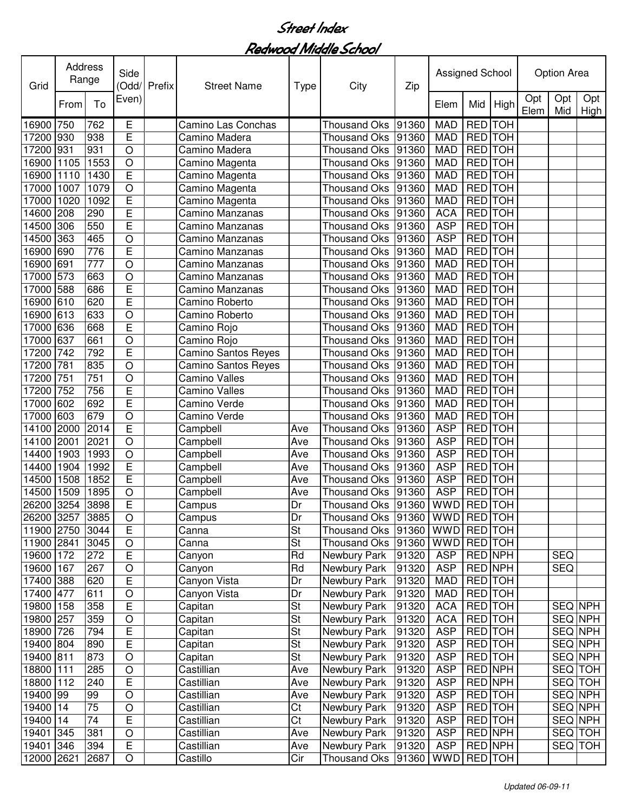| Grid       | Address<br>Range |      | Side<br>(Odd/  | Prefix | <b>Street Name</b>         | <b>Type</b>              | City                | Zip   | Assigned School |                |            |             | Option Area    |             |
|------------|------------------|------|----------------|--------|----------------------------|--------------------------|---------------------|-------|-----------------|----------------|------------|-------------|----------------|-------------|
|            | From             | To   | Even)          |        |                            |                          |                     |       | Elem            | Mid            | High       | Opt<br>Elem | Opt<br>Mid     | Opt<br>High |
| 16900      | 750              | 762  | Е              |        | Camino Las Conchas         |                          | <b>Thousand Oks</b> | 91360 | <b>MAD</b>      | <b>RED</b>     | <b>TOH</b> |             |                |             |
| 17200      | 930              | 938  | E              |        | Camino Madera              |                          | <b>Thousand Oks</b> | 91360 | <b>MAD</b>      | RED TOH        |            |             |                |             |
| 17200      | 931              | 931  | O              |        | Camino Madera              |                          | <b>Thousand Oks</b> | 91360 | <b>MAD</b>      | RED TOH        |            |             |                |             |
| 16900      | 1105             | 1553 | $\circ$        |        | Camino Magenta             |                          | <b>Thousand Oks</b> | 91360 | <b>MAD</b>      | RED TOH        |            |             |                |             |
| 16900      | 1110             | 1430 | E              |        | Camino Magenta             |                          | <b>Thousand Oks</b> | 91360 | <b>MAD</b>      | RED TOH        |            |             |                |             |
| 17000      | 1007             | 1079 | O              |        | Camino Magenta             |                          | <b>Thousand Oks</b> | 91360 | <b>MAD</b>      | RED TOH        |            |             |                |             |
| 17000      | 1020             | 1092 | E              |        | Camino Magenta             |                          | <b>Thousand Oks</b> | 91360 | <b>MAD</b>      | <b>RED</b>     | <b>TOH</b> |             |                |             |
| 14600      | 208              | 290  | E              |        | Camino Manzanas            |                          | <b>Thousand Oks</b> | 91360 | <b>ACA</b>      | <b>RED</b> TOH |            |             |                |             |
| 14500      | 306              | 550  | E              |        | Camino Manzanas            |                          | <b>Thousand Oks</b> | 91360 | <b>ASP</b>      | <b>RED</b> TOH |            |             |                |             |
| 14500      | 363              | 465  | O              |        | Camino Manzanas            |                          | <b>Thousand Oks</b> | 91360 | <b>ASP</b>      | <b>RED</b> TOH |            |             |                |             |
| 16900      | 690              | 776  | E              |        | Camino Manzanas            |                          | <b>Thousand Oks</b> | 91360 | <b>MAD</b>      | <b>RED</b>     | <b>TOH</b> |             |                |             |
| 16900      | 691              | 777  | $\circ$        |        | Camino Manzanas            |                          | <b>Thousand Oks</b> | 91360 | <b>MAD</b>      | <b>RED</b>     | <b>TOH</b> |             |                |             |
| 17000      | 573              | 663  | $\circ$        |        | Camino Manzanas            |                          | <b>Thousand Oks</b> | 91360 | <b>MAD</b>      | <b>RED</b>     | <b>TOH</b> |             |                |             |
| 17000      | 588              | 686  | E              |        | Camino Manzanas            |                          | <b>Thousand Oks</b> | 91360 | <b>MAD</b>      | <b>RED</b>     | <b>TOH</b> |             |                |             |
| 16900      | 610              | 620  | Ē              |        | Camino Roberto             |                          | <b>Thousand Oks</b> | 91360 | <b>MAD</b>      | <b>RED</b>     | <b>TOH</b> |             |                |             |
| 16900      | 613              | 633  | O              |        | Camino Roberto             |                          | <b>Thousand Oks</b> | 91360 | <b>MAD</b>      | <b>RED</b>     | <b>TOH</b> |             |                |             |
| 17000      | 636              | 668  | E              |        | Camino Rojo                |                          | <b>Thousand Oks</b> | 91360 | <b>MAD</b>      | <b>RED</b>     | <b>TOH</b> |             |                |             |
| 17000      | 637              | 661  | O              |        | Camino Rojo                |                          | <b>Thousand Oks</b> | 91360 | <b>MAD</b>      | <b>RED</b>     | ТОН        |             |                |             |
| 17200      | 742              | 792  | E              |        | Camino Santos Reyes        |                          | <b>Thousand Oks</b> | 91360 | <b>MAD</b>      | <b>RED</b>     | <b>TOH</b> |             |                |             |
| 17200      | 781              | 835  | O              |        | <b>Camino Santos Reyes</b> |                          | <b>Thousand Oks</b> | 91360 | <b>MAD</b>      | <b>RED</b>     | <b>TOH</b> |             |                |             |
| 17200      | 751              | 751  | $\circ$        |        | <b>Camino Valles</b>       |                          | <b>Thousand Oks</b> | 91360 | <b>MAD</b>      | <b>RED</b>     | <b>TOH</b> |             |                |             |
| 17200      | 752              | 756  | E              |        | <b>Camino Valles</b>       |                          | <b>Thousand Oks</b> | 91360 | <b>MAD</b>      | <b>RED</b>     | <b>TOH</b> |             |                |             |
| 17000      | 602              | 692  | E              |        | Camino Verde               |                          | <b>Thousand Oks</b> | 91360 | <b>MAD</b>      | <b>RED</b>     | <b>TOH</b> |             |                |             |
| 17000      | 603              | 679  | $\overline{O}$ |        | Camino Verde               |                          | <b>Thousand Oks</b> | 91360 | <b>MAD</b>      | <b>RED</b>     | <b>TOH</b> |             |                |             |
| 14100      | 2000             | 2014 | E              |        | Campbell                   | Ave                      | Thousand Oks        | 91360 | <b>ASP</b>      | <b>RED</b>     | <b>TOH</b> |             |                |             |
| 14100      | 2001             | 2021 | $\circ$        |        | Campbell                   | Ave                      | <b>Thousand Oks</b> | 91360 | <b>ASP</b>      | <b>RED</b>     | <b>TOH</b> |             |                |             |
| 14400      | 1903             | 1993 | $\circ$        |        | Campbell                   | Ave                      | <b>Thousand Oks</b> | 91360 | <b>ASP</b>      | <b>RED</b>     | <b>TOH</b> |             |                |             |
| 14400      | 1904             | 1992 | E              |        | Campbell                   | Ave                      | Thousand Oks        | 91360 | <b>ASP</b>      | <b>RED</b>     | <b>TOH</b> |             |                |             |
| 14500      | 1508             | 1852 | Ē              |        | Campbell                   | Ave                      | Thousand Oks        | 91360 | <b>ASP</b>      | <b>RED</b>     | <b>TOH</b> |             |                |             |
| 14500      | 1509             | 1895 | $\circ$        |        | Campbell                   | Ave                      | <b>Thousand Oks</b> | 91360 | <b>ASP</b>      | <b>RED</b>     | <b>TOH</b> |             |                |             |
| 26200      | 3254             | 3898 | E              |        | Campus                     | Dr                       | <b>Thousand Oks</b> | 91360 | <b>WWD</b>      | <b>RED</b>     | <b>TOH</b> |             |                |             |
| 26200 3257 |                  | 3885 | $\overline{O}$ |        | Campus                     | Dr                       | Thousand Oks  91360 |       | WWD RED TOH     |                |            |             |                |             |
| 11900 2750 |                  | 3044 | E              |        | Canna                      | $\overline{\mathsf{St}}$ | Thousand Oks        | 91360 | <b>WWD</b>      | RED TOH        |            |             |                |             |
| 11900 2841 |                  | 3045 | O              |        | Canna                      | $\overline{\mathsf{St}}$ | <b>Thousand Oks</b> | 91360 | <b>WWD</b>      |                | RED TOH    |             |                |             |
| 19600 172  |                  | 272  | E              |        | Canyon                     | Rd                       | Newbury Park        | 91320 | <b>ASP</b>      | RED NPH        |            |             | <b>SEQ</b>     |             |
| 19600 167  |                  | 267  | O              |        | Canyon                     | Rd                       | Newbury Park        | 91320 | <b>ASP</b>      | RED NPH        |            |             | <b>SEQ</b>     |             |
| 17400 388  |                  | 620  | E              |        | Canyon Vista               | Dr                       | Newbury Park        | 91320 | <b>MAD</b>      | RED TOH        |            |             |                |             |
| 17400 477  |                  | 611  | O              |        | Canyon Vista               | Dr                       | Newbury Park        | 91320 | <b>MAD</b>      | RED TOH        |            |             |                |             |
| 19800      | 158              | 358  | E              |        | Capitan                    | <b>St</b>                | Newbury Park        | 91320 | <b>ACA</b>      | RED TOH        |            |             | <b>SEQ NPH</b> |             |
| 19800      | 257              | 359  | O              |        | Capitan                    | $\overline{\mathsf{St}}$ | Newbury Park        | 91320 | <b>ACA</b>      | RED TOH        |            |             | SEQ NPH        |             |
| 18900      | 726              | 794  | E              |        | Capitan                    | $\overline{\mathsf{St}}$ | <b>Newbury Park</b> | 91320 | <b>ASP</b>      | <b>RED</b> TOH |            |             | <b>SEQ NPH</b> |             |
| 19400      | 804              | 890  | E              |        | Capitan                    | $\overline{\mathsf{St}}$ | Newbury Park        | 91320 | <b>ASP</b>      | <b>RED</b> TOH |            |             |                | SEQ NPH     |
| 19400 811  |                  | 873  | $\circ$        |        | Capitan                    | St                       | Newbury Park        | 91320 | <b>ASP</b>      | RED TOH        |            |             | SEQ NPH        |             |
| 18800 111  |                  | 285  | $\bigcirc$     |        | Castillian                 | Ave                      | Newbury Park        | 91320 | <b>ASP</b>      | RED NPH        |            |             | SEQ TOH        |             |
| 18800 112  |                  | 240  | E              |        | Castillian                 | Ave                      | Newbury Park        | 91320 | <b>ASP</b>      | RED NPH        |            |             | SEQ TOH        |             |
| 19400 99   |                  | 99   | O              |        | Castillian                 | Ave                      | Newbury Park        | 91320 | <b>ASP</b>      | RED TOH        |            |             | SEQ NPH        |             |
| 19400      | 14               | 75   | $\circ$        |        | Castillian                 | Ct                       | Newbury Park        | 91320 | <b>ASP</b>      | RED TOH        |            |             | SEQ NPH        |             |
| 19400      | 14               | 74   | E              |        | Castillian                 | Ct                       | Newbury Park        | 91320 | <b>ASP</b>      |                | RED TOH    |             | SEQ NPH        |             |
| 19401      | 345              | 381  | O              |        | Castillian                 | Ave                      | Newbury Park        | 91320 | <b>ASP</b>      |                | RED NPH    |             | SEQ            | <b>TOH</b>  |
| 19401      | 346              | 394  | E              |        | Castillian                 | Ave                      | Newbury Park        | 91320 | <b>ASP</b>      |                | RED NPH    |             |                | SEQ TOH     |
| 12000 2621 |                  | 2687 | O              |        | Castillo                   | Cir                      | Thousand Oks        | 91360 | <b>WWD</b>      |                | RED TOH    |             |                |             |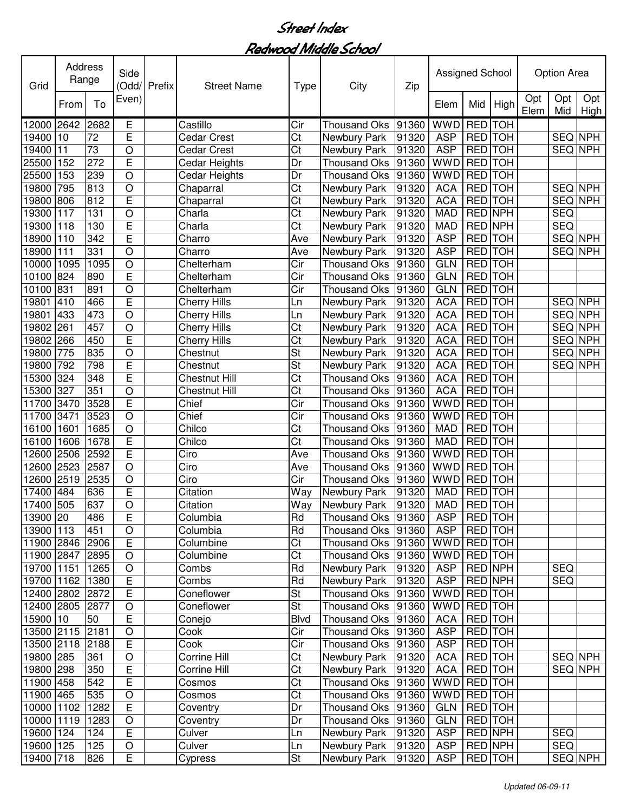| Grid            | <b>Address</b><br>Range |      | Side<br>(Odd/           | Prefix | <b>Street Name</b>   | <b>Type</b>             | City                | Zip   | Assigned School |                |            |             | Option Area    |             |
|-----------------|-------------------------|------|-------------------------|--------|----------------------|-------------------------|---------------------|-------|-----------------|----------------|------------|-------------|----------------|-------------|
|                 | From                    | To   | Even)                   |        |                      |                         |                     |       | Elem            | Mid            | High       | Opt<br>Elem | Opt<br>Mid     | Opt<br>High |
| 12000           | 2642                    | 2682 | Е                       |        | Castillo             | Cir                     | <b>Thousand Oks</b> | 91360 | <b>WWD</b>      | <b>RED</b>     | <b>TOH</b> |             |                |             |
| 19400           | 10                      | 72   | E                       |        | <b>Cedar Crest</b>   | Ct                      | Newbury Park        | 91320 | <b>ASP</b>      | RED TOH        |            |             | SEQ NPH        |             |
| 19400           | 11                      | 73   | O                       |        | <b>Cedar Crest</b>   | Ct                      | Newbury Park        | 91320 | <b>ASP</b>      | <b>RED</b> TOH |            |             | SEQ NPH        |             |
| 25500           | 152                     | 272  | E                       |        | Cedar Heights        | Dr                      | <b>Thousand Oks</b> | 91360 | <b>WWD</b>      | <b>RED</b> TOH |            |             |                |             |
| 25500           | 153                     | 239  | $\circ$                 |        | <b>Cedar Heights</b> | Dr                      | <b>Thousand Oks</b> | 91360 | <b>WWD</b>      | RED TOH        |            |             |                |             |
| 19800           | 795                     | 813  | $\circ$                 |        | Chaparral            | Ct                      | Newbury Park        | 91320 | <b>ACA</b>      | <b>RED</b> TOH |            |             | SEQ NPH        |             |
| 19800           | 806                     | 812  | E                       |        | Chaparral            | Ct                      | Newbury Park        | 91320 | <b>ACA</b>      | RED TOH        |            |             | SEQ NPH        |             |
| 19300           | 117                     | 131  | $\bigcirc$              |        | Charla               | $\overline{\text{Ct}}$  | Newbury Park        | 91320 | <b>MAD</b>      | <b>RED NPH</b> |            |             | <b>SEQ</b>     |             |
| 19300           | 118                     | 130  | E                       |        | Charla               | $\overline{\text{Ct}}$  | Newbury Park        | 91320 | <b>MAD</b>      | <b>RED NPH</b> |            |             | SEQ            |             |
| 18900           | 110                     | 342  | E                       |        | Charro               | Ave                     | Newbury Park        | 91320 | <b>ASP</b>      | <b>RED</b> TOH |            |             | <b>SEQ NPH</b> |             |
| 18900           | 111                     | 331  | $\circ$                 |        | Charro               | Ave                     | Newbury Park        | 91320 | <b>ASP</b>      | <b>RED</b> TOH |            |             | <b>SEQ NPH</b> |             |
| 10000           | 1095                    | 1095 | $\overline{O}$          |        | Chelterham           | Cir                     | <b>Thousand Oks</b> | 91360 | <b>GLN</b>      | <b>RED</b> TOH |            |             |                |             |
| 10100           | 824                     | 890  | Ē                       |        | Chelterham           | $\overline{\text{Cir}}$ | <b>Thousand Oks</b> | 91360 | <b>GLN</b>      | <b>RED</b> TOH |            |             |                |             |
| 10100           | 831                     | 891  | $\circ$                 |        | Chelterham           | Cir                     | <b>Thousand Oks</b> | 91360 | <b>GLN</b>      | <b>RED</b> TOH |            |             |                |             |
| 19801           | 410                     | 466  | E                       |        | <b>Cherry Hills</b>  | Ln                      | Newbury Park        | 91320 | <b>ACA</b>      | <b>RED</b> TOH |            |             | SEQ NPH        |             |
| 19801           | 433                     | 473  | $\overline{O}$          |        | <b>Cherry Hills</b>  | Ln                      | Newbury Park        | 91320 | <b>ACA</b>      | <b>RED</b> TOH |            |             | <b>SEQ NPH</b> |             |
| 19802           | 261                     | 457  | O                       |        | <b>Cherry Hills</b>  | Ct                      | Newbury Park        | 91320 | <b>ACA</b>      | <b>RED</b> TOH |            |             | SEQ NPH        |             |
| 19802           | 266                     | 450  | E                       |        | <b>Cherry Hills</b>  | Ct                      | Newbury Park        | 91320 | <b>ACA</b>      | RED TOH        |            |             | <b>SEQ NPH</b> |             |
| 19800           | 775                     | 835  | O                       |        | Chestnut             | St                      | Newbury Park        | 91320 | ACA             | RED TOH        |            |             | SEQ NPH        |             |
| 19800           | 792                     | 798  | E                       |        | Chestnut             | St                      | Newbury Park        | 91320 | <b>ACA</b>      | <b>RED</b> TOH |            |             | SEQ NPH        |             |
| 15300           | 324                     | 348  | E                       |        | <b>Chestnut Hill</b> | Ct                      | <b>Thousand Oks</b> | 91360 | <b>ACA</b>      | RED TOH        |            |             |                |             |
| 15300           | 327                     | 351  | $\circ$                 |        | <b>Chestnut Hill</b> | Ct                      | <b>Thousand Oks</b> | 91360 | <b>ACA</b>      | RED TOH        |            |             |                |             |
| 11700           | 3470                    | 3528 | $\mathsf E$             |        | Chief                | Cir                     | <b>Thousand Oks</b> | 91360 | <b>WWD</b>      | RED TOH        |            |             |                |             |
| 11700           | 3471                    | 3523 | $\bigcirc$              |        | Chief                | Cir                     | <b>Thousand Oks</b> | 91360 | <b>WWD</b>      | RED TOH        |            |             |                |             |
| 16100           | 1601                    | 1685 | $\circ$                 |        | Chilco               | Ct                      | <b>Thousand Oks</b> | 91360 | <b>MAD</b>      | RED TOH        |            |             |                |             |
| 16100           | 1606                    | 1678 | E                       |        | Chilco               | Ct                      | <b>Thousand Oks</b> | 91360 | <b>MAD</b>      | RED TOH        |            |             |                |             |
| 12600           | 2506                    | 2592 | E                       |        | Ciro                 | Ave                     | <b>Thousand Oks</b> | 91360 | <b>WWD</b>      | RED TOH        |            |             |                |             |
| 12600           | 2523                    | 2587 | $\circ$                 |        | Ciro                 | Ave                     | <b>Thousand Oks</b> | 91360 | <b>WWD</b>      | <b>RED</b> TOH |            |             |                |             |
| 12600           | 2519                    | 2535 | $\bigcirc$              |        | Ciro                 | Cir                     | <b>Thousand Oks</b> | 91360 | <b>WWD</b>      | RED TOH        |            |             |                |             |
| 17400           | 484                     | 636  | E                       |        | Citation             | Way                     | Newbury Park        | 91320 | <b>MAD</b>      | RED TOH        |            |             |                |             |
| 17400           | 505                     | 637  | $\circ$                 |        | Citation             | Way                     | Newbury Park        | 91320 | <b>MAD</b>      | <b>RED</b> TOH |            |             |                |             |
| 13900 20        |                         | 486  | $\overline{\mathsf{E}}$ |        | Columbia             | <b>Hd</b>               | Thousand Oks 91360  |       | <b>ASP</b>      | <b>RED TOH</b> |            |             |                |             |
| 13900 113       |                         | 451  | O                       |        | Columbia             | Rd                      | Thousand Oks 91360  |       | <b>ASP</b>      | RED TOH        |            |             |                |             |
| 11900 2846 2906 |                         |      | $\overline{E}$          |        | Columbine            | $\overline{\text{C}t}$  | <b>Thousand Oks</b> | 91360 | WWD RED TOH     |                |            |             |                |             |
| 11900 2847 2895 |                         |      | $\circ$                 |        | Columbine            | $\overline{\text{C}t}$  | <b>Thousand Oks</b> | 91360 | WWD RED TOH     |                |            |             |                |             |
| 19700 1151      |                         | 1265 | $\circ$                 |        | Combs                | Rd                      | Newbury Park        | 91320 | <b>ASP</b>      | RED NPH        |            |             | <b>SEQ</b>     |             |
| 19700 1162 1380 |                         |      | $\overline{E}$          |        | Combs                | Rd                      | Newbury Park        | 91320 | <b>ASP</b>      | <b>RED NPH</b> |            |             | <b>SEQ</b>     |             |
| 12400 2802 2872 |                         |      | E                       |        | Coneflower           | <b>St</b>               | <b>Thousand Oks</b> | 91360 | WWD RED TOH     |                |            |             |                |             |
| 12400 2805 2877 |                         |      | $\bigcirc$              |        | Coneflower           | <b>St</b>               | <b>Thousand Oks</b> | 91360 | WWD RED TOH     |                |            |             |                |             |
| 15900 10        |                         | 50   | $\overline{E}$          |        | Conejo               | <b>Blvd</b>             | <b>Thousand Oks</b> | 91360 | <b>ACA</b>      | RED TOH        |            |             |                |             |
| 13500 2115 2181 |                         |      | $\bigcirc$              |        | Cook                 | Cir                     | <b>Thousand Oks</b> | 91360 | <b>ASP</b>      | RED TOH        |            |             |                |             |
| 13500 2118 2188 |                         |      | $\overline{E}$          |        | Cook                 | Cir                     | Thousand Oks        | 91360 | <b>ASP</b>      | RED TOH        |            |             |                |             |
| 19800 285       |                         | 361  | O                       |        | Corrine Hill         | Ct                      | Newbury Park        | 91320 | <b>ACA</b>      | RED TOH        |            |             | SEQ NPH        |             |
| 19800 298       |                         | 350  | E                       |        | Corrine Hill         | Ct                      | Newbury Park        | 91320 | <b>ACA</b>      | RED TOH        |            |             |                | SEQ NPH     |
| 11900 458       |                         | 542  | E                       |        | Cosmos               | Ct                      | Thousand Oks        | 91360 | WWD RED TOH     |                |            |             |                |             |
| 11900 465       |                         | 535  | $\bigcirc$              |        | Cosmos               | $\overline{\text{Ct}}$  | Thousand Oks        | 91360 | WWD RED TOH     |                |            |             |                |             |
| 10000 1102      |                         | 1282 | $\overline{E}$          |        | Coventry             | Dr                      | <b>Thousand Oks</b> | 91360 | <b>GLN</b>      | RED TOH        |            |             |                |             |
| 10000 1119      |                         | 1283 | $\bigcirc$              |        | Coventry             | Dr                      | <b>Thousand Oks</b> | 91360 | GLN             | RED TOH        |            |             |                |             |
| 19600           | 124                     | 124  | E                       |        | Culver               | Ln                      | Newbury Park        | 91320 | <b>ASP</b>      | RED NPH        |            |             | <b>SEQ</b>     |             |
| 19600 125       |                         | 125  | O                       |        | Culver               | Ln                      | Newbury Park        | 91320 | <b>ASP</b>      | RED NPH        |            |             | <b>SEQ</b>     |             |
| 19400 718       |                         | 826  | E                       |        | Cypress              | <b>St</b>               | Newbury Park        | 91320 | <b>ASP</b>      |                | RED TOH    |             |                | SEQ NPH     |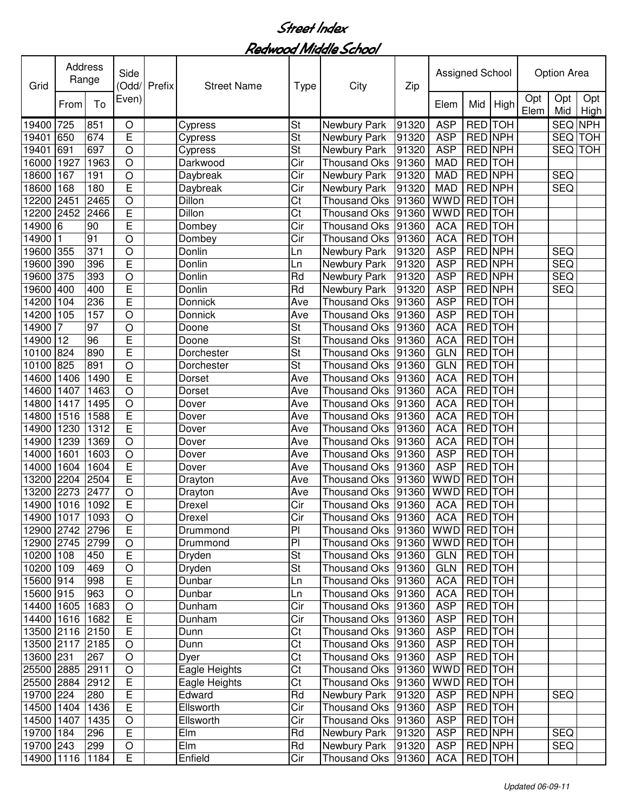| Grid            | Address | Range            | Side<br>(Odd/  | Prefix | <b>Street Name</b> | Type                   | City                | Zip   | Assigned School |                |         |             | <b>Option Area</b> |             |
|-----------------|---------|------------------|----------------|--------|--------------------|------------------------|---------------------|-------|-----------------|----------------|---------|-------------|--------------------|-------------|
|                 | From    | To               | Even)          |        |                    |                        |                     |       | Elem            | Mid            | High    | Opt<br>Elem | Opt<br>Mid         | Opt<br>High |
| 19400           | 725     | 851              | $\circ$        |        | Cypress            | <b>St</b>              | Newbury Park        | 91320 | <b>ASP</b>      | RED TOH        |         |             | SEQ NPH            |             |
| 19401           | 650     | 674              | E              |        | Cypress            | St                     | Newbury Park        | 91320 | <b>ASP</b>      | RED NPH        |         |             | SEQ TOH            |             |
| 19401           | 691     | 697              | $\circ$        |        | Cypress            | St                     | Newbury Park        | 91320 | <b>ASP</b>      | RED NPH        |         |             | <b>SEQ TOH</b>     |             |
| 16000           | 1927    | 1963             | $\circ$        |        | Darkwood           | Cir                    | <b>Thousand Oks</b> | 91360 | <b>MAD</b>      | RED TOH        |         |             |                    |             |
| 18600           | 167     | 191              | O              |        | Daybreak           | Cir                    | Newbury Park        | 91320 | <b>MAD</b>      | RED NPH        |         |             | <b>SEQ</b>         |             |
| 18600           | 168     | 180              | E              |        | Daybreak           | Cir                    | Newbury Park        | 91320 | <b>MAD</b>      | RED NPH        |         |             | <b>SEQ</b>         |             |
| 12200           | 2451    | 2465             | $\circ$        |        | Dillon             | $\overline{\text{C}t}$ | <b>Thousand Oks</b> | 91360 | <b>WWD</b>      | RED TOH        |         |             |                    |             |
| 12200           | 2452    | 2466             | Ē              |        | <b>Dillon</b>      | $\overline{\text{Ct}}$ | <b>Thousand Oks</b> | 91360 | <b>WWD</b>      | <b>RED</b> TOH |         |             |                    |             |
| 14900           | 6       | 90               | E              |        | Dombey             | Cir                    | <b>Thousand Oks</b> | 91360 | <b>ACA</b>      | <b>RED</b> TOH |         |             |                    |             |
| 14900           |         | 91               | $\overline{O}$ |        | Dombey             | $\overline{C}$ ir      | <b>Thousand Oks</b> | 91360 | <b>ACA</b>      | <b>RED</b> TOH |         |             |                    |             |
| 19600           | 355     | $\overline{371}$ | $\circ$        |        | Donlin             | Ln                     | Newbury Park        | 91320 | <b>ASP</b>      | <b>RED NPH</b> |         |             | <b>SEQ</b>         |             |
| 19600           | 390     | 396              | $\overline{E}$ |        | Donlin             | Ln                     | Newbury Park        | 91320 | <b>ASP</b>      | <b>RED NPH</b> |         |             | <b>SEQ</b>         |             |
| 19600           | 375     | 393              | O              |        | Donlin             | Rd                     | Newbury Park        | 91320 | <b>ASP</b>      | <b>RED NPH</b> |         |             | SEQ                |             |
| 19600           | 400     | 400              | E              |        | Donlin             | Rd                     | Newbury Park        | 91320 | <b>ASP</b>      | <b>RED NPH</b> |         |             | <b>SEQ</b>         |             |
| 14200           | 104     | 236              | E              |        | Donnick            | Ave                    | <b>Thousand Oks</b> | 91360 | <b>ASP</b>      | <b>RED</b> TOH |         |             |                    |             |
| 14200           | 105     | 157              | O              |        | Donnick            | Ave                    | <b>Thousand Oks</b> | 91360 | <b>ASP</b>      | <b>RED</b> TOH |         |             |                    |             |
| 14900           |         | 97               | $\circ$        |        | Doone              | St                     | <b>Thousand Oks</b> | 91360 | <b>ACA</b>      | <b>RED</b> TOH |         |             |                    |             |
| 14900           | 12      | 96               | E              |        | Doone              | <b>St</b>              | <b>Thousand Oks</b> | 91360 | <b>ACA</b>      | RED TOH        |         |             |                    |             |
| 10100           | 824     | 890              | E              |        | Dorchester         | St                     | <b>Thousand Oks</b> | 91360 | <b>GLN</b>      | <b>RED</b> TOH |         |             |                    |             |
| 10100           | 825     | 891              | $\circ$        |        | Dorchester         | St                     | <b>Thousand Oks</b> | 91360 | <b>GLN</b>      | <b>RED</b> TOH |         |             |                    |             |
| 14600           | 1406    | 1490             | E              |        | Dorset             | Ave                    | <b>Thousand Oks</b> | 91360 | <b>ACA</b>      | RED TOH        |         |             |                    |             |
| 14600           | 1407    | 1463             | $\circ$        |        | Dorset             | Ave                    | <b>Thousand Oks</b> | 91360 | <b>ACA</b>      | RED TOH        |         |             |                    |             |
| 14800           | 1417    | 1495             | $\circ$        |        | Dover              | Ave                    | <b>Thousand Oks</b> | 91360 | <b>ACA</b>      | RED TOH        |         |             |                    |             |
| 14800           | 1516    | 1588             | $\overline{E}$ |        | Dover              | Ave                    | <b>Thousand Oks</b> | 91360 | <b>ACA</b>      | <b>RED</b> TOH |         |             |                    |             |
| 14900           | 1230    | 1312             | $\overline{E}$ |        | Dover              | Ave                    | Thousand Oks        | 91360 | <b>ACA</b>      | RED TOH        |         |             |                    |             |
| 14900           | 1239    | 1369             | $\overline{O}$ |        | Dover              | Ave                    | <b>Thousand Oks</b> | 91360 | <b>ACA</b>      | RED TOH        |         |             |                    |             |
| 14000           | 1601    | 1603             | $\circ$        |        | Dover              | Ave                    | <b>Thousand Oks</b> | 91360 | <b>ASP</b>      | RED TOH        |         |             |                    |             |
| 14000           | 1604    | 1604             | E              |        | Dover              | Ave                    | <b>Thousand Oks</b> | 91360 | <b>ASP</b>      | RED TOH        |         |             |                    |             |
| 13200           | 2204    | 2504             | Ē              |        | Drayton            | Ave                    | <b>Thousand Oks</b> | 91360 | WWD             | RED TOH        |         |             |                    |             |
| 13200           | 2273    | 2477             | $\circ$        |        | Drayton            | Ave                    | <b>Thousand Oks</b> | 91360 | <b>WWD</b>      | RED TOH        |         |             |                    |             |
| 14900           | 1016    | 1092             | E              |        | <b>Drexel</b>      | Cir                    | Thousand Oks        | 91360 | <b>ACA</b>      | <b>RED</b> TOH |         |             |                    |             |
| 14900 1017 1093 |         |                  | O              |        | Drexel             | Cir                    | Thousand Oks  91360 |       | ACA   RED   TOH |                |         |             |                    |             |
| 12900 2742 2796 |         |                  | $\overline{E}$ |        | Drummond           | $\overline{P}$         | Thousand Oks        | 91360 | WWD RED TOH     |                |         |             |                    |             |
| 12900 2745 2799 |         |                  | $\bigcirc$     |        | Drummond           | $\overline{P}$         | Thousand Oks        | 91360 | WWD RED TOH     |                |         |             |                    |             |
| 10200 108       |         | 450              | E              |        | Dryden             | <b>St</b>              | Thousand Oks        | 91360 | <b>GLN</b>      | RED TOH        |         |             |                    |             |
| 10200 109       |         | 469              | $\bigcirc$     |        | Dryden             | <b>St</b>              | <b>Thousand Oks</b> | 91360 | <b>GLN</b>      | RED TOH        |         |             |                    |             |
| 15600 914       |         | 998              | E              |        | Dunbar             | Ln                     | Thousand Oks        | 91360 | <b>ACA</b>      | RED TOH        |         |             |                    |             |
| 15600 915       |         | 963              | $\circ$        |        | Dunbar             | Ln                     | Thousand Oks        | 91360 | <b>ACA</b>      |                | RED TOH |             |                    |             |
| 14400 1605      |         | 1683             | $\bigcirc$     |        | Dunham             | $\overline{C}$ ir      | <b>Thousand Oks</b> | 91360 | <b>ASP</b>      | <b>RED</b> TOH |         |             |                    |             |
| 14400 1616      |         | 1682             | E              |        | Dunham             | $\overline{C}$ ir      | <b>Thousand Oks</b> | 91360 | <b>ASP</b>      | RED TOH        |         |             |                    |             |
| 13500 2116 2150 |         |                  | $\overline{E}$ |        | Dunn               | $\overline{C}t$        | Thousand Oks        | 91360 | <b>ASP</b>      | RED TOH        |         |             |                    |             |
| 13500 2117 2185 |         |                  | $\bigcirc$     |        | Dunn               | $\overline{C}$ t       | <b>Thousand Oks</b> | 91360 | <b>ASP</b>      | RED TOH        |         |             |                    |             |
| 13600 231       |         | 267              | $\bigcirc$     |        | Dyer               | $\overline{\text{C}t}$ | <b>Thousand Oks</b> | 91360 | <b>ASP</b>      | RED TOH        |         |             |                    |             |
| 25500 2885      |         | 2911             | $\bigcirc$     |        | Eagle Heights      | Ct                     | <b>Thousand Oks</b> | 91360 | <b>WWD</b>      | RED TOH        |         |             |                    |             |
| 25500 2884      |         | 2912             | E              |        | Eagle Heights      | C <sub>t</sub>         | <b>Thousand Oks</b> | 91360 | <b>WWD</b>      |                | RED TOH |             |                    |             |
| 19700 224       |         | 280              | $\overline{E}$ |        | Edward             | Rd                     | Newbury Park        | 91320 | <b>ASP</b>      |                | RED NPH |             | <b>SEQ</b>         |             |
| 14500 1404      |         | 1436             | $\overline{E}$ |        | Ellsworth          | Cir                    | Thousand Oks        | 91360 | <b>ASP</b>      |                | RED TOH |             |                    |             |
| 14500 1407      |         | 1435             | $\circ$        |        | Ellsworth          | Cir                    | Thousand Oks        | 91360 | <b>ASP</b>      |                | RED TOH |             |                    |             |
| 19700 184       |         | 296              | $\overline{E}$ |        | Elm                | Rd                     | Newbury Park        | 91320 | <b>ASP</b>      | RED NPH        |         |             | <b>SEQ</b>         |             |
| 19700 243       |         | 299              | O              |        | Elm                | Rd                     | Newbury Park        | 91320 | <b>ASP</b>      | RED NPH        |         |             | <b>SEQ</b>         |             |
| 14900 1116      |         | 1184             | E              |        | Enfield            | Cir                    | Thousand Oks 91360  |       | <b>ACA</b>      |                | RED TOH |             |                    |             |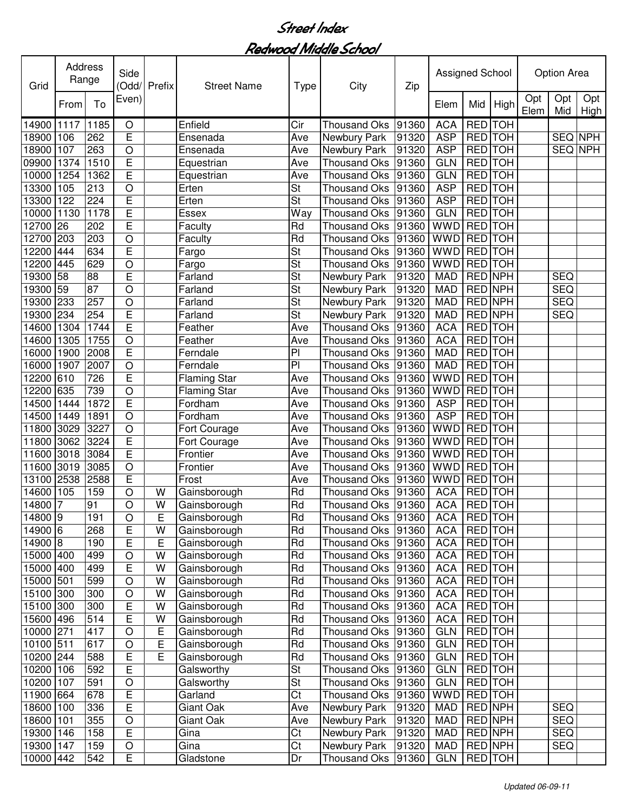| Grid      | Address<br>Range |                  | Side<br>(Odd/  | Prefix | <b>Street Name</b>  | Type           | City                | Zip   | Assigned School |                |            |             | <b>Option Area</b> |                    |
|-----------|------------------|------------------|----------------|--------|---------------------|----------------|---------------------|-------|-----------------|----------------|------------|-------------|--------------------|--------------------|
|           | From             | To               | Even)          |        |                     |                |                     |       | Elem            | Mid            | High       | Opt<br>Elem | Opt<br>Mid         | Opt<br><b>High</b> |
| 14900     | 1117             | 1185             | O              |        | Enfield             | Cir            | Thousand Oks        | 91360 | <b>ACA</b>      | RED TOH        |            |             |                    |                    |
| 18900     | 106              | 262              | E              |        | Ensenada            | Ave            | Newbury Park        | 91320 | <b>ASP</b>      | RED TOH        |            |             | SEQ NPH            |                    |
| 18900     | 107              | 263              | $\circ$        |        | Ensenada            | Ave            | Newbury Park        | 91320 | <b>ASP</b>      | RED TOH        |            |             | SEQ NPH            |                    |
| 09900     | 1374             | 1510             | E              |        | Equestrian          | Ave            | <b>Thousand Oks</b> | 91360 | <b>GLN</b>      | <b>RED</b> TOH |            |             |                    |                    |
| 10000     | 1254             | 1362             | E              |        | Equestrian          | Ave            | <b>Thousand Oks</b> | 91360 | <b>GLN</b>      | RED TOH        |            |             |                    |                    |
| 13300     | 105              | 213              | O              |        | Erten               | St             | <b>Thousand Oks</b> | 91360 | <b>ASP</b>      | RED TOH        |            |             |                    |                    |
| 13300     | 122              | 224              | Ē              |        | Erten               | St             | <b>Thousand Oks</b> | 91360 | <b>ASP</b>      | RED TOH        |            |             |                    |                    |
| 10000     | 1130             | 1178             | E              |        | Essex               | Way            | <b>Thousand Oks</b> | 91360 | <b>GLN</b>      | <b>RED</b> TOH |            |             |                    |                    |
| 12700     | 26               | 202              | E              |        | Faculty             | Rd             | <b>Thousand Oks</b> | 91360 | <b>WWD</b>      | <b>RED</b> TOH |            |             |                    |                    |
| 12700     | 203              | 203              | $\overline{O}$ |        | Faculty             | Rd             | <b>Thousand Oks</b> | 91360 | <b>WWD</b>      | <b>RED</b> TOH |            |             |                    |                    |
| 12200     | 444              | 634              | Ē              |        | Fargo               | St             | <b>Thousand Oks</b> | 91360 | <b>WWD</b>      | <b>RED</b> TOH |            |             |                    |                    |
| 12200     | 445              | 629              | $\circ$        |        | Fargo               | St             | <b>Thousand Oks</b> | 91360 | <b>WWD</b>      | <b>RED</b> TOH |            |             |                    |                    |
| 19300     | 58               | 88               | E              |        | Farland             | St             | Newbury Park        | 91320 | <b>MAD</b>      | <b>RED NPH</b> |            |             | <b>SEQ</b>         |                    |
| 19300     | 59               | $\overline{87}$  | O              |        | Farland             | <b>St</b>      | Newbury Park        | 91320 | <b>MAD</b>      | <b>RED NPH</b> |            |             | <b>SEQ</b>         |                    |
| 19300     | 233              | 257              | O              |        | Farland             | St             | <b>Newbury Park</b> | 91320 | <b>MAD</b>      | <b>RED NPH</b> |            |             | <b>SEQ</b>         |                    |
| 19300     | 234              | 254              | E              |        | Farland             | <b>St</b>      | Newbury Park        | 91320 | <b>MAD</b>      | <b>RED NPH</b> |            |             | <b>SEQ</b>         |                    |
| 14600     | 1304             | 1744             | E              |        | Feather             | Ave            | <b>Thousand Oks</b> | 91360 | <b>ACA</b>      | <b>RED</b> TOH |            |             |                    |                    |
| 14600     | 1305             | 1755             | O              |        | Feather             | Ave            | <b>Thousand Oks</b> | 91360 | <b>ACA</b>      | <b>RED</b> TOH |            |             |                    |                    |
| 16000     | 1900             | 2008             | E              |        | Ferndale            | P              | <b>Thousand Oks</b> | 91360 | <b>MAD</b>      | <b>RED</b> TOH |            |             |                    |                    |
| 16000     | 1907             | 2007             | $\circ$        |        | Ferndale            | PI             | <b>Thousand Oks</b> | 91360 | <b>MAD</b>      | RED TOH        |            |             |                    |                    |
| 12200     | 610              | 726              | E              |        | <b>Flaming Star</b> | Ave            | <b>Thousand Oks</b> | 91360 | <b>WWD</b>      | RED TOH        |            |             |                    |                    |
| 12200     | 635              | 739              | $\circ$        |        | <b>Flaming Star</b> | Ave            | <b>Thousand Oks</b> | 91360 | <b>WWD</b>      | RED TOH        |            |             |                    |                    |
| 14500     | 1444             | 1872             | E              |        | Fordham             | Ave            | <b>Thousand Oks</b> | 91360 | <b>ASP</b>      | RED TOH        |            |             |                    |                    |
| 14500     | 1449             | 1891             | $\circ$        |        | Fordham             | Ave            | <b>Thousand Oks</b> | 91360 | <b>ASP</b>      | RED TOH        |            |             |                    |                    |
| 11800     | 3029             | 3227             | $\circ$        |        | Fort Courage        | Ave            | <b>Thousand Oks</b> | 91360 | <b>WWD</b>      | RED TOH        |            |             |                    |                    |
| 11800     | 3062             | 3224             | E              |        | Fort Courage        | Ave            | <b>Thousand Oks</b> | 91360 | <b>WWD</b>      | RED TOH        |            |             |                    |                    |
| 11600     | 3018             | 3084             | $\overline{E}$ |        | Frontier            | Ave            | <b>Thousand Oks</b> | 91360 | <b>WWD</b>      | RED TOH        |            |             |                    |                    |
| 11600     | 3019             | 3085             | $\circ$        |        | Frontier            | Ave            | Thousand Oks        | 91360 | <b>WWD</b>      | RED TOH        |            |             |                    |                    |
| 13100     | 2538             | 2588             | E              |        | Frost               | Ave            | <b>Thousand Oks</b> | 91360 | <b>WWD</b>      | RED TOH        |            |             |                    |                    |
| 14600     | 105              | 159              | $\circ$        | W      | Gainsborough        | Rd             | Thousand Oks        | 91360 | <b>ACA</b>      | <b>RED</b>     | <b>TOH</b> |             |                    |                    |
| 14800     |                  | 91               | O              | W      | Gainsborough        | Rd             | Thousand Oks        | 91360 | <b>ACA</b>      | RED TOH        |            |             |                    |                    |
| 14800   9 |                  | 191              | O              | ᄇ      | Gainsborough        | Rd             | Thousand Oks  91360 |       | <b>ACA</b>      | <b>REDITOH</b> |            |             |                    |                    |
| 14900 6   |                  | 268              | E              | W      | Gainsborough        | Rd             | Thousand Oks        | 91360 | <b>ACA</b>      |                | RED TOH    |             |                    |                    |
| 14900 8   |                  | 190              | E              | E      | Gainsborough        | Rd             | Thousand Oks        | 91360 | <b>ACA</b>      |                | RED TOH    |             |                    |                    |
| 15000 400 |                  | 499              | O              | W      | Gainsborough        | Rd             | Thousand Oks        | 91360 | <b>ACA</b>      | RED TOH        |            |             |                    |                    |
| 15000 400 |                  | 499              | E              | W      | Gainsborough        | Rd             | <b>Thousand Oks</b> | 91360 | <b>ACA</b>      |                | RED TOH    |             |                    |                    |
| 15000 501 |                  | 599              | $\circ$        | W      | Gainsborough        | Rd             | <b>Thousand Oks</b> | 91360 | <b>ACA</b>      | RED TOH        |            |             |                    |                    |
| 15100 300 |                  | 300              | $\circ$        | W      | Gainsborough        | Rd             | <b>Thousand Oks</b> | 91360 | <b>ACA</b>      | RED TOH        |            |             |                    |                    |
| 15100 300 |                  | 300              | E              | W      | Gainsborough        | Rd             | <b>Thousand Oks</b> | 91360 | <b>ACA</b>      | <b>RED</b> TOH |            |             |                    |                    |
| 15600 496 |                  | $\overline{514}$ | E              | W      | Gainsborough        | Rd             | <b>Thousand Oks</b> | 91360 | <b>ACA</b>      | RED TOH        |            |             |                    |                    |
| 10000 271 |                  | 417              | $\circ$        | E      | Gainsborough        | Rd             | <b>Thousand Oks</b> | 91360 | <b>GLN</b>      | RED TOH        |            |             |                    |                    |
| 10100 511 |                  | 617              | $\circ$        | E      | Gainsborough        | Rd             | <b>Thousand Oks</b> | 91360 | <b>GLN</b>      | RED TOH        |            |             |                    |                    |
| 10200 244 |                  | 588              | E              | E      | Gainsborough        | Rd             | <b>Thousand Oks</b> | 91360 | <b>GLN</b>      | RED TOH        |            |             |                    |                    |
| 10200 106 |                  | 592              | E              |        | Galsworthy          | <b>St</b>      | Thousand Oks        | 91360 | <b>GLN</b>      | RED TOH        |            |             |                    |                    |
| 10200     | 107              | 591              | $\mathsf O$    |        | Galsworthy          | <b>St</b>      | Thousand Oks        | 91360 | <b>GLN</b>      | RED TOH        |            |             |                    |                    |
| 11900 664 |                  | 678              | E              |        | Garland             | C <sub>t</sub> | Thousand Oks        | 91360 | WWD             | RED TOH        |            |             |                    |                    |
| 18600     | 100              | 336              | E              |        | Giant Oak           | Ave            | Newbury Park        | 91320 | <b>MAD</b>      | RED NPH        |            |             | <b>SEQ</b>         |                    |
| 18600     | 101              | 355              | O              |        | Giant Oak           | Ave            | Newbury Park        | 91320 | <b>MAD</b>      | RED NPH        |            |             | <b>SEQ</b>         |                    |
| 19300     | 146              | 158              | E              |        | Gina                | C <sub>t</sub> | Newbury Park        | 91320 | <b>MAD</b>      |                | RED NPH    |             | <b>SEQ</b>         |                    |
| 19300     | 147              | 159              | O              |        | Gina                | C <sub>t</sub> | Newbury Park        | 91320 | <b>MAD</b>      |                | RED NPH    |             | <b>SEQ</b>         |                    |
| 10000 442 |                  | 542              | E              |        | Gladstone           | Dr             | <b>Thousand Oks</b> | 91360 | <b>GLN</b>      |                | RED TOH    |             |                    |                    |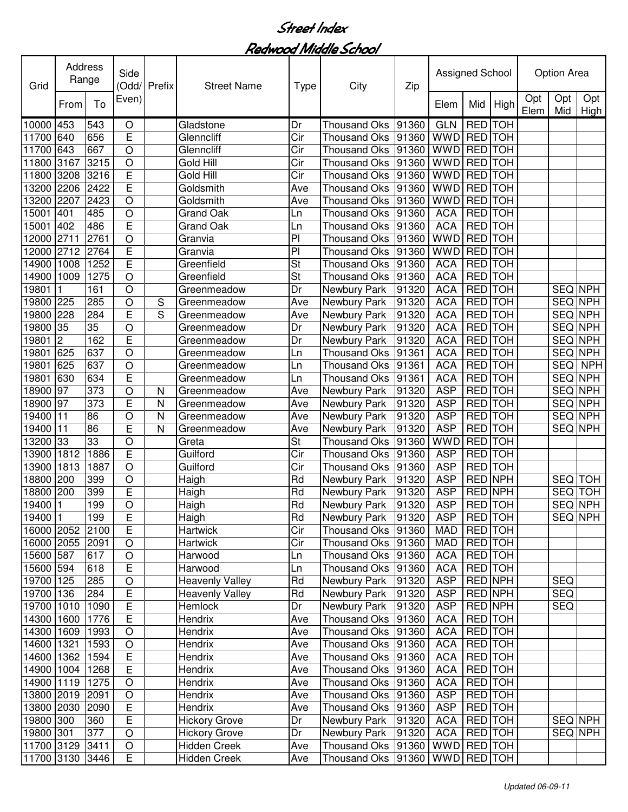| Opt<br>Opt<br>Opt<br>Even)<br>To<br>High<br>From<br>Elem<br>Mid<br>Elem<br>Mid<br>High<br><b>GLN</b><br>543<br>Dr<br><b>RED</b> TOH<br>10000<br>453<br>Gladstone<br><b>Thousand Oks</b><br>91360<br>O<br>E<br><b>WWD</b><br>RED TOH<br>640<br>656<br>Glenncliff<br>Cir<br>11700<br><b>Thousand Oks</b><br>91360<br>$\circ$<br>RED TOH<br>643<br>667<br>Cir<br>91360<br><b>WWD</b><br>11700<br>Glenncliff<br><b>Thousand Oks</b><br>3215<br>$\circ$<br>Cir<br><b>WWD</b><br>RED TOH<br>3167<br>Gold Hill<br>91360<br>11800<br><b>Thousand Oks</b><br>E<br>Gold Hill<br>Cir<br><b>WWD</b><br>3208<br>3216<br>91360<br><b>RED</b> TOH<br>11800<br><b>Thousand Oks</b><br>E<br>91360<br>RED TOH<br>13200<br>2206<br>2422<br>Goldsmith<br><b>WWD</b><br>Ave<br><b>Thousand Oks</b><br>$\circ$<br>RED TOH<br>2207<br>2423<br>91360<br><b>WWD</b><br>13200<br>Goldsmith<br>Ave<br>Thousand Oks<br>485<br><b>RED</b> TOH<br>15001<br>401<br>$\circ$<br>91360<br><b>ACA</b><br><b>Grand Oak</b><br><b>Thousand Oks</b><br>Ln<br>$\overline{E}$<br><b>ACA</b><br><b>RED</b> TOH<br>402<br>486<br><b>Grand Oak</b><br>91360<br>15001<br>Thousand Oks<br>Ln<br>2761<br>$\overline{O}$<br>P<br><b>WWD</b><br><b>RED</b> TOH<br>2711<br>91360<br>12000<br>Granvia<br><b>Thousand Oks</b><br>E<br>$\overline{P}$<br><b>RED</b> TOH<br>2712<br>2764<br><b>WWD</b><br>12000<br>Granvia<br><b>Thousand Oks</b><br>91360<br>Ē<br>$\overline{\mathsf{St}}$<br><b>RED</b> TOH<br>14900<br>1008<br>1252<br>Greenfield<br><b>Thousand Oks</b><br><b>ACA</b><br>91360<br><b>St</b><br>1009<br>1275<br>Greenfield<br><b>ACA</b><br><b>RED</b> TOH<br>14900<br>O<br><b>Thousand Oks</b><br>91360<br><b>ACA</b><br>161<br><b>RED</b> TOH<br>SEQ NPH<br>19801<br>O<br>Greenmeadow<br>Dr<br>Newbury Park<br>91320<br><b>ACA</b><br>225<br>285<br>O<br><b>RED</b> TOH<br>SEQ NPH<br>19800<br>Greenmeadow<br>Ave<br>Newbury Park<br>91320<br>S<br>Ē<br><b>ACA</b><br>19800<br>228<br>284<br>S<br>Ave<br><b>RED</b> TOH<br>SEQ NPH<br>Greenmeadow<br>Newbury Park<br>91320<br>19800<br>35<br>35<br>Dr<br>91320<br><b>ACA</b><br>RED TOH<br><b>SEQ NPH</b><br>O<br>Greenmeadow<br>Newbury Park<br>E<br>162<br><b>ACA</b><br>$\overline{2}$<br>Dr<br>91320<br><b>RED</b> TOH<br><b>SEQ NPH</b><br>19801<br>Greenmeadow<br>Newbury Park<br><b>ACA</b><br>SEQ NPH<br>19801<br>637<br>$\circ$<br>91361<br><b>RED</b> TOH<br>625<br>Greenmeadow<br><b>Thousand Oks</b><br>Ln<br><b>ACA</b><br>RED TOH<br>19801<br>625<br>637<br>$\circ$<br>91361<br><b>SEQ</b><br><b>NPH</b><br><b>Thousand Oks</b><br>Greenmeadow<br>Ln<br>E<br><b>ACA</b><br>RED TOH<br>SEQ NPH<br>19801<br>630<br>634<br>91361<br><b>Thousand Oks</b><br>Greenmeadow<br>Ln<br>373<br><b>ASP</b><br>RED TOH<br>SEQ NPH<br>18900<br>97<br>$\circ$<br>91320<br>Ave<br>Newbury Park<br>N<br>Greenmeadow<br>373<br>E<br><b>ASP</b><br>RED TOH<br>SEQ NPH<br>18900<br>97<br>91320<br>Ave<br>Newbury Park<br>N<br>Greenmeadow<br>$\circ$<br>RED TOH<br>19400<br>11<br>86<br>N<br>91320<br><b>ASP</b><br>SEQ NPH<br>Ave<br>Newbury Park<br>Greenmeadow<br>$\overline{E}$<br>86<br><b>ASP</b><br>RED TOH<br>SEQ NPH<br>19400<br>11<br>N<br>91320<br>Ave<br>Newbury Park<br>Greenmeadow<br>33<br>33<br>$\circ$<br>St<br>RED TOH<br>91360<br>WWD<br>13200<br>Greta<br><b>Thousand Oks</b><br>E<br>Cir<br>RED TOH<br>13900<br>1812<br>1886<br>Guilford<br>91360<br><b>ASP</b><br><b>Thousand Oks</b><br>$\circ$<br>Cir<br><b>ASP</b><br>RED TOH<br>1813<br>1887<br>Guilford<br>13900<br><b>Thousand Oks</b><br>91360<br>Rd<br><b>ASP</b><br>RED NPH<br>18800<br>200<br>O<br><b>TOH</b><br>399<br>Haigh<br>Newbury Park<br>91320<br><b>SEQ</b><br>E<br>Rd<br><b>ASP</b><br>RED NPH<br>TOH<br>18800<br>200<br>399<br>Haigh<br>Newbury Park<br>91320<br><b>SEQ</b><br>19400<br>O<br>Rd<br><b>ASP</b><br><b>RED</b> TOH<br>SEQ NPH<br>199<br>91320<br>Haigh<br>Newbury Park<br>19400 1<br>199<br>Ε<br>Haigh<br>Rd<br>Newbury Park<br>91320<br><b>ASP</b><br><b>RED</b> TOH<br>SEQ NPH<br>E<br>$\overline{C}$ ir<br>16000 2052 2100<br>Thousand Oks<br>91360<br>RED TOH<br>Hartwick<br>MAD<br>Cir<br>RED TOH<br>16000 2055 2091<br>$\bigcirc$<br><b>Hartwick</b><br><b>Thousand Oks</b><br>91360<br><b>MAD</b><br>15600 587<br><b>ACA</b><br>RED TOH<br>617<br>$\bigcirc$<br>Harwood<br><b>Thousand Oks</b><br>91360<br>Ln<br>E<br>15600 594<br>Harwood<br><b>Thousand Oks</b><br><b>ACA</b><br>RED TOH<br>618<br>91360<br>Ln<br><b>ASP</b><br><b>RED NPH</b><br>19700 125<br>285<br>$\circ$<br><b>Heavenly Valley</b><br>Rd<br><b>SEQ</b><br>Newbury Park<br>91320<br>$\overline{E}$<br><b>RED NPH</b><br><b>SEQ</b><br>19700 136<br>284<br>Rd<br>Newbury Park<br>91320<br><b>ASP</b><br><b>Heavenly Valley</b><br>$\overline{E}$<br>SEQ<br><b>ASP</b><br><b>RED NPH</b><br>19700 1010<br>Dr<br>91320<br>1090<br>Hemlock<br>Newbury Park<br>E<br><b>RED</b> TOH<br>1776<br><b>Thousand Oks</b><br><b>ACA</b><br>14300 1600<br>Hendrix<br>Ave<br>91360<br>$\bigcirc$<br>91360<br><b>ACA</b><br>RED TOH<br>14300 1609<br>1993<br>Hendrix<br>Thousand Oks<br>Ave<br>$\bigcirc$<br><b>ACA</b><br>RED TOH<br>14600 1321<br>1593<br>Hendrix<br>Thousand Oks<br>91360<br>Ave<br>E<br><b>Thousand Oks</b><br><b>ACA</b><br>RED TOH<br>14600 1362<br>1594<br>Hendrix<br>91360<br>Ave<br>E<br>RED TOH<br>14900 1004<br>Thousand Oks<br><b>ACA</b><br>1268<br>Hendrix<br>Ave<br>91360<br>RED TOH<br>$\circ$<br>Thousand Oks<br>14900 1119<br>1275<br>Hendrix<br>91360<br><b>ACA</b><br>Ave<br><b>ASP</b><br>RED TOH<br>13800 2019<br>2091<br>O<br>Hendrix<br>Thousand Oks<br>91360<br>Ave<br>E<br><b>Thousand Oks</b><br>RED TOH<br>13800 2030<br>Hendrix<br>91360<br><b>ASP</b><br>2090<br>Ave<br>E<br>Hickory Grove<br>Newbury Park<br>SEQ NPH<br>19800 300<br>Dr<br>91320<br><b>ACA</b><br>RED TOH<br>360<br>19800 301<br>377<br>$\circ$<br>Dr<br><b>Hickory Grove</b><br>Newbury Park<br>91320<br><b>ACA</b><br>RED TOH<br>SEQ NPH<br>WWD RED TOH<br>11700 3129 3411<br>$\circ$<br>Hidden Creek<br>Thousand Oks 91360<br>Ave<br>11700 3130 3446<br>Thousand Oks  91360   WWD   RED   TOH | Grid | Address<br>Range | Side<br>(Odd/ | Prefix | <b>Street Name</b>  | Type | City | Zip | Assigned School |  | <b>Option Area</b> |  |
|------------------------------------------------------------------------------------------------------------------------------------------------------------------------------------------------------------------------------------------------------------------------------------------------------------------------------------------------------------------------------------------------------------------------------------------------------------------------------------------------------------------------------------------------------------------------------------------------------------------------------------------------------------------------------------------------------------------------------------------------------------------------------------------------------------------------------------------------------------------------------------------------------------------------------------------------------------------------------------------------------------------------------------------------------------------------------------------------------------------------------------------------------------------------------------------------------------------------------------------------------------------------------------------------------------------------------------------------------------------------------------------------------------------------------------------------------------------------------------------------------------------------------------------------------------------------------------------------------------------------------------------------------------------------------------------------------------------------------------------------------------------------------------------------------------------------------------------------------------------------------------------------------------------------------------------------------------------------------------------------------------------------------------------------------------------------------------------------------------------------------------------------------------------------------------------------------------------------------------------------------------------------------------------------------------------------------------------------------------------------------------------------------------------------------------------------------------------------------------------------------------------------------------------------------------------------------------------------------------------------------------------------------------------------------------------------------------------------------------------------------------------------------------------------------------------------------------------------------------------------------------------------------------------------------------------------------------------------------------------------------------------------------------------------------------------------------------------------------------------------------------------------------------------------------------------------------------------------------------------------------------------------------------------------------------------------------------------------------------------------------------------------------------------------------------------------------------------------------------------------------------------------------------------------------------------------------------------------------------------------------------------------------------------------------------------------------------------------------------------------------------------------------------------------------------------------------------------------------------------------------------------------------------------------------------------------------------------------------------------------------------------------------------------------------------------------------------------------------------------------------------------------------------------------------------------------------------------------------------------------------------------------------------------------------------------------------------------------------------------------------------------------------------------------------------------------------------------------------------------------------------------------------------------------------------------------------------------------------------------------------------------------------------------------------------------------------------------------------------------------------------------------------------------------------------------------------------------------------------------------------------------------------------------------------------------------------------------------------------------------------------------------------------------------------------------------------------------------------------------------------------------------------------------------------------------------------------------------------------------------------------------------------------------------------------------------------------------------------------------------------------------------------------------------------------------------------------------------------------------------------------------------------------------------------------------------------------------------------------------------------------------------------------------------------------------------------------------------------------------------------------------------------------------------------------------------------------------------------------------------------------------------------------------------------------------------------------------------------------------------------------------------------------------------------------------------------------------------|------|------------------|---------------|--------|---------------------|------|------|-----|-----------------|--|--------------------|--|
|                                                                                                                                                                                                                                                                                                                                                                                                                                                                                                                                                                                                                                                                                                                                                                                                                                                                                                                                                                                                                                                                                                                                                                                                                                                                                                                                                                                                                                                                                                                                                                                                                                                                                                                                                                                                                                                                                                                                                                                                                                                                                                                                                                                                                                                                                                                                                                                                                                                                                                                                                                                                                                                                                                                                                                                                                                                                                                                                                                                                                                                                                                                                                                                                                                                                                                                                                                                                                                                                                                                                                                                                                                                                                                                                                                                                                                                                                                                                                                                                                                                                                                                                                                                                                                                                                                                                                                                                                                                                                                                                                                                                                                                                                                                                                                                                                                                                                                                                                                                                                                                                                                                                                                                                                                                                                                                                                                                                                                                                                                                                                                                                                                                                                                                                                                                                                                                                                                                                                                                                                                                                                                |      |                  |               |        |                     |      |      |     |                 |  |                    |  |
|                                                                                                                                                                                                                                                                                                                                                                                                                                                                                                                                                                                                                                                                                                                                                                                                                                                                                                                                                                                                                                                                                                                                                                                                                                                                                                                                                                                                                                                                                                                                                                                                                                                                                                                                                                                                                                                                                                                                                                                                                                                                                                                                                                                                                                                                                                                                                                                                                                                                                                                                                                                                                                                                                                                                                                                                                                                                                                                                                                                                                                                                                                                                                                                                                                                                                                                                                                                                                                                                                                                                                                                                                                                                                                                                                                                                                                                                                                                                                                                                                                                                                                                                                                                                                                                                                                                                                                                                                                                                                                                                                                                                                                                                                                                                                                                                                                                                                                                                                                                                                                                                                                                                                                                                                                                                                                                                                                                                                                                                                                                                                                                                                                                                                                                                                                                                                                                                                                                                                                                                                                                                                                |      |                  |               |        |                     |      |      |     |                 |  |                    |  |
|                                                                                                                                                                                                                                                                                                                                                                                                                                                                                                                                                                                                                                                                                                                                                                                                                                                                                                                                                                                                                                                                                                                                                                                                                                                                                                                                                                                                                                                                                                                                                                                                                                                                                                                                                                                                                                                                                                                                                                                                                                                                                                                                                                                                                                                                                                                                                                                                                                                                                                                                                                                                                                                                                                                                                                                                                                                                                                                                                                                                                                                                                                                                                                                                                                                                                                                                                                                                                                                                                                                                                                                                                                                                                                                                                                                                                                                                                                                                                                                                                                                                                                                                                                                                                                                                                                                                                                                                                                                                                                                                                                                                                                                                                                                                                                                                                                                                                                                                                                                                                                                                                                                                                                                                                                                                                                                                                                                                                                                                                                                                                                                                                                                                                                                                                                                                                                                                                                                                                                                                                                                                                                |      |                  |               |        |                     |      |      |     |                 |  |                    |  |
|                                                                                                                                                                                                                                                                                                                                                                                                                                                                                                                                                                                                                                                                                                                                                                                                                                                                                                                                                                                                                                                                                                                                                                                                                                                                                                                                                                                                                                                                                                                                                                                                                                                                                                                                                                                                                                                                                                                                                                                                                                                                                                                                                                                                                                                                                                                                                                                                                                                                                                                                                                                                                                                                                                                                                                                                                                                                                                                                                                                                                                                                                                                                                                                                                                                                                                                                                                                                                                                                                                                                                                                                                                                                                                                                                                                                                                                                                                                                                                                                                                                                                                                                                                                                                                                                                                                                                                                                                                                                                                                                                                                                                                                                                                                                                                                                                                                                                                                                                                                                                                                                                                                                                                                                                                                                                                                                                                                                                                                                                                                                                                                                                                                                                                                                                                                                                                                                                                                                                                                                                                                                                                |      |                  |               |        |                     |      |      |     |                 |  |                    |  |
|                                                                                                                                                                                                                                                                                                                                                                                                                                                                                                                                                                                                                                                                                                                                                                                                                                                                                                                                                                                                                                                                                                                                                                                                                                                                                                                                                                                                                                                                                                                                                                                                                                                                                                                                                                                                                                                                                                                                                                                                                                                                                                                                                                                                                                                                                                                                                                                                                                                                                                                                                                                                                                                                                                                                                                                                                                                                                                                                                                                                                                                                                                                                                                                                                                                                                                                                                                                                                                                                                                                                                                                                                                                                                                                                                                                                                                                                                                                                                                                                                                                                                                                                                                                                                                                                                                                                                                                                                                                                                                                                                                                                                                                                                                                                                                                                                                                                                                                                                                                                                                                                                                                                                                                                                                                                                                                                                                                                                                                                                                                                                                                                                                                                                                                                                                                                                                                                                                                                                                                                                                                                                                |      |                  |               |        |                     |      |      |     |                 |  |                    |  |
|                                                                                                                                                                                                                                                                                                                                                                                                                                                                                                                                                                                                                                                                                                                                                                                                                                                                                                                                                                                                                                                                                                                                                                                                                                                                                                                                                                                                                                                                                                                                                                                                                                                                                                                                                                                                                                                                                                                                                                                                                                                                                                                                                                                                                                                                                                                                                                                                                                                                                                                                                                                                                                                                                                                                                                                                                                                                                                                                                                                                                                                                                                                                                                                                                                                                                                                                                                                                                                                                                                                                                                                                                                                                                                                                                                                                                                                                                                                                                                                                                                                                                                                                                                                                                                                                                                                                                                                                                                                                                                                                                                                                                                                                                                                                                                                                                                                                                                                                                                                                                                                                                                                                                                                                                                                                                                                                                                                                                                                                                                                                                                                                                                                                                                                                                                                                                                                                                                                                                                                                                                                                                                |      |                  |               |        |                     |      |      |     |                 |  |                    |  |
|                                                                                                                                                                                                                                                                                                                                                                                                                                                                                                                                                                                                                                                                                                                                                                                                                                                                                                                                                                                                                                                                                                                                                                                                                                                                                                                                                                                                                                                                                                                                                                                                                                                                                                                                                                                                                                                                                                                                                                                                                                                                                                                                                                                                                                                                                                                                                                                                                                                                                                                                                                                                                                                                                                                                                                                                                                                                                                                                                                                                                                                                                                                                                                                                                                                                                                                                                                                                                                                                                                                                                                                                                                                                                                                                                                                                                                                                                                                                                                                                                                                                                                                                                                                                                                                                                                                                                                                                                                                                                                                                                                                                                                                                                                                                                                                                                                                                                                                                                                                                                                                                                                                                                                                                                                                                                                                                                                                                                                                                                                                                                                                                                                                                                                                                                                                                                                                                                                                                                                                                                                                                                                |      |                  |               |        |                     |      |      |     |                 |  |                    |  |
|                                                                                                                                                                                                                                                                                                                                                                                                                                                                                                                                                                                                                                                                                                                                                                                                                                                                                                                                                                                                                                                                                                                                                                                                                                                                                                                                                                                                                                                                                                                                                                                                                                                                                                                                                                                                                                                                                                                                                                                                                                                                                                                                                                                                                                                                                                                                                                                                                                                                                                                                                                                                                                                                                                                                                                                                                                                                                                                                                                                                                                                                                                                                                                                                                                                                                                                                                                                                                                                                                                                                                                                                                                                                                                                                                                                                                                                                                                                                                                                                                                                                                                                                                                                                                                                                                                                                                                                                                                                                                                                                                                                                                                                                                                                                                                                                                                                                                                                                                                                                                                                                                                                                                                                                                                                                                                                                                                                                                                                                                                                                                                                                                                                                                                                                                                                                                                                                                                                                                                                                                                                                                                |      |                  |               |        |                     |      |      |     |                 |  |                    |  |
|                                                                                                                                                                                                                                                                                                                                                                                                                                                                                                                                                                                                                                                                                                                                                                                                                                                                                                                                                                                                                                                                                                                                                                                                                                                                                                                                                                                                                                                                                                                                                                                                                                                                                                                                                                                                                                                                                                                                                                                                                                                                                                                                                                                                                                                                                                                                                                                                                                                                                                                                                                                                                                                                                                                                                                                                                                                                                                                                                                                                                                                                                                                                                                                                                                                                                                                                                                                                                                                                                                                                                                                                                                                                                                                                                                                                                                                                                                                                                                                                                                                                                                                                                                                                                                                                                                                                                                                                                                                                                                                                                                                                                                                                                                                                                                                                                                                                                                                                                                                                                                                                                                                                                                                                                                                                                                                                                                                                                                                                                                                                                                                                                                                                                                                                                                                                                                                                                                                                                                                                                                                                                                |      |                  |               |        |                     |      |      |     |                 |  |                    |  |
|                                                                                                                                                                                                                                                                                                                                                                                                                                                                                                                                                                                                                                                                                                                                                                                                                                                                                                                                                                                                                                                                                                                                                                                                                                                                                                                                                                                                                                                                                                                                                                                                                                                                                                                                                                                                                                                                                                                                                                                                                                                                                                                                                                                                                                                                                                                                                                                                                                                                                                                                                                                                                                                                                                                                                                                                                                                                                                                                                                                                                                                                                                                                                                                                                                                                                                                                                                                                                                                                                                                                                                                                                                                                                                                                                                                                                                                                                                                                                                                                                                                                                                                                                                                                                                                                                                                                                                                                                                                                                                                                                                                                                                                                                                                                                                                                                                                                                                                                                                                                                                                                                                                                                                                                                                                                                                                                                                                                                                                                                                                                                                                                                                                                                                                                                                                                                                                                                                                                                                                                                                                                                                |      |                  |               |        |                     |      |      |     |                 |  |                    |  |
|                                                                                                                                                                                                                                                                                                                                                                                                                                                                                                                                                                                                                                                                                                                                                                                                                                                                                                                                                                                                                                                                                                                                                                                                                                                                                                                                                                                                                                                                                                                                                                                                                                                                                                                                                                                                                                                                                                                                                                                                                                                                                                                                                                                                                                                                                                                                                                                                                                                                                                                                                                                                                                                                                                                                                                                                                                                                                                                                                                                                                                                                                                                                                                                                                                                                                                                                                                                                                                                                                                                                                                                                                                                                                                                                                                                                                                                                                                                                                                                                                                                                                                                                                                                                                                                                                                                                                                                                                                                                                                                                                                                                                                                                                                                                                                                                                                                                                                                                                                                                                                                                                                                                                                                                                                                                                                                                                                                                                                                                                                                                                                                                                                                                                                                                                                                                                                                                                                                                                                                                                                                                                                |      |                  |               |        |                     |      |      |     |                 |  |                    |  |
|                                                                                                                                                                                                                                                                                                                                                                                                                                                                                                                                                                                                                                                                                                                                                                                                                                                                                                                                                                                                                                                                                                                                                                                                                                                                                                                                                                                                                                                                                                                                                                                                                                                                                                                                                                                                                                                                                                                                                                                                                                                                                                                                                                                                                                                                                                                                                                                                                                                                                                                                                                                                                                                                                                                                                                                                                                                                                                                                                                                                                                                                                                                                                                                                                                                                                                                                                                                                                                                                                                                                                                                                                                                                                                                                                                                                                                                                                                                                                                                                                                                                                                                                                                                                                                                                                                                                                                                                                                                                                                                                                                                                                                                                                                                                                                                                                                                                                                                                                                                                                                                                                                                                                                                                                                                                                                                                                                                                                                                                                                                                                                                                                                                                                                                                                                                                                                                                                                                                                                                                                                                                                                |      |                  |               |        |                     |      |      |     |                 |  |                    |  |
|                                                                                                                                                                                                                                                                                                                                                                                                                                                                                                                                                                                                                                                                                                                                                                                                                                                                                                                                                                                                                                                                                                                                                                                                                                                                                                                                                                                                                                                                                                                                                                                                                                                                                                                                                                                                                                                                                                                                                                                                                                                                                                                                                                                                                                                                                                                                                                                                                                                                                                                                                                                                                                                                                                                                                                                                                                                                                                                                                                                                                                                                                                                                                                                                                                                                                                                                                                                                                                                                                                                                                                                                                                                                                                                                                                                                                                                                                                                                                                                                                                                                                                                                                                                                                                                                                                                                                                                                                                                                                                                                                                                                                                                                                                                                                                                                                                                                                                                                                                                                                                                                                                                                                                                                                                                                                                                                                                                                                                                                                                                                                                                                                                                                                                                                                                                                                                                                                                                                                                                                                                                                                                |      |                  |               |        |                     |      |      |     |                 |  |                    |  |
|                                                                                                                                                                                                                                                                                                                                                                                                                                                                                                                                                                                                                                                                                                                                                                                                                                                                                                                                                                                                                                                                                                                                                                                                                                                                                                                                                                                                                                                                                                                                                                                                                                                                                                                                                                                                                                                                                                                                                                                                                                                                                                                                                                                                                                                                                                                                                                                                                                                                                                                                                                                                                                                                                                                                                                                                                                                                                                                                                                                                                                                                                                                                                                                                                                                                                                                                                                                                                                                                                                                                                                                                                                                                                                                                                                                                                                                                                                                                                                                                                                                                                                                                                                                                                                                                                                                                                                                                                                                                                                                                                                                                                                                                                                                                                                                                                                                                                                                                                                                                                                                                                                                                                                                                                                                                                                                                                                                                                                                                                                                                                                                                                                                                                                                                                                                                                                                                                                                                                                                                                                                                                                |      |                  |               |        |                     |      |      |     |                 |  |                    |  |
|                                                                                                                                                                                                                                                                                                                                                                                                                                                                                                                                                                                                                                                                                                                                                                                                                                                                                                                                                                                                                                                                                                                                                                                                                                                                                                                                                                                                                                                                                                                                                                                                                                                                                                                                                                                                                                                                                                                                                                                                                                                                                                                                                                                                                                                                                                                                                                                                                                                                                                                                                                                                                                                                                                                                                                                                                                                                                                                                                                                                                                                                                                                                                                                                                                                                                                                                                                                                                                                                                                                                                                                                                                                                                                                                                                                                                                                                                                                                                                                                                                                                                                                                                                                                                                                                                                                                                                                                                                                                                                                                                                                                                                                                                                                                                                                                                                                                                                                                                                                                                                                                                                                                                                                                                                                                                                                                                                                                                                                                                                                                                                                                                                                                                                                                                                                                                                                                                                                                                                                                                                                                                                |      |                  |               |        |                     |      |      |     |                 |  |                    |  |
|                                                                                                                                                                                                                                                                                                                                                                                                                                                                                                                                                                                                                                                                                                                                                                                                                                                                                                                                                                                                                                                                                                                                                                                                                                                                                                                                                                                                                                                                                                                                                                                                                                                                                                                                                                                                                                                                                                                                                                                                                                                                                                                                                                                                                                                                                                                                                                                                                                                                                                                                                                                                                                                                                                                                                                                                                                                                                                                                                                                                                                                                                                                                                                                                                                                                                                                                                                                                                                                                                                                                                                                                                                                                                                                                                                                                                                                                                                                                                                                                                                                                                                                                                                                                                                                                                                                                                                                                                                                                                                                                                                                                                                                                                                                                                                                                                                                                                                                                                                                                                                                                                                                                                                                                                                                                                                                                                                                                                                                                                                                                                                                                                                                                                                                                                                                                                                                                                                                                                                                                                                                                                                |      |                  |               |        |                     |      |      |     |                 |  |                    |  |
|                                                                                                                                                                                                                                                                                                                                                                                                                                                                                                                                                                                                                                                                                                                                                                                                                                                                                                                                                                                                                                                                                                                                                                                                                                                                                                                                                                                                                                                                                                                                                                                                                                                                                                                                                                                                                                                                                                                                                                                                                                                                                                                                                                                                                                                                                                                                                                                                                                                                                                                                                                                                                                                                                                                                                                                                                                                                                                                                                                                                                                                                                                                                                                                                                                                                                                                                                                                                                                                                                                                                                                                                                                                                                                                                                                                                                                                                                                                                                                                                                                                                                                                                                                                                                                                                                                                                                                                                                                                                                                                                                                                                                                                                                                                                                                                                                                                                                                                                                                                                                                                                                                                                                                                                                                                                                                                                                                                                                                                                                                                                                                                                                                                                                                                                                                                                                                                                                                                                                                                                                                                                                                |      |                  |               |        |                     |      |      |     |                 |  |                    |  |
|                                                                                                                                                                                                                                                                                                                                                                                                                                                                                                                                                                                                                                                                                                                                                                                                                                                                                                                                                                                                                                                                                                                                                                                                                                                                                                                                                                                                                                                                                                                                                                                                                                                                                                                                                                                                                                                                                                                                                                                                                                                                                                                                                                                                                                                                                                                                                                                                                                                                                                                                                                                                                                                                                                                                                                                                                                                                                                                                                                                                                                                                                                                                                                                                                                                                                                                                                                                                                                                                                                                                                                                                                                                                                                                                                                                                                                                                                                                                                                                                                                                                                                                                                                                                                                                                                                                                                                                                                                                                                                                                                                                                                                                                                                                                                                                                                                                                                                                                                                                                                                                                                                                                                                                                                                                                                                                                                                                                                                                                                                                                                                                                                                                                                                                                                                                                                                                                                                                                                                                                                                                                                                |      |                  |               |        |                     |      |      |     |                 |  |                    |  |
|                                                                                                                                                                                                                                                                                                                                                                                                                                                                                                                                                                                                                                                                                                                                                                                                                                                                                                                                                                                                                                                                                                                                                                                                                                                                                                                                                                                                                                                                                                                                                                                                                                                                                                                                                                                                                                                                                                                                                                                                                                                                                                                                                                                                                                                                                                                                                                                                                                                                                                                                                                                                                                                                                                                                                                                                                                                                                                                                                                                                                                                                                                                                                                                                                                                                                                                                                                                                                                                                                                                                                                                                                                                                                                                                                                                                                                                                                                                                                                                                                                                                                                                                                                                                                                                                                                                                                                                                                                                                                                                                                                                                                                                                                                                                                                                                                                                                                                                                                                                                                                                                                                                                                                                                                                                                                                                                                                                                                                                                                                                                                                                                                                                                                                                                                                                                                                                                                                                                                                                                                                                                                                |      |                  |               |        |                     |      |      |     |                 |  |                    |  |
|                                                                                                                                                                                                                                                                                                                                                                                                                                                                                                                                                                                                                                                                                                                                                                                                                                                                                                                                                                                                                                                                                                                                                                                                                                                                                                                                                                                                                                                                                                                                                                                                                                                                                                                                                                                                                                                                                                                                                                                                                                                                                                                                                                                                                                                                                                                                                                                                                                                                                                                                                                                                                                                                                                                                                                                                                                                                                                                                                                                                                                                                                                                                                                                                                                                                                                                                                                                                                                                                                                                                                                                                                                                                                                                                                                                                                                                                                                                                                                                                                                                                                                                                                                                                                                                                                                                                                                                                                                                                                                                                                                                                                                                                                                                                                                                                                                                                                                                                                                                                                                                                                                                                                                                                                                                                                                                                                                                                                                                                                                                                                                                                                                                                                                                                                                                                                                                                                                                                                                                                                                                                                                |      |                  |               |        |                     |      |      |     |                 |  |                    |  |
|                                                                                                                                                                                                                                                                                                                                                                                                                                                                                                                                                                                                                                                                                                                                                                                                                                                                                                                                                                                                                                                                                                                                                                                                                                                                                                                                                                                                                                                                                                                                                                                                                                                                                                                                                                                                                                                                                                                                                                                                                                                                                                                                                                                                                                                                                                                                                                                                                                                                                                                                                                                                                                                                                                                                                                                                                                                                                                                                                                                                                                                                                                                                                                                                                                                                                                                                                                                                                                                                                                                                                                                                                                                                                                                                                                                                                                                                                                                                                                                                                                                                                                                                                                                                                                                                                                                                                                                                                                                                                                                                                                                                                                                                                                                                                                                                                                                                                                                                                                                                                                                                                                                                                                                                                                                                                                                                                                                                                                                                                                                                                                                                                                                                                                                                                                                                                                                                                                                                                                                                                                                                                                |      |                  |               |        |                     |      |      |     |                 |  |                    |  |
|                                                                                                                                                                                                                                                                                                                                                                                                                                                                                                                                                                                                                                                                                                                                                                                                                                                                                                                                                                                                                                                                                                                                                                                                                                                                                                                                                                                                                                                                                                                                                                                                                                                                                                                                                                                                                                                                                                                                                                                                                                                                                                                                                                                                                                                                                                                                                                                                                                                                                                                                                                                                                                                                                                                                                                                                                                                                                                                                                                                                                                                                                                                                                                                                                                                                                                                                                                                                                                                                                                                                                                                                                                                                                                                                                                                                                                                                                                                                                                                                                                                                                                                                                                                                                                                                                                                                                                                                                                                                                                                                                                                                                                                                                                                                                                                                                                                                                                                                                                                                                                                                                                                                                                                                                                                                                                                                                                                                                                                                                                                                                                                                                                                                                                                                                                                                                                                                                                                                                                                                                                                                                                |      |                  |               |        |                     |      |      |     |                 |  |                    |  |
|                                                                                                                                                                                                                                                                                                                                                                                                                                                                                                                                                                                                                                                                                                                                                                                                                                                                                                                                                                                                                                                                                                                                                                                                                                                                                                                                                                                                                                                                                                                                                                                                                                                                                                                                                                                                                                                                                                                                                                                                                                                                                                                                                                                                                                                                                                                                                                                                                                                                                                                                                                                                                                                                                                                                                                                                                                                                                                                                                                                                                                                                                                                                                                                                                                                                                                                                                                                                                                                                                                                                                                                                                                                                                                                                                                                                                                                                                                                                                                                                                                                                                                                                                                                                                                                                                                                                                                                                                                                                                                                                                                                                                                                                                                                                                                                                                                                                                                                                                                                                                                                                                                                                                                                                                                                                                                                                                                                                                                                                                                                                                                                                                                                                                                                                                                                                                                                                                                                                                                                                                                                                                                |      |                  |               |        |                     |      |      |     |                 |  |                    |  |
|                                                                                                                                                                                                                                                                                                                                                                                                                                                                                                                                                                                                                                                                                                                                                                                                                                                                                                                                                                                                                                                                                                                                                                                                                                                                                                                                                                                                                                                                                                                                                                                                                                                                                                                                                                                                                                                                                                                                                                                                                                                                                                                                                                                                                                                                                                                                                                                                                                                                                                                                                                                                                                                                                                                                                                                                                                                                                                                                                                                                                                                                                                                                                                                                                                                                                                                                                                                                                                                                                                                                                                                                                                                                                                                                                                                                                                                                                                                                                                                                                                                                                                                                                                                                                                                                                                                                                                                                                                                                                                                                                                                                                                                                                                                                                                                                                                                                                                                                                                                                                                                                                                                                                                                                                                                                                                                                                                                                                                                                                                                                                                                                                                                                                                                                                                                                                                                                                                                                                                                                                                                                                                |      |                  |               |        |                     |      |      |     |                 |  |                    |  |
|                                                                                                                                                                                                                                                                                                                                                                                                                                                                                                                                                                                                                                                                                                                                                                                                                                                                                                                                                                                                                                                                                                                                                                                                                                                                                                                                                                                                                                                                                                                                                                                                                                                                                                                                                                                                                                                                                                                                                                                                                                                                                                                                                                                                                                                                                                                                                                                                                                                                                                                                                                                                                                                                                                                                                                                                                                                                                                                                                                                                                                                                                                                                                                                                                                                                                                                                                                                                                                                                                                                                                                                                                                                                                                                                                                                                                                                                                                                                                                                                                                                                                                                                                                                                                                                                                                                                                                                                                                                                                                                                                                                                                                                                                                                                                                                                                                                                                                                                                                                                                                                                                                                                                                                                                                                                                                                                                                                                                                                                                                                                                                                                                                                                                                                                                                                                                                                                                                                                                                                                                                                                                                |      |                  |               |        |                     |      |      |     |                 |  |                    |  |
|                                                                                                                                                                                                                                                                                                                                                                                                                                                                                                                                                                                                                                                                                                                                                                                                                                                                                                                                                                                                                                                                                                                                                                                                                                                                                                                                                                                                                                                                                                                                                                                                                                                                                                                                                                                                                                                                                                                                                                                                                                                                                                                                                                                                                                                                                                                                                                                                                                                                                                                                                                                                                                                                                                                                                                                                                                                                                                                                                                                                                                                                                                                                                                                                                                                                                                                                                                                                                                                                                                                                                                                                                                                                                                                                                                                                                                                                                                                                                                                                                                                                                                                                                                                                                                                                                                                                                                                                                                                                                                                                                                                                                                                                                                                                                                                                                                                                                                                                                                                                                                                                                                                                                                                                                                                                                                                                                                                                                                                                                                                                                                                                                                                                                                                                                                                                                                                                                                                                                                                                                                                                                                |      |                  |               |        |                     |      |      |     |                 |  |                    |  |
|                                                                                                                                                                                                                                                                                                                                                                                                                                                                                                                                                                                                                                                                                                                                                                                                                                                                                                                                                                                                                                                                                                                                                                                                                                                                                                                                                                                                                                                                                                                                                                                                                                                                                                                                                                                                                                                                                                                                                                                                                                                                                                                                                                                                                                                                                                                                                                                                                                                                                                                                                                                                                                                                                                                                                                                                                                                                                                                                                                                                                                                                                                                                                                                                                                                                                                                                                                                                                                                                                                                                                                                                                                                                                                                                                                                                                                                                                                                                                                                                                                                                                                                                                                                                                                                                                                                                                                                                                                                                                                                                                                                                                                                                                                                                                                                                                                                                                                                                                                                                                                                                                                                                                                                                                                                                                                                                                                                                                                                                                                                                                                                                                                                                                                                                                                                                                                                                                                                                                                                                                                                                                                |      |                  |               |        |                     |      |      |     |                 |  |                    |  |
|                                                                                                                                                                                                                                                                                                                                                                                                                                                                                                                                                                                                                                                                                                                                                                                                                                                                                                                                                                                                                                                                                                                                                                                                                                                                                                                                                                                                                                                                                                                                                                                                                                                                                                                                                                                                                                                                                                                                                                                                                                                                                                                                                                                                                                                                                                                                                                                                                                                                                                                                                                                                                                                                                                                                                                                                                                                                                                                                                                                                                                                                                                                                                                                                                                                                                                                                                                                                                                                                                                                                                                                                                                                                                                                                                                                                                                                                                                                                                                                                                                                                                                                                                                                                                                                                                                                                                                                                                                                                                                                                                                                                                                                                                                                                                                                                                                                                                                                                                                                                                                                                                                                                                                                                                                                                                                                                                                                                                                                                                                                                                                                                                                                                                                                                                                                                                                                                                                                                                                                                                                                                                                |      |                  |               |        |                     |      |      |     |                 |  |                    |  |
|                                                                                                                                                                                                                                                                                                                                                                                                                                                                                                                                                                                                                                                                                                                                                                                                                                                                                                                                                                                                                                                                                                                                                                                                                                                                                                                                                                                                                                                                                                                                                                                                                                                                                                                                                                                                                                                                                                                                                                                                                                                                                                                                                                                                                                                                                                                                                                                                                                                                                                                                                                                                                                                                                                                                                                                                                                                                                                                                                                                                                                                                                                                                                                                                                                                                                                                                                                                                                                                                                                                                                                                                                                                                                                                                                                                                                                                                                                                                                                                                                                                                                                                                                                                                                                                                                                                                                                                                                                                                                                                                                                                                                                                                                                                                                                                                                                                                                                                                                                                                                                                                                                                                                                                                                                                                                                                                                                                                                                                                                                                                                                                                                                                                                                                                                                                                                                                                                                                                                                                                                                                                                                |      |                  |               |        |                     |      |      |     |                 |  |                    |  |
|                                                                                                                                                                                                                                                                                                                                                                                                                                                                                                                                                                                                                                                                                                                                                                                                                                                                                                                                                                                                                                                                                                                                                                                                                                                                                                                                                                                                                                                                                                                                                                                                                                                                                                                                                                                                                                                                                                                                                                                                                                                                                                                                                                                                                                                                                                                                                                                                                                                                                                                                                                                                                                                                                                                                                                                                                                                                                                                                                                                                                                                                                                                                                                                                                                                                                                                                                                                                                                                                                                                                                                                                                                                                                                                                                                                                                                                                                                                                                                                                                                                                                                                                                                                                                                                                                                                                                                                                                                                                                                                                                                                                                                                                                                                                                                                                                                                                                                                                                                                                                                                                                                                                                                                                                                                                                                                                                                                                                                                                                                                                                                                                                                                                                                                                                                                                                                                                                                                                                                                                                                                                                                |      |                  |               |        |                     |      |      |     |                 |  |                    |  |
|                                                                                                                                                                                                                                                                                                                                                                                                                                                                                                                                                                                                                                                                                                                                                                                                                                                                                                                                                                                                                                                                                                                                                                                                                                                                                                                                                                                                                                                                                                                                                                                                                                                                                                                                                                                                                                                                                                                                                                                                                                                                                                                                                                                                                                                                                                                                                                                                                                                                                                                                                                                                                                                                                                                                                                                                                                                                                                                                                                                                                                                                                                                                                                                                                                                                                                                                                                                                                                                                                                                                                                                                                                                                                                                                                                                                                                                                                                                                                                                                                                                                                                                                                                                                                                                                                                                                                                                                                                                                                                                                                                                                                                                                                                                                                                                                                                                                                                                                                                                                                                                                                                                                                                                                                                                                                                                                                                                                                                                                                                                                                                                                                                                                                                                                                                                                                                                                                                                                                                                                                                                                                                |      |                  |               |        |                     |      |      |     |                 |  |                    |  |
|                                                                                                                                                                                                                                                                                                                                                                                                                                                                                                                                                                                                                                                                                                                                                                                                                                                                                                                                                                                                                                                                                                                                                                                                                                                                                                                                                                                                                                                                                                                                                                                                                                                                                                                                                                                                                                                                                                                                                                                                                                                                                                                                                                                                                                                                                                                                                                                                                                                                                                                                                                                                                                                                                                                                                                                                                                                                                                                                                                                                                                                                                                                                                                                                                                                                                                                                                                                                                                                                                                                                                                                                                                                                                                                                                                                                                                                                                                                                                                                                                                                                                                                                                                                                                                                                                                                                                                                                                                                                                                                                                                                                                                                                                                                                                                                                                                                                                                                                                                                                                                                                                                                                                                                                                                                                                                                                                                                                                                                                                                                                                                                                                                                                                                                                                                                                                                                                                                                                                                                                                                                                                                |      |                  |               |        |                     |      |      |     |                 |  |                    |  |
|                                                                                                                                                                                                                                                                                                                                                                                                                                                                                                                                                                                                                                                                                                                                                                                                                                                                                                                                                                                                                                                                                                                                                                                                                                                                                                                                                                                                                                                                                                                                                                                                                                                                                                                                                                                                                                                                                                                                                                                                                                                                                                                                                                                                                                                                                                                                                                                                                                                                                                                                                                                                                                                                                                                                                                                                                                                                                                                                                                                                                                                                                                                                                                                                                                                                                                                                                                                                                                                                                                                                                                                                                                                                                                                                                                                                                                                                                                                                                                                                                                                                                                                                                                                                                                                                                                                                                                                                                                                                                                                                                                                                                                                                                                                                                                                                                                                                                                                                                                                                                                                                                                                                                                                                                                                                                                                                                                                                                                                                                                                                                                                                                                                                                                                                                                                                                                                                                                                                                                                                                                                                                                |      |                  |               |        |                     |      |      |     |                 |  |                    |  |
|                                                                                                                                                                                                                                                                                                                                                                                                                                                                                                                                                                                                                                                                                                                                                                                                                                                                                                                                                                                                                                                                                                                                                                                                                                                                                                                                                                                                                                                                                                                                                                                                                                                                                                                                                                                                                                                                                                                                                                                                                                                                                                                                                                                                                                                                                                                                                                                                                                                                                                                                                                                                                                                                                                                                                                                                                                                                                                                                                                                                                                                                                                                                                                                                                                                                                                                                                                                                                                                                                                                                                                                                                                                                                                                                                                                                                                                                                                                                                                                                                                                                                                                                                                                                                                                                                                                                                                                                                                                                                                                                                                                                                                                                                                                                                                                                                                                                                                                                                                                                                                                                                                                                                                                                                                                                                                                                                                                                                                                                                                                                                                                                                                                                                                                                                                                                                                                                                                                                                                                                                                                                                                |      |                  |               |        |                     |      |      |     |                 |  |                    |  |
|                                                                                                                                                                                                                                                                                                                                                                                                                                                                                                                                                                                                                                                                                                                                                                                                                                                                                                                                                                                                                                                                                                                                                                                                                                                                                                                                                                                                                                                                                                                                                                                                                                                                                                                                                                                                                                                                                                                                                                                                                                                                                                                                                                                                                                                                                                                                                                                                                                                                                                                                                                                                                                                                                                                                                                                                                                                                                                                                                                                                                                                                                                                                                                                                                                                                                                                                                                                                                                                                                                                                                                                                                                                                                                                                                                                                                                                                                                                                                                                                                                                                                                                                                                                                                                                                                                                                                                                                                                                                                                                                                                                                                                                                                                                                                                                                                                                                                                                                                                                                                                                                                                                                                                                                                                                                                                                                                                                                                                                                                                                                                                                                                                                                                                                                                                                                                                                                                                                                                                                                                                                                                                |      |                  |               |        |                     |      |      |     |                 |  |                    |  |
|                                                                                                                                                                                                                                                                                                                                                                                                                                                                                                                                                                                                                                                                                                                                                                                                                                                                                                                                                                                                                                                                                                                                                                                                                                                                                                                                                                                                                                                                                                                                                                                                                                                                                                                                                                                                                                                                                                                                                                                                                                                                                                                                                                                                                                                                                                                                                                                                                                                                                                                                                                                                                                                                                                                                                                                                                                                                                                                                                                                                                                                                                                                                                                                                                                                                                                                                                                                                                                                                                                                                                                                                                                                                                                                                                                                                                                                                                                                                                                                                                                                                                                                                                                                                                                                                                                                                                                                                                                                                                                                                                                                                                                                                                                                                                                                                                                                                                                                                                                                                                                                                                                                                                                                                                                                                                                                                                                                                                                                                                                                                                                                                                                                                                                                                                                                                                                                                                                                                                                                                                                                                                                |      |                  |               |        |                     |      |      |     |                 |  |                    |  |
|                                                                                                                                                                                                                                                                                                                                                                                                                                                                                                                                                                                                                                                                                                                                                                                                                                                                                                                                                                                                                                                                                                                                                                                                                                                                                                                                                                                                                                                                                                                                                                                                                                                                                                                                                                                                                                                                                                                                                                                                                                                                                                                                                                                                                                                                                                                                                                                                                                                                                                                                                                                                                                                                                                                                                                                                                                                                                                                                                                                                                                                                                                                                                                                                                                                                                                                                                                                                                                                                                                                                                                                                                                                                                                                                                                                                                                                                                                                                                                                                                                                                                                                                                                                                                                                                                                                                                                                                                                                                                                                                                                                                                                                                                                                                                                                                                                                                                                                                                                                                                                                                                                                                                                                                                                                                                                                                                                                                                                                                                                                                                                                                                                                                                                                                                                                                                                                                                                                                                                                                                                                                                                |      |                  |               |        |                     |      |      |     |                 |  |                    |  |
|                                                                                                                                                                                                                                                                                                                                                                                                                                                                                                                                                                                                                                                                                                                                                                                                                                                                                                                                                                                                                                                                                                                                                                                                                                                                                                                                                                                                                                                                                                                                                                                                                                                                                                                                                                                                                                                                                                                                                                                                                                                                                                                                                                                                                                                                                                                                                                                                                                                                                                                                                                                                                                                                                                                                                                                                                                                                                                                                                                                                                                                                                                                                                                                                                                                                                                                                                                                                                                                                                                                                                                                                                                                                                                                                                                                                                                                                                                                                                                                                                                                                                                                                                                                                                                                                                                                                                                                                                                                                                                                                                                                                                                                                                                                                                                                                                                                                                                                                                                                                                                                                                                                                                                                                                                                                                                                                                                                                                                                                                                                                                                                                                                                                                                                                                                                                                                                                                                                                                                                                                                                                                                |      |                  |               |        |                     |      |      |     |                 |  |                    |  |
|                                                                                                                                                                                                                                                                                                                                                                                                                                                                                                                                                                                                                                                                                                                                                                                                                                                                                                                                                                                                                                                                                                                                                                                                                                                                                                                                                                                                                                                                                                                                                                                                                                                                                                                                                                                                                                                                                                                                                                                                                                                                                                                                                                                                                                                                                                                                                                                                                                                                                                                                                                                                                                                                                                                                                                                                                                                                                                                                                                                                                                                                                                                                                                                                                                                                                                                                                                                                                                                                                                                                                                                                                                                                                                                                                                                                                                                                                                                                                                                                                                                                                                                                                                                                                                                                                                                                                                                                                                                                                                                                                                                                                                                                                                                                                                                                                                                                                                                                                                                                                                                                                                                                                                                                                                                                                                                                                                                                                                                                                                                                                                                                                                                                                                                                                                                                                                                                                                                                                                                                                                                                                                |      |                  |               |        |                     |      |      |     |                 |  |                    |  |
|                                                                                                                                                                                                                                                                                                                                                                                                                                                                                                                                                                                                                                                                                                                                                                                                                                                                                                                                                                                                                                                                                                                                                                                                                                                                                                                                                                                                                                                                                                                                                                                                                                                                                                                                                                                                                                                                                                                                                                                                                                                                                                                                                                                                                                                                                                                                                                                                                                                                                                                                                                                                                                                                                                                                                                                                                                                                                                                                                                                                                                                                                                                                                                                                                                                                                                                                                                                                                                                                                                                                                                                                                                                                                                                                                                                                                                                                                                                                                                                                                                                                                                                                                                                                                                                                                                                                                                                                                                                                                                                                                                                                                                                                                                                                                                                                                                                                                                                                                                                                                                                                                                                                                                                                                                                                                                                                                                                                                                                                                                                                                                                                                                                                                                                                                                                                                                                                                                                                                                                                                                                                                                |      |                  |               |        |                     |      |      |     |                 |  |                    |  |
|                                                                                                                                                                                                                                                                                                                                                                                                                                                                                                                                                                                                                                                                                                                                                                                                                                                                                                                                                                                                                                                                                                                                                                                                                                                                                                                                                                                                                                                                                                                                                                                                                                                                                                                                                                                                                                                                                                                                                                                                                                                                                                                                                                                                                                                                                                                                                                                                                                                                                                                                                                                                                                                                                                                                                                                                                                                                                                                                                                                                                                                                                                                                                                                                                                                                                                                                                                                                                                                                                                                                                                                                                                                                                                                                                                                                                                                                                                                                                                                                                                                                                                                                                                                                                                                                                                                                                                                                                                                                                                                                                                                                                                                                                                                                                                                                                                                                                                                                                                                                                                                                                                                                                                                                                                                                                                                                                                                                                                                                                                                                                                                                                                                                                                                                                                                                                                                                                                                                                                                                                                                                                                |      |                  |               |        |                     |      |      |     |                 |  |                    |  |
|                                                                                                                                                                                                                                                                                                                                                                                                                                                                                                                                                                                                                                                                                                                                                                                                                                                                                                                                                                                                                                                                                                                                                                                                                                                                                                                                                                                                                                                                                                                                                                                                                                                                                                                                                                                                                                                                                                                                                                                                                                                                                                                                                                                                                                                                                                                                                                                                                                                                                                                                                                                                                                                                                                                                                                                                                                                                                                                                                                                                                                                                                                                                                                                                                                                                                                                                                                                                                                                                                                                                                                                                                                                                                                                                                                                                                                                                                                                                                                                                                                                                                                                                                                                                                                                                                                                                                                                                                                                                                                                                                                                                                                                                                                                                                                                                                                                                                                                                                                                                                                                                                                                                                                                                                                                                                                                                                                                                                                                                                                                                                                                                                                                                                                                                                                                                                                                                                                                                                                                                                                                                                                |      |                  |               |        |                     |      |      |     |                 |  |                    |  |
|                                                                                                                                                                                                                                                                                                                                                                                                                                                                                                                                                                                                                                                                                                                                                                                                                                                                                                                                                                                                                                                                                                                                                                                                                                                                                                                                                                                                                                                                                                                                                                                                                                                                                                                                                                                                                                                                                                                                                                                                                                                                                                                                                                                                                                                                                                                                                                                                                                                                                                                                                                                                                                                                                                                                                                                                                                                                                                                                                                                                                                                                                                                                                                                                                                                                                                                                                                                                                                                                                                                                                                                                                                                                                                                                                                                                                                                                                                                                                                                                                                                                                                                                                                                                                                                                                                                                                                                                                                                                                                                                                                                                                                                                                                                                                                                                                                                                                                                                                                                                                                                                                                                                                                                                                                                                                                                                                                                                                                                                                                                                                                                                                                                                                                                                                                                                                                                                                                                                                                                                                                                                                                |      |                  |               |        |                     |      |      |     |                 |  |                    |  |
|                                                                                                                                                                                                                                                                                                                                                                                                                                                                                                                                                                                                                                                                                                                                                                                                                                                                                                                                                                                                                                                                                                                                                                                                                                                                                                                                                                                                                                                                                                                                                                                                                                                                                                                                                                                                                                                                                                                                                                                                                                                                                                                                                                                                                                                                                                                                                                                                                                                                                                                                                                                                                                                                                                                                                                                                                                                                                                                                                                                                                                                                                                                                                                                                                                                                                                                                                                                                                                                                                                                                                                                                                                                                                                                                                                                                                                                                                                                                                                                                                                                                                                                                                                                                                                                                                                                                                                                                                                                                                                                                                                                                                                                                                                                                                                                                                                                                                                                                                                                                                                                                                                                                                                                                                                                                                                                                                                                                                                                                                                                                                                                                                                                                                                                                                                                                                                                                                                                                                                                                                                                                                                |      |                  |               |        |                     |      |      |     |                 |  |                    |  |
|                                                                                                                                                                                                                                                                                                                                                                                                                                                                                                                                                                                                                                                                                                                                                                                                                                                                                                                                                                                                                                                                                                                                                                                                                                                                                                                                                                                                                                                                                                                                                                                                                                                                                                                                                                                                                                                                                                                                                                                                                                                                                                                                                                                                                                                                                                                                                                                                                                                                                                                                                                                                                                                                                                                                                                                                                                                                                                                                                                                                                                                                                                                                                                                                                                                                                                                                                                                                                                                                                                                                                                                                                                                                                                                                                                                                                                                                                                                                                                                                                                                                                                                                                                                                                                                                                                                                                                                                                                                                                                                                                                                                                                                                                                                                                                                                                                                                                                                                                                                                                                                                                                                                                                                                                                                                                                                                                                                                                                                                                                                                                                                                                                                                                                                                                                                                                                                                                                                                                                                                                                                                                                |      |                  |               |        |                     |      |      |     |                 |  |                    |  |
|                                                                                                                                                                                                                                                                                                                                                                                                                                                                                                                                                                                                                                                                                                                                                                                                                                                                                                                                                                                                                                                                                                                                                                                                                                                                                                                                                                                                                                                                                                                                                                                                                                                                                                                                                                                                                                                                                                                                                                                                                                                                                                                                                                                                                                                                                                                                                                                                                                                                                                                                                                                                                                                                                                                                                                                                                                                                                                                                                                                                                                                                                                                                                                                                                                                                                                                                                                                                                                                                                                                                                                                                                                                                                                                                                                                                                                                                                                                                                                                                                                                                                                                                                                                                                                                                                                                                                                                                                                                                                                                                                                                                                                                                                                                                                                                                                                                                                                                                                                                                                                                                                                                                                                                                                                                                                                                                                                                                                                                                                                                                                                                                                                                                                                                                                                                                                                                                                                                                                                                                                                                                                                |      |                  |               |        |                     |      |      |     |                 |  |                    |  |
|                                                                                                                                                                                                                                                                                                                                                                                                                                                                                                                                                                                                                                                                                                                                                                                                                                                                                                                                                                                                                                                                                                                                                                                                                                                                                                                                                                                                                                                                                                                                                                                                                                                                                                                                                                                                                                                                                                                                                                                                                                                                                                                                                                                                                                                                                                                                                                                                                                                                                                                                                                                                                                                                                                                                                                                                                                                                                                                                                                                                                                                                                                                                                                                                                                                                                                                                                                                                                                                                                                                                                                                                                                                                                                                                                                                                                                                                                                                                                                                                                                                                                                                                                                                                                                                                                                                                                                                                                                                                                                                                                                                                                                                                                                                                                                                                                                                                                                                                                                                                                                                                                                                                                                                                                                                                                                                                                                                                                                                                                                                                                                                                                                                                                                                                                                                                                                                                                                                                                                                                                                                                                                |      |                  |               |        |                     |      |      |     |                 |  |                    |  |
|                                                                                                                                                                                                                                                                                                                                                                                                                                                                                                                                                                                                                                                                                                                                                                                                                                                                                                                                                                                                                                                                                                                                                                                                                                                                                                                                                                                                                                                                                                                                                                                                                                                                                                                                                                                                                                                                                                                                                                                                                                                                                                                                                                                                                                                                                                                                                                                                                                                                                                                                                                                                                                                                                                                                                                                                                                                                                                                                                                                                                                                                                                                                                                                                                                                                                                                                                                                                                                                                                                                                                                                                                                                                                                                                                                                                                                                                                                                                                                                                                                                                                                                                                                                                                                                                                                                                                                                                                                                                                                                                                                                                                                                                                                                                                                                                                                                                                                                                                                                                                                                                                                                                                                                                                                                                                                                                                                                                                                                                                                                                                                                                                                                                                                                                                                                                                                                                                                                                                                                                                                                                                                |      |                  |               |        |                     |      |      |     |                 |  |                    |  |
|                                                                                                                                                                                                                                                                                                                                                                                                                                                                                                                                                                                                                                                                                                                                                                                                                                                                                                                                                                                                                                                                                                                                                                                                                                                                                                                                                                                                                                                                                                                                                                                                                                                                                                                                                                                                                                                                                                                                                                                                                                                                                                                                                                                                                                                                                                                                                                                                                                                                                                                                                                                                                                                                                                                                                                                                                                                                                                                                                                                                                                                                                                                                                                                                                                                                                                                                                                                                                                                                                                                                                                                                                                                                                                                                                                                                                                                                                                                                                                                                                                                                                                                                                                                                                                                                                                                                                                                                                                                                                                                                                                                                                                                                                                                                                                                                                                                                                                                                                                                                                                                                                                                                                                                                                                                                                                                                                                                                                                                                                                                                                                                                                                                                                                                                                                                                                                                                                                                                                                                                                                                                                                |      |                  |               |        |                     |      |      |     |                 |  |                    |  |
|                                                                                                                                                                                                                                                                                                                                                                                                                                                                                                                                                                                                                                                                                                                                                                                                                                                                                                                                                                                                                                                                                                                                                                                                                                                                                                                                                                                                                                                                                                                                                                                                                                                                                                                                                                                                                                                                                                                                                                                                                                                                                                                                                                                                                                                                                                                                                                                                                                                                                                                                                                                                                                                                                                                                                                                                                                                                                                                                                                                                                                                                                                                                                                                                                                                                                                                                                                                                                                                                                                                                                                                                                                                                                                                                                                                                                                                                                                                                                                                                                                                                                                                                                                                                                                                                                                                                                                                                                                                                                                                                                                                                                                                                                                                                                                                                                                                                                                                                                                                                                                                                                                                                                                                                                                                                                                                                                                                                                                                                                                                                                                                                                                                                                                                                                                                                                                                                                                                                                                                                                                                                                                |      |                  |               |        |                     |      |      |     |                 |  |                    |  |
|                                                                                                                                                                                                                                                                                                                                                                                                                                                                                                                                                                                                                                                                                                                                                                                                                                                                                                                                                                                                                                                                                                                                                                                                                                                                                                                                                                                                                                                                                                                                                                                                                                                                                                                                                                                                                                                                                                                                                                                                                                                                                                                                                                                                                                                                                                                                                                                                                                                                                                                                                                                                                                                                                                                                                                                                                                                                                                                                                                                                                                                                                                                                                                                                                                                                                                                                                                                                                                                                                                                                                                                                                                                                                                                                                                                                                                                                                                                                                                                                                                                                                                                                                                                                                                                                                                                                                                                                                                                                                                                                                                                                                                                                                                                                                                                                                                                                                                                                                                                                                                                                                                                                                                                                                                                                                                                                                                                                                                                                                                                                                                                                                                                                                                                                                                                                                                                                                                                                                                                                                                                                                                |      |                  | E             |        | <b>Hidden Creek</b> | Ave  |      |     |                 |  |                    |  |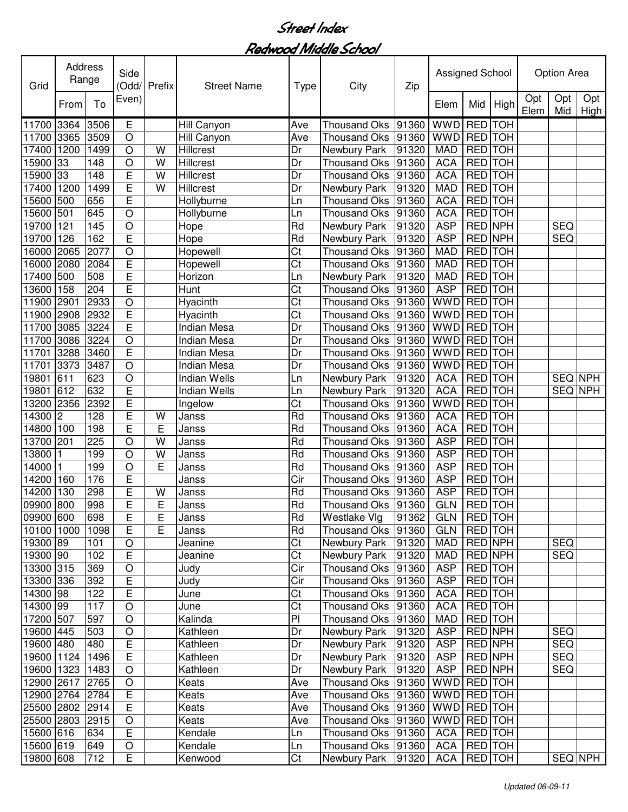| Grid                    | Address<br>Range |             | Side<br>(Odd/  | Prefix  | <b>Street Name</b>  | Type                   | City                         | Zip            | Assigned School          |                           |         |             | <b>Option Area</b> |             |
|-------------------------|------------------|-------------|----------------|---------|---------------------|------------------------|------------------------------|----------------|--------------------------|---------------------------|---------|-------------|--------------------|-------------|
|                         | From             | To          | Even)          |         |                     |                        |                              |                | Elem                     | Mid                       | High    | Opt<br>Elem | Opt<br>Mid         | Opt<br>High |
| 11700                   | 3364             | 3506        | Ε              |         | Hill Canyon         | Ave                    | <b>Thousand Oks</b>          | 91360          | <b>WWD</b>               | RED TOH                   |         |             |                    |             |
| 11700                   | 3365             | 3509        | $\circ$        |         | Hill Canyon         | Ave                    | <b>Thousand Oks</b>          | 91360          | <b>WWD</b>               | RED TOH                   |         |             |                    |             |
| 17400                   | 1200             | 1499        | $\circ$        | W       | Hillcrest           | Dr                     | Newbury Park                 | 91320          | <b>MAD</b>               | RED TOH                   |         |             |                    |             |
| 15900                   | 33               | 148         | $\circ$        | W       | Hillcrest           | Dr                     | <b>Thousand Oks</b>          | 91360          | <b>ACA</b>               | RED TOH                   |         |             |                    |             |
| 15900                   | 33               | 148         | E              | W       | Hillcrest           | Dr                     | <b>Thousand Oks</b>          | 91360          | <b>ACA</b>               | RED TOH                   |         |             |                    |             |
| 17400                   | 1200             | 1499        | E              | W       | <b>Hillcrest</b>    | Dr                     | Newbury Park                 | 91320          | <b>MAD</b>               | RED TOH                   |         |             |                    |             |
| 15600                   | 500              | 656         | E              |         | Hollyburne          | Ln                     | <b>Thousand Oks</b>          | 91360          | <b>ACA</b>               | RED TOH                   |         |             |                    |             |
| 15600                   | 501              | 645         | $\circ$        |         | Hollyburne          | Ln                     | <b>Thousand Oks</b>          | 91360          | <b>ACA</b>               | <b>RED</b> TOH            |         |             |                    |             |
| 19700                   | 121              | 145         | $\overline{O}$ |         | Hope                | Rd                     | Newbury Park                 | 91320          | <b>ASP</b>               | <b>RED NPH</b>            |         |             | <b>SEQ</b>         |             |
| 19700                   | 126              | 162         | $\overline{E}$ |         | Hope                | Rd                     | Newbury Park                 | 91320          | <b>ASP</b>               | <b>RED NPH</b>            |         |             | <b>SEQ</b>         |             |
| 16000                   | 2065             | 2077        | $\overline{O}$ |         | Hopewell            | $\overline{\text{C}t}$ | <b>Thousand Oks</b>          | 91360          | <b>MAD</b>               | <b>RED</b> TOH            |         |             |                    |             |
| 16000                   | 2080             | 2084        | $\overline{E}$ |         | Hopewell            | $\overline{\text{C}t}$ | Thousand Oks                 | 91360          | <b>MAD</b>               | <b>RED</b> TOH            |         |             |                    |             |
| 17400                   | 500              | 508         | Ē              |         | Horizon             | Ln                     | Newbury Park                 | 91320          | <b>MAD</b>               | <b>RED</b> TOH            |         |             |                    |             |
| 13600                   | 158              | 204         | $\overline{E}$ |         | Hunt                | $\overline{\text{C}t}$ | <b>Thousand Oks</b>          | 91360          | <b>ASP</b>               | <b>RED</b> TOH            |         |             |                    |             |
| 11900                   | 2901             | 2933        | $\circ$        |         | Hyacinth            | $\overline{\text{C}t}$ | <b>Thousand Oks</b>          | 91360          | WWD                      | <b>RED</b> TOH            |         |             |                    |             |
| 11900                   | 2908             | 2932        | E              |         | Hyacinth            | $\overline{\text{C}t}$ | <b>Thousand Oks</b>          | 91360          | <b>WWD</b>               | <b>RED</b> TOH            |         |             |                    |             |
| 11700                   | 3085             | 3224        | Ē              |         | <b>Indian Mesa</b>  | $\overline{Dr}$        | Thousand Oks                 | 91360          | <b>WWD</b>               | <b>RED</b> TOH            |         |             |                    |             |
| 11700                   | 3086             | 3224        | O              |         | <b>Indian Mesa</b>  | Dr                     | <b>Thousand Oks</b>          | 91360          | <b>WWD</b>               | RED TOH                   |         |             |                    |             |
| 11701                   | 3288             | 3460        | E              |         | <b>Indian Mesa</b>  | Dr                     | <b>Thousand Oks</b>          | 91360          | <b>WWD</b>               | RED TOH                   |         |             |                    |             |
| 11701                   | 3373             | 3487        | $\circ$        |         | <b>Indian Mesa</b>  | Dr                     | <b>Thousand Oks</b>          | 91360          | <b>WWD</b>               | RED TOH                   |         |             |                    |             |
| 19801                   | 611              | 623         | $\circ$        |         | <b>Indian Wells</b> | Ln                     | Newbury Park                 | 91320          | <b>ACA</b>               | RED TOH                   |         |             | SEQ NPH            |             |
| 19801                   | 612              | 632         | E              |         | <b>Indian Wells</b> | Ln                     | Newbury Park                 | 91320          | <b>ACA</b>               | RED TOH                   |         |             | SEQ NPH            |             |
| 13200                   | 2356             | 2392        | E              |         | Ingelow             | Ct                     | <b>Thousand Oks</b>          | 91360          | WWD                      | RED TOH                   |         |             |                    |             |
| 14300                   | $\overline{2}$   | 128         | E              | W       | Janss               | Rd                     | Thousand Oks                 | 91360          | <b>ACA</b>               | RED TOH                   |         |             |                    |             |
| 14800                   | 100              | 198         | $\overline{E}$ | E       | Janss               | Rd                     | <b>Thousand Oks</b>          | 91360          | <b>ACA</b>               | RED TOH                   |         |             |                    |             |
| 13700                   | 201              | 225         | $\circ$        | W       | Janss               | Rd                     | Thousand Oks                 | 91360          | <b>ASP</b>               | RED TOH                   |         |             |                    |             |
| 13800                   |                  | 199         | $\overline{O}$ | W       | Janss               | Rd                     | Thousand Oks                 | 91360          | <b>ASP</b>               | RED TOH                   |         |             |                    |             |
| 14000                   |                  | 199         | $\circ$        | E       | Janss               | Rd                     | <b>Thousand Oks</b>          | 91360          | <b>ASP</b>               | RED TOH                   |         |             |                    |             |
| 14200                   | 160              | 176         | E<br>E         |         | Janss               | Cir                    | <b>Thousand Oks</b>          | 91360          | <b>ASP</b>               | RED TOH                   |         |             |                    |             |
| 14200                   | 130              | 298         | Ē              | W       | Janss               | Rd                     | Thousand Oks                 | 91360          | <b>ASP</b>               | RED TOH<br><b>RED</b> TOH |         |             |                    |             |
| 09900                   | 800              | 998         |                | E       | Janss               | Rd                     | Thousand Oks                 | 91360          | <b>GLN</b>               |                           |         |             |                    |             |
| 09900 600<br>10100 1000 |                  | 698<br>1098 | F,<br>E        | F.<br>E | Janss               | Rd<br>Rd               | Westlake Vlg<br>Thousand Oks | 91362          | GLN   RED   TOH          | RED TOH                   |         |             |                    |             |
| 19300 89                |                  | 101         | $\circ$        |         | Janss<br>Jeanine    | $\overline{C}$ t       | Newbury Park                 | 91360<br>91320 | <b>GLN</b><br><b>MAD</b> | RED NPH                   |         |             | <b>SEQ</b>         |             |
| 19300 90                |                  | 102         | E              |         | Jeanine             | $\overline{\text{C}t}$ | Newbury Park                 | 91320          | <b>MAD</b>               | RED NPH                   |         |             | <b>SEQ</b>         |             |
| 13300 315               |                  | 369         | $\bigcirc$     |         | Judy                | Cir                    | Thousand Oks                 | 91360          | <b>ASP</b>               | RED TOH                   |         |             |                    |             |
| 13300 336               |                  | 392         | E              |         | Judy                | Cir                    | <b>Thousand Oks</b>          | 91360          | <b>ASP</b>               | <b>RED</b> TOH            |         |             |                    |             |
| 14300 98                |                  | 122         | E              |         | June                | $\overline{\text{C}t}$ | Thousand Oks                 | 91360          | <b>ACA</b>               | RED TOH                   |         |             |                    |             |
| 14300 99                |                  | 117         | $\circ$        |         | June                | $\overline{\text{C}t}$ | <b>Thousand Oks</b>          | 91360          | <b>ACA</b>               |                           | RED TOH |             |                    |             |
| 17200 507               |                  | 597         | $\circ$        |         | Kalinda             | P                      | <b>Thousand Oks</b>          | 91360          | <b>MAD</b>               | <b>RED</b> TOH            |         |             |                    |             |
| 19600 445               |                  | 503         | $\bigcirc$     |         | Kathleen            | Dr                     | Newbury Park                 | 91320          | <b>ASP</b>               | <b>RED NPH</b>            |         |             | <b>SEQ</b>         |             |
| 19600 480               |                  | 480         | $\overline{E}$ |         | Kathleen            | Dr                     | Newbury Park                 | 91320          | <b>ASP</b>               | RED NPH                   |         |             | <b>SEQ</b>         |             |
| 19600 1124              |                  | 1496        | E              |         | Kathleen            | Dr                     | Newbury Park                 | 91320          | <b>ASP</b>               | RED NPH                   |         |             | <b>SEQ</b>         |             |
| 19600 1323              |                  | 1483        | $\bigcirc$     |         | Kathleen            | Dr                     | Newbury Park                 | 91320          | <b>ASP</b>               | RED NPH                   |         |             | <b>SEQ</b>         |             |
| 12900 2617 2765         |                  |             | $\circ$        |         | Keats               | Ave                    | <b>Thousand Oks</b>          | 91360          | WWD RED TOH              |                           |         |             |                    |             |
| 12900 2764              |                  | 2784        | E              |         | Keats               | Ave                    | <b>Thousand Oks</b>          | 91360          | WWD RED TOH              |                           |         |             |                    |             |
| 25500 2802              |                  | 2914        | $\overline{E}$ |         | Keats               | Ave                    | Thousand Oks                 | 91360          | WWD RED TOH              |                           |         |             |                    |             |
| 25500 2803 2915         |                  |             | $\circ$        |         | Keats               | Ave                    | <b>Thousand Oks</b>          | 91360          | <b>WWD</b>               |                           | RED TOH |             |                    |             |
| 15600 616               |                  | 634         | E              |         | Kendale             | Ln                     | <b>Thousand Oks</b>          | 91360          | <b>ACA</b>               |                           | RED TOH |             |                    |             |
| 15600 619               |                  | 649         | O              |         | Kendale             | Ln                     | Thousand Oks                 | 91360          | <b>ACA</b>               | RED TOH                   |         |             |                    |             |
| 19800 608               |                  | 712         | E              |         | Kenwood             | Ct                     | Newbury Park                 | 91320          | <b>ACA</b>               |                           | RED TOH |             |                    | SEQ NPH     |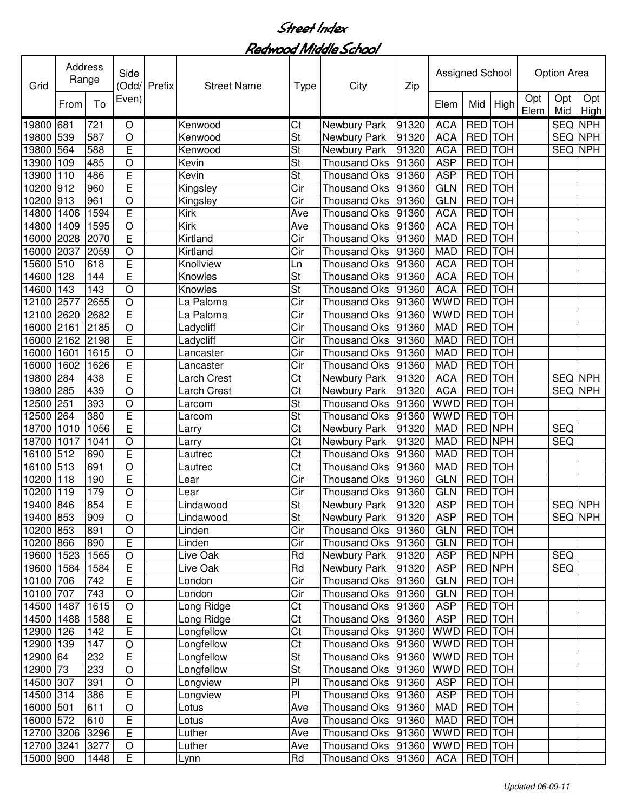| Grid       | Address<br>Range |      | Side           | Odd/ Prefix | <b>Street Name</b> | <b>Type</b>              | City                | Zip   | Assigned School |                |                |             | <b>Option Area</b> |             |
|------------|------------------|------|----------------|-------------|--------------------|--------------------------|---------------------|-------|-----------------|----------------|----------------|-------------|--------------------|-------------|
|            | From             | To   | Even)          |             |                    |                          |                     |       | Elem            | Mid            | High           | Opt<br>Elem | Opt<br>Mid         | Opt<br>High |
| 19800      | 681              | 721  | $\circ$        |             | Kenwood            | Ct                       | Newbury Park        | 91320 | <b>ACA</b>      | <b>RED</b>     | <b>TOH</b>     |             | SEQ NPH            |             |
| 19800      | 539              | 587  | $\circ$        |             | Kenwood            | $\overline{\mathsf{St}}$ | Newbury Park        | 91320 | <b>ACA</b>      | <b>RED</b>     | <b>TOH</b>     |             | <b>SEQ NPH</b>     |             |
| 19800      | 564              | 588  | E              |             | Kenwood            | St                       | Newbury Park        | 91320 | <b>ACA</b>      | <b>RED</b>     | <b>TOH</b>     |             | SEQ NPH            |             |
| 13900      | 109              | 485  | $\circ$        |             | Kevin              | St                       | Thousand Oks        | 91360 | <b>ASP</b>      | <b>RED</b>     | <b>TOH</b>     |             |                    |             |
| 13900      | 110              | 486  | E              |             | Kevin              | $\overline{\mathsf{St}}$ | <b>Thousand Oks</b> | 91360 | <b>ASP</b>      | RED TOH        |                |             |                    |             |
| 10200      | 912              | 960  | Ē              |             | Kingsley           | $\overline{\text{Cir}}$  | <b>Thousand Oks</b> | 91360 | <b>GLN</b>      | RED TOH        |                |             |                    |             |
| 10200      | 913              | 961  | $\overline{O}$ |             | Kingsley           | $\overline{\text{Cir}}$  | <b>Thousand Oks</b> | 91360 | <b>GLN</b>      | <b>RED</b>     | <b>TOH</b>     |             |                    |             |
| 14800      | 1406             | 1594 | $\overline{E}$ |             | Kirk               | Ave                      | <b>Thousand Oks</b> | 91360 | <b>ACA</b>      | <b>RED</b> TOH |                |             |                    |             |
| 14800      | 1409             | 1595 | $\overline{O}$ |             | Kirk               | Ave                      | <b>Thousand Oks</b> | 91360 | <b>ACA</b>      | <b>RED</b> TOH |                |             |                    |             |
| 16000      | 2028             | 2070 | E              |             | Kirtland           | $\overline{\text{Cir}}$  | <b>Thousand Oks</b> | 91360 | <b>MAD</b>      | <b>RED</b> TOH |                |             |                    |             |
| 16000      | 2037             | 2059 | $\circ$        |             | Kirtland           | Cir                      | <b>Thousand Oks</b> | 91360 | <b>MAD</b>      | <b>RED</b>     | <b>TOH</b>     |             |                    |             |
| 15600      | 510              | 618  | E              |             | Knollview          | Ln                       | <b>Thousand Oks</b> | 91360 | <b>ACA</b>      | <b>RED</b>     | TOH            |             |                    |             |
| 14600      | 128              | 144  | E              |             | Knowles            | St                       | <b>Thousand Oks</b> | 91360 | <b>ACA</b>      | <b>RED</b>     | <b>TOH</b>     |             |                    |             |
| 14600      | 143              | 143  | $\circ$        |             | Knowles            | <b>St</b>                | <b>Thousand Oks</b> | 91360 | <b>ACA</b>      | RED TOH        |                |             |                    |             |
| 12100      | 2577             | 2655 | $\circ$        |             | La Paloma          | Cir                      | <b>Thousand Oks</b> | 91360 | <b>WWD</b>      | <b>RED</b> TOH |                |             |                    |             |
| 12100      | 2620             | 2682 | E              |             | La Paloma          | $\overline{\text{Cir}}$  | <b>Thousand Oks</b> | 91360 | <b>WWD</b>      | <b>RED</b> TOH |                |             |                    |             |
| 16000      | 2161             | 2185 | $\circ$        |             | Ladycliff          | Cir                      | <b>Thousand Oks</b> | 91360 | <b>MAD</b>      | <b>RED</b> TOH |                |             |                    |             |
| 16000      | 2162             | 2198 | E              |             | Ladycliff          | Cir                      | <b>Thousand Oks</b> | 91360 | <b>MAD</b>      | RED TOH        |                |             |                    |             |
| 16000      | 1601             | 1615 | $\circ$        |             | Lancaster          | Cir                      | <b>Thousand Oks</b> | 91360 | <b>MAD</b>      | <b>RED</b> TOH |                |             |                    |             |
| 16000      | 1602             | 1626 | E              |             | Lancaster          | Cir                      | <b>Thousand Oks</b> | 91360 | <b>MAD</b>      | <b>RED</b>     | <b>TOH</b>     |             |                    |             |
| 19800      | 284              | 438  | E              |             | Larch Crest        | Ct                       | Newbury Park        | 91320 | <b>ACA</b>      | <b>RED</b>     | <b>TOH</b>     |             | SEQ NPH            |             |
| 19800      | 285              | 439  | $\circ$        |             | Larch Crest        | $\overline{\text{Ct}}$   | Newbury Park        | 91320 | <b>ACA</b>      | <b>RED</b>     | <b>TOH</b>     |             | SEQ NPH            |             |
| 12500      | 251              | 393  | $\circ$        |             | Larcom             | <b>St</b>                | <b>Thousand Oks</b> | 91360 | <b>WWD</b>      | <b>RED</b> TOH |                |             |                    |             |
| 12500      | 264              | 380  | $\overline{E}$ |             | Larcom             | $\overline{\mathsf{St}}$ | <b>Thousand Oks</b> | 91360 | <b>WWD</b>      | <b>RED</b> TOH |                |             |                    |             |
| 18700      | 1010             | 1056 | E              |             | ∟arry              | Ct                       | Newbury Park        | 91320 | <b>MAD</b>      | <b>RED NPH</b> |                |             | <b>SEQ</b>         |             |
| 18700      | 1017             | 1041 | $\circ$        |             | Larry              | Ct                       | Newbury Park        | 91320 | <b>MAD</b>      | RED NPH        |                |             | <b>SEQ</b>         |             |
| 16100      | 512              | 690  | $\overline{E}$ |             | Lautrec            | Ct                       | <b>Thousand Oks</b> | 91360 | <b>MAD</b>      | RED TOH        |                |             |                    |             |
| 16100      | 513              | 691  | O              |             | Lautrec            | Ct                       | <b>Thousand Oks</b> | 91360 | <b>MAD</b>      | <b>RED</b>     | <b>TOH</b>     |             |                    |             |
| 10200      | 118              | 190  | E              |             | Lear               | Cir                      | <b>Thousand Oks</b> | 91360 | <b>GLN</b>      | <b>RED</b>     | <b>TOH</b>     |             |                    |             |
| 10200      | 119              | 179  | O              |             | Lear               | Cir                      | <b>Thousand Oks</b> | 91360 | <b>GLN</b>      | <b>RED</b>     | TOH            |             |                    |             |
| 19400      | 846              | 854  | Ē              |             | Lindawood          | St                       | Newbury Park        | 91320 | <b>ASP</b>      | RED TOH        |                |             | SEQ NPH            |             |
| 19400 853  |                  | 909  | O              |             | Lindawood          | St                       | Newbury Park        | 91320 | <b>ASP</b>      | RED TOH        |                |             |                    | SEQ NPH     |
| 10200 853  |                  | 891  | $\circ$        |             | Linden             | Cir                      | <b>Thousand Oks</b> | 91360 | <b>GLN</b>      |                | RED TOH        |             |                    |             |
| 10200 866  |                  | 890  | $\overline{E}$ |             | Linden             | Cir                      | <b>Thousand Oks</b> | 91360 | <b>GLN</b>      | RED TOH        |                |             |                    |             |
| 19600 1523 |                  | 1565 | $\bigcirc$     |             | Live Oak           | Rd                       | Newbury Park        | 91320 | <b>ASP</b>      |                | RED NPH        |             | <b>SEQ</b>         |             |
| 19600 1584 |                  | 1584 | $\overline{E}$ |             | Live Oak           | Rd                       | Newbury Park        | 91320 | <b>ASP</b>      | <b>RED NPH</b> |                |             | <b>SEQ</b>         |             |
| 10100 706  |                  | 742  | E              |             | London             | $\overline{\text{Cir}}$  | <b>Thousand Oks</b> | 91360 | <b>GLN</b>      | RED TOH        |                |             |                    |             |
| 10100 707  |                  | 743  | $\circ$        |             | London             | $\overline{\text{Cir}}$  | <b>Thousand Oks</b> | 91360 | <b>GLN</b>      |                | <b>RED</b> TOH |             |                    |             |
| 14500 1487 |                  | 1615 | $\circ$        |             | Long Ridge         | $\overline{\text{Ct}}$   | <b>Thousand Oks</b> | 91360 | <b>ASP</b>      | RED TOH        |                |             |                    |             |
| 14500 1488 |                  | 1588 | E              |             | Long Ridge         | $\overline{\text{Ct}}$   | Thousand Oks        | 91360 | <b>ASP</b>      | <b>RED</b> TOH |                |             |                    |             |
| 12900 126  |                  | 142  | E              |             | Longfellow         | $\overline{\text{Ct}}$   | Thousand Oks        | 91360 | WWD RED TOH     |                |                |             |                    |             |
| 12900 139  |                  | 147  | $\circ$        |             | Longfellow         | $\overline{\text{C}t}$   | <b>Thousand Oks</b> | 91360 | WWD RED TOH     |                |                |             |                    |             |
| 12900 64   |                  | 232  | E              |             | Longfellow         | <b>St</b>                | <b>Thousand Oks</b> | 91360 | <b>WWD</b>      | <b>RED</b> TOH |                |             |                    |             |
| 12900 73   |                  | 233  | O              |             | Longfellow         | St                       | Thousand Oks        | 91360 | <b>WWD</b>      |                | RED TOH        |             |                    |             |
| 14500 307  |                  | 391  | O              |             | Longview           | P                        | <b>Thousand Oks</b> | 91360 | <b>ASP</b>      |                | RED TOH        |             |                    |             |
| 14500 314  |                  | 386  | E              |             | Longview           | P                        | <b>Thousand Oks</b> | 91360 | <b>ASP</b>      |                | RED TOH        |             |                    |             |
| 16000 501  |                  | 611  | $\circ$        |             | Lotus              | Ave                      | <b>Thousand Oks</b> | 91360 | <b>MAD</b>      |                | RED TOH        |             |                    |             |
| 16000 572  |                  | 610  | E              |             | Lotus              | Ave                      | Thousand Oks        | 91360 | <b>MAD</b>      | RED TOH        |                |             |                    |             |
| 12700 3206 |                  | 3296 | E              |             | Luther             | Ave                      | Thousand Oks        | 91360 | WWD RED TOH     |                |                |             |                    |             |
| 12700 3241 |                  | 3277 | $\bigcirc$     |             | Luther             | Ave                      | Thousand Oks 91360  |       | WWD RED TOH     |                |                |             |                    |             |
| 15000 900  |                  | 1448 | E              |             | Lynn               | Rd                       | Thousand Oks 91360  |       | ACA   RED   TOH |                |                |             |                    |             |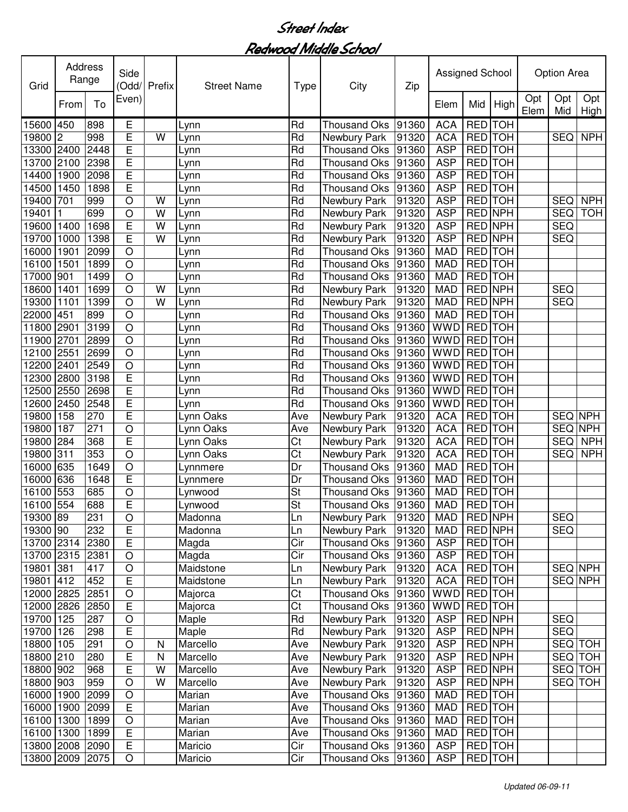| Grid            | Address<br>Range |      | Side<br>(Odd/           | Prefix | <b>Street Name</b> | Type                    | City                | Zip   | Assigned School |                |                |             | <b>Option Area</b> |             |
|-----------------|------------------|------|-------------------------|--------|--------------------|-------------------------|---------------------|-------|-----------------|----------------|----------------|-------------|--------------------|-------------|
|                 | From             | To   | Even)                   |        |                    |                         |                     |       | Elem            | Mid            | High           | Opt<br>Elem | Opt<br>Mid         | Opt<br>High |
| 15600           | 450              | 898  | Е                       |        | _ynn               | Rd                      | <b>Thousand Oks</b> | 91360 | <b>ACA</b>      | <b>RED</b>     | <b>TOH</b>     |             |                    |             |
| 19800           | $\boldsymbol{2}$ | 998  | E                       | W      | Lynn               | Rd                      | Newbury Park        | 91320 | <b>ACA</b>      | RED TOH        |                |             | <b>SEQ</b>         | <b>NPH</b>  |
| 13300           | 2400             | 2448 | E                       |        | Lynn               | Rd                      | <b>Thousand Oks</b> | 91360 | <b>ASP</b>      | RED TOH        |                |             |                    |             |
| 13700           | 2100             | 2398 | E                       |        | Lynn               | Rd                      | <b>Thousand Oks</b> | 91360 | <b>ASP</b>      | RED TOH        |                |             |                    |             |
| 14400           | 1900             | 2098 | E                       |        | Lynn               | Rd                      | <b>Thousand Oks</b> | 91360 | <b>ASP</b>      | RED TOH        |                |             |                    |             |
| 14500           | 1450             | 1898 | E                       |        | Lynn               | Rd                      | <b>Thousand Oks</b> | 91360 | <b>ASP</b>      | RED TOH        |                |             |                    |             |
| 19400           | 701              | 999  | O                       | W      | Lynn               | Rd                      | Newbury Park        | 91320 | <b>ASP</b>      | RED TOH        |                |             | <b>SEQ</b>         | <b>NPH</b>  |
| 19401           |                  | 699  | O                       | W      | Lynn               | Rd                      | Newbury Park        | 91320 | <b>ASP</b>      | <b>RED NPH</b> |                |             | <b>SEQ</b>         | <b>TOH</b>  |
| 19600           | 1400             | 1698 | E                       | W      | Lynn               | Rd                      | Newbury Park        | 91320 | <b>ASP</b>      | <b>RED NPH</b> |                |             | <b>SEQ</b>         |             |
| 19700           | 1000             | 1398 | E                       | W      | Lynn               | $\overline{Rd}$         | Newbury Park        | 91320 | <b>ASP</b>      | <b>RED NPH</b> |                |             | <b>SEQ</b>         |             |
| 16000           | 1901             | 2099 | $\circ$                 |        | Lynn               | Rd                      | <b>Thousand Oks</b> | 91360 | <b>MAD</b>      | <b>RED TOH</b> |                |             |                    |             |
| 16100           | 1501             | 1899 | $\circ$                 |        | Lynn               | Rd                      | <b>Thousand Oks</b> | 91360 | <b>MAD</b>      | <b>RED</b> TOH |                |             |                    |             |
| 17000           | 901              | 1499 | $\circ$                 |        | Lynn               | Rd                      | <b>Thousand Oks</b> | 91360 | <b>MAD</b>      | <b>RED</b> TOH |                |             |                    |             |
| 18600           | 1401             | 1699 | O                       | W      | Lynn               | Rd                      | Newbury Park        | 91320 | <b>MAD</b>      | <b>RED NPH</b> |                |             | <b>SEQ</b>         |             |
| 19300           | 1101             | 1399 | $\circ$                 | W      | Lynn               | Rd                      | Newbury Park        | 91320 | <b>MAD</b>      | <b>RED NPH</b> |                |             | <b>SEQ</b>         |             |
| 22000           | 451              | 899  | O                       |        | Lynn               | Rd                      | <b>Thousand Oks</b> | 91360 | <b>MAD</b>      | <b>RED</b> TOH |                |             |                    |             |
| 11800           | 2901             | 3199 | $\circ$                 |        | _ynn               | Rd                      | <b>Thousand Oks</b> | 91360 | <b>WWD</b>      | <b>RED</b> TOH |                |             |                    |             |
| 11900           | 2701             | 2899 | O                       |        | Lynn               | Rd                      | <b>Thousand Oks</b> | 91360 | <b>WWD</b>      | RED TOH        |                |             |                    |             |
| 12100           | 2551             | 2699 | O                       |        | Lynn               | Rd                      | Thousand Oks        | 91360 | <b>WWD</b>      | RED TOH        |                |             |                    |             |
| 12200           | 2401             | 2549 | $\circ$                 |        | Lynn               | Rd                      | <b>Thousand Oks</b> | 91360 | <b>WWD</b>      | <b>RED</b> TOH |                |             |                    |             |
| 12300           | 2800             | 3198 | E                       |        | Lynn               | Rd                      | <b>Thousand Oks</b> | 91360 | <b>WWD</b>      | RED TOH        |                |             |                    |             |
| 12500           | 2550             | 2698 | E                       |        | Lynn               | Rd                      | <b>Thousand Oks</b> | 91360 | <b>WWD</b>      | RED TOH        |                |             |                    |             |
| 12600           | 2450             | 2548 | E                       |        | Lynn               | Rd                      | <b>Thousand Oks</b> | 91360 | <b>WWD</b>      | RED TOH        |                |             |                    |             |
| 19800           | 158              | 270  | E                       |        | Lynn Oaks          | Ave                     | Newbury Park        | 91320 | <b>ACA</b>      | <b>RED</b>     | <b>TOH</b>     |             | <b>SEQ NPH</b>     |             |
| 19800           | 187              | 271  | O                       |        | Lynn Oaks          | Ave                     | Newbury Park        | 91320 | <b>ACA</b>      | <b>RED</b>     | <b>TOH</b>     |             | SEQ NPH            |             |
| 19800           | 284              | 368  | E                       |        | Lynn Oaks          | Ct                      | Newbury Park        | 91320 | <b>ACA</b>      | RED TOH        |                |             | <b>SEQ</b>         | <b>NPH</b>  |
| 19800           | 311              | 353  | O                       |        | Lynn Oaks          | $\overline{\text{C}t}$  | Newbury Park        | 91320 | <b>ACA</b>      | RED TOH        |                |             | <b>SEQ</b>         | <b>NPH</b>  |
| 16000           | 635              | 1649 | $\circ$                 |        | Lynnmere           | Dr                      | <b>Thousand Oks</b> | 91360 | <b>MAD</b>      | RED TOH        |                |             |                    |             |
| 16000           | 636              | 1648 | E                       |        | Lynnmere           | Dr                      | <b>Thousand Oks</b> | 91360 | <b>MAD</b>      | RED TOH        |                |             |                    |             |
| 16100           | 553              | 685  | O                       |        | Lynwood            | St                      | <b>Thousand Oks</b> | 91360 | <b>MAD</b>      | RED TOH        |                |             |                    |             |
| 16100           | 554              | 688  | E                       |        | Lynwood            | <b>St</b>               | Thousand Oks        | 91360 | <b>MAD</b>      | RED TOH        |                |             |                    |             |
| 19300 89        |                  | 231  | O                       |        | Madonna            | Ln                      | Newbury Park        | 91320 | <b>MAD</b>      | <b>RED NPH</b> |                |             | <b>SEQ</b>         |             |
| 19300 90        |                  | 232  | E                       |        | Madonna            | Ln                      | Newbury Park        | 91320 | <b>MAD</b>      |                | <b>RED NPH</b> |             | <b>SEQ</b>         |             |
| 13700 2314      |                  | 2380 | E                       |        | Magda              | Cir                     | <b>Thousand Oks</b> | 91360 | <b>ASP</b>      |                | <b>RED</b> TOH |             |                    |             |
| 13700 2315 2381 |                  |      | O                       |        | Magda              | $\overline{\text{Cir}}$ | <b>Thousand Oks</b> | 91360 | <b>ASP</b>      |                | <b>RED</b> TOH |             |                    |             |
| 19801           | 381              | 417  | $\circ$                 |        | Maidstone          | Ln                      | Newbury Park        | 91320 | <b>ACA</b>      |                | RED TOH        |             | <b>SEQ NPH</b>     |             |
| 19801 412       |                  | 452  | E                       |        | Maidstone          | Ln                      | <b>Newbury Park</b> | 91320 | <b>ACA</b>      | RED TOH        |                |             | <b>SEQ NPH</b>     |             |
| 12000 2825      |                  | 2851 | $\circ$                 |        | Majorca            | Ct                      | <b>Thousand Oks</b> | 91360 | <b>WWD</b>      | RED TOH        |                |             |                    |             |
| 12000 2826      |                  | 2850 | E                       |        | Majorca            | Ct                      | <b>Thousand Oks</b> | 91360 | <b>WWD</b>      | RED TOH        |                |             |                    |             |
| 19700           | 125              | 287  | O                       |        | Maple              | Rd                      | <b>Newbury Park</b> | 91320 | <b>ASP</b>      | RED NPH        |                |             | <b>SEQ</b>         |             |
| 19700           | 126              | 298  | E                       |        | Maple              | Rd                      | Newbury Park        | 91320 | <b>ASP</b>      | RED NPH        |                |             | <b>SEQ</b>         |             |
| 18800 105       |                  | 291  | O                       | N      | Marcello           | Ave                     | Newbury Park        | 91320 | <b>ASP</b>      | <b>RED NPH</b> |                |             | <b>SEQ TOH</b>     |             |
| 18800 210       |                  | 280  | E                       | N      | Marcello           | Ave                     | Newbury Park        | 91320 | <b>ASP</b>      | RED NPH        |                |             | SEQ TOH            |             |
| 18800 902       |                  | 968  | E                       | W      | Marcello           | Ave                     | Newbury Park        | 91320 | <b>ASP</b>      | RED NPH        |                |             | SEQ TOH            |             |
| 18800 903       |                  | 959  | $\circ$                 | W      | Marcello           | Ave                     | Newbury Park        | 91320 | <b>ASP</b>      | RED NPH        |                |             | SEQ TOH            |             |
| 16000 1900      |                  | 2099 | $\circ$                 |        | Marian             | Ave                     | <b>Thousand Oks</b> | 91360 | <b>MAD</b>      | RED TOH        |                |             |                    |             |
| 16000 1900      |                  | 2099 | E                       |        | Marian             | Ave                     | <b>Thousand Oks</b> | 91360 | <b>MAD</b>      |                | RED TOH        |             |                    |             |
| 16100           | 1300             | 1899 | $\bigcirc$              |        | Marian             | Ave                     | <b>Thousand Oks</b> | 91360 | <b>MAD</b>      |                | RED TOH        |             |                    |             |
| 16100           | 1300             | 1899 | $\overline{E}$          |        | Marian             | Ave                     | <b>Thousand Oks</b> | 91360 | <b>MAD</b>      |                | RED TOH        |             |                    |             |
| 13800 2008 2090 |                  |      | $\overline{\mathsf{E}}$ |        | Maricio            | Cir                     | Thousand Oks        | 91360 | <b>ASP</b>      |                | RED TOH        |             |                    |             |
| 13800 2009 2075 |                  |      | $\bigcirc$              |        | Maricio            | Cir                     | Thousand Oks 91360  |       | <b>ASP</b>      |                | RED TOH        |             |                    |             |
|                 |                  |      |                         |        |                    |                         |                     |       |                 |                |                |             |                    |             |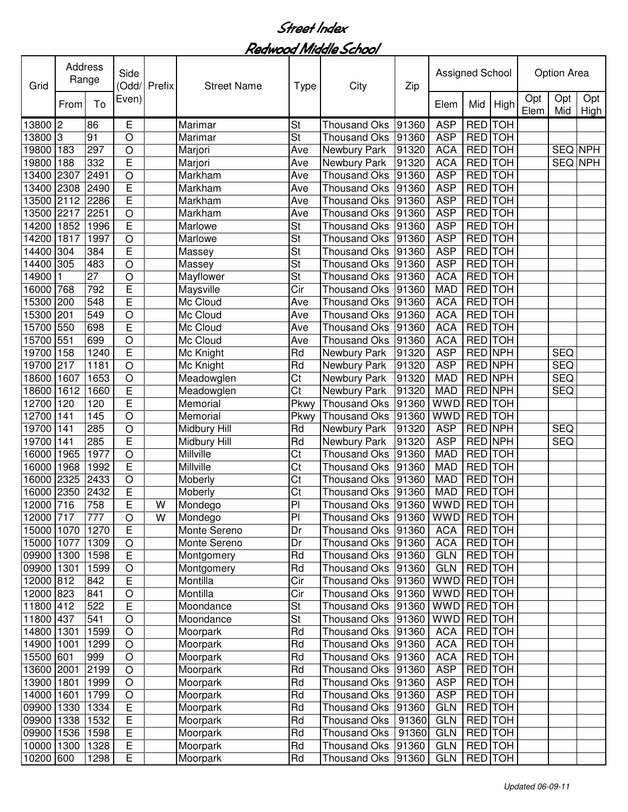| Opt<br>Even)<br>Opt<br>Opt<br>To<br>Mid<br>High<br>From<br>Elem<br>Mid<br>High<br>Elem<br>St<br><b>ASP</b><br>2<br>86<br>Е<br>Marimar<br><b>Thousand Oks</b><br><b>TOH</b><br>13800<br>91360<br><b>RED</b><br>St<br>13800<br>Iз<br>91<br>O<br><b>Thousand Oks</b><br><b>ASP</b><br><b>RED</b> TOH<br>Marimar<br>91360<br>RED TOH<br>19800<br>183<br>297<br>O<br><b>ACA</b><br>SEQ NPH<br>Marjori<br>Ave<br>Newbury Park<br>91320<br>E<br><b>ACA</b><br>RED TOH<br>SEQ NPH<br>19800<br>188<br>332<br>91320<br>Marjori<br>Ave<br>Newbury Park<br>2491<br>$\bigcirc$<br><b>ASP</b><br>RED TOH<br>13400<br>2307<br>Ave<br>Markham<br><b>Thousand Oks</b><br>91360<br>E<br><b>ASP</b><br><b>RED</b> TOH<br>2490<br>Ave<br>91360<br>13400<br>2308<br>Markham<br><b>Thousand Oks</b><br>E<br>2286<br><b>ASP</b><br><b>RED</b> TOH<br>13500<br>2112<br>Ave<br>Markham<br><b>Thousand Oks</b><br>91360<br>2251<br><b>ASP</b><br><b>RED</b> TOH<br>13500<br>2217<br>$\bigcirc$<br>91360<br>Markham<br>Ave<br><b>Thousand Oks</b><br>E<br>$\overline{\mathsf{St}}$<br><b>ASP</b><br><b>RED</b> TOH<br>14200<br>1852<br>1996<br>91360<br>Marlowe<br><b>Thousand Oks</b><br>$\overline{\mathsf{St}}$<br><b>ASP</b><br><b>RED</b> TOH<br>1817<br>1997<br>$\bigcirc$<br>91360<br>14200<br>Marlowe<br><b>Thousand Oks</b><br>Ē<br><b>St</b><br>384<br><b>ASP</b><br><b>RED</b> TOH<br>14400<br>304<br>91360<br><b>Thousand Oks</b><br>Massey<br>305<br>$\overline{O}$<br>$\overline{\mathsf{St}}$<br><b>ASP</b><br><b>RED</b> TOH<br>14400<br>483<br>91360<br><b>Thousand Oks</b><br>Massey<br>$\overline{27}$<br>$\overline{\mathsf{St}}$<br><b>ACA</b><br><b>RED</b> TOH<br>14900<br>$\circ$<br>Mayflower<br>91360<br><b>Thousand Oks</b><br>E<br>$\overline{\text{Cir}}$<br><b>RED</b> TOH<br>768<br>792<br>Maysville<br><b>Thousand Oks</b><br><b>MAD</b><br>16000<br>91360<br>Ē<br>548<br>Mc Cloud<br><b>ACA</b><br><b>RED</b> TOH<br>15300<br>200<br><b>Thousand Oks</b><br>Ave<br>91360<br><b>ACA</b><br><b>RED</b> TOH<br>15300<br>201<br>549<br>O<br>Mc Cloud<br>Ave<br><b>Thousand Oks</b><br>91360<br>E<br><b>ACA</b><br>15700<br>550<br>698<br>Mc Cloud<br><b>RED</b> TOH<br>Ave<br><b>Thousand Oks</b><br>91360<br><b>ACA</b><br>15700<br>551<br>699<br>$\circ$<br>Mc Cloud<br>RED TOH<br>Ave<br><b>Thousand Oks</b><br>91360<br>E<br>19700<br>158<br>1240<br>Rd<br><b>ASP</b><br><b>RED NPH</b><br><b>SEQ</b><br>Mc Knight<br>Newbury Park<br>91320<br>Rd<br>RED NPH<br><b>SEQ</b><br>19700<br>217<br>1181<br>91320<br><b>ASP</b><br>$\circ$<br>Mc Knight<br>Newbury Park<br>Ct<br>RED NPH<br><b>SEQ</b><br>18600<br>1653<br>$\circ$<br>91320<br><b>MAD</b><br>1607<br>Meadowglen<br>Newbury Park<br>E<br>Ct<br><b>MAD</b><br>RED NPH<br>18600<br>1612<br>1660<br>91320<br><b>SEQ</b><br>Meadowglen<br>Newbury Park<br>E<br><b>WWD</b><br>RED TOH<br>12700<br>120<br>120<br>Pkwy<br>91360<br>Memorial<br><b>Thousand Oks</b><br>145<br>$\circ$<br><b>WWD</b><br>RED TOH<br>12700<br>141<br>Pkwy<br>91360<br>Memorial<br><b>Thousand Oks</b><br>285<br>$\circ$<br><b>ASP</b><br>RED NPH<br><b>SEQ</b><br>19700<br>Rd<br>91320<br>141<br>Midbury Hill<br>Newbury Park<br>E<br><b>SEQ</b><br>285<br>Rd<br><b>ASP</b><br>RED NPH<br>19700<br>141<br>Midbury Hill<br>91320<br>Newbury Park<br>$\overline{\text{Ct}}$<br>$\bigcirc$<br>RED TOH<br>1977<br>Millville<br>91360<br><b>MAD</b><br>16000<br>1965<br><b>Thousand Oks</b><br>E<br>$\overline{\text{Ct}}$<br>Millville<br>RED TOH<br>16000<br>1968<br>1992<br><b>MAD</b><br><b>Thousand Oks</b><br>91360<br>$\overline{\text{Ct}}$<br>$\bigcirc$<br>RED TOH<br>2325<br>2433<br>91360<br><b>MAD</b><br>16000<br>Moberly<br><b>Thousand Oks</b><br>E<br>Ct<br>RED TOH<br>2350<br>2432<br><b>MAD</b><br>16000<br>Moberly<br><b>Thousand Oks</b><br>91360<br>E<br>P <sub>1</sub><br><b>RED</b> TOH<br>758<br>W<br><b>WWD</b><br>12000<br>716<br>Mondego<br>Thousand Oks<br>91360<br>WWD RED TOH<br>$\overline{O}$<br>$\overline{\mathsf{W}}$<br>777<br>Thousand Oks  91360  <br>12000 717<br>Mondego<br>PI<br>$\overline{E}$<br>RED TOH<br>1270<br>Dr<br>Thousand Oks<br>91360<br><b>ACA</b><br>15000 1070<br>Monte Sereno<br><b>ACA</b><br>RED TOH<br>15000 1077<br>1309<br>O<br>Monte Sereno<br>Dr<br>Thousand Oks<br>91360<br>$\overline{E}$<br>Rd<br><b>Thousand Oks</b><br><b>RED</b> TOH<br>09900 1300<br>1598<br>Montgomery<br>91360<br><b>GLN</b><br>Rd<br><b>GLN</b><br>RED TOH<br>09900 1301<br>1599<br>Montgomery<br>Thousand Oks<br>91360<br>O<br>E<br>Cir<br>WWD RED TOH<br>12000 812<br>842<br>Montilla<br><b>Thousand Oks</b><br>91360<br>12000 823<br>841<br>Montilla<br>Cir<br>WWD RED TOH<br>O<br>Thousand Oks<br>91360<br>E<br>11800 412<br>522<br><b>St</b><br>WWD RED TOH<br>Moondance<br>Thousand Oks<br>91360<br>$\overline{O}$<br>$\overline{\mathsf{St}}$<br>541<br><b>WWD</b><br><b>RED</b> TOH<br>11800 437<br>Moondance<br><b>Thousand Oks</b><br>91360<br>14800 1301<br>1599<br>$\circ$<br>Rd<br><b>ACA</b><br>RED TOH<br>Moorpark<br><b>Thousand Oks</b><br>91360<br>14900<br>Rd<br><b>ACA</b><br>RED TOH<br>1299<br>$\circ$<br>Moorpark<br>Thousand Oks<br>91360<br>1001<br>15500 601<br>999<br>$\circ$<br>Rd<br>Thousand Oks<br><b>ACA</b><br>RED TOH<br>Moorpark<br>91360<br>2199<br>$\bigcirc$<br>Rd<br>RED TOH<br>13600 2001<br>Moorpark<br><b>Thousand Oks</b><br>91360<br><b>ASP</b><br>Rd<br>1999<br>$\bigcirc$<br><b>ASP</b><br>RED TOH<br>13900 1801<br>Moorpark<br>Thousand Oks<br>91360<br>$\bigcirc$<br>Moorpark<br>Rd<br><b>ASP</b><br>RED TOH<br>14000<br>1601<br>1799<br>Thousand Oks<br>91360<br>$\mathsf E$<br>Moorpark<br>Rd<br><b>Thousand Oks</b><br><b>GLN</b><br>RED TOH<br>09900<br>1330<br>1334<br>91360<br>E<br>1532<br>Moorpark<br>Rd<br>RED TOH<br>09900<br>1338<br><b>Thousand Oks</b><br>91360<br><b>GLN</b><br>$\overline{\mathsf{E}}$<br>RED TOH<br>1536<br>Rd<br><b>GLN</b><br>09900<br>1598<br>Moorpark<br>Thousand Oks<br>91360<br>$\overline{\mathsf{E}}$<br><b>Thousand Oks</b><br><b>GLN</b><br>RED TOH<br>10000<br>1300<br>1328<br>Moorpark<br>Rd<br>91360<br>RED TOH | Grid  | Address<br>Range |      | Side<br>(Odd/  | Prefix | <b>Street Name</b> | <b>Type</b> | City         | Zip   | Assigned School |  | <b>Option Area</b> |  |
|----------------------------------------------------------------------------------------------------------------------------------------------------------------------------------------------------------------------------------------------------------------------------------------------------------------------------------------------------------------------------------------------------------------------------------------------------------------------------------------------------------------------------------------------------------------------------------------------------------------------------------------------------------------------------------------------------------------------------------------------------------------------------------------------------------------------------------------------------------------------------------------------------------------------------------------------------------------------------------------------------------------------------------------------------------------------------------------------------------------------------------------------------------------------------------------------------------------------------------------------------------------------------------------------------------------------------------------------------------------------------------------------------------------------------------------------------------------------------------------------------------------------------------------------------------------------------------------------------------------------------------------------------------------------------------------------------------------------------------------------------------------------------------------------------------------------------------------------------------------------------------------------------------------------------------------------------------------------------------------------------------------------------------------------------------------------------------------------------------------------------------------------------------------------------------------------------------------------------------------------------------------------------------------------------------------------------------------------------------------------------------------------------------------------------------------------------------------------------------------------------------------------------------------------------------------------------------------------------------------------------------------------------------------------------------------------------------------------------------------------------------------------------------------------------------------------------------------------------------------------------------------------------------------------------------------------------------------------------------------------------------------------------------------------------------------------------------------------------------------------------------------------------------------------------------------------------------------------------------------------------------------------------------------------------------------------------------------------------------------------------------------------------------------------------------------------------------------------------------------------------------------------------------------------------------------------------------------------------------------------------------------------------------------------------------------------------------------------------------------------------------------------------------------------------------------------------------------------------------------------------------------------------------------------------------------------------------------------------------------------------------------------------------------------------------------------------------------------------------------------------------------------------------------------------------------------------------------------------------------------------------------------------------------------------------------------------------------------------------------------------------------------------------------------------------------------------------------------------------------------------------------------------------------------------------------------------------------------------------------------------------------------------------------------------------------------------------------------------------------------------------------------------------------------------------------------------------------------------------------------------------------------------------------------------------------------------------------------------------------------------------------------------------------------------------------------------------------------------------------------------------------------------------------------------------------------------------------------------------------------------------------------------------------------------------------------------------------------------------------------------------------------------------------------------------------------------------------------------------------------------------------------------------------------------------------------------------------------------------------------------------------------------------------------------------------------------------------------------------------------------------------------------------------------------------------------------------------------------------------------------------------------------------------------------------------------------------------------------------------------------------------------------------------------------------------------------------------|-------|------------------|------|----------------|--------|--------------------|-------------|--------------|-------|-----------------|--|--------------------|--|
|                                                                                                                                                                                                                                                                                                                                                                                                                                                                                                                                                                                                                                                                                                                                                                                                                                                                                                                                                                                                                                                                                                                                                                                                                                                                                                                                                                                                                                                                                                                                                                                                                                                                                                                                                                                                                                                                                                                                                                                                                                                                                                                                                                                                                                                                                                                                                                                                                                                                                                                                                                                                                                                                                                                                                                                                                                                                                                                                                                                                                                                                                                                                                                                                                                                                                                                                                                                                                                                                                                                                                                                                                                                                                                                                                                                                                                                                                                                                                                                                                                                                                                                                                                                                                                                                                                                                                                                                                                                                                                                                                                                                                                                                                                                                                                                                                                                                                                                                                                                                                                                                                                                                                                                                                                                                                                                                                                                                                                                                                                                                                                                                                                                                                                                                                                                                                                                                                                                                                                                                                                                                                        |       |                  |      |                |        |                    |             |              |       |                 |  |                    |  |
|                                                                                                                                                                                                                                                                                                                                                                                                                                                                                                                                                                                                                                                                                                                                                                                                                                                                                                                                                                                                                                                                                                                                                                                                                                                                                                                                                                                                                                                                                                                                                                                                                                                                                                                                                                                                                                                                                                                                                                                                                                                                                                                                                                                                                                                                                                                                                                                                                                                                                                                                                                                                                                                                                                                                                                                                                                                                                                                                                                                                                                                                                                                                                                                                                                                                                                                                                                                                                                                                                                                                                                                                                                                                                                                                                                                                                                                                                                                                                                                                                                                                                                                                                                                                                                                                                                                                                                                                                                                                                                                                                                                                                                                                                                                                                                                                                                                                                                                                                                                                                                                                                                                                                                                                                                                                                                                                                                                                                                                                                                                                                                                                                                                                                                                                                                                                                                                                                                                                                                                                                                                                                        |       |                  |      |                |        |                    |             |              |       |                 |  |                    |  |
|                                                                                                                                                                                                                                                                                                                                                                                                                                                                                                                                                                                                                                                                                                                                                                                                                                                                                                                                                                                                                                                                                                                                                                                                                                                                                                                                                                                                                                                                                                                                                                                                                                                                                                                                                                                                                                                                                                                                                                                                                                                                                                                                                                                                                                                                                                                                                                                                                                                                                                                                                                                                                                                                                                                                                                                                                                                                                                                                                                                                                                                                                                                                                                                                                                                                                                                                                                                                                                                                                                                                                                                                                                                                                                                                                                                                                                                                                                                                                                                                                                                                                                                                                                                                                                                                                                                                                                                                                                                                                                                                                                                                                                                                                                                                                                                                                                                                                                                                                                                                                                                                                                                                                                                                                                                                                                                                                                                                                                                                                                                                                                                                                                                                                                                                                                                                                                                                                                                                                                                                                                                                                        |       |                  |      |                |        |                    |             |              |       |                 |  |                    |  |
|                                                                                                                                                                                                                                                                                                                                                                                                                                                                                                                                                                                                                                                                                                                                                                                                                                                                                                                                                                                                                                                                                                                                                                                                                                                                                                                                                                                                                                                                                                                                                                                                                                                                                                                                                                                                                                                                                                                                                                                                                                                                                                                                                                                                                                                                                                                                                                                                                                                                                                                                                                                                                                                                                                                                                                                                                                                                                                                                                                                                                                                                                                                                                                                                                                                                                                                                                                                                                                                                                                                                                                                                                                                                                                                                                                                                                                                                                                                                                                                                                                                                                                                                                                                                                                                                                                                                                                                                                                                                                                                                                                                                                                                                                                                                                                                                                                                                                                                                                                                                                                                                                                                                                                                                                                                                                                                                                                                                                                                                                                                                                                                                                                                                                                                                                                                                                                                                                                                                                                                                                                                                                        |       |                  |      |                |        |                    |             |              |       |                 |  |                    |  |
|                                                                                                                                                                                                                                                                                                                                                                                                                                                                                                                                                                                                                                                                                                                                                                                                                                                                                                                                                                                                                                                                                                                                                                                                                                                                                                                                                                                                                                                                                                                                                                                                                                                                                                                                                                                                                                                                                                                                                                                                                                                                                                                                                                                                                                                                                                                                                                                                                                                                                                                                                                                                                                                                                                                                                                                                                                                                                                                                                                                                                                                                                                                                                                                                                                                                                                                                                                                                                                                                                                                                                                                                                                                                                                                                                                                                                                                                                                                                                                                                                                                                                                                                                                                                                                                                                                                                                                                                                                                                                                                                                                                                                                                                                                                                                                                                                                                                                                                                                                                                                                                                                                                                                                                                                                                                                                                                                                                                                                                                                                                                                                                                                                                                                                                                                                                                                                                                                                                                                                                                                                                                                        |       |                  |      |                |        |                    |             |              |       |                 |  |                    |  |
|                                                                                                                                                                                                                                                                                                                                                                                                                                                                                                                                                                                                                                                                                                                                                                                                                                                                                                                                                                                                                                                                                                                                                                                                                                                                                                                                                                                                                                                                                                                                                                                                                                                                                                                                                                                                                                                                                                                                                                                                                                                                                                                                                                                                                                                                                                                                                                                                                                                                                                                                                                                                                                                                                                                                                                                                                                                                                                                                                                                                                                                                                                                                                                                                                                                                                                                                                                                                                                                                                                                                                                                                                                                                                                                                                                                                                                                                                                                                                                                                                                                                                                                                                                                                                                                                                                                                                                                                                                                                                                                                                                                                                                                                                                                                                                                                                                                                                                                                                                                                                                                                                                                                                                                                                                                                                                                                                                                                                                                                                                                                                                                                                                                                                                                                                                                                                                                                                                                                                                                                                                                                                        |       |                  |      |                |        |                    |             |              |       |                 |  |                    |  |
|                                                                                                                                                                                                                                                                                                                                                                                                                                                                                                                                                                                                                                                                                                                                                                                                                                                                                                                                                                                                                                                                                                                                                                                                                                                                                                                                                                                                                                                                                                                                                                                                                                                                                                                                                                                                                                                                                                                                                                                                                                                                                                                                                                                                                                                                                                                                                                                                                                                                                                                                                                                                                                                                                                                                                                                                                                                                                                                                                                                                                                                                                                                                                                                                                                                                                                                                                                                                                                                                                                                                                                                                                                                                                                                                                                                                                                                                                                                                                                                                                                                                                                                                                                                                                                                                                                                                                                                                                                                                                                                                                                                                                                                                                                                                                                                                                                                                                                                                                                                                                                                                                                                                                                                                                                                                                                                                                                                                                                                                                                                                                                                                                                                                                                                                                                                                                                                                                                                                                                                                                                                                                        |       |                  |      |                |        |                    |             |              |       |                 |  |                    |  |
|                                                                                                                                                                                                                                                                                                                                                                                                                                                                                                                                                                                                                                                                                                                                                                                                                                                                                                                                                                                                                                                                                                                                                                                                                                                                                                                                                                                                                                                                                                                                                                                                                                                                                                                                                                                                                                                                                                                                                                                                                                                                                                                                                                                                                                                                                                                                                                                                                                                                                                                                                                                                                                                                                                                                                                                                                                                                                                                                                                                                                                                                                                                                                                                                                                                                                                                                                                                                                                                                                                                                                                                                                                                                                                                                                                                                                                                                                                                                                                                                                                                                                                                                                                                                                                                                                                                                                                                                                                                                                                                                                                                                                                                                                                                                                                                                                                                                                                                                                                                                                                                                                                                                                                                                                                                                                                                                                                                                                                                                                                                                                                                                                                                                                                                                                                                                                                                                                                                                                                                                                                                                                        |       |                  |      |                |        |                    |             |              |       |                 |  |                    |  |
|                                                                                                                                                                                                                                                                                                                                                                                                                                                                                                                                                                                                                                                                                                                                                                                                                                                                                                                                                                                                                                                                                                                                                                                                                                                                                                                                                                                                                                                                                                                                                                                                                                                                                                                                                                                                                                                                                                                                                                                                                                                                                                                                                                                                                                                                                                                                                                                                                                                                                                                                                                                                                                                                                                                                                                                                                                                                                                                                                                                                                                                                                                                                                                                                                                                                                                                                                                                                                                                                                                                                                                                                                                                                                                                                                                                                                                                                                                                                                                                                                                                                                                                                                                                                                                                                                                                                                                                                                                                                                                                                                                                                                                                                                                                                                                                                                                                                                                                                                                                                                                                                                                                                                                                                                                                                                                                                                                                                                                                                                                                                                                                                                                                                                                                                                                                                                                                                                                                                                                                                                                                                                        |       |                  |      |                |        |                    |             |              |       |                 |  |                    |  |
|                                                                                                                                                                                                                                                                                                                                                                                                                                                                                                                                                                                                                                                                                                                                                                                                                                                                                                                                                                                                                                                                                                                                                                                                                                                                                                                                                                                                                                                                                                                                                                                                                                                                                                                                                                                                                                                                                                                                                                                                                                                                                                                                                                                                                                                                                                                                                                                                                                                                                                                                                                                                                                                                                                                                                                                                                                                                                                                                                                                                                                                                                                                                                                                                                                                                                                                                                                                                                                                                                                                                                                                                                                                                                                                                                                                                                                                                                                                                                                                                                                                                                                                                                                                                                                                                                                                                                                                                                                                                                                                                                                                                                                                                                                                                                                                                                                                                                                                                                                                                                                                                                                                                                                                                                                                                                                                                                                                                                                                                                                                                                                                                                                                                                                                                                                                                                                                                                                                                                                                                                                                                                        |       |                  |      |                |        |                    |             |              |       |                 |  |                    |  |
|                                                                                                                                                                                                                                                                                                                                                                                                                                                                                                                                                                                                                                                                                                                                                                                                                                                                                                                                                                                                                                                                                                                                                                                                                                                                                                                                                                                                                                                                                                                                                                                                                                                                                                                                                                                                                                                                                                                                                                                                                                                                                                                                                                                                                                                                                                                                                                                                                                                                                                                                                                                                                                                                                                                                                                                                                                                                                                                                                                                                                                                                                                                                                                                                                                                                                                                                                                                                                                                                                                                                                                                                                                                                                                                                                                                                                                                                                                                                                                                                                                                                                                                                                                                                                                                                                                                                                                                                                                                                                                                                                                                                                                                                                                                                                                                                                                                                                                                                                                                                                                                                                                                                                                                                                                                                                                                                                                                                                                                                                                                                                                                                                                                                                                                                                                                                                                                                                                                                                                                                                                                                                        |       |                  |      |                |        |                    |             |              |       |                 |  |                    |  |
|                                                                                                                                                                                                                                                                                                                                                                                                                                                                                                                                                                                                                                                                                                                                                                                                                                                                                                                                                                                                                                                                                                                                                                                                                                                                                                                                                                                                                                                                                                                                                                                                                                                                                                                                                                                                                                                                                                                                                                                                                                                                                                                                                                                                                                                                                                                                                                                                                                                                                                                                                                                                                                                                                                                                                                                                                                                                                                                                                                                                                                                                                                                                                                                                                                                                                                                                                                                                                                                                                                                                                                                                                                                                                                                                                                                                                                                                                                                                                                                                                                                                                                                                                                                                                                                                                                                                                                                                                                                                                                                                                                                                                                                                                                                                                                                                                                                                                                                                                                                                                                                                                                                                                                                                                                                                                                                                                                                                                                                                                                                                                                                                                                                                                                                                                                                                                                                                                                                                                                                                                                                                                        |       |                  |      |                |        |                    |             |              |       |                 |  |                    |  |
|                                                                                                                                                                                                                                                                                                                                                                                                                                                                                                                                                                                                                                                                                                                                                                                                                                                                                                                                                                                                                                                                                                                                                                                                                                                                                                                                                                                                                                                                                                                                                                                                                                                                                                                                                                                                                                                                                                                                                                                                                                                                                                                                                                                                                                                                                                                                                                                                                                                                                                                                                                                                                                                                                                                                                                                                                                                                                                                                                                                                                                                                                                                                                                                                                                                                                                                                                                                                                                                                                                                                                                                                                                                                                                                                                                                                                                                                                                                                                                                                                                                                                                                                                                                                                                                                                                                                                                                                                                                                                                                                                                                                                                                                                                                                                                                                                                                                                                                                                                                                                                                                                                                                                                                                                                                                                                                                                                                                                                                                                                                                                                                                                                                                                                                                                                                                                                                                                                                                                                                                                                                                                        |       |                  |      |                |        |                    |             |              |       |                 |  |                    |  |
|                                                                                                                                                                                                                                                                                                                                                                                                                                                                                                                                                                                                                                                                                                                                                                                                                                                                                                                                                                                                                                                                                                                                                                                                                                                                                                                                                                                                                                                                                                                                                                                                                                                                                                                                                                                                                                                                                                                                                                                                                                                                                                                                                                                                                                                                                                                                                                                                                                                                                                                                                                                                                                                                                                                                                                                                                                                                                                                                                                                                                                                                                                                                                                                                                                                                                                                                                                                                                                                                                                                                                                                                                                                                                                                                                                                                                                                                                                                                                                                                                                                                                                                                                                                                                                                                                                                                                                                                                                                                                                                                                                                                                                                                                                                                                                                                                                                                                                                                                                                                                                                                                                                                                                                                                                                                                                                                                                                                                                                                                                                                                                                                                                                                                                                                                                                                                                                                                                                                                                                                                                                                                        |       |                  |      |                |        |                    |             |              |       |                 |  |                    |  |
|                                                                                                                                                                                                                                                                                                                                                                                                                                                                                                                                                                                                                                                                                                                                                                                                                                                                                                                                                                                                                                                                                                                                                                                                                                                                                                                                                                                                                                                                                                                                                                                                                                                                                                                                                                                                                                                                                                                                                                                                                                                                                                                                                                                                                                                                                                                                                                                                                                                                                                                                                                                                                                                                                                                                                                                                                                                                                                                                                                                                                                                                                                                                                                                                                                                                                                                                                                                                                                                                                                                                                                                                                                                                                                                                                                                                                                                                                                                                                                                                                                                                                                                                                                                                                                                                                                                                                                                                                                                                                                                                                                                                                                                                                                                                                                                                                                                                                                                                                                                                                                                                                                                                                                                                                                                                                                                                                                                                                                                                                                                                                                                                                                                                                                                                                                                                                                                                                                                                                                                                                                                                                        |       |                  |      |                |        |                    |             |              |       |                 |  |                    |  |
|                                                                                                                                                                                                                                                                                                                                                                                                                                                                                                                                                                                                                                                                                                                                                                                                                                                                                                                                                                                                                                                                                                                                                                                                                                                                                                                                                                                                                                                                                                                                                                                                                                                                                                                                                                                                                                                                                                                                                                                                                                                                                                                                                                                                                                                                                                                                                                                                                                                                                                                                                                                                                                                                                                                                                                                                                                                                                                                                                                                                                                                                                                                                                                                                                                                                                                                                                                                                                                                                                                                                                                                                                                                                                                                                                                                                                                                                                                                                                                                                                                                                                                                                                                                                                                                                                                                                                                                                                                                                                                                                                                                                                                                                                                                                                                                                                                                                                                                                                                                                                                                                                                                                                                                                                                                                                                                                                                                                                                                                                                                                                                                                                                                                                                                                                                                                                                                                                                                                                                                                                                                                                        |       |                  |      |                |        |                    |             |              |       |                 |  |                    |  |
|                                                                                                                                                                                                                                                                                                                                                                                                                                                                                                                                                                                                                                                                                                                                                                                                                                                                                                                                                                                                                                                                                                                                                                                                                                                                                                                                                                                                                                                                                                                                                                                                                                                                                                                                                                                                                                                                                                                                                                                                                                                                                                                                                                                                                                                                                                                                                                                                                                                                                                                                                                                                                                                                                                                                                                                                                                                                                                                                                                                                                                                                                                                                                                                                                                                                                                                                                                                                                                                                                                                                                                                                                                                                                                                                                                                                                                                                                                                                                                                                                                                                                                                                                                                                                                                                                                                                                                                                                                                                                                                                                                                                                                                                                                                                                                                                                                                                                                                                                                                                                                                                                                                                                                                                                                                                                                                                                                                                                                                                                                                                                                                                                                                                                                                                                                                                                                                                                                                                                                                                                                                                                        |       |                  |      |                |        |                    |             |              |       |                 |  |                    |  |
|                                                                                                                                                                                                                                                                                                                                                                                                                                                                                                                                                                                                                                                                                                                                                                                                                                                                                                                                                                                                                                                                                                                                                                                                                                                                                                                                                                                                                                                                                                                                                                                                                                                                                                                                                                                                                                                                                                                                                                                                                                                                                                                                                                                                                                                                                                                                                                                                                                                                                                                                                                                                                                                                                                                                                                                                                                                                                                                                                                                                                                                                                                                                                                                                                                                                                                                                                                                                                                                                                                                                                                                                                                                                                                                                                                                                                                                                                                                                                                                                                                                                                                                                                                                                                                                                                                                                                                                                                                                                                                                                                                                                                                                                                                                                                                                                                                                                                                                                                                                                                                                                                                                                                                                                                                                                                                                                                                                                                                                                                                                                                                                                                                                                                                                                                                                                                                                                                                                                                                                                                                                                                        |       |                  |      |                |        |                    |             |              |       |                 |  |                    |  |
|                                                                                                                                                                                                                                                                                                                                                                                                                                                                                                                                                                                                                                                                                                                                                                                                                                                                                                                                                                                                                                                                                                                                                                                                                                                                                                                                                                                                                                                                                                                                                                                                                                                                                                                                                                                                                                                                                                                                                                                                                                                                                                                                                                                                                                                                                                                                                                                                                                                                                                                                                                                                                                                                                                                                                                                                                                                                                                                                                                                                                                                                                                                                                                                                                                                                                                                                                                                                                                                                                                                                                                                                                                                                                                                                                                                                                                                                                                                                                                                                                                                                                                                                                                                                                                                                                                                                                                                                                                                                                                                                                                                                                                                                                                                                                                                                                                                                                                                                                                                                                                                                                                                                                                                                                                                                                                                                                                                                                                                                                                                                                                                                                                                                                                                                                                                                                                                                                                                                                                                                                                                                                        |       |                  |      |                |        |                    |             |              |       |                 |  |                    |  |
|                                                                                                                                                                                                                                                                                                                                                                                                                                                                                                                                                                                                                                                                                                                                                                                                                                                                                                                                                                                                                                                                                                                                                                                                                                                                                                                                                                                                                                                                                                                                                                                                                                                                                                                                                                                                                                                                                                                                                                                                                                                                                                                                                                                                                                                                                                                                                                                                                                                                                                                                                                                                                                                                                                                                                                                                                                                                                                                                                                                                                                                                                                                                                                                                                                                                                                                                                                                                                                                                                                                                                                                                                                                                                                                                                                                                                                                                                                                                                                                                                                                                                                                                                                                                                                                                                                                                                                                                                                                                                                                                                                                                                                                                                                                                                                                                                                                                                                                                                                                                                                                                                                                                                                                                                                                                                                                                                                                                                                                                                                                                                                                                                                                                                                                                                                                                                                                                                                                                                                                                                                                                                        |       |                  |      |                |        |                    |             |              |       |                 |  |                    |  |
|                                                                                                                                                                                                                                                                                                                                                                                                                                                                                                                                                                                                                                                                                                                                                                                                                                                                                                                                                                                                                                                                                                                                                                                                                                                                                                                                                                                                                                                                                                                                                                                                                                                                                                                                                                                                                                                                                                                                                                                                                                                                                                                                                                                                                                                                                                                                                                                                                                                                                                                                                                                                                                                                                                                                                                                                                                                                                                                                                                                                                                                                                                                                                                                                                                                                                                                                                                                                                                                                                                                                                                                                                                                                                                                                                                                                                                                                                                                                                                                                                                                                                                                                                                                                                                                                                                                                                                                                                                                                                                                                                                                                                                                                                                                                                                                                                                                                                                                                                                                                                                                                                                                                                                                                                                                                                                                                                                                                                                                                                                                                                                                                                                                                                                                                                                                                                                                                                                                                                                                                                                                                                        |       |                  |      |                |        |                    |             |              |       |                 |  |                    |  |
|                                                                                                                                                                                                                                                                                                                                                                                                                                                                                                                                                                                                                                                                                                                                                                                                                                                                                                                                                                                                                                                                                                                                                                                                                                                                                                                                                                                                                                                                                                                                                                                                                                                                                                                                                                                                                                                                                                                                                                                                                                                                                                                                                                                                                                                                                                                                                                                                                                                                                                                                                                                                                                                                                                                                                                                                                                                                                                                                                                                                                                                                                                                                                                                                                                                                                                                                                                                                                                                                                                                                                                                                                                                                                                                                                                                                                                                                                                                                                                                                                                                                                                                                                                                                                                                                                                                                                                                                                                                                                                                                                                                                                                                                                                                                                                                                                                                                                                                                                                                                                                                                                                                                                                                                                                                                                                                                                                                                                                                                                                                                                                                                                                                                                                                                                                                                                                                                                                                                                                                                                                                                                        |       |                  |      |                |        |                    |             |              |       |                 |  |                    |  |
|                                                                                                                                                                                                                                                                                                                                                                                                                                                                                                                                                                                                                                                                                                                                                                                                                                                                                                                                                                                                                                                                                                                                                                                                                                                                                                                                                                                                                                                                                                                                                                                                                                                                                                                                                                                                                                                                                                                                                                                                                                                                                                                                                                                                                                                                                                                                                                                                                                                                                                                                                                                                                                                                                                                                                                                                                                                                                                                                                                                                                                                                                                                                                                                                                                                                                                                                                                                                                                                                                                                                                                                                                                                                                                                                                                                                                                                                                                                                                                                                                                                                                                                                                                                                                                                                                                                                                                                                                                                                                                                                                                                                                                                                                                                                                                                                                                                                                                                                                                                                                                                                                                                                                                                                                                                                                                                                                                                                                                                                                                                                                                                                                                                                                                                                                                                                                                                                                                                                                                                                                                                                                        |       |                  |      |                |        |                    |             |              |       |                 |  |                    |  |
|                                                                                                                                                                                                                                                                                                                                                                                                                                                                                                                                                                                                                                                                                                                                                                                                                                                                                                                                                                                                                                                                                                                                                                                                                                                                                                                                                                                                                                                                                                                                                                                                                                                                                                                                                                                                                                                                                                                                                                                                                                                                                                                                                                                                                                                                                                                                                                                                                                                                                                                                                                                                                                                                                                                                                                                                                                                                                                                                                                                                                                                                                                                                                                                                                                                                                                                                                                                                                                                                                                                                                                                                                                                                                                                                                                                                                                                                                                                                                                                                                                                                                                                                                                                                                                                                                                                                                                                                                                                                                                                                                                                                                                                                                                                                                                                                                                                                                                                                                                                                                                                                                                                                                                                                                                                                                                                                                                                                                                                                                                                                                                                                                                                                                                                                                                                                                                                                                                                                                                                                                                                                                        |       |                  |      |                |        |                    |             |              |       |                 |  |                    |  |
|                                                                                                                                                                                                                                                                                                                                                                                                                                                                                                                                                                                                                                                                                                                                                                                                                                                                                                                                                                                                                                                                                                                                                                                                                                                                                                                                                                                                                                                                                                                                                                                                                                                                                                                                                                                                                                                                                                                                                                                                                                                                                                                                                                                                                                                                                                                                                                                                                                                                                                                                                                                                                                                                                                                                                                                                                                                                                                                                                                                                                                                                                                                                                                                                                                                                                                                                                                                                                                                                                                                                                                                                                                                                                                                                                                                                                                                                                                                                                                                                                                                                                                                                                                                                                                                                                                                                                                                                                                                                                                                                                                                                                                                                                                                                                                                                                                                                                                                                                                                                                                                                                                                                                                                                                                                                                                                                                                                                                                                                                                                                                                                                                                                                                                                                                                                                                                                                                                                                                                                                                                                                                        |       |                  |      |                |        |                    |             |              |       |                 |  |                    |  |
|                                                                                                                                                                                                                                                                                                                                                                                                                                                                                                                                                                                                                                                                                                                                                                                                                                                                                                                                                                                                                                                                                                                                                                                                                                                                                                                                                                                                                                                                                                                                                                                                                                                                                                                                                                                                                                                                                                                                                                                                                                                                                                                                                                                                                                                                                                                                                                                                                                                                                                                                                                                                                                                                                                                                                                                                                                                                                                                                                                                                                                                                                                                                                                                                                                                                                                                                                                                                                                                                                                                                                                                                                                                                                                                                                                                                                                                                                                                                                                                                                                                                                                                                                                                                                                                                                                                                                                                                                                                                                                                                                                                                                                                                                                                                                                                                                                                                                                                                                                                                                                                                                                                                                                                                                                                                                                                                                                                                                                                                                                                                                                                                                                                                                                                                                                                                                                                                                                                                                                                                                                                                                        |       |                  |      |                |        |                    |             |              |       |                 |  |                    |  |
|                                                                                                                                                                                                                                                                                                                                                                                                                                                                                                                                                                                                                                                                                                                                                                                                                                                                                                                                                                                                                                                                                                                                                                                                                                                                                                                                                                                                                                                                                                                                                                                                                                                                                                                                                                                                                                                                                                                                                                                                                                                                                                                                                                                                                                                                                                                                                                                                                                                                                                                                                                                                                                                                                                                                                                                                                                                                                                                                                                                                                                                                                                                                                                                                                                                                                                                                                                                                                                                                                                                                                                                                                                                                                                                                                                                                                                                                                                                                                                                                                                                                                                                                                                                                                                                                                                                                                                                                                                                                                                                                                                                                                                                                                                                                                                                                                                                                                                                                                                                                                                                                                                                                                                                                                                                                                                                                                                                                                                                                                                                                                                                                                                                                                                                                                                                                                                                                                                                                                                                                                                                                                        |       |                  |      |                |        |                    |             |              |       |                 |  |                    |  |
|                                                                                                                                                                                                                                                                                                                                                                                                                                                                                                                                                                                                                                                                                                                                                                                                                                                                                                                                                                                                                                                                                                                                                                                                                                                                                                                                                                                                                                                                                                                                                                                                                                                                                                                                                                                                                                                                                                                                                                                                                                                                                                                                                                                                                                                                                                                                                                                                                                                                                                                                                                                                                                                                                                                                                                                                                                                                                                                                                                                                                                                                                                                                                                                                                                                                                                                                                                                                                                                                                                                                                                                                                                                                                                                                                                                                                                                                                                                                                                                                                                                                                                                                                                                                                                                                                                                                                                                                                                                                                                                                                                                                                                                                                                                                                                                                                                                                                                                                                                                                                                                                                                                                                                                                                                                                                                                                                                                                                                                                                                                                                                                                                                                                                                                                                                                                                                                                                                                                                                                                                                                                                        |       |                  |      |                |        |                    |             |              |       |                 |  |                    |  |
|                                                                                                                                                                                                                                                                                                                                                                                                                                                                                                                                                                                                                                                                                                                                                                                                                                                                                                                                                                                                                                                                                                                                                                                                                                                                                                                                                                                                                                                                                                                                                                                                                                                                                                                                                                                                                                                                                                                                                                                                                                                                                                                                                                                                                                                                                                                                                                                                                                                                                                                                                                                                                                                                                                                                                                                                                                                                                                                                                                                                                                                                                                                                                                                                                                                                                                                                                                                                                                                                                                                                                                                                                                                                                                                                                                                                                                                                                                                                                                                                                                                                                                                                                                                                                                                                                                                                                                                                                                                                                                                                                                                                                                                                                                                                                                                                                                                                                                                                                                                                                                                                                                                                                                                                                                                                                                                                                                                                                                                                                                                                                                                                                                                                                                                                                                                                                                                                                                                                                                                                                                                                                        |       |                  |      |                |        |                    |             |              |       |                 |  |                    |  |
|                                                                                                                                                                                                                                                                                                                                                                                                                                                                                                                                                                                                                                                                                                                                                                                                                                                                                                                                                                                                                                                                                                                                                                                                                                                                                                                                                                                                                                                                                                                                                                                                                                                                                                                                                                                                                                                                                                                                                                                                                                                                                                                                                                                                                                                                                                                                                                                                                                                                                                                                                                                                                                                                                                                                                                                                                                                                                                                                                                                                                                                                                                                                                                                                                                                                                                                                                                                                                                                                                                                                                                                                                                                                                                                                                                                                                                                                                                                                                                                                                                                                                                                                                                                                                                                                                                                                                                                                                                                                                                                                                                                                                                                                                                                                                                                                                                                                                                                                                                                                                                                                                                                                                                                                                                                                                                                                                                                                                                                                                                                                                                                                                                                                                                                                                                                                                                                                                                                                                                                                                                                                                        |       |                  |      |                |        |                    |             |              |       |                 |  |                    |  |
|                                                                                                                                                                                                                                                                                                                                                                                                                                                                                                                                                                                                                                                                                                                                                                                                                                                                                                                                                                                                                                                                                                                                                                                                                                                                                                                                                                                                                                                                                                                                                                                                                                                                                                                                                                                                                                                                                                                                                                                                                                                                                                                                                                                                                                                                                                                                                                                                                                                                                                                                                                                                                                                                                                                                                                                                                                                                                                                                                                                                                                                                                                                                                                                                                                                                                                                                                                                                                                                                                                                                                                                                                                                                                                                                                                                                                                                                                                                                                                                                                                                                                                                                                                                                                                                                                                                                                                                                                                                                                                                                                                                                                                                                                                                                                                                                                                                                                                                                                                                                                                                                                                                                                                                                                                                                                                                                                                                                                                                                                                                                                                                                                                                                                                                                                                                                                                                                                                                                                                                                                                                                                        |       |                  |      |                |        |                    |             |              |       |                 |  |                    |  |
|                                                                                                                                                                                                                                                                                                                                                                                                                                                                                                                                                                                                                                                                                                                                                                                                                                                                                                                                                                                                                                                                                                                                                                                                                                                                                                                                                                                                                                                                                                                                                                                                                                                                                                                                                                                                                                                                                                                                                                                                                                                                                                                                                                                                                                                                                                                                                                                                                                                                                                                                                                                                                                                                                                                                                                                                                                                                                                                                                                                                                                                                                                                                                                                                                                                                                                                                                                                                                                                                                                                                                                                                                                                                                                                                                                                                                                                                                                                                                                                                                                                                                                                                                                                                                                                                                                                                                                                                                                                                                                                                                                                                                                                                                                                                                                                                                                                                                                                                                                                                                                                                                                                                                                                                                                                                                                                                                                                                                                                                                                                                                                                                                                                                                                                                                                                                                                                                                                                                                                                                                                                                                        |       |                  |      |                |        |                    |             |              |       |                 |  |                    |  |
|                                                                                                                                                                                                                                                                                                                                                                                                                                                                                                                                                                                                                                                                                                                                                                                                                                                                                                                                                                                                                                                                                                                                                                                                                                                                                                                                                                                                                                                                                                                                                                                                                                                                                                                                                                                                                                                                                                                                                                                                                                                                                                                                                                                                                                                                                                                                                                                                                                                                                                                                                                                                                                                                                                                                                                                                                                                                                                                                                                                                                                                                                                                                                                                                                                                                                                                                                                                                                                                                                                                                                                                                                                                                                                                                                                                                                                                                                                                                                                                                                                                                                                                                                                                                                                                                                                                                                                                                                                                                                                                                                                                                                                                                                                                                                                                                                                                                                                                                                                                                                                                                                                                                                                                                                                                                                                                                                                                                                                                                                                                                                                                                                                                                                                                                                                                                                                                                                                                                                                                                                                                                                        |       |                  |      |                |        |                    |             |              |       |                 |  |                    |  |
|                                                                                                                                                                                                                                                                                                                                                                                                                                                                                                                                                                                                                                                                                                                                                                                                                                                                                                                                                                                                                                                                                                                                                                                                                                                                                                                                                                                                                                                                                                                                                                                                                                                                                                                                                                                                                                                                                                                                                                                                                                                                                                                                                                                                                                                                                                                                                                                                                                                                                                                                                                                                                                                                                                                                                                                                                                                                                                                                                                                                                                                                                                                                                                                                                                                                                                                                                                                                                                                                                                                                                                                                                                                                                                                                                                                                                                                                                                                                                                                                                                                                                                                                                                                                                                                                                                                                                                                                                                                                                                                                                                                                                                                                                                                                                                                                                                                                                                                                                                                                                                                                                                                                                                                                                                                                                                                                                                                                                                                                                                                                                                                                                                                                                                                                                                                                                                                                                                                                                                                                                                                                                        |       |                  |      |                |        |                    |             |              |       |                 |  |                    |  |
|                                                                                                                                                                                                                                                                                                                                                                                                                                                                                                                                                                                                                                                                                                                                                                                                                                                                                                                                                                                                                                                                                                                                                                                                                                                                                                                                                                                                                                                                                                                                                                                                                                                                                                                                                                                                                                                                                                                                                                                                                                                                                                                                                                                                                                                                                                                                                                                                                                                                                                                                                                                                                                                                                                                                                                                                                                                                                                                                                                                                                                                                                                                                                                                                                                                                                                                                                                                                                                                                                                                                                                                                                                                                                                                                                                                                                                                                                                                                                                                                                                                                                                                                                                                                                                                                                                                                                                                                                                                                                                                                                                                                                                                                                                                                                                                                                                                                                                                                                                                                                                                                                                                                                                                                                                                                                                                                                                                                                                                                                                                                                                                                                                                                                                                                                                                                                                                                                                                                                                                                                                                                                        |       |                  |      |                |        |                    |             |              |       |                 |  |                    |  |
|                                                                                                                                                                                                                                                                                                                                                                                                                                                                                                                                                                                                                                                                                                                                                                                                                                                                                                                                                                                                                                                                                                                                                                                                                                                                                                                                                                                                                                                                                                                                                                                                                                                                                                                                                                                                                                                                                                                                                                                                                                                                                                                                                                                                                                                                                                                                                                                                                                                                                                                                                                                                                                                                                                                                                                                                                                                                                                                                                                                                                                                                                                                                                                                                                                                                                                                                                                                                                                                                                                                                                                                                                                                                                                                                                                                                                                                                                                                                                                                                                                                                                                                                                                                                                                                                                                                                                                                                                                                                                                                                                                                                                                                                                                                                                                                                                                                                                                                                                                                                                                                                                                                                                                                                                                                                                                                                                                                                                                                                                                                                                                                                                                                                                                                                                                                                                                                                                                                                                                                                                                                                                        |       |                  |      |                |        |                    |             |              |       |                 |  |                    |  |
|                                                                                                                                                                                                                                                                                                                                                                                                                                                                                                                                                                                                                                                                                                                                                                                                                                                                                                                                                                                                                                                                                                                                                                                                                                                                                                                                                                                                                                                                                                                                                                                                                                                                                                                                                                                                                                                                                                                                                                                                                                                                                                                                                                                                                                                                                                                                                                                                                                                                                                                                                                                                                                                                                                                                                                                                                                                                                                                                                                                                                                                                                                                                                                                                                                                                                                                                                                                                                                                                                                                                                                                                                                                                                                                                                                                                                                                                                                                                                                                                                                                                                                                                                                                                                                                                                                                                                                                                                                                                                                                                                                                                                                                                                                                                                                                                                                                                                                                                                                                                                                                                                                                                                                                                                                                                                                                                                                                                                                                                                                                                                                                                                                                                                                                                                                                                                                                                                                                                                                                                                                                                                        |       |                  |      |                |        |                    |             |              |       |                 |  |                    |  |
|                                                                                                                                                                                                                                                                                                                                                                                                                                                                                                                                                                                                                                                                                                                                                                                                                                                                                                                                                                                                                                                                                                                                                                                                                                                                                                                                                                                                                                                                                                                                                                                                                                                                                                                                                                                                                                                                                                                                                                                                                                                                                                                                                                                                                                                                                                                                                                                                                                                                                                                                                                                                                                                                                                                                                                                                                                                                                                                                                                                                                                                                                                                                                                                                                                                                                                                                                                                                                                                                                                                                                                                                                                                                                                                                                                                                                                                                                                                                                                                                                                                                                                                                                                                                                                                                                                                                                                                                                                                                                                                                                                                                                                                                                                                                                                                                                                                                                                                                                                                                                                                                                                                                                                                                                                                                                                                                                                                                                                                                                                                                                                                                                                                                                                                                                                                                                                                                                                                                                                                                                                                                                        |       |                  |      |                |        |                    |             |              |       |                 |  |                    |  |
|                                                                                                                                                                                                                                                                                                                                                                                                                                                                                                                                                                                                                                                                                                                                                                                                                                                                                                                                                                                                                                                                                                                                                                                                                                                                                                                                                                                                                                                                                                                                                                                                                                                                                                                                                                                                                                                                                                                                                                                                                                                                                                                                                                                                                                                                                                                                                                                                                                                                                                                                                                                                                                                                                                                                                                                                                                                                                                                                                                                                                                                                                                                                                                                                                                                                                                                                                                                                                                                                                                                                                                                                                                                                                                                                                                                                                                                                                                                                                                                                                                                                                                                                                                                                                                                                                                                                                                                                                                                                                                                                                                                                                                                                                                                                                                                                                                                                                                                                                                                                                                                                                                                                                                                                                                                                                                                                                                                                                                                                                                                                                                                                                                                                                                                                                                                                                                                                                                                                                                                                                                                                                        |       |                  |      |                |        |                    |             |              |       |                 |  |                    |  |
|                                                                                                                                                                                                                                                                                                                                                                                                                                                                                                                                                                                                                                                                                                                                                                                                                                                                                                                                                                                                                                                                                                                                                                                                                                                                                                                                                                                                                                                                                                                                                                                                                                                                                                                                                                                                                                                                                                                                                                                                                                                                                                                                                                                                                                                                                                                                                                                                                                                                                                                                                                                                                                                                                                                                                                                                                                                                                                                                                                                                                                                                                                                                                                                                                                                                                                                                                                                                                                                                                                                                                                                                                                                                                                                                                                                                                                                                                                                                                                                                                                                                                                                                                                                                                                                                                                                                                                                                                                                                                                                                                                                                                                                                                                                                                                                                                                                                                                                                                                                                                                                                                                                                                                                                                                                                                                                                                                                                                                                                                                                                                                                                                                                                                                                                                                                                                                                                                                                                                                                                                                                                                        |       |                  |      |                |        |                    |             |              |       |                 |  |                    |  |
|                                                                                                                                                                                                                                                                                                                                                                                                                                                                                                                                                                                                                                                                                                                                                                                                                                                                                                                                                                                                                                                                                                                                                                                                                                                                                                                                                                                                                                                                                                                                                                                                                                                                                                                                                                                                                                                                                                                                                                                                                                                                                                                                                                                                                                                                                                                                                                                                                                                                                                                                                                                                                                                                                                                                                                                                                                                                                                                                                                                                                                                                                                                                                                                                                                                                                                                                                                                                                                                                                                                                                                                                                                                                                                                                                                                                                                                                                                                                                                                                                                                                                                                                                                                                                                                                                                                                                                                                                                                                                                                                                                                                                                                                                                                                                                                                                                                                                                                                                                                                                                                                                                                                                                                                                                                                                                                                                                                                                                                                                                                                                                                                                                                                                                                                                                                                                                                                                                                                                                                                                                                                                        |       |                  |      |                |        |                    |             |              |       |                 |  |                    |  |
|                                                                                                                                                                                                                                                                                                                                                                                                                                                                                                                                                                                                                                                                                                                                                                                                                                                                                                                                                                                                                                                                                                                                                                                                                                                                                                                                                                                                                                                                                                                                                                                                                                                                                                                                                                                                                                                                                                                                                                                                                                                                                                                                                                                                                                                                                                                                                                                                                                                                                                                                                                                                                                                                                                                                                                                                                                                                                                                                                                                                                                                                                                                                                                                                                                                                                                                                                                                                                                                                                                                                                                                                                                                                                                                                                                                                                                                                                                                                                                                                                                                                                                                                                                                                                                                                                                                                                                                                                                                                                                                                                                                                                                                                                                                                                                                                                                                                                                                                                                                                                                                                                                                                                                                                                                                                                                                                                                                                                                                                                                                                                                                                                                                                                                                                                                                                                                                                                                                                                                                                                                                                                        |       |                  |      |                |        |                    |             |              |       |                 |  |                    |  |
|                                                                                                                                                                                                                                                                                                                                                                                                                                                                                                                                                                                                                                                                                                                                                                                                                                                                                                                                                                                                                                                                                                                                                                                                                                                                                                                                                                                                                                                                                                                                                                                                                                                                                                                                                                                                                                                                                                                                                                                                                                                                                                                                                                                                                                                                                                                                                                                                                                                                                                                                                                                                                                                                                                                                                                                                                                                                                                                                                                                                                                                                                                                                                                                                                                                                                                                                                                                                                                                                                                                                                                                                                                                                                                                                                                                                                                                                                                                                                                                                                                                                                                                                                                                                                                                                                                                                                                                                                                                                                                                                                                                                                                                                                                                                                                                                                                                                                                                                                                                                                                                                                                                                                                                                                                                                                                                                                                                                                                                                                                                                                                                                                                                                                                                                                                                                                                                                                                                                                                                                                                                                                        |       |                  |      |                |        |                    |             |              |       |                 |  |                    |  |
|                                                                                                                                                                                                                                                                                                                                                                                                                                                                                                                                                                                                                                                                                                                                                                                                                                                                                                                                                                                                                                                                                                                                                                                                                                                                                                                                                                                                                                                                                                                                                                                                                                                                                                                                                                                                                                                                                                                                                                                                                                                                                                                                                                                                                                                                                                                                                                                                                                                                                                                                                                                                                                                                                                                                                                                                                                                                                                                                                                                                                                                                                                                                                                                                                                                                                                                                                                                                                                                                                                                                                                                                                                                                                                                                                                                                                                                                                                                                                                                                                                                                                                                                                                                                                                                                                                                                                                                                                                                                                                                                                                                                                                                                                                                                                                                                                                                                                                                                                                                                                                                                                                                                                                                                                                                                                                                                                                                                                                                                                                                                                                                                                                                                                                                                                                                                                                                                                                                                                                                                                                                                                        |       |                  |      |                |        |                    |             |              |       |                 |  |                    |  |
|                                                                                                                                                                                                                                                                                                                                                                                                                                                                                                                                                                                                                                                                                                                                                                                                                                                                                                                                                                                                                                                                                                                                                                                                                                                                                                                                                                                                                                                                                                                                                                                                                                                                                                                                                                                                                                                                                                                                                                                                                                                                                                                                                                                                                                                                                                                                                                                                                                                                                                                                                                                                                                                                                                                                                                                                                                                                                                                                                                                                                                                                                                                                                                                                                                                                                                                                                                                                                                                                                                                                                                                                                                                                                                                                                                                                                                                                                                                                                                                                                                                                                                                                                                                                                                                                                                                                                                                                                                                                                                                                                                                                                                                                                                                                                                                                                                                                                                                                                                                                                                                                                                                                                                                                                                                                                                                                                                                                                                                                                                                                                                                                                                                                                                                                                                                                                                                                                                                                                                                                                                                                                        |       |                  |      |                |        |                    |             |              |       |                 |  |                    |  |
|                                                                                                                                                                                                                                                                                                                                                                                                                                                                                                                                                                                                                                                                                                                                                                                                                                                                                                                                                                                                                                                                                                                                                                                                                                                                                                                                                                                                                                                                                                                                                                                                                                                                                                                                                                                                                                                                                                                                                                                                                                                                                                                                                                                                                                                                                                                                                                                                                                                                                                                                                                                                                                                                                                                                                                                                                                                                                                                                                                                                                                                                                                                                                                                                                                                                                                                                                                                                                                                                                                                                                                                                                                                                                                                                                                                                                                                                                                                                                                                                                                                                                                                                                                                                                                                                                                                                                                                                                                                                                                                                                                                                                                                                                                                                                                                                                                                                                                                                                                                                                                                                                                                                                                                                                                                                                                                                                                                                                                                                                                                                                                                                                                                                                                                                                                                                                                                                                                                                                                                                                                                                                        |       |                  |      |                |        |                    |             |              |       |                 |  |                    |  |
|                                                                                                                                                                                                                                                                                                                                                                                                                                                                                                                                                                                                                                                                                                                                                                                                                                                                                                                                                                                                                                                                                                                                                                                                                                                                                                                                                                                                                                                                                                                                                                                                                                                                                                                                                                                                                                                                                                                                                                                                                                                                                                                                                                                                                                                                                                                                                                                                                                                                                                                                                                                                                                                                                                                                                                                                                                                                                                                                                                                                                                                                                                                                                                                                                                                                                                                                                                                                                                                                                                                                                                                                                                                                                                                                                                                                                                                                                                                                                                                                                                                                                                                                                                                                                                                                                                                                                                                                                                                                                                                                                                                                                                                                                                                                                                                                                                                                                                                                                                                                                                                                                                                                                                                                                                                                                                                                                                                                                                                                                                                                                                                                                                                                                                                                                                                                                                                                                                                                                                                                                                                                                        |       |                  |      |                |        |                    |             |              |       |                 |  |                    |  |
|                                                                                                                                                                                                                                                                                                                                                                                                                                                                                                                                                                                                                                                                                                                                                                                                                                                                                                                                                                                                                                                                                                                                                                                                                                                                                                                                                                                                                                                                                                                                                                                                                                                                                                                                                                                                                                                                                                                                                                                                                                                                                                                                                                                                                                                                                                                                                                                                                                                                                                                                                                                                                                                                                                                                                                                                                                                                                                                                                                                                                                                                                                                                                                                                                                                                                                                                                                                                                                                                                                                                                                                                                                                                                                                                                                                                                                                                                                                                                                                                                                                                                                                                                                                                                                                                                                                                                                                                                                                                                                                                                                                                                                                                                                                                                                                                                                                                                                                                                                                                                                                                                                                                                                                                                                                                                                                                                                                                                                                                                                                                                                                                                                                                                                                                                                                                                                                                                                                                                                                                                                                                                        |       |                  |      |                |        |                    |             |              |       |                 |  |                    |  |
|                                                                                                                                                                                                                                                                                                                                                                                                                                                                                                                                                                                                                                                                                                                                                                                                                                                                                                                                                                                                                                                                                                                                                                                                                                                                                                                                                                                                                                                                                                                                                                                                                                                                                                                                                                                                                                                                                                                                                                                                                                                                                                                                                                                                                                                                                                                                                                                                                                                                                                                                                                                                                                                                                                                                                                                                                                                                                                                                                                                                                                                                                                                                                                                                                                                                                                                                                                                                                                                                                                                                                                                                                                                                                                                                                                                                                                                                                                                                                                                                                                                                                                                                                                                                                                                                                                                                                                                                                                                                                                                                                                                                                                                                                                                                                                                                                                                                                                                                                                                                                                                                                                                                                                                                                                                                                                                                                                                                                                                                                                                                                                                                                                                                                                                                                                                                                                                                                                                                                                                                                                                                                        |       |                  |      |                |        |                    |             |              |       |                 |  |                    |  |
|                                                                                                                                                                                                                                                                                                                                                                                                                                                                                                                                                                                                                                                                                                                                                                                                                                                                                                                                                                                                                                                                                                                                                                                                                                                                                                                                                                                                                                                                                                                                                                                                                                                                                                                                                                                                                                                                                                                                                                                                                                                                                                                                                                                                                                                                                                                                                                                                                                                                                                                                                                                                                                                                                                                                                                                                                                                                                                                                                                                                                                                                                                                                                                                                                                                                                                                                                                                                                                                                                                                                                                                                                                                                                                                                                                                                                                                                                                                                                                                                                                                                                                                                                                                                                                                                                                                                                                                                                                                                                                                                                                                                                                                                                                                                                                                                                                                                                                                                                                                                                                                                                                                                                                                                                                                                                                                                                                                                                                                                                                                                                                                                                                                                                                                                                                                                                                                                                                                                                                                                                                                                                        |       |                  |      |                |        |                    |             |              |       |                 |  |                    |  |
|                                                                                                                                                                                                                                                                                                                                                                                                                                                                                                                                                                                                                                                                                                                                                                                                                                                                                                                                                                                                                                                                                                                                                                                                                                                                                                                                                                                                                                                                                                                                                                                                                                                                                                                                                                                                                                                                                                                                                                                                                                                                                                                                                                                                                                                                                                                                                                                                                                                                                                                                                                                                                                                                                                                                                                                                                                                                                                                                                                                                                                                                                                                                                                                                                                                                                                                                                                                                                                                                                                                                                                                                                                                                                                                                                                                                                                                                                                                                                                                                                                                                                                                                                                                                                                                                                                                                                                                                                                                                                                                                                                                                                                                                                                                                                                                                                                                                                                                                                                                                                                                                                                                                                                                                                                                                                                                                                                                                                                                                                                                                                                                                                                                                                                                                                                                                                                                                                                                                                                                                                                                                                        |       |                  |      |                |        |                    |             |              |       |                 |  |                    |  |
|                                                                                                                                                                                                                                                                                                                                                                                                                                                                                                                                                                                                                                                                                                                                                                                                                                                                                                                                                                                                                                                                                                                                                                                                                                                                                                                                                                                                                                                                                                                                                                                                                                                                                                                                                                                                                                                                                                                                                                                                                                                                                                                                                                                                                                                                                                                                                                                                                                                                                                                                                                                                                                                                                                                                                                                                                                                                                                                                                                                                                                                                                                                                                                                                                                                                                                                                                                                                                                                                                                                                                                                                                                                                                                                                                                                                                                                                                                                                                                                                                                                                                                                                                                                                                                                                                                                                                                                                                                                                                                                                                                                                                                                                                                                                                                                                                                                                                                                                                                                                                                                                                                                                                                                                                                                                                                                                                                                                                                                                                                                                                                                                                                                                                                                                                                                                                                                                                                                                                                                                                                                                                        | 10200 | 600              | 1298 | $\overline{E}$ |        | Moorpark           | Rd          | Thousand Oks | 91360 | <b>GLN</b>      |  |                    |  |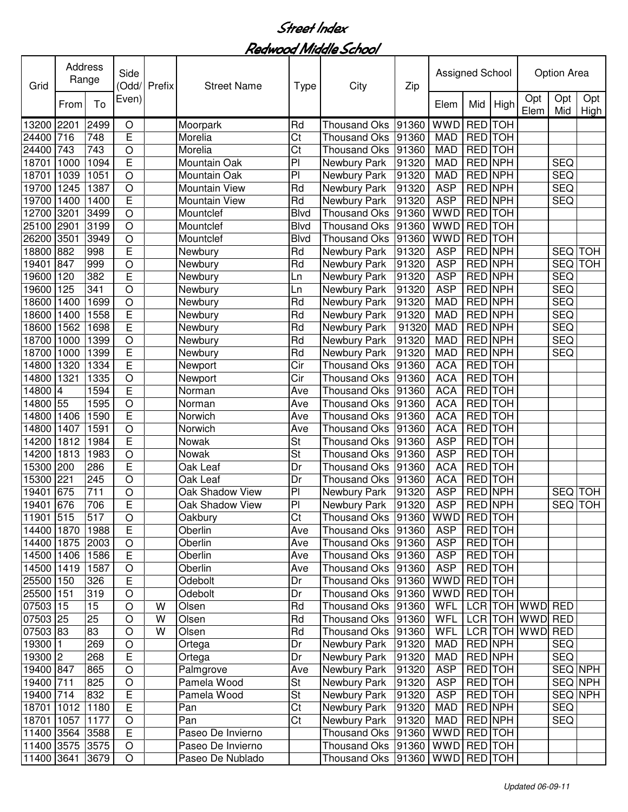| Grid            | Address<br>Range |                  | Side<br>(Odd/  | Prefix | <b>Street Name</b>   | <b>Type</b>              | City                | Zip   | Assigned School |                |            |                 | <b>Option Area</b> |             |
|-----------------|------------------|------------------|----------------|--------|----------------------|--------------------------|---------------------|-------|-----------------|----------------|------------|-----------------|--------------------|-------------|
|                 | From             | To               | Even)          |        |                      |                          |                     |       | Elem            | Mid            | High       | Opt<br>Elem     | Opt<br>Mid         | Opt<br>High |
| 13200           | 2201             | 2499             | O              |        | Moorpark             | Rd                       | <b>Thousand Oks</b> | 91360 | <b>WWD</b>      | <b>RED</b>     | <b>TOH</b> |                 |                    |             |
| 24400           | 716              | 748              | E              |        | Morelia              | Ct                       | <b>Thousand Oks</b> | 91360 | <b>MAD</b>      | RED TOH        |            |                 |                    |             |
| 24400           | 743              | 743              | $\circ$        |        | Morelia              | Ct                       | <b>Thousand Oks</b> | 91360 | <b>MAD</b>      | RED TOH        |            |                 |                    |             |
| 18701           | 1000             | 1094             | E              |        | Mountain Oak         | P <sub>1</sub>           | Newbury Park        | 91320 | <b>MAD</b>      | <b>RED NPH</b> |            |                 | <b>SEQ</b>         |             |
| 18701           | 1039             | 1051             | $\bigcirc$     |        | Mountain Oak         | P                        | Newbury Park        | 91320 | <b>MAD</b>      | RED NPH        |            |                 | <b>SEQ</b>         |             |
| 19700           | 1245             | 1387             | $\circ$        |        | Mountain View        | Rd                       | Newbury Park        | 91320 | <b>ASP</b>      | RED NPH        |            |                 | <b>SEQ</b>         |             |
| 19700           | 1400             | 1400             | E              |        | <b>Mountain View</b> | Rd                       | Newbury Park        | 91320 | <b>ASP</b>      | RED NPH        |            |                 | <b>SEQ</b>         |             |
| 12700           | 3201             | 3499             | $\circ$        |        | Mountclef            | <b>Blvd</b>              | <b>Thousand Oks</b> | 91360 | <b>WWD</b>      | <b>RED</b> TOH |            |                 |                    |             |
| 25100           | 2901             | 3199             | $\circ$        |        | Mountclef            | <b>Blvd</b>              | <b>Thousand Oks</b> | 91360 | <b>WWD</b>      | <b>RED</b> TOH |            |                 |                    |             |
| 26200           | 3501             | 3949             | $\overline{O}$ |        | Mountclef            | <b>Blvd</b>              | <b>Thousand Oks</b> | 91360 | <b>WWD</b>      | <b>RED</b> TOH |            |                 |                    |             |
| 18800           | 882              | 998              | Ē              |        | Newbury              | Rd                       | Newbury Park        | 91320 | <b>ASP</b>      | <b>RED NPH</b> |            |                 | <b>SEQ</b>         | <b>TOH</b>  |
| 19401           | 847              | 999              | $\circ$        |        | Newbury              | Rd                       | Newbury Park        | 91320 | <b>ASP</b>      | <b>RED NPH</b> |            |                 | <b>SEQ</b>         | TOH         |
| 19600           | 120              | 382              | $\overline{E}$ |        | Newbury              | Ln                       | Newbury Park        | 91320 | <b>ASP</b>      | <b>RED NPH</b> |            |                 | SEQ                |             |
| 19600           | 125              | $\overline{341}$ | $\overline{O}$ |        | Newbury              | Ln                       | Newbury Park        | 91320 | <b>ASP</b>      | <b>RED NPH</b> |            |                 | <b>SEQ</b>         |             |
| 18600           | 1400             | 1699             | $\circ$        |        | Newbury              | Rd                       | Newbury Park        | 91320 | <b>MAD</b>      | <b>RED NPH</b> |            |                 | SEQ                |             |
| 18600           | 1400             | 1558             | Ē              |        | Newbury              | Rd                       | Newbury Park        | 91320 | <b>MAD</b>      | <b>RED NPH</b> |            |                 | <b>SEQ</b>         |             |
| 18600           | 1562             | 1698             | E              |        | Newbury              | Rd                       | Newbury Park        | 91320 | <b>MAD</b>      | <b>RED NPH</b> |            |                 | <b>SEQ</b>         |             |
| 18700           | 1000             | 1399             | $\bigcirc$     |        | Newbury              | Rd                       | Newbury Park        | 91320 | <b>MAD</b>      | RED NPH        |            |                 | <b>SEQ</b>         |             |
| 18700           | 1000             | 1399             | E              |        | Newbury              | Rd                       | Newbury Park        | 91320 | <b>MAD</b>      | RED NPH        |            |                 | <b>SEQ</b>         |             |
| 14800           | 1320             | 1334             | E              |        | Newport              | Cir                      | <b>Thousand Oks</b> | 91360 | <b>ACA</b>      | RED TOH        |            |                 |                    |             |
| 14800           | 1321             | 1335             | $\bigcirc$     |        | Newport              | Cir                      | <b>Thousand Oks</b> | 91360 | <b>ACA</b>      | RED TOH        |            |                 |                    |             |
| 14800           | $\overline{4}$   | 1594             | E              |        | Norman               | Ave                      | <b>Thousand Oks</b> | 91360 | <b>ACA</b>      | RED TOH        |            |                 |                    |             |
| 14800           | 55               | 1595             | $\bigcirc$     |        | Norman               | Ave                      | <b>Thousand Oks</b> | 91360 | <b>ACA</b>      | RED TOH        |            |                 |                    |             |
| 14800           | 1406             | 1590             | E              |        | Norwich              | Ave                      | <b>Thousand Oks</b> | 91360 | <b>ACA</b>      | RED TOH        |            |                 |                    |             |
| 14800           | 1407             | 1591             | $\bigcirc$     |        | Norwich              | Ave                      | <b>Thousand Oks</b> | 91360 | <b>ACA</b>      | RED TOH        |            |                 |                    |             |
| 14200           | 1812             | 1984             | E              |        | Nowak                | St                       | <b>Thousand Oks</b> | 91360 | <b>ASP</b>      | RED TOH        |            |                 |                    |             |
| 14200           | 1813             | 1983             | $\overline{O}$ |        | Nowak                | $\overline{\mathsf{St}}$ | <b>Thousand Oks</b> | 91360 | <b>ASP</b>      | RED TOH        |            |                 |                    |             |
| 15300           | 200              | 286              | Ē              |        | Oak Leaf             | Dr                       | <b>Thousand Oks</b> | 91360 | <b>ACA</b>      | RED TOH        |            |                 |                    |             |
| 15300           | 221              | 245              | $\circ$        |        | Oak Leaf             | Dr                       | <b>Thousand Oks</b> | 91360 | <b>ACA</b>      | RED TOH        |            |                 |                    |             |
| 19401           | 675              | 711              | O              |        | Oak Shadow View      | P <sub>1</sub>           | Newbury Park        | 91320 | <b>ASP</b>      | RED NPH        |            |                 | <b>SEQ</b>         | <b>TOH</b>  |
| 19401           | 676              | 706              | E              |        | Oak Shadow View      | PI                       | Newbury Park        | 91320 | <b>ASP</b>      | RED NPH        |            |                 | <b>SEQ</b>         | <b>TOH</b>  |
| 11901 515       |                  | 517              | O              |        | Oakbury              | Ct                       | Thousand Oks  91360 |       | WWD RED TOH     |                |            |                 |                    |             |
| 14400 1870      |                  | 1988             | E              |        | Oberlin              | Ave                      | Thousand Oks        | 91360 | <b>ASP</b>      | RED TOH        |            |                 |                    |             |
| 14400 1875 2003 |                  |                  | O              |        | Oberlin              | Ave                      | Thousand Oks        | 91360 | <b>ASP</b>      | RED TOH        |            |                 |                    |             |
| 14500 1406      |                  | 1586             | $\overline{E}$ |        | Oberlin              | Ave                      | Thousand Oks        | 91360 | <b>ASP</b>      | RED TOH        |            |                 |                    |             |
| 14500 1419      |                  | 1587             | $\circ$        |        | Oberlin              | Ave                      | <b>Thousand Oks</b> | 91360 | <b>ASP</b>      | RED TOH        |            |                 |                    |             |
| 25500 150       |                  | 326              | E              |        | Odebolt              | Dr                       | <b>Thousand Oks</b> | 91360 | WWD RED TOH     |                |            |                 |                    |             |
| 25500           | 151              | 319              | $\circ$        |        | Odebolt              | Dr                       | <b>Thousand Oks</b> | 91360 | WWD RED TOH     |                |            |                 |                    |             |
| 07503 15        |                  | 15               | $\circ$        | W      | Olsen                | Rd                       | <b>Thousand Oks</b> | 91360 | <b>WFL</b>      |                |            | LCR TOH WWD RED |                    |             |
| 07503 25        |                  | 25               | $\circ$        | W      | Olsen                | Rd                       | <b>Thousand Oks</b> | 91360 | <b>WFL</b>      |                |            | LCR TOH WWD RED |                    |             |
| 07503 83        |                  | 83               | $\circ$        | W      | Olsen                | Rd                       | <b>Thousand Oks</b> | 91360 | <b>WFL</b>      |                |            | LCR TOH WWD RED |                    |             |
| 19300           | 11               | 269              | $\circ$        |        | Ortega               | Dr                       | Newbury Park        | 91320 | <b>MAD</b>      | <b>RED NPH</b> |            |                 | <b>SEQ</b>         |             |
| 19300 2         |                  | 268              | E              |        | Ortega               | Dr                       | Newbury Park        | 91320 | <b>MAD</b>      | RED NPH        |            |                 | <b>SEQ</b>         |             |
| 19400 847       |                  | 865              | $\circ$        |        | Palmgrove            | Ave                      | Newbury Park        | 91320 | <b>ASP</b>      | RED TOH        |            |                 |                    | SEQ NPH     |
| 19400 711       |                  | 825              | $\bigcirc$     |        | Pamela Wood          | <b>St</b>                | Newbury Park        | 91320 | <b>ASP</b>      | RED TOH        |            |                 |                    | SEQ NPH     |
| 19400 714       |                  | 832              | $\mathsf E$    |        | Pamela Wood          | <b>St</b>                | Newbury Park        | 91320 | <b>ASP</b>      | RED TOH        |            |                 |                    | SEQ NPH     |
| 18701           | 1012             | 1180             | $\overline{E}$ |        | Pan                  | Ct                       | Newbury Park        | 91320 | <b>MAD</b>      | RED NPH        |            |                 | <b>SEQ</b>         |             |
| 18701           | 1057             | 1177             | O              |        | Pan                  | Ct                       | Newbury Park        | 91320 | <b>MAD</b>      | RED NPH        |            |                 | <b>SEQ</b>         |             |
| 11400 3564 3588 |                  |                  | $\overline{E}$ |        | Paseo De Invierno    |                          | Thousand Oks        | 91360 | <b>WWD</b>      | RED TOH        |            |                 |                    |             |
| 11400 3575 3575 |                  |                  | $\bigcirc$     |        | Paseo De Invierno    |                          | Thousand Oks 91360  |       | WWD RED TOH     |                |            |                 |                    |             |
| 11400 3641      |                  | 3679             | O              |        | Paseo De Nublado     |                          | Thousand Oks 91360  |       | WWD RED TOH     |                |            |                 |                    |             |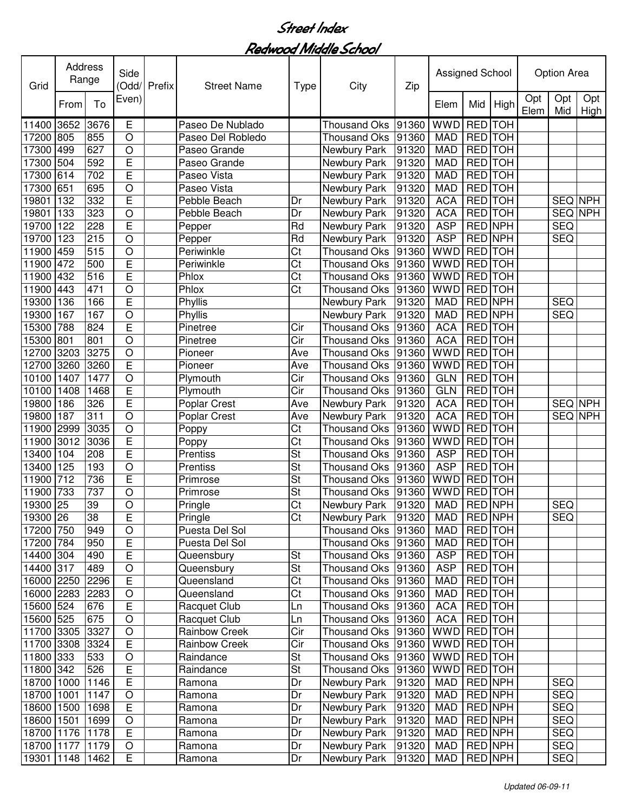| Grid            | <b>Address</b><br>Range |      | Side<br>(Odd/      | Prefix | <b>Street Name</b>   | <b>Type</b>              | City                 | Zip   | Assigned School |                |                |             | <b>Option Area</b> |             |
|-----------------|-------------------------|------|--------------------|--------|----------------------|--------------------------|----------------------|-------|-----------------|----------------|----------------|-------------|--------------------|-------------|
|                 | From                    | To   | Even)              |        |                      |                          |                      |       | Elem            | Mid            | High           | Opt<br>Elem | Opt<br>Mid         | Opt<br>High |
| 11400           | 3652                    | 3676 | Ε                  |        | Paseo De Nublado     |                          | <b>Thousand Oks</b>  | 91360 | <b>WWD</b>      | RED TOH        |                |             |                    |             |
| 17200           | 805                     | 855  | $\circ$            |        | Paseo Del Robledo    |                          | <b>Thousand Oks</b>  | 91360 | <b>MAD</b>      | RED TOH        |                |             |                    |             |
| 17300           | 499                     | 627  | $\circ$            |        | Paseo Grande         |                          | Newbury Park         | 91320 | <b>MAD</b>      | RED TOH        |                |             |                    |             |
| 17300           | 504                     | 592  | E                  |        | Paseo Grande         |                          | Newbury Park         | 91320 | <b>MAD</b>      | <b>RED</b> TOH |                |             |                    |             |
| 17300           | 614                     | 702  | E                  |        | Paseo Vista          |                          | Newbury Park         | 91320 | <b>MAD</b>      | RED TOH        |                |             |                    |             |
| 17300           | 651                     | 695  | $\overline{O}$     |        | Paseo Vista          |                          | Newbury Park         | 91320 | <b>MAD</b>      | RED TOH        |                |             |                    |             |
| 19801           | 132                     | 332  | E                  |        | Pebble Beach         | Dr                       | Newbury Park         | 91320 | <b>ACA</b>      | <b>RED</b> TOH |                |             | SEQ NPH            |             |
| 19801           | 133                     | 323  | O                  |        | Pebble Beach         | Dr                       | Newbury Park         | 91320 | <b>ACA</b>      | <b>RED</b> TOH |                |             | <b>SEQ NPH</b>     |             |
| 19700           | 122                     | 228  | E                  |        | Pepper               | Rd                       | Newbury Park         | 91320 | <b>ASP</b>      | <b>RED NPH</b> |                |             | <b>SEQ</b>         |             |
| 19700           | 123                     | 215  | $\overline{O}$     |        | Pepper               | Rd                       | Newbury Park         | 91320 | <b>ASP</b>      | <b>RED NPH</b> |                |             | <b>SEQ</b>         |             |
| 11900           | 459                     | 515  | $\overline{\rm o}$ |        | Periwinkle           | $\overline{\text{C}t}$   | <b>Thousand Oks</b>  | 91360 | <b>WWD</b>      | <b>RED</b> TOH |                |             |                    |             |
| 11900           | 472                     | 500  | Ē                  |        | Periwinkle           | $\overline{\text{C}t}$   | <b>Thousand Oks</b>  | 91360 | <b>WWD</b>      | <b>RED</b> TOH |                |             |                    |             |
| 11900           | 432                     | 516  | Ē                  |        | Phlox                | $\overline{\text{Ct}}$   | <b>Thousand Oks</b>  | 91360 | <b>WWD</b>      | <b>RED</b> TOH |                |             |                    |             |
| 11900           | 443                     | 471  | O                  |        | Phlox                | $\overline{\text{C}t}$   | <b>Thousand Oks</b>  | 91360 | <b>WWD</b>      | <b>RED</b> TOH |                |             |                    |             |
| 19300           | 136                     | 166  | Ē                  |        | Phyllis              |                          | Newbury Park         | 91320 | <b>MAD</b>      | <b>RED NPH</b> |                |             | <b>SEQ</b>         |             |
| 19300           | 167                     | 167  | O                  |        | Phyllis              |                          | Newbury Park         | 91320 | <b>MAD</b>      | <b>RED NPH</b> |                |             | <b>SEQ</b>         |             |
| 15300           | 788                     | 824  | Ē                  |        | Pinetree             | Cir                      | <b>Thousand Oks</b>  | 91360 | <b>ACA</b>      | RED TOH        |                |             |                    |             |
| 15300           | 801                     | 801  | $\circ$            |        | Pinetree             | Cir                      | <b>Thousand Oks</b>  | 91360 | <b>ACA</b>      | <b>RED</b> TOH |                |             |                    |             |
| 12700           | 3203                    | 3275 | $\circ$            |        | Pioneer              | Ave                      | <b>Thousand Oks</b>  | 91360 | WWD             | RED TOH        |                |             |                    |             |
| 12700           | 3260                    | 3260 | E                  |        | Pioneer              | Ave                      | <b>Thousand Oks</b>  | 91360 | <b>WWD</b>      | RED TOH        |                |             |                    |             |
| 10100           | 1407                    | 1477 | $\circ$            |        | Plymouth             | Cir                      | <b>Thousand Oks</b>  | 91360 | <b>GLN</b>      | RED TOH        |                |             |                    |             |
| 10100           | 1408                    | 1468 | E                  |        | Plymouth             | Cir                      | <b>Thousand Oks</b>  | 91360 | <b>GLN</b>      | RED TOH        |                |             |                    |             |
| 19800           | 186                     | 326  | E                  |        | Poplar Crest         | Ave                      | Newbury Park         | 91320 | <b>ACA</b>      | RED TOH        |                |             | SEQ NPH            |             |
| 19800           | 187                     | 311  | $\overline{O}$     |        | Poplar Crest         | Ave                      | Newbury Park         | 91320 | <b>ACA</b>      | RED TOH        |                |             | SEQ NPH            |             |
| 11900           | 2999                    | 3035 | $\circ$            |        | Poppy                | Ct                       | Thousand Oks         | 91360 | <b>WWD</b>      | RED TOH        |                |             |                    |             |
| 11900           | 3012                    | 3036 | E                  |        | Poppy                | $\overline{\text{C}t}$   | <b>Thousand Oks</b>  | 91360 | <b>WWD</b>      | RED TOH        |                |             |                    |             |
| 13400           | 104                     | 208  | Ē                  |        | Prentiss             | <b>St</b>                | <b>Thousand Oks</b>  | 91360 | <b>ASP</b>      | RED TOH        |                |             |                    |             |
| 13400           | 125                     | 193  | $\circ$            |        | Prentiss             | $\overline{\mathsf{St}}$ | <b>Thousand Oks</b>  | 91360 | <b>ASP</b>      | RED TOH        |                |             |                    |             |
| 11900           | 712                     | 736  | E                  |        | Primrose             | St                       | <b>Thousand Oks</b>  | 91360 | <b>WWD</b>      | RED TOH        |                |             |                    |             |
| 11900           | 733                     | 737  | O                  |        | Primrose             | St                       | <b>Thousand Oks</b>  | 91360 | <b>WWD</b>      | <b>RED</b>     | <b>TOH</b>     |             |                    |             |
| 19300           | 25                      | 39   | O                  |        | Pringle              | Ct                       | Newbury Park         | 91320 | <b>MAD</b>      | RED NPH        |                |             | <b>SEQ</b>         |             |
| 19300 26        |                         | 38   | F.                 |        | Pringle              | Ct                       | Newbury Park   91320 |       | MAD             |                | RED NPH        |             | SEQ.               |             |
| 17200 750       |                         | 949  | $\circ$            |        | Puesta Del Sol       |                          | Thousand Oks 91360   |       | MAD             |                | <b>RED</b> TOH |             |                    |             |
| 17200 784       |                         | 950  | E                  |        | Puesta Del Sol       |                          | Thousand Oks 91360   |       | MAD             |                | RED TOH        |             |                    |             |
| 14400 304       |                         | 490  | E                  |        | Queensbury           | St                       | Thousand Oks         | 91360 | <b>ASP</b>      |                | RED TOH        |             |                    |             |
| 14400 317       |                         | 489  | $\bigcirc$         |        | Queensbury           | St                       | <b>Thousand Oks</b>  | 91360 | <b>ASP</b>      |                | RED TOH        |             |                    |             |
| 16000 2250      |                         | 2296 | E                  |        | Queensland           | Ct                       | <b>Thousand Oks</b>  | 91360 | <b>MAD</b>      |                | RED TOH        |             |                    |             |
| 16000 2283      |                         | 2283 | $\bigcirc$         |        | Queensland           | Ct                       | <b>Thousand Oks</b>  | 91360 | <b>MAD</b>      |                | <b>RED</b> TOH |             |                    |             |
| 15600 524       |                         | 676  | E                  |        | Racquet Club         | Ln                       | <b>Thousand Oks</b>  | 91360 | <b>ACA</b>      |                | RED TOH        |             |                    |             |
| 15600 525       |                         | 675  | $\circ$            |        | Racquet Club         | Ln                       | <b>Thousand Oks</b>  | 91360 | <b>ACA</b>      |                | RED TOH        |             |                    |             |
| 11700 3305      |                         | 3327 | $\circ$            |        | <b>Rainbow Creek</b> | $\overline{C}$ ir        | Thousand Oks         | 91360 | WWD RED TOH     |                |                |             |                    |             |
| 11700 3308 3324 |                         |      | E                  |        | <b>Rainbow Creek</b> | Cir                      | Thousand Oks 91360   |       | WWD RED TOH     |                |                |             |                    |             |
| 11800 333       |                         | 533  | $\bigcirc$         |        | Raindance            | St                       | Thousand Oks 91360   |       | WWD RED TOH     |                |                |             |                    |             |
| 11800 342       |                         | 526  | E                  |        | Raindance            | $\overline{\mathsf{St}}$ | Thousand Oks 91360   |       | WWD RED TOH     |                |                |             |                    |             |
| 18700 1000      |                         | 1146 | E                  |        | Ramona               | Dr                       | Newbury Park         | 91320 | MAD             |                | RED NPH        |             | <b>SEQ</b>         |             |
| 18700           | 1001                    | 1147 | $\bigcirc$         |        | Ramona               | Dr                       | Newbury Park         | 91320 | MAD             | RED NPH        |                |             | <b>SEQ</b>         |             |
| 18600           | 1500                    | 1698 | E                  |        | Ramona               | Dr                       | Newbury Park         | 91320 | MAD             |                | RED NPH        |             | <b>SEQ</b>         |             |
| 18600 1501      |                         | 1699 | $\bigcirc$         |        | Ramona               | Dr                       | Newbury Park         | 91320 | MAD             |                | RED NPH        |             | <b>SEQ</b>         |             |
| 18700 1176      |                         | 1178 | E                  |        | Ramona               | Dr                       | Newbury Park         | 91320 | <b>MAD</b>      |                | RED NPH        |             | <b>SEQ</b>         |             |
| 18700 1177 1179 |                         |      | $\circ$            |        | Ramona               | Dr                       | Newbury Park         | 91320 | <b>MAD</b>      |                | RED NPH        |             | SEQ                |             |
| 19301 1148 1462 |                         |      | E                  |        | Ramona               | Dr                       | Newbury Park         | 91320 | MAD             |                | RED NPH        |             | <b>SEQ</b>         |             |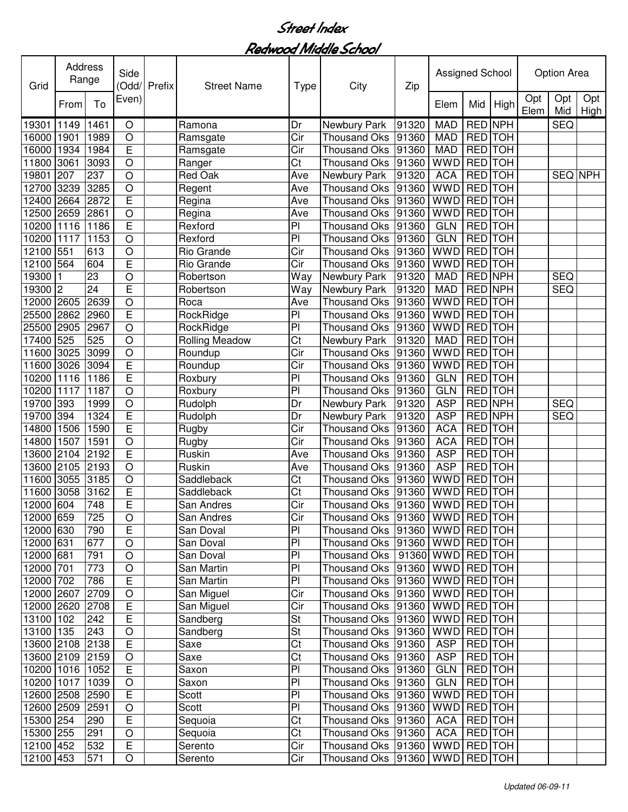| Opt<br>Opt<br>Even)<br>Opt<br>To<br>Mid<br>High<br>From<br>Elem<br>Elem<br>Mid<br><b>RED NPH</b><br><b>MAD</b><br><b>SEQ</b><br>19301<br>1149<br>1461<br>Dr<br>Newbury Park<br>91320<br>O<br>Ramona<br>Cir<br>RED TOH<br>1901<br>1989<br>$\circ$<br><b>MAD</b><br>16000<br>Ramsgate<br><b>Thousand Oks</b><br>91360<br>E<br>RED TOH<br>1934<br>1984<br>Cir<br><b>MAD</b><br>16000<br><b>Thousand Oks</b><br>91360<br>Ramsgate<br>Ct<br><b>WWD</b><br>RED TOH<br>3061<br>3093<br>$\bigcirc$<br>91360<br>11800<br>Ranger<br><b>Thousand Oks</b><br>237<br>$\circ$<br><b>ACA</b><br>RED TOH<br>19801<br>207<br><b>Red Oak</b><br>Ave<br>91320<br>SEQ NPH<br>Newbury Park<br>$\circ$<br><b>WWD</b><br>RED TOH<br>3239<br>3285<br>91360<br>12700<br>Regent<br>Ave<br><b>Thousand Oks</b><br>E<br>91360<br><b>WWD</b><br>RED TOH<br>12400<br>2664<br>2872<br>Ave<br>Regina<br><b>Thousand Oks</b><br><b>RED</b> TOH<br>12500<br>$\circ$<br><b>WWD</b><br>2659<br>2861<br>Regina<br>Ave<br><b>Thousand Oks</b><br>91360<br>Ē<br>$\overline{P}$<br><b>RED</b> TOH<br>10200<br>1116<br>1186<br>91360<br><b>GLN</b><br>Rexford<br><b>Thousand Oks</b><br>$\overline{P}$<br><b>GLN</b><br><b>RED</b> TOH<br>10200<br>1117<br>1153<br>$\circ$<br>91360<br>Rexford<br><b>Thousand Oks</b><br>551<br>$\overline{\text{Cir}}$<br><b>WWD</b><br><b>RED</b> TOH<br>12100<br>613<br>$\circ$<br>Rio Grande<br>91360<br><b>Thousand Oks</b><br>E<br><b>RED</b> TOH<br>564<br>604<br>Rio Grande<br>Cir<br><b>Thousand Oks</b><br><b>WWD</b><br>12100<br>91360<br>$\overline{23}$<br><b>RED NPH</b><br>19300<br>$\circ$<br>$\overline{W}$ ay<br>Newbury Park<br>91320<br><b>MAD</b><br><b>SEQ</b><br>Robertson<br>Ē<br>$\overline{24}$<br><b>RED NPH</b><br><b>SEQ</b><br>19300<br>91320<br><b>MAD</b><br>2<br>Robertson<br>Way<br>Newbury Park<br><b>WWD</b><br><b>RED</b> TOH<br>2605<br>2639<br>$\circ$<br><b>Thousand Oks</b><br>91360<br>12000<br>Roca<br>Ave<br>E<br><b>RED</b> TOH<br>RockRidge<br>PI<br><b>Thousand Oks</b><br><b>WWD</b><br>25500<br>2862<br>2960<br>91360<br>$\overline{P}$<br><b>RED</b> TOH<br>25500<br>2905<br>2967<br>$\circ$<br><b>WWD</b><br>RockRidge<br><b>Thousand Oks</b><br>91360<br>Ct<br>RED TOH<br>525<br>525<br>91320<br><b>MAD</b><br>17400<br>$\circ$<br><b>Rolling Meadow</b><br>Newbury Park<br>3099<br>Cir<br><b>WWD</b><br>RED TOH<br>11600<br>3025<br>$\circ$<br><b>Thousand Oks</b><br>91360<br>Roundup<br>E<br>Cir<br>RED TOH<br>11600<br>3026<br>3094<br>Roundup<br>91360<br><b>WWD</b><br><b>Thousand Oks</b><br>E<br>PI<br>RED TOH<br>10200<br>1116<br>91360<br><b>GLN</b><br>1186<br>Roxbury<br><b>Thousand Oks</b><br>PI<br><b>GLN</b><br>RED TOH<br>10200<br>1117<br>1187<br>$\bigcirc$<br>91360<br>Roxbury<br><b>Thousand Oks</b><br><b>ASP</b><br>RED NPH<br><b>SEQ</b><br>393<br>$\circ$<br>Rudolph<br>91320<br>19700<br>1999<br>Dr<br>Newbury Park<br>E<br>1324<br><b>ASP</b><br><b>RED NPH</b><br><b>SEQ</b><br>19700<br>394<br>Rudolph<br>91320<br>Dr<br>Newbury Park<br>E<br>$\overline{\text{Cir}}$<br>RED TOH<br>1506<br>1590<br>91360<br><b>ACA</b><br>14800<br>Rugby<br><b>Thousand Oks</b><br>$\overline{O}$<br>$\overline{\text{Cir}}$<br>RED TOH<br>14800<br>1507<br>1591<br><b>ACA</b><br>Rugby<br>91360<br><b>Thousand Oks</b><br>Ē<br><b>ASP</b><br>RED TOH<br>2104<br>2192<br>Ruskin<br>13600<br>Ave<br>91360<br><b>Thousand Oks</b><br>$\circ$<br><b>ASP</b><br>RED TOH<br>2105<br>2193<br>13600<br>Ruskin<br>Ave<br><b>Thousand Oks</b><br>91360<br>$\circ$<br><b>WWD</b><br>RED TOH<br>3055<br>3185<br>Ct<br>11600<br>Saddleback<br>91360<br>Thousand Oks<br>E<br><b>RED</b><br>3058<br>3162<br>Ct<br><b>WWD</b><br><b>TOH</b><br>11600<br>91360<br>Saddleback<br>Thousand Oks<br>Ē<br>604<br>748<br>Cir<br><b>WWD</b><br>RED TOH<br>12000<br><b>Thousand Oks</b><br>91360<br>San Andres<br>12000 659<br>725<br>O<br>San Andres<br>Cir<br>Thousand Oks  91360   WWD   RED   TOH  <br>$\mathsf E$<br>P <sub>1</sub><br>12000 630<br>790<br>Thousand Oks  91360   WWD   RED   TOH<br>San Doval<br>12000 631<br>677<br>PI<br>Thousand Oks<br>$ 91360 $ WWD RED TOH<br>O<br>San Doval<br>12000 681<br>P<br>91360 WWD RED TOH<br>791<br>$\circ$<br>San Doval<br>Thousand Oks<br>$\overline{P}$<br>12000 701<br>773<br>91360<br>WWD RED TOH<br>$\bigcirc$<br>San Martin<br><b>Thousand Oks</b><br>$\overline{E}$<br>786<br>PI<br>WWD RED TOH<br>12000 702<br>San Martin<br><b>Thousand Oks</b><br>91360<br>12000 2607<br>2709<br>Cir<br>91360<br>WWD RED TOH<br>$\bigcirc$<br>San Miguel<br><b>Thousand Oks</b><br>12000 2620<br>2708<br>E<br>Cir<br>WWD RED TOH<br>San Miguel<br><b>Thousand Oks</b><br>91360<br>$\overline{\mathsf{St}}$<br>13100 102<br>242<br>E<br>91360<br>WWD RED TOH<br>Sandberg<br>Thousand Oks<br>13100 135<br>$\bigcirc$<br><b>St</b><br><b>Thousand Oks</b><br>WWD RED TOH<br>243<br>Sandberg<br>91360<br>$\overline{E}$<br>$\overline{\text{Ct}}$<br>13600 2108 2138<br>91360<br><b>ASP</b><br><b>RED</b> TOH<br>Saxe<br>Thousand Oks<br>Ct<br>13600 2109 2159<br>Saxe<br><b>ASP</b><br>RED TOH<br>$\bigcirc$<br>Thousand Oks<br>91360<br>$\overline{P}$<br>E<br>RED TOH<br>10200 1016 1052<br>Thousand Oks<br>91360<br>GLN  <br>Saxon<br><b>RED</b> TOH | Grid | Address<br>Range | Side<br>(Odd/ | Prefix | <b>Street Name</b> | <b>Type</b> | City | Zip | Assigned School |  | <b>Option Area</b> |             |
|---------------------------------------------------------------------------------------------------------------------------------------------------------------------------------------------------------------------------------------------------------------------------------------------------------------------------------------------------------------------------------------------------------------------------------------------------------------------------------------------------------------------------------------------------------------------------------------------------------------------------------------------------------------------------------------------------------------------------------------------------------------------------------------------------------------------------------------------------------------------------------------------------------------------------------------------------------------------------------------------------------------------------------------------------------------------------------------------------------------------------------------------------------------------------------------------------------------------------------------------------------------------------------------------------------------------------------------------------------------------------------------------------------------------------------------------------------------------------------------------------------------------------------------------------------------------------------------------------------------------------------------------------------------------------------------------------------------------------------------------------------------------------------------------------------------------------------------------------------------------------------------------------------------------------------------------------------------------------------------------------------------------------------------------------------------------------------------------------------------------------------------------------------------------------------------------------------------------------------------------------------------------------------------------------------------------------------------------------------------------------------------------------------------------------------------------------------------------------------------------------------------------------------------------------------------------------------------------------------------------------------------------------------------------------------------------------------------------------------------------------------------------------------------------------------------------------------------------------------------------------------------------------------------------------------------------------------------------------------------------------------------------------------------------------------------------------------------------------------------------------------------------------------------------------------------------------------------------------------------------------------------------------------------------------------------------------------------------------------------------------------------------------------------------------------------------------------------------------------------------------------------------------------------------------------------------------------------------------------------------------------------------------------------------------------------------------------------------------------------------------------------------------------------------------------------------------------------------------------------------------------------------------------------------------------------------------------------------------------------------------------------------------------------------------------------------------------------------------------------------------------------------------------------------------------------------------------------------------------------------------------------------------------------------------------------------------------------------------------------------------------------------------------------------------------------------------------------------------------------------------------------------------------------------------------------------------------------------------------------------------------------------------------------------------------------------------------------------------------------------------------------------------------------------------------------------------------------------------------------------------------------------------------------------------------------------------------------------------------------------------------------------------------------------------------------------------------------------------------------------------------------------------------------------------------------------------------------------------------------|------|------------------|---------------|--------|--------------------|-------------|------|-----|-----------------|--|--------------------|-------------|
|                                                                                                                                                                                                                                                                                                                                                                                                                                                                                                                                                                                                                                                                                                                                                                                                                                                                                                                                                                                                                                                                                                                                                                                                                                                                                                                                                                                                                                                                                                                                                                                                                                                                                                                                                                                                                                                                                                                                                                                                                                                                                                                                                                                                                                                                                                                                                                                                                                                                                                                                                                                                                                                                                                                                                                                                                                                                                                                                                                                                                                                                                                                                                                                                                                                                                                                                                                                                                                                                                                                                                                                                                                                                                                                                                                                                                                                                                                                                                                                                                                                                                                                                                                                                                                                                                                                                                                                                                                                                                                                                                                                                                                                                                                                                                                                                                                                                                                                                                                                                                                                                                                                                                                                                                                       |      |                  |               |        |                    |             |      |     |                 |  |                    | <b>High</b> |
|                                                                                                                                                                                                                                                                                                                                                                                                                                                                                                                                                                                                                                                                                                                                                                                                                                                                                                                                                                                                                                                                                                                                                                                                                                                                                                                                                                                                                                                                                                                                                                                                                                                                                                                                                                                                                                                                                                                                                                                                                                                                                                                                                                                                                                                                                                                                                                                                                                                                                                                                                                                                                                                                                                                                                                                                                                                                                                                                                                                                                                                                                                                                                                                                                                                                                                                                                                                                                                                                                                                                                                                                                                                                                                                                                                                                                                                                                                                                                                                                                                                                                                                                                                                                                                                                                                                                                                                                                                                                                                                                                                                                                                                                                                                                                                                                                                                                                                                                                                                                                                                                                                                                                                                                                                       |      |                  |               |        |                    |             |      |     |                 |  |                    |             |
|                                                                                                                                                                                                                                                                                                                                                                                                                                                                                                                                                                                                                                                                                                                                                                                                                                                                                                                                                                                                                                                                                                                                                                                                                                                                                                                                                                                                                                                                                                                                                                                                                                                                                                                                                                                                                                                                                                                                                                                                                                                                                                                                                                                                                                                                                                                                                                                                                                                                                                                                                                                                                                                                                                                                                                                                                                                                                                                                                                                                                                                                                                                                                                                                                                                                                                                                                                                                                                                                                                                                                                                                                                                                                                                                                                                                                                                                                                                                                                                                                                                                                                                                                                                                                                                                                                                                                                                                                                                                                                                                                                                                                                                                                                                                                                                                                                                                                                                                                                                                                                                                                                                                                                                                                                       |      |                  |               |        |                    |             |      |     |                 |  |                    |             |
|                                                                                                                                                                                                                                                                                                                                                                                                                                                                                                                                                                                                                                                                                                                                                                                                                                                                                                                                                                                                                                                                                                                                                                                                                                                                                                                                                                                                                                                                                                                                                                                                                                                                                                                                                                                                                                                                                                                                                                                                                                                                                                                                                                                                                                                                                                                                                                                                                                                                                                                                                                                                                                                                                                                                                                                                                                                                                                                                                                                                                                                                                                                                                                                                                                                                                                                                                                                                                                                                                                                                                                                                                                                                                                                                                                                                                                                                                                                                                                                                                                                                                                                                                                                                                                                                                                                                                                                                                                                                                                                                                                                                                                                                                                                                                                                                                                                                                                                                                                                                                                                                                                                                                                                                                                       |      |                  |               |        |                    |             |      |     |                 |  |                    |             |
|                                                                                                                                                                                                                                                                                                                                                                                                                                                                                                                                                                                                                                                                                                                                                                                                                                                                                                                                                                                                                                                                                                                                                                                                                                                                                                                                                                                                                                                                                                                                                                                                                                                                                                                                                                                                                                                                                                                                                                                                                                                                                                                                                                                                                                                                                                                                                                                                                                                                                                                                                                                                                                                                                                                                                                                                                                                                                                                                                                                                                                                                                                                                                                                                                                                                                                                                                                                                                                                                                                                                                                                                                                                                                                                                                                                                                                                                                                                                                                                                                                                                                                                                                                                                                                                                                                                                                                                                                                                                                                                                                                                                                                                                                                                                                                                                                                                                                                                                                                                                                                                                                                                                                                                                                                       |      |                  |               |        |                    |             |      |     |                 |  |                    |             |
|                                                                                                                                                                                                                                                                                                                                                                                                                                                                                                                                                                                                                                                                                                                                                                                                                                                                                                                                                                                                                                                                                                                                                                                                                                                                                                                                                                                                                                                                                                                                                                                                                                                                                                                                                                                                                                                                                                                                                                                                                                                                                                                                                                                                                                                                                                                                                                                                                                                                                                                                                                                                                                                                                                                                                                                                                                                                                                                                                                                                                                                                                                                                                                                                                                                                                                                                                                                                                                                                                                                                                                                                                                                                                                                                                                                                                                                                                                                                                                                                                                                                                                                                                                                                                                                                                                                                                                                                                                                                                                                                                                                                                                                                                                                                                                                                                                                                                                                                                                                                                                                                                                                                                                                                                                       |      |                  |               |        |                    |             |      |     |                 |  |                    |             |
|                                                                                                                                                                                                                                                                                                                                                                                                                                                                                                                                                                                                                                                                                                                                                                                                                                                                                                                                                                                                                                                                                                                                                                                                                                                                                                                                                                                                                                                                                                                                                                                                                                                                                                                                                                                                                                                                                                                                                                                                                                                                                                                                                                                                                                                                                                                                                                                                                                                                                                                                                                                                                                                                                                                                                                                                                                                                                                                                                                                                                                                                                                                                                                                                                                                                                                                                                                                                                                                                                                                                                                                                                                                                                                                                                                                                                                                                                                                                                                                                                                                                                                                                                                                                                                                                                                                                                                                                                                                                                                                                                                                                                                                                                                                                                                                                                                                                                                                                                                                                                                                                                                                                                                                                                                       |      |                  |               |        |                    |             |      |     |                 |  |                    |             |
|                                                                                                                                                                                                                                                                                                                                                                                                                                                                                                                                                                                                                                                                                                                                                                                                                                                                                                                                                                                                                                                                                                                                                                                                                                                                                                                                                                                                                                                                                                                                                                                                                                                                                                                                                                                                                                                                                                                                                                                                                                                                                                                                                                                                                                                                                                                                                                                                                                                                                                                                                                                                                                                                                                                                                                                                                                                                                                                                                                                                                                                                                                                                                                                                                                                                                                                                                                                                                                                                                                                                                                                                                                                                                                                                                                                                                                                                                                                                                                                                                                                                                                                                                                                                                                                                                                                                                                                                                                                                                                                                                                                                                                                                                                                                                                                                                                                                                                                                                                                                                                                                                                                                                                                                                                       |      |                  |               |        |                    |             |      |     |                 |  |                    |             |
|                                                                                                                                                                                                                                                                                                                                                                                                                                                                                                                                                                                                                                                                                                                                                                                                                                                                                                                                                                                                                                                                                                                                                                                                                                                                                                                                                                                                                                                                                                                                                                                                                                                                                                                                                                                                                                                                                                                                                                                                                                                                                                                                                                                                                                                                                                                                                                                                                                                                                                                                                                                                                                                                                                                                                                                                                                                                                                                                                                                                                                                                                                                                                                                                                                                                                                                                                                                                                                                                                                                                                                                                                                                                                                                                                                                                                                                                                                                                                                                                                                                                                                                                                                                                                                                                                                                                                                                                                                                                                                                                                                                                                                                                                                                                                                                                                                                                                                                                                                                                                                                                                                                                                                                                                                       |      |                  |               |        |                    |             |      |     |                 |  |                    |             |
|                                                                                                                                                                                                                                                                                                                                                                                                                                                                                                                                                                                                                                                                                                                                                                                                                                                                                                                                                                                                                                                                                                                                                                                                                                                                                                                                                                                                                                                                                                                                                                                                                                                                                                                                                                                                                                                                                                                                                                                                                                                                                                                                                                                                                                                                                                                                                                                                                                                                                                                                                                                                                                                                                                                                                                                                                                                                                                                                                                                                                                                                                                                                                                                                                                                                                                                                                                                                                                                                                                                                                                                                                                                                                                                                                                                                                                                                                                                                                                                                                                                                                                                                                                                                                                                                                                                                                                                                                                                                                                                                                                                                                                                                                                                                                                                                                                                                                                                                                                                                                                                                                                                                                                                                                                       |      |                  |               |        |                    |             |      |     |                 |  |                    |             |
|                                                                                                                                                                                                                                                                                                                                                                                                                                                                                                                                                                                                                                                                                                                                                                                                                                                                                                                                                                                                                                                                                                                                                                                                                                                                                                                                                                                                                                                                                                                                                                                                                                                                                                                                                                                                                                                                                                                                                                                                                                                                                                                                                                                                                                                                                                                                                                                                                                                                                                                                                                                                                                                                                                                                                                                                                                                                                                                                                                                                                                                                                                                                                                                                                                                                                                                                                                                                                                                                                                                                                                                                                                                                                                                                                                                                                                                                                                                                                                                                                                                                                                                                                                                                                                                                                                                                                                                                                                                                                                                                                                                                                                                                                                                                                                                                                                                                                                                                                                                                                                                                                                                                                                                                                                       |      |                  |               |        |                    |             |      |     |                 |  |                    |             |
|                                                                                                                                                                                                                                                                                                                                                                                                                                                                                                                                                                                                                                                                                                                                                                                                                                                                                                                                                                                                                                                                                                                                                                                                                                                                                                                                                                                                                                                                                                                                                                                                                                                                                                                                                                                                                                                                                                                                                                                                                                                                                                                                                                                                                                                                                                                                                                                                                                                                                                                                                                                                                                                                                                                                                                                                                                                                                                                                                                                                                                                                                                                                                                                                                                                                                                                                                                                                                                                                                                                                                                                                                                                                                                                                                                                                                                                                                                                                                                                                                                                                                                                                                                                                                                                                                                                                                                                                                                                                                                                                                                                                                                                                                                                                                                                                                                                                                                                                                                                                                                                                                                                                                                                                                                       |      |                  |               |        |                    |             |      |     |                 |  |                    |             |
|                                                                                                                                                                                                                                                                                                                                                                                                                                                                                                                                                                                                                                                                                                                                                                                                                                                                                                                                                                                                                                                                                                                                                                                                                                                                                                                                                                                                                                                                                                                                                                                                                                                                                                                                                                                                                                                                                                                                                                                                                                                                                                                                                                                                                                                                                                                                                                                                                                                                                                                                                                                                                                                                                                                                                                                                                                                                                                                                                                                                                                                                                                                                                                                                                                                                                                                                                                                                                                                                                                                                                                                                                                                                                                                                                                                                                                                                                                                                                                                                                                                                                                                                                                                                                                                                                                                                                                                                                                                                                                                                                                                                                                                                                                                                                                                                                                                                                                                                                                                                                                                                                                                                                                                                                                       |      |                  |               |        |                    |             |      |     |                 |  |                    |             |
|                                                                                                                                                                                                                                                                                                                                                                                                                                                                                                                                                                                                                                                                                                                                                                                                                                                                                                                                                                                                                                                                                                                                                                                                                                                                                                                                                                                                                                                                                                                                                                                                                                                                                                                                                                                                                                                                                                                                                                                                                                                                                                                                                                                                                                                                                                                                                                                                                                                                                                                                                                                                                                                                                                                                                                                                                                                                                                                                                                                                                                                                                                                                                                                                                                                                                                                                                                                                                                                                                                                                                                                                                                                                                                                                                                                                                                                                                                                                                                                                                                                                                                                                                                                                                                                                                                                                                                                                                                                                                                                                                                                                                                                                                                                                                                                                                                                                                                                                                                                                                                                                                                                                                                                                                                       |      |                  |               |        |                    |             |      |     |                 |  |                    |             |
|                                                                                                                                                                                                                                                                                                                                                                                                                                                                                                                                                                                                                                                                                                                                                                                                                                                                                                                                                                                                                                                                                                                                                                                                                                                                                                                                                                                                                                                                                                                                                                                                                                                                                                                                                                                                                                                                                                                                                                                                                                                                                                                                                                                                                                                                                                                                                                                                                                                                                                                                                                                                                                                                                                                                                                                                                                                                                                                                                                                                                                                                                                                                                                                                                                                                                                                                                                                                                                                                                                                                                                                                                                                                                                                                                                                                                                                                                                                                                                                                                                                                                                                                                                                                                                                                                                                                                                                                                                                                                                                                                                                                                                                                                                                                                                                                                                                                                                                                                                                                                                                                                                                                                                                                                                       |      |                  |               |        |                    |             |      |     |                 |  |                    |             |
|                                                                                                                                                                                                                                                                                                                                                                                                                                                                                                                                                                                                                                                                                                                                                                                                                                                                                                                                                                                                                                                                                                                                                                                                                                                                                                                                                                                                                                                                                                                                                                                                                                                                                                                                                                                                                                                                                                                                                                                                                                                                                                                                                                                                                                                                                                                                                                                                                                                                                                                                                                                                                                                                                                                                                                                                                                                                                                                                                                                                                                                                                                                                                                                                                                                                                                                                                                                                                                                                                                                                                                                                                                                                                                                                                                                                                                                                                                                                                                                                                                                                                                                                                                                                                                                                                                                                                                                                                                                                                                                                                                                                                                                                                                                                                                                                                                                                                                                                                                                                                                                                                                                                                                                                                                       |      |                  |               |        |                    |             |      |     |                 |  |                    |             |
|                                                                                                                                                                                                                                                                                                                                                                                                                                                                                                                                                                                                                                                                                                                                                                                                                                                                                                                                                                                                                                                                                                                                                                                                                                                                                                                                                                                                                                                                                                                                                                                                                                                                                                                                                                                                                                                                                                                                                                                                                                                                                                                                                                                                                                                                                                                                                                                                                                                                                                                                                                                                                                                                                                                                                                                                                                                                                                                                                                                                                                                                                                                                                                                                                                                                                                                                                                                                                                                                                                                                                                                                                                                                                                                                                                                                                                                                                                                                                                                                                                                                                                                                                                                                                                                                                                                                                                                                                                                                                                                                                                                                                                                                                                                                                                                                                                                                                                                                                                                                                                                                                                                                                                                                                                       |      |                  |               |        |                    |             |      |     |                 |  |                    |             |
|                                                                                                                                                                                                                                                                                                                                                                                                                                                                                                                                                                                                                                                                                                                                                                                                                                                                                                                                                                                                                                                                                                                                                                                                                                                                                                                                                                                                                                                                                                                                                                                                                                                                                                                                                                                                                                                                                                                                                                                                                                                                                                                                                                                                                                                                                                                                                                                                                                                                                                                                                                                                                                                                                                                                                                                                                                                                                                                                                                                                                                                                                                                                                                                                                                                                                                                                                                                                                                                                                                                                                                                                                                                                                                                                                                                                                                                                                                                                                                                                                                                                                                                                                                                                                                                                                                                                                                                                                                                                                                                                                                                                                                                                                                                                                                                                                                                                                                                                                                                                                                                                                                                                                                                                                                       |      |                  |               |        |                    |             |      |     |                 |  |                    |             |
|                                                                                                                                                                                                                                                                                                                                                                                                                                                                                                                                                                                                                                                                                                                                                                                                                                                                                                                                                                                                                                                                                                                                                                                                                                                                                                                                                                                                                                                                                                                                                                                                                                                                                                                                                                                                                                                                                                                                                                                                                                                                                                                                                                                                                                                                                                                                                                                                                                                                                                                                                                                                                                                                                                                                                                                                                                                                                                                                                                                                                                                                                                                                                                                                                                                                                                                                                                                                                                                                                                                                                                                                                                                                                                                                                                                                                                                                                                                                                                                                                                                                                                                                                                                                                                                                                                                                                                                                                                                                                                                                                                                                                                                                                                                                                                                                                                                                                                                                                                                                                                                                                                                                                                                                                                       |      |                  |               |        |                    |             |      |     |                 |  |                    |             |
|                                                                                                                                                                                                                                                                                                                                                                                                                                                                                                                                                                                                                                                                                                                                                                                                                                                                                                                                                                                                                                                                                                                                                                                                                                                                                                                                                                                                                                                                                                                                                                                                                                                                                                                                                                                                                                                                                                                                                                                                                                                                                                                                                                                                                                                                                                                                                                                                                                                                                                                                                                                                                                                                                                                                                                                                                                                                                                                                                                                                                                                                                                                                                                                                                                                                                                                                                                                                                                                                                                                                                                                                                                                                                                                                                                                                                                                                                                                                                                                                                                                                                                                                                                                                                                                                                                                                                                                                                                                                                                                                                                                                                                                                                                                                                                                                                                                                                                                                                                                                                                                                                                                                                                                                                                       |      |                  |               |        |                    |             |      |     |                 |  |                    |             |
|                                                                                                                                                                                                                                                                                                                                                                                                                                                                                                                                                                                                                                                                                                                                                                                                                                                                                                                                                                                                                                                                                                                                                                                                                                                                                                                                                                                                                                                                                                                                                                                                                                                                                                                                                                                                                                                                                                                                                                                                                                                                                                                                                                                                                                                                                                                                                                                                                                                                                                                                                                                                                                                                                                                                                                                                                                                                                                                                                                                                                                                                                                                                                                                                                                                                                                                                                                                                                                                                                                                                                                                                                                                                                                                                                                                                                                                                                                                                                                                                                                                                                                                                                                                                                                                                                                                                                                                                                                                                                                                                                                                                                                                                                                                                                                                                                                                                                                                                                                                                                                                                                                                                                                                                                                       |      |                  |               |        |                    |             |      |     |                 |  |                    |             |
|                                                                                                                                                                                                                                                                                                                                                                                                                                                                                                                                                                                                                                                                                                                                                                                                                                                                                                                                                                                                                                                                                                                                                                                                                                                                                                                                                                                                                                                                                                                                                                                                                                                                                                                                                                                                                                                                                                                                                                                                                                                                                                                                                                                                                                                                                                                                                                                                                                                                                                                                                                                                                                                                                                                                                                                                                                                                                                                                                                                                                                                                                                                                                                                                                                                                                                                                                                                                                                                                                                                                                                                                                                                                                                                                                                                                                                                                                                                                                                                                                                                                                                                                                                                                                                                                                                                                                                                                                                                                                                                                                                                                                                                                                                                                                                                                                                                                                                                                                                                                                                                                                                                                                                                                                                       |      |                  |               |        |                    |             |      |     |                 |  |                    |             |
|                                                                                                                                                                                                                                                                                                                                                                                                                                                                                                                                                                                                                                                                                                                                                                                                                                                                                                                                                                                                                                                                                                                                                                                                                                                                                                                                                                                                                                                                                                                                                                                                                                                                                                                                                                                                                                                                                                                                                                                                                                                                                                                                                                                                                                                                                                                                                                                                                                                                                                                                                                                                                                                                                                                                                                                                                                                                                                                                                                                                                                                                                                                                                                                                                                                                                                                                                                                                                                                                                                                                                                                                                                                                                                                                                                                                                                                                                                                                                                                                                                                                                                                                                                                                                                                                                                                                                                                                                                                                                                                                                                                                                                                                                                                                                                                                                                                                                                                                                                                                                                                                                                                                                                                                                                       |      |                  |               |        |                    |             |      |     |                 |  |                    |             |
|                                                                                                                                                                                                                                                                                                                                                                                                                                                                                                                                                                                                                                                                                                                                                                                                                                                                                                                                                                                                                                                                                                                                                                                                                                                                                                                                                                                                                                                                                                                                                                                                                                                                                                                                                                                                                                                                                                                                                                                                                                                                                                                                                                                                                                                                                                                                                                                                                                                                                                                                                                                                                                                                                                                                                                                                                                                                                                                                                                                                                                                                                                                                                                                                                                                                                                                                                                                                                                                                                                                                                                                                                                                                                                                                                                                                                                                                                                                                                                                                                                                                                                                                                                                                                                                                                                                                                                                                                                                                                                                                                                                                                                                                                                                                                                                                                                                                                                                                                                                                                                                                                                                                                                                                                                       |      |                  |               |        |                    |             |      |     |                 |  |                    |             |
|                                                                                                                                                                                                                                                                                                                                                                                                                                                                                                                                                                                                                                                                                                                                                                                                                                                                                                                                                                                                                                                                                                                                                                                                                                                                                                                                                                                                                                                                                                                                                                                                                                                                                                                                                                                                                                                                                                                                                                                                                                                                                                                                                                                                                                                                                                                                                                                                                                                                                                                                                                                                                                                                                                                                                                                                                                                                                                                                                                                                                                                                                                                                                                                                                                                                                                                                                                                                                                                                                                                                                                                                                                                                                                                                                                                                                                                                                                                                                                                                                                                                                                                                                                                                                                                                                                                                                                                                                                                                                                                                                                                                                                                                                                                                                                                                                                                                                                                                                                                                                                                                                                                                                                                                                                       |      |                  |               |        |                    |             |      |     |                 |  |                    |             |
|                                                                                                                                                                                                                                                                                                                                                                                                                                                                                                                                                                                                                                                                                                                                                                                                                                                                                                                                                                                                                                                                                                                                                                                                                                                                                                                                                                                                                                                                                                                                                                                                                                                                                                                                                                                                                                                                                                                                                                                                                                                                                                                                                                                                                                                                                                                                                                                                                                                                                                                                                                                                                                                                                                                                                                                                                                                                                                                                                                                                                                                                                                                                                                                                                                                                                                                                                                                                                                                                                                                                                                                                                                                                                                                                                                                                                                                                                                                                                                                                                                                                                                                                                                                                                                                                                                                                                                                                                                                                                                                                                                                                                                                                                                                                                                                                                                                                                                                                                                                                                                                                                                                                                                                                                                       |      |                  |               |        |                    |             |      |     |                 |  |                    |             |
|                                                                                                                                                                                                                                                                                                                                                                                                                                                                                                                                                                                                                                                                                                                                                                                                                                                                                                                                                                                                                                                                                                                                                                                                                                                                                                                                                                                                                                                                                                                                                                                                                                                                                                                                                                                                                                                                                                                                                                                                                                                                                                                                                                                                                                                                                                                                                                                                                                                                                                                                                                                                                                                                                                                                                                                                                                                                                                                                                                                                                                                                                                                                                                                                                                                                                                                                                                                                                                                                                                                                                                                                                                                                                                                                                                                                                                                                                                                                                                                                                                                                                                                                                                                                                                                                                                                                                                                                                                                                                                                                                                                                                                                                                                                                                                                                                                                                                                                                                                                                                                                                                                                                                                                                                                       |      |                  |               |        |                    |             |      |     |                 |  |                    |             |
|                                                                                                                                                                                                                                                                                                                                                                                                                                                                                                                                                                                                                                                                                                                                                                                                                                                                                                                                                                                                                                                                                                                                                                                                                                                                                                                                                                                                                                                                                                                                                                                                                                                                                                                                                                                                                                                                                                                                                                                                                                                                                                                                                                                                                                                                                                                                                                                                                                                                                                                                                                                                                                                                                                                                                                                                                                                                                                                                                                                                                                                                                                                                                                                                                                                                                                                                                                                                                                                                                                                                                                                                                                                                                                                                                                                                                                                                                                                                                                                                                                                                                                                                                                                                                                                                                                                                                                                                                                                                                                                                                                                                                                                                                                                                                                                                                                                                                                                                                                                                                                                                                                                                                                                                                                       |      |                  |               |        |                    |             |      |     |                 |  |                    |             |
|                                                                                                                                                                                                                                                                                                                                                                                                                                                                                                                                                                                                                                                                                                                                                                                                                                                                                                                                                                                                                                                                                                                                                                                                                                                                                                                                                                                                                                                                                                                                                                                                                                                                                                                                                                                                                                                                                                                                                                                                                                                                                                                                                                                                                                                                                                                                                                                                                                                                                                                                                                                                                                                                                                                                                                                                                                                                                                                                                                                                                                                                                                                                                                                                                                                                                                                                                                                                                                                                                                                                                                                                                                                                                                                                                                                                                                                                                                                                                                                                                                                                                                                                                                                                                                                                                                                                                                                                                                                                                                                                                                                                                                                                                                                                                                                                                                                                                                                                                                                                                                                                                                                                                                                                                                       |      |                  |               |        |                    |             |      |     |                 |  |                    |             |
|                                                                                                                                                                                                                                                                                                                                                                                                                                                                                                                                                                                                                                                                                                                                                                                                                                                                                                                                                                                                                                                                                                                                                                                                                                                                                                                                                                                                                                                                                                                                                                                                                                                                                                                                                                                                                                                                                                                                                                                                                                                                                                                                                                                                                                                                                                                                                                                                                                                                                                                                                                                                                                                                                                                                                                                                                                                                                                                                                                                                                                                                                                                                                                                                                                                                                                                                                                                                                                                                                                                                                                                                                                                                                                                                                                                                                                                                                                                                                                                                                                                                                                                                                                                                                                                                                                                                                                                                                                                                                                                                                                                                                                                                                                                                                                                                                                                                                                                                                                                                                                                                                                                                                                                                                                       |      |                  |               |        |                    |             |      |     |                 |  |                    |             |
|                                                                                                                                                                                                                                                                                                                                                                                                                                                                                                                                                                                                                                                                                                                                                                                                                                                                                                                                                                                                                                                                                                                                                                                                                                                                                                                                                                                                                                                                                                                                                                                                                                                                                                                                                                                                                                                                                                                                                                                                                                                                                                                                                                                                                                                                                                                                                                                                                                                                                                                                                                                                                                                                                                                                                                                                                                                                                                                                                                                                                                                                                                                                                                                                                                                                                                                                                                                                                                                                                                                                                                                                                                                                                                                                                                                                                                                                                                                                                                                                                                                                                                                                                                                                                                                                                                                                                                                                                                                                                                                                                                                                                                                                                                                                                                                                                                                                                                                                                                                                                                                                                                                                                                                                                                       |      |                  |               |        |                    |             |      |     |                 |  |                    |             |
|                                                                                                                                                                                                                                                                                                                                                                                                                                                                                                                                                                                                                                                                                                                                                                                                                                                                                                                                                                                                                                                                                                                                                                                                                                                                                                                                                                                                                                                                                                                                                                                                                                                                                                                                                                                                                                                                                                                                                                                                                                                                                                                                                                                                                                                                                                                                                                                                                                                                                                                                                                                                                                                                                                                                                                                                                                                                                                                                                                                                                                                                                                                                                                                                                                                                                                                                                                                                                                                                                                                                                                                                                                                                                                                                                                                                                                                                                                                                                                                                                                                                                                                                                                                                                                                                                                                                                                                                                                                                                                                                                                                                                                                                                                                                                                                                                                                                                                                                                                                                                                                                                                                                                                                                                                       |      |                  |               |        |                    |             |      |     |                 |  |                    |             |
|                                                                                                                                                                                                                                                                                                                                                                                                                                                                                                                                                                                                                                                                                                                                                                                                                                                                                                                                                                                                                                                                                                                                                                                                                                                                                                                                                                                                                                                                                                                                                                                                                                                                                                                                                                                                                                                                                                                                                                                                                                                                                                                                                                                                                                                                                                                                                                                                                                                                                                                                                                                                                                                                                                                                                                                                                                                                                                                                                                                                                                                                                                                                                                                                                                                                                                                                                                                                                                                                                                                                                                                                                                                                                                                                                                                                                                                                                                                                                                                                                                                                                                                                                                                                                                                                                                                                                                                                                                                                                                                                                                                                                                                                                                                                                                                                                                                                                                                                                                                                                                                                                                                                                                                                                                       |      |                  |               |        |                    |             |      |     |                 |  |                    |             |
|                                                                                                                                                                                                                                                                                                                                                                                                                                                                                                                                                                                                                                                                                                                                                                                                                                                                                                                                                                                                                                                                                                                                                                                                                                                                                                                                                                                                                                                                                                                                                                                                                                                                                                                                                                                                                                                                                                                                                                                                                                                                                                                                                                                                                                                                                                                                                                                                                                                                                                                                                                                                                                                                                                                                                                                                                                                                                                                                                                                                                                                                                                                                                                                                                                                                                                                                                                                                                                                                                                                                                                                                                                                                                                                                                                                                                                                                                                                                                                                                                                                                                                                                                                                                                                                                                                                                                                                                                                                                                                                                                                                                                                                                                                                                                                                                                                                                                                                                                                                                                                                                                                                                                                                                                                       |      |                  |               |        |                    |             |      |     |                 |  |                    |             |
|                                                                                                                                                                                                                                                                                                                                                                                                                                                                                                                                                                                                                                                                                                                                                                                                                                                                                                                                                                                                                                                                                                                                                                                                                                                                                                                                                                                                                                                                                                                                                                                                                                                                                                                                                                                                                                                                                                                                                                                                                                                                                                                                                                                                                                                                                                                                                                                                                                                                                                                                                                                                                                                                                                                                                                                                                                                                                                                                                                                                                                                                                                                                                                                                                                                                                                                                                                                                                                                                                                                                                                                                                                                                                                                                                                                                                                                                                                                                                                                                                                                                                                                                                                                                                                                                                                                                                                                                                                                                                                                                                                                                                                                                                                                                                                                                                                                                                                                                                                                                                                                                                                                                                                                                                                       |      |                  |               |        |                    |             |      |     |                 |  |                    |             |
|                                                                                                                                                                                                                                                                                                                                                                                                                                                                                                                                                                                                                                                                                                                                                                                                                                                                                                                                                                                                                                                                                                                                                                                                                                                                                                                                                                                                                                                                                                                                                                                                                                                                                                                                                                                                                                                                                                                                                                                                                                                                                                                                                                                                                                                                                                                                                                                                                                                                                                                                                                                                                                                                                                                                                                                                                                                                                                                                                                                                                                                                                                                                                                                                                                                                                                                                                                                                                                                                                                                                                                                                                                                                                                                                                                                                                                                                                                                                                                                                                                                                                                                                                                                                                                                                                                                                                                                                                                                                                                                                                                                                                                                                                                                                                                                                                                                                                                                                                                                                                                                                                                                                                                                                                                       |      |                  |               |        |                    |             |      |     |                 |  |                    |             |
|                                                                                                                                                                                                                                                                                                                                                                                                                                                                                                                                                                                                                                                                                                                                                                                                                                                                                                                                                                                                                                                                                                                                                                                                                                                                                                                                                                                                                                                                                                                                                                                                                                                                                                                                                                                                                                                                                                                                                                                                                                                                                                                                                                                                                                                                                                                                                                                                                                                                                                                                                                                                                                                                                                                                                                                                                                                                                                                                                                                                                                                                                                                                                                                                                                                                                                                                                                                                                                                                                                                                                                                                                                                                                                                                                                                                                                                                                                                                                                                                                                                                                                                                                                                                                                                                                                                                                                                                                                                                                                                                                                                                                                                                                                                                                                                                                                                                                                                                                                                                                                                                                                                                                                                                                                       |      |                  |               |        |                    |             |      |     |                 |  |                    |             |
|                                                                                                                                                                                                                                                                                                                                                                                                                                                                                                                                                                                                                                                                                                                                                                                                                                                                                                                                                                                                                                                                                                                                                                                                                                                                                                                                                                                                                                                                                                                                                                                                                                                                                                                                                                                                                                                                                                                                                                                                                                                                                                                                                                                                                                                                                                                                                                                                                                                                                                                                                                                                                                                                                                                                                                                                                                                                                                                                                                                                                                                                                                                                                                                                                                                                                                                                                                                                                                                                                                                                                                                                                                                                                                                                                                                                                                                                                                                                                                                                                                                                                                                                                                                                                                                                                                                                                                                                                                                                                                                                                                                                                                                                                                                                                                                                                                                                                                                                                                                                                                                                                                                                                                                                                                       |      |                  |               |        |                    |             |      |     |                 |  |                    |             |
|                                                                                                                                                                                                                                                                                                                                                                                                                                                                                                                                                                                                                                                                                                                                                                                                                                                                                                                                                                                                                                                                                                                                                                                                                                                                                                                                                                                                                                                                                                                                                                                                                                                                                                                                                                                                                                                                                                                                                                                                                                                                                                                                                                                                                                                                                                                                                                                                                                                                                                                                                                                                                                                                                                                                                                                                                                                                                                                                                                                                                                                                                                                                                                                                                                                                                                                                                                                                                                                                                                                                                                                                                                                                                                                                                                                                                                                                                                                                                                                                                                                                                                                                                                                                                                                                                                                                                                                                                                                                                                                                                                                                                                                                                                                                                                                                                                                                                                                                                                                                                                                                                                                                                                                                                                       |      |                  |               |        |                    |             |      |     |                 |  |                    |             |
|                                                                                                                                                                                                                                                                                                                                                                                                                                                                                                                                                                                                                                                                                                                                                                                                                                                                                                                                                                                                                                                                                                                                                                                                                                                                                                                                                                                                                                                                                                                                                                                                                                                                                                                                                                                                                                                                                                                                                                                                                                                                                                                                                                                                                                                                                                                                                                                                                                                                                                                                                                                                                                                                                                                                                                                                                                                                                                                                                                                                                                                                                                                                                                                                                                                                                                                                                                                                                                                                                                                                                                                                                                                                                                                                                                                                                                                                                                                                                                                                                                                                                                                                                                                                                                                                                                                                                                                                                                                                                                                                                                                                                                                                                                                                                                                                                                                                                                                                                                                                                                                                                                                                                                                                                                       |      |                  |               |        |                    |             |      |     |                 |  |                    |             |
|                                                                                                                                                                                                                                                                                                                                                                                                                                                                                                                                                                                                                                                                                                                                                                                                                                                                                                                                                                                                                                                                                                                                                                                                                                                                                                                                                                                                                                                                                                                                                                                                                                                                                                                                                                                                                                                                                                                                                                                                                                                                                                                                                                                                                                                                                                                                                                                                                                                                                                                                                                                                                                                                                                                                                                                                                                                                                                                                                                                                                                                                                                                                                                                                                                                                                                                                                                                                                                                                                                                                                                                                                                                                                                                                                                                                                                                                                                                                                                                                                                                                                                                                                                                                                                                                                                                                                                                                                                                                                                                                                                                                                                                                                                                                                                                                                                                                                                                                                                                                                                                                                                                                                                                                                                       |      |                  |               |        |                    |             |      |     |                 |  |                    |             |
|                                                                                                                                                                                                                                                                                                                                                                                                                                                                                                                                                                                                                                                                                                                                                                                                                                                                                                                                                                                                                                                                                                                                                                                                                                                                                                                                                                                                                                                                                                                                                                                                                                                                                                                                                                                                                                                                                                                                                                                                                                                                                                                                                                                                                                                                                                                                                                                                                                                                                                                                                                                                                                                                                                                                                                                                                                                                                                                                                                                                                                                                                                                                                                                                                                                                                                                                                                                                                                                                                                                                                                                                                                                                                                                                                                                                                                                                                                                                                                                                                                                                                                                                                                                                                                                                                                                                                                                                                                                                                                                                                                                                                                                                                                                                                                                                                                                                                                                                                                                                                                                                                                                                                                                                                                       |      |                  |               |        |                    |             |      |     |                 |  |                    |             |
|                                                                                                                                                                                                                                                                                                                                                                                                                                                                                                                                                                                                                                                                                                                                                                                                                                                                                                                                                                                                                                                                                                                                                                                                                                                                                                                                                                                                                                                                                                                                                                                                                                                                                                                                                                                                                                                                                                                                                                                                                                                                                                                                                                                                                                                                                                                                                                                                                                                                                                                                                                                                                                                                                                                                                                                                                                                                                                                                                                                                                                                                                                                                                                                                                                                                                                                                                                                                                                                                                                                                                                                                                                                                                                                                                                                                                                                                                                                                                                                                                                                                                                                                                                                                                                                                                                                                                                                                                                                                                                                                                                                                                                                                                                                                                                                                                                                                                                                                                                                                                                                                                                                                                                                                                                       |      |                  |               |        |                    |             |      |     |                 |  |                    |             |
|                                                                                                                                                                                                                                                                                                                                                                                                                                                                                                                                                                                                                                                                                                                                                                                                                                                                                                                                                                                                                                                                                                                                                                                                                                                                                                                                                                                                                                                                                                                                                                                                                                                                                                                                                                                                                                                                                                                                                                                                                                                                                                                                                                                                                                                                                                                                                                                                                                                                                                                                                                                                                                                                                                                                                                                                                                                                                                                                                                                                                                                                                                                                                                                                                                                                                                                                                                                                                                                                                                                                                                                                                                                                                                                                                                                                                                                                                                                                                                                                                                                                                                                                                                                                                                                                                                                                                                                                                                                                                                                                                                                                                                                                                                                                                                                                                                                                                                                                                                                                                                                                                                                                                                                                                                       |      |                  |               |        |                    |             |      |     |                 |  |                    |             |
|                                                                                                                                                                                                                                                                                                                                                                                                                                                                                                                                                                                                                                                                                                                                                                                                                                                                                                                                                                                                                                                                                                                                                                                                                                                                                                                                                                                                                                                                                                                                                                                                                                                                                                                                                                                                                                                                                                                                                                                                                                                                                                                                                                                                                                                                                                                                                                                                                                                                                                                                                                                                                                                                                                                                                                                                                                                                                                                                                                                                                                                                                                                                                                                                                                                                                                                                                                                                                                                                                                                                                                                                                                                                                                                                                                                                                                                                                                                                                                                                                                                                                                                                                                                                                                                                                                                                                                                                                                                                                                                                                                                                                                                                                                                                                                                                                                                                                                                                                                                                                                                                                                                                                                                                                                       |      |                  | $\bigcirc$    |        | Saxon              | P           |      |     | <b>GLN</b>      |  |                    |             |
| Thousand Oks 91360<br>10200 1017 1039<br>$\mathsf E$<br>P<br>Thousand Oks 91360<br>WWD RED TOH<br>12600 2508 2590<br>Scott                                                                                                                                                                                                                                                                                                                                                                                                                                                                                                                                                                                                                                                                                                                                                                                                                                                                                                                                                                                                                                                                                                                                                                                                                                                                                                                                                                                                                                                                                                                                                                                                                                                                                                                                                                                                                                                                                                                                                                                                                                                                                                                                                                                                                                                                                                                                                                                                                                                                                                                                                                                                                                                                                                                                                                                                                                                                                                                                                                                                                                                                                                                                                                                                                                                                                                                                                                                                                                                                                                                                                                                                                                                                                                                                                                                                                                                                                                                                                                                                                                                                                                                                                                                                                                                                                                                                                                                                                                                                                                                                                                                                                                                                                                                                                                                                                                                                                                                                                                                                                                                                                                            |      |                  |               |        |                    |             |      |     |                 |  |                    |             |
| P<br>WWD RED TOH<br>12600 2509 2591<br>Scott<br>Thousand Oks 91360<br>O                                                                                                                                                                                                                                                                                                                                                                                                                                                                                                                                                                                                                                                                                                                                                                                                                                                                                                                                                                                                                                                                                                                                                                                                                                                                                                                                                                                                                                                                                                                                                                                                                                                                                                                                                                                                                                                                                                                                                                                                                                                                                                                                                                                                                                                                                                                                                                                                                                                                                                                                                                                                                                                                                                                                                                                                                                                                                                                                                                                                                                                                                                                                                                                                                                                                                                                                                                                                                                                                                                                                                                                                                                                                                                                                                                                                                                                                                                                                                                                                                                                                                                                                                                                                                                                                                                                                                                                                                                                                                                                                                                                                                                                                                                                                                                                                                                                                                                                                                                                                                                                                                                                                                               |      |                  |               |        |                    |             |      |     |                 |  |                    |             |
| E<br>Ct<br>Thousand Oks 91360<br>RED TOH<br>15300 254<br>Sequoia<br><b>ACA</b><br>290                                                                                                                                                                                                                                                                                                                                                                                                                                                                                                                                                                                                                                                                                                                                                                                                                                                                                                                                                                                                                                                                                                                                                                                                                                                                                                                                                                                                                                                                                                                                                                                                                                                                                                                                                                                                                                                                                                                                                                                                                                                                                                                                                                                                                                                                                                                                                                                                                                                                                                                                                                                                                                                                                                                                                                                                                                                                                                                                                                                                                                                                                                                                                                                                                                                                                                                                                                                                                                                                                                                                                                                                                                                                                                                                                                                                                                                                                                                                                                                                                                                                                                                                                                                                                                                                                                                                                                                                                                                                                                                                                                                                                                                                                                                                                                                                                                                                                                                                                                                                                                                                                                                                                 |      |                  |               |        |                    |             |      |     |                 |  |                    |             |
| $\bigcirc$<br>Ct<br>Thousand Oks 91360<br>ACA  <br>15300 255<br>291<br>RED TOH<br>Sequoia                                                                                                                                                                                                                                                                                                                                                                                                                                                                                                                                                                                                                                                                                                                                                                                                                                                                                                                                                                                                                                                                                                                                                                                                                                                                                                                                                                                                                                                                                                                                                                                                                                                                                                                                                                                                                                                                                                                                                                                                                                                                                                                                                                                                                                                                                                                                                                                                                                                                                                                                                                                                                                                                                                                                                                                                                                                                                                                                                                                                                                                                                                                                                                                                                                                                                                                                                                                                                                                                                                                                                                                                                                                                                                                                                                                                                                                                                                                                                                                                                                                                                                                                                                                                                                                                                                                                                                                                                                                                                                                                                                                                                                                                                                                                                                                                                                                                                                                                                                                                                                                                                                                                             |      |                  |               |        |                    |             |      |     |                 |  |                    |             |
| E<br>12100 452<br>532<br>Serento<br>Cir<br>Thousand Oks 91360<br>WWD RED TOH                                                                                                                                                                                                                                                                                                                                                                                                                                                                                                                                                                                                                                                                                                                                                                                                                                                                                                                                                                                                                                                                                                                                                                                                                                                                                                                                                                                                                                                                                                                                                                                                                                                                                                                                                                                                                                                                                                                                                                                                                                                                                                                                                                                                                                                                                                                                                                                                                                                                                                                                                                                                                                                                                                                                                                                                                                                                                                                                                                                                                                                                                                                                                                                                                                                                                                                                                                                                                                                                                                                                                                                                                                                                                                                                                                                                                                                                                                                                                                                                                                                                                                                                                                                                                                                                                                                                                                                                                                                                                                                                                                                                                                                                                                                                                                                                                                                                                                                                                                                                                                                                                                                                                          |      |                  |               |        |                    |             |      |     |                 |  |                    |             |
| Cir<br>WWD RED TOH<br>12100 453<br>571<br>O<br>Serento<br>Thousand Oks 91360                                                                                                                                                                                                                                                                                                                                                                                                                                                                                                                                                                                                                                                                                                                                                                                                                                                                                                                                                                                                                                                                                                                                                                                                                                                                                                                                                                                                                                                                                                                                                                                                                                                                                                                                                                                                                                                                                                                                                                                                                                                                                                                                                                                                                                                                                                                                                                                                                                                                                                                                                                                                                                                                                                                                                                                                                                                                                                                                                                                                                                                                                                                                                                                                                                                                                                                                                                                                                                                                                                                                                                                                                                                                                                                                                                                                                                                                                                                                                                                                                                                                                                                                                                                                                                                                                                                                                                                                                                                                                                                                                                                                                                                                                                                                                                                                                                                                                                                                                                                                                                                                                                                                                          |      |                  |               |        |                    |             |      |     |                 |  |                    |             |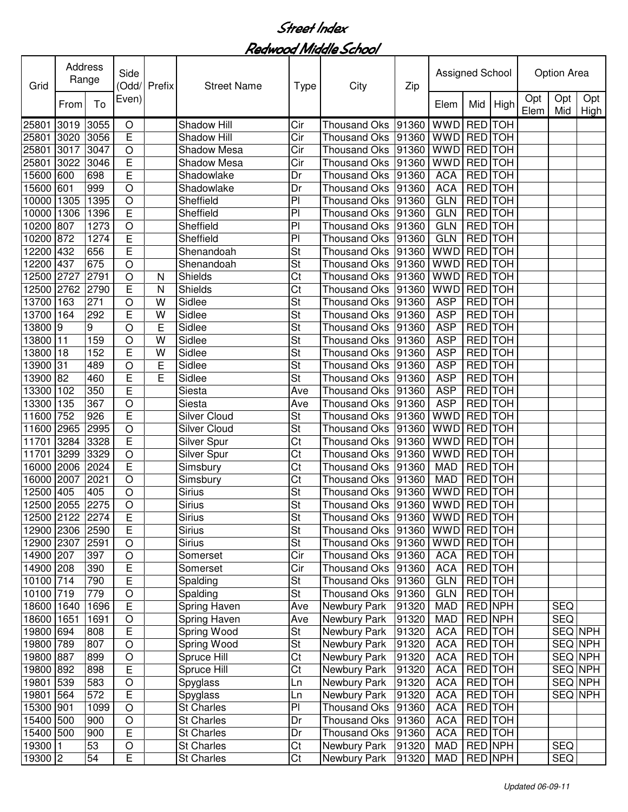| Grid            | Address<br>Range |      | Side<br>Odd/   | Prefix | <b>Street Name</b>  | Type                     | City                | Zip   | Assigned School |                |            |             | <b>Option Area</b> |                    |
|-----------------|------------------|------|----------------|--------|---------------------|--------------------------|---------------------|-------|-----------------|----------------|------------|-------------|--------------------|--------------------|
|                 | From             | To   | Even)          |        |                     |                          |                     |       | Elem            | Mid            | High       | Opt<br>Elem | Opt<br>Mid         | Opt<br><b>High</b> |
| 25801           | 3019             | 3055 | O              |        | Shadow Hill         | Cir                      | <b>Thousand Oks</b> | 91360 | <b>WWD</b>      | <b>RED</b>     | <b>TOH</b> |             |                    |                    |
| 25801           | 3020             | 3056 | $\overline{E}$ |        | Shadow Hill         | Cir                      | <b>Thousand Oks</b> | 91360 | <b>WWD</b>      | RED TOH        |            |             |                    |                    |
| 25801           | 3017             | 3047 | O              |        | Shadow Mesa         | Cir                      | <b>Thousand Oks</b> | 91360 | <b>WWD</b>      | RED TOH        |            |             |                    |                    |
| 25801           | 3022             | 3046 | E              |        | Shadow Mesa         | Cir                      | <b>Thousand Oks</b> | 91360 | <b>WWD</b>      | RED TOH        |            |             |                    |                    |
| 15600           | 600              | 698  | E              |        | Shadowlake          | Dr                       | <b>Thousand Oks</b> | 91360 | <b>ACA</b>      | RED TOH        |            |             |                    |                    |
| 15600           | 601              | 999  | $\bigcirc$     |        | Shadowlake          | Dr                       | <b>Thousand Oks</b> | 91360 | <b>ACA</b>      | <b>RED</b> TOH |            |             |                    |                    |
| 10000           | 1305             | 1395 | $\bigcirc$     |        | Sheffield           | P <sub>1</sub>           | <b>Thousand Oks</b> | 91360 | <b>GLN</b>      | RED TOH        |            |             |                    |                    |
| 10000           | 1306             | 1396 | E              |        | Sheffield           | P <sub>1</sub>           | <b>Thousand Oks</b> | 91360 | <b>GLN</b>      | <b>RED</b> TOH |            |             |                    |                    |
| 10200           | 807              | 1273 | $\bigcirc$     |        | Sheffield           | P <sub>1</sub>           | Thousand Oks        | 91360 | GLN             | <b>RED</b> TOH |            |             |                    |                    |
| 10200           | 872              | 1274 | E              |        | Sheffield           | P <sub>1</sub>           | Thousand Oks        | 91360 | <b>GLN</b>      | <b>RED</b> TOH |            |             |                    |                    |
| 12200           | 432              | 656  | E              |        | Shenandoah          | $\overline{\mathsf{St}}$ | Thousand Oks        | 91360 | <b>WWD</b>      | <b>RED</b> TOH |            |             |                    |                    |
| 12200           | 437              | 675  | $\circ$        |        | Shenandoah          | $\overline{\mathsf{St}}$ | Thousand Oks        | 91360 | <b>WWD</b>      | <b>RED</b> TOH |            |             |                    |                    |
| 12500           | 2727             | 2791 | $\circ$        | N      | Shields             | $\overline{\text{Ct}}$   | <b>Thousand Oks</b> | 91360 | <b>WWD</b>      | <b>RED</b> TOH |            |             |                    |                    |
| 12500           | 2762             | 2790 | E              | N      | <b>Shields</b>      | Ct                       | <b>Thousand Oks</b> | 91360 | <b>WWD</b>      | <b>RED</b> TOH |            |             |                    |                    |
| 13700           | 163              | 271  | $\circ$        | W      | Sidlee              | $\overline{\mathsf{St}}$ | <b>Thousand Oks</b> | 91360 | <b>ASP</b>      | <b>RED</b> TOH |            |             |                    |                    |
| 13700           | 164              | 292  | E              | W      | Sidlee              | $\overline{\mathsf{St}}$ | <b>Thousand Oks</b> | 91360 | <b>ASP</b>      | <b>RED</b> TOH |            |             |                    |                    |
| 13800           | 9                | 9    | O              | E      | Sidlee              | $\overline{\mathsf{St}}$ | <b>Thousand Oks</b> | 91360 | <b>ASP</b>      | RED TOH        |            |             |                    |                    |
| 13800           | 11               | 159  | O              | W      | Sidlee              | St                       | Thousand Oks        | 91360 | <b>ASP</b>      | <b>RED</b>     | <b>TOH</b> |             |                    |                    |
| 13800           | 18               | 152  | E              | W      | Sidlee              | St                       | <b>Thousand Oks</b> | 91360 | <b>ASP</b>      | RED TOH        |            |             |                    |                    |
| 13900           | 31               | 489  | O              | E      | Sidlee              | St                       | <b>Thousand Oks</b> | 91360 | <b>ASP</b>      | RED TOH        |            |             |                    |                    |
| 13900           | 82               | 460  | E              | E      | Sidlee              | St                       | <b>Thousand Oks</b> | 91360 | <b>ASP</b>      | <b>RED</b> TOH |            |             |                    |                    |
| 13300           | 102              | 350  | E              |        | Siesta              | Ave                      | <b>Thousand Oks</b> | 91360 | <b>ASP</b>      | <b>RED</b> TOH |            |             |                    |                    |
| 13300           | 135              | 367  | $\bigcirc$     |        | Siesta              | Ave                      | <b>Thousand Oks</b> | 91360 | <b>ASP</b>      | RED TOH        |            |             |                    |                    |
| 11600           | 752              | 926  | $\overline{E}$ |        | <b>Silver Cloud</b> | St                       | <b>Thousand Oks</b> | 91360 | <b>WWD</b>      | RED TOH        |            |             |                    |                    |
| 11600           | 2965             | 2995 | $\bigcirc$     |        | <b>Silver Cloud</b> | St                       | <b>Thousand Oks</b> | 91360 | <b>WWD</b>      | <b>RED</b> TOH |            |             |                    |                    |
| 11701           | 3284             | 3328 | E              |        | Silver Spur         | Ct                       | Thousand Oks        | 91360 | <b>WWD</b>      | <b>RED</b> TOH |            |             |                    |                    |
| 11701           | 3299             | 3329 | $\bigcirc$     |        | Silver Spur         | Ct                       | Thousand Oks        | 91360 | <b>WWD</b>      | RED TOH        |            |             |                    |                    |
| 16000           | 2006             | 2024 | E              |        | Simsbury            | Ct                       | Thousand Oks        | 91360 | <b>MAD</b>      | RED TOH        |            |             |                    |                    |
| 16000           | 2007             | 2021 | $\circ$        |        | Simsbury            | Ct                       | Thousand Oks        | 91360 | <b>MAD</b>      | RED TOH        |            |             |                    |                    |
| 12500           | 405              | 405  | $\circ$        |        | <b>Sirius</b>       | St                       | <b>Thousand Oks</b> | 91360 | <b>WWD</b>      | RED TOH        |            |             |                    |                    |
| 12500           | 2055             | 2275 | $\circ$        |        | <b>Sirius</b>       | St                       | Thousand Oks        | 91360 | <b>WWD</b>      | <b>RED</b> TOH |            |             |                    |                    |
| 12500 2122 2274 |                  |      | E              |        | Sirius              | St                       | Thousand Oks  91360 |       | WWD RED TOH     |                |            |             |                    |                    |
| 12900 2306 2590 |                  |      | E              |        | <b>Sirius</b>       | $\overline{\mathsf{St}}$ | Thousand Oks        | 91360 | WWD RED TOH     |                |            |             |                    |                    |
| 12900 2307      |                  | 2591 | O              |        | <b>Sirius</b>       | $\overline{\mathsf{St}}$ | Thousand Oks        | 91360 | <b>WWD</b>      | RED TOH        |            |             |                    |                    |
| 14900 207       |                  | 397  | $\bigcirc$     |        | Somerset            | Cir                      | <b>Thousand Oks</b> | 91360 | <b>ACA</b>      | RED TOH        |            |             |                    |                    |
| 14900 208       |                  | 390  | E              |        | Somerset            | Cir                      | <b>Thousand Oks</b> | 91360 | <b>ACA</b>      | RED TOH        |            |             |                    |                    |
| 10100 714       |                  | 790  | E              |        | Spalding            | <b>St</b>                | <b>Thousand Oks</b> | 91360 | <b>GLN</b>      | RED TOH        |            |             |                    |                    |
| 10100 719       |                  | 779  | $\mathsf O$    |        | Spalding            | St                       | <b>Thousand Oks</b> | 91360 | <b>GLN</b>      | RED TOH        |            |             |                    |                    |
| 18600           | 1640             | 1696 | $\overline{E}$ |        | Spring Haven        | Ave                      | <b>Newbury Park</b> | 91320 | <b>MAD</b>      | <b>RED NPH</b> |            |             | <b>SEQ</b>         |                    |
| 18600           | 1651             | 1691 | $\bigcirc$     |        | Spring Haven        | Ave                      | Newbury Park        | 91320 | <b>MAD</b>      | RED NPH        |            |             | <b>SEQ</b>         |                    |
| 19800           | 694              | 808  | E              |        | <b>Spring Wood</b>  | $\overline{\mathsf{St}}$ | <b>Newbury Park</b> | 91320 | <b>ACA</b>      | RED TOH        |            |             | <b>SEQ NPH</b>     |                    |
| 19800 789       |                  | 807  | $\circ$        |        | Spring Wood         | $\overline{\mathsf{St}}$ | Newbury Park        | 91320 | <b>ACA</b>      | RED TOH        |            |             | SEQ NPH            |                    |
| 19800 887       |                  | 899  | $\bigcirc$     |        | Spruce Hill         | Ct                       | Newbury Park        | 91320 | <b>ACA</b>      | RED TOH        |            |             | SEQ NPH            |                    |
| 19800 892       |                  | 898  | E              |        | Spruce Hill         | Ct                       | Newbury Park        | 91320 | <b>ACA</b>      | RED TOH        |            |             | SEQ NPH            |                    |
| 19801 539       |                  | 583  | $\mathsf O$    |        | Spyglass            | Ln                       | Newbury Park        | 91320 | <b>ACA</b>      | RED TOH        |            |             | SEQ NPH            |                    |
| 19801           | 564              | 572  | E              |        | Spyglass            | Ln                       | Newbury Park        | 91320 | <b>ACA</b>      | RED TOH        |            |             | SEQ NPH            |                    |
| 15300 901       |                  | 1099 | $\bigcirc$     |        | <b>St Charles</b>   | P <sub>1</sub>           | <b>Thousand Oks</b> | 91360 | <b>ACA</b>      | RED TOH        |            |             |                    |                    |
| 15400           | 500              | 900  | O              |        | St Charles          | Dr                       | <b>Thousand Oks</b> | 91360 | <b>ACA</b>      |                | RED TOH    |             |                    |                    |
| 15400 500       |                  | 900  | E              |        | <b>St Charles</b>   | Dr                       | Thousand Oks        | 91360 | <b>ACA</b>      |                | RED TOH    |             |                    |                    |
| 19300           | l 1              | 53   | O              |        | <b>St Charles</b>   | Ct                       | Newbury Park        | 91320 | <b>MAD</b>      |                | RED NPH    |             | <b>SEQ</b>         |                    |
| 19300 2         |                  | 54   | E              |        | <b>St Charles</b>   | Ct                       | Newbury Park        | 91320 | <b>MAD</b>      |                | RED NPH    |             | <b>SEQ</b>         |                    |
|                 |                  |      |                |        |                     |                          |                     |       |                 |                |            |             |                    |                    |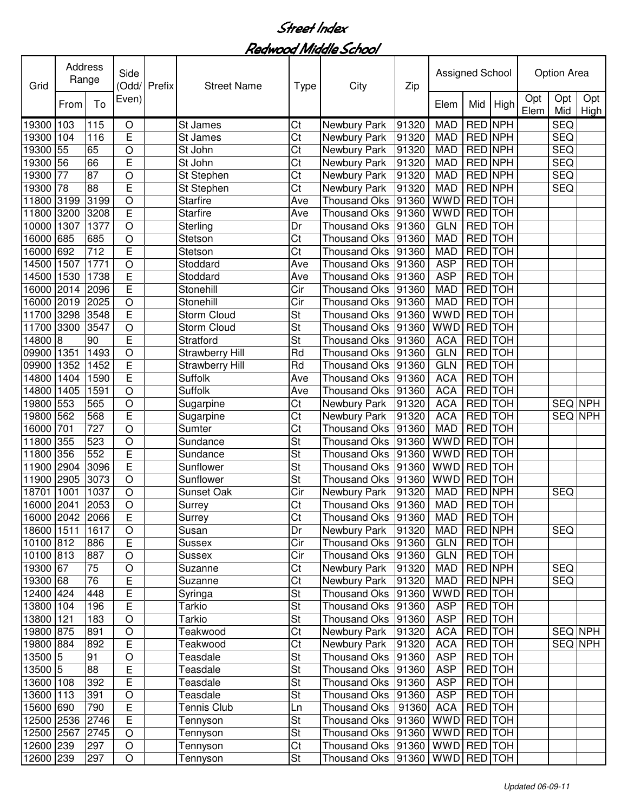| Grid            | Address<br>Range |      | Side           | Odd/ Prefix | <b>Street Name</b>     | <b>Type</b>              | City                                  | Zip   | Assigned School |                |            |             | Option Area |                |
|-----------------|------------------|------|----------------|-------------|------------------------|--------------------------|---------------------------------------|-------|-----------------|----------------|------------|-------------|-------------|----------------|
|                 | From             | To   | Even)          |             |                        |                          |                                       |       | Elem            | Mid            | High       | Opt<br>Elem | Opt<br>Mid  | Opt<br>High    |
| 19300           | 103              | 115  | $\circ$        |             | St James               | Ct                       | Newbury Park                          | 91320 | <b>MAD</b>      | <b>RED NPH</b> |            |             | <b>SEQ</b>  |                |
| 19300           | 104              | 116  | Ē              |             | St James               | $\overline{\text{Ct}}$   | Newbury Park                          | 91320 | <b>MAD</b>      | RED NPH        |            |             | <b>SEQ</b>  |                |
| 19300           | 55               | 65   | O              |             | St John                | Ct                       | Newbury Park                          | 91320 | <b>MAD</b>      | RED NPH        |            |             | <b>SEQ</b>  |                |
| 19300           | 56               | 66   | E              |             | St John                | Ct                       | Newbury Park                          | 91320 | <b>MAD</b>      | RED NPH        |            |             | <b>SEQ</b>  |                |
| 19300           | 77               | 87   | $\circ$        |             | St Stephen             | Ct                       | Newbury Park                          | 91320 | <b>MAD</b>      | <b>RED NPH</b> |            |             | <b>SEQ</b>  |                |
| 19300           | 78               | 88   | Ē              |             | St Stephen             | $\overline{\text{Ct}}$   | Newbury Park                          | 91320 | <b>MAD</b>      | RED NPH        |            |             | <b>SEQ</b>  |                |
| 11800           | 3199             | 3199 | $\overline{O}$ |             | <b>Starfire</b>        | Ave                      | <b>Thousand Oks</b>                   | 91360 | <b>WWD</b>      | <b>RED</b> TOH |            |             |             |                |
| 11800           | 3200             | 3208 | E              |             | <b>Starfire</b>        | Ave                      | <b>Thousand Oks</b>                   | 91360 | <b>WWD</b>      | <b>RED</b> TOH |            |             |             |                |
| 10000           | 1307             | 1377 | $\circ$        |             | Sterling               | Dr                       | <b>Thousand Oks</b>                   | 91360 | <b>GLN</b>      | <b>RED</b> TOH |            |             |             |                |
| 16000           | 685              | 685  | $\circ$        |             | Stetson                | $\overline{\text{Ct}}$   | <b>Thousand Oks</b>                   | 91360 | <b>MAD</b>      | <b>RED</b> TOH |            |             |             |                |
| 16000           | 692              | 712  | $\overline{E}$ |             | Stetson                | Ct                       | <b>Thousand Oks</b>                   | 91360 | <b>MAD</b>      | <b>RED</b> TOH |            |             |             |                |
| 14500           | 1507             | 1771 | $\circ$        |             | Stoddard               | Ave                      | <b>Thousand Oks</b>                   | 91360 | <b>ASP</b>      | <b>RED</b>     | TOH        |             |             |                |
| 14500           | 1530             | 1738 | E              |             | Stoddard               | Ave                      | <b>Thousand Oks</b>                   | 91360 | <b>ASP</b>      | <b>RED</b>     | <b>TOH</b> |             |             |                |
| 16000           | 2014             | 2096 | Ē              |             | <b>Stonehill</b>       | $\overline{\text{Cir}}$  | <b>Thousand Oks</b>                   | 91360 | <b>MAD</b>      | RED TOH        |            |             |             |                |
| 16000           | 2019             | 2025 | $\circ$        |             | <b>Stonehill</b>       | Cir                      | Thousand Oks                          | 91360 | <b>MAD</b>      | <b>RED</b> TOH |            |             |             |                |
| 11700           | 3298             | 3548 | E              |             | <b>Storm Cloud</b>     | St                       | Thousand Oks                          | 91360 | <b>WWD</b>      | <b>RED</b> TOH |            |             |             |                |
| 11700           | 3300             | 3547 | $\circ$        |             | <b>Storm Cloud</b>     | $\overline{\mathsf{St}}$ | Thousand Oks                          | 91360 | <b>WWD</b>      | <b>RED</b> TOH |            |             |             |                |
| 14800           | 8                | 90   | E              |             | Stratford              | St                       | <b>Thousand Oks</b>                   | 91360 | <b>ACA</b>      | RED TOH        |            |             |             |                |
| 09900           | 1351             | 1493 | $\circ$        |             | <b>Strawberry Hill</b> | Rd                       | <b>Thousand Oks</b>                   | 91360 | <b>GLN</b>      | RED TOH        |            |             |             |                |
| 09900           | 1352             | 1452 | E              |             | Strawberry Hill        | Rd                       | <b>Thousand Oks</b>                   | 91360 | <b>GLN</b>      | <b>RED</b>     | <b>TOH</b> |             |             |                |
| 14800           | 1404             | 1590 | E              |             | Suffolk                | Ave                      | <b>Thousand Oks</b>                   | 91360 | <b>ACA</b>      | <b>RED</b>     | <b>TOH</b> |             |             |                |
| 14800           | 1405             | 1591 | $\circ$        |             | Suffolk                | Ave                      | <b>Thousand Oks</b>                   | 91360 | <b>ACA</b>      | <b>RED</b>     | <b>TOH</b> |             |             |                |
| 19800           | 553              | 565  | $\circ$        |             | Sugarpine              | Ct                       | Newbury Park                          | 91320 | <b>ACA</b>      | <b>RED</b>     | <b>TOH</b> |             | SEQ NPH     |                |
| 19800           | 562              | 568  | $\overline{E}$ |             | Sugarpine              | $\overline{\text{Ct}}$   | Newbury Park                          | 91320 | <b>ACA</b>      | <b>RED</b>     | <b>TOH</b> |             | <b>SEQ</b>  | <b>NPH</b>     |
| 16000           | 701              | 727  | $\circ$        |             | Sumter                 | Ct                       | <b>Thousand Oks</b>                   | 91360 | <b>MAD</b>      | RED TOH        |            |             |             |                |
| 11800           | 355              | 523  | $\circ$        |             | Sundance               | St                       | <b>Thousand Oks</b>                   | 91360 | <b>WWD</b>      | RED TOH        |            |             |             |                |
| 11800           | 356              | 552  | E              |             | Sundance               | St                       | Thousand Oks                          | 91360 | <b>WWD</b>      | <b>RED</b>     | <b>TOH</b> |             |             |                |
| 11900           | 2904             | 3096 | $\overline{E}$ |             | Sunflower              | St                       | <b>Thousand Oks</b>                   | 91360 | <b>WWD</b>      | <b>RED</b>     | <b>TOH</b> |             |             |                |
| 11900           | 2905             | 3073 | O              |             | Sunflower              | St                       | <b>Thousand Oks</b>                   | 91360 | <b>WWD</b>      | <b>RED</b>     | <b>TOH</b> |             |             |                |
| 18701           | 1001             | 1037 | $\circ$        |             | <b>Sunset Oak</b>      | Cir                      | Newbury Park                          | 91320 | <b>MAD</b>      | RED NPH        |            |             | <b>SEQ</b>  |                |
| 16000           | 2041             | 2053 | O              |             | Surrey                 | Ct                       | Thousand Oks                          | 91360 | <b>MAD</b>      | RED TOH        |            |             |             |                |
| 16000 2042 2066 |                  |      | E              |             | Surrey                 | Ct                       | Thousand Oks 91360                    |       | MAD             | <b>RED</b> TOH |            |             |             |                |
| 18600 1511      |                  | 1617 | $\circ$        |             | Susan                  | Dr                       | Newbury Park                          | 91320 | <b>MAD</b>      | RED NPH        |            |             | <b>SEQ</b>  |                |
| 10100 812       |                  | 886  | $\overline{E}$ |             | Sussex                 | Cir                      | <b>Thousand Oks</b>                   | 91360 | <b>GLN</b>      | RED TOH        |            |             |             |                |
| 10100 813       |                  | 887  | $\bigcirc$     |             | Sussex                 | Cir                      | <b>Thousand Oks</b>                   | 91360 | <b>GLN</b>      | RED TOH        |            |             |             |                |
| 19300 67        |                  | 75   | $\circ$        |             | Suzanne                | $\overline{\text{C}t}$   | Newbury Park                          | 91320 | <b>MAD</b>      | RED NPH        |            |             | <b>SEQ</b>  |                |
| 19300 68        |                  | 76   | E              |             | Suzanne                | $\overline{\text{C}t}$   | Newbury Park                          | 91320 | <b>MAD</b>      | <b>RED NPH</b> |            |             | <b>SEQ</b>  |                |
| 12400 424       |                  | 448  | $\overline{E}$ |             | Syringa                | St                       | <b>Thousand Oks</b>                   | 91360 | <b>WWD</b>      | <b>RED</b> TOH |            |             |             |                |
| 13800 104       |                  | 196  | E              |             | Tarkio                 | <b>St</b>                | <b>Thousand Oks</b>                   | 91360 | <b>ASP</b>      | RED TOH        |            |             |             |                |
| 13800 121       |                  | 183  | $\circ$        |             | Tarkio                 | St                       | <b>Thousand Oks</b>                   | 91360 | <b>ASP</b>      | <b>RED</b> TOH |            |             |             |                |
| 19800 875       |                  | 891  | $\circ$        |             | Teakwood               | $\overline{\text{C}t}$   | Newbury Park                          | 91320 | <b>ACA</b>      | <b>RED</b> TOH |            |             |             | SEQ NPH        |
| 19800 884       |                  | 892  | E              |             | Teakwood               | $\overline{\text{C}t}$   | Newbury Park                          | 91320 | <b>ACA</b>      | <b>RED</b> TOH |            |             |             | <b>SEQ NPH</b> |
| 13500 5         |                  | 91   | $\circ$        |             | Teasdale               | <b>St</b>                | <b>Thousand Oks</b>                   | 91360 | <b>ASP</b>      |                | RED TOH    |             |             |                |
| 13500 5         |                  | 88   | E              |             | Teasdale               | <b>St</b>                | Thousand Oks                          | 91360 | <b>ASP</b>      |                | RED TOH    |             |             |                |
| 13600 108       |                  | 392  | E              |             | Teasdale               | <b>St</b>                | <b>Thousand Oks</b>                   | 91360 | <b>ASP</b>      |                | RED TOH    |             |             |                |
| 13600 113       |                  | 391  | O              |             | Teasdale               | <b>St</b>                | Thousand Oks                          | 91360 | <b>ASP</b>      |                | RED TOH    |             |             |                |
| 15600 690       |                  | 790  | E              |             | Tennis Club            | Ln                       | Thousand Oks                          | 91360 | <b>ACA</b>      | RED TOH        |            |             |             |                |
| 12500 2536      |                  | 2746 | E              |             | Tennyson               | <b>St</b>                | Thousand Oks                          | 91360 | WWD RED TOH     |                |            |             |             |                |
| 12500 2567      |                  | 2745 | $\circ$        |             | Tennyson               | <b>St</b>                | Thousand Oks                          | 91360 | WWD RED TOH     |                |            |             |             |                |
| 12600 239       |                  | 297  | $\circ$        |             | Tennyson               | Ct                       | Thousand Oks 91360                    |       | WWD RED TOH     |                |            |             |             |                |
| 12600 239       |                  | 297  | $\bigcirc$     |             | Tennyson               | St                       | Thousand Oks  91360   WWD   RED   TOH |       |                 |                |            |             |             |                |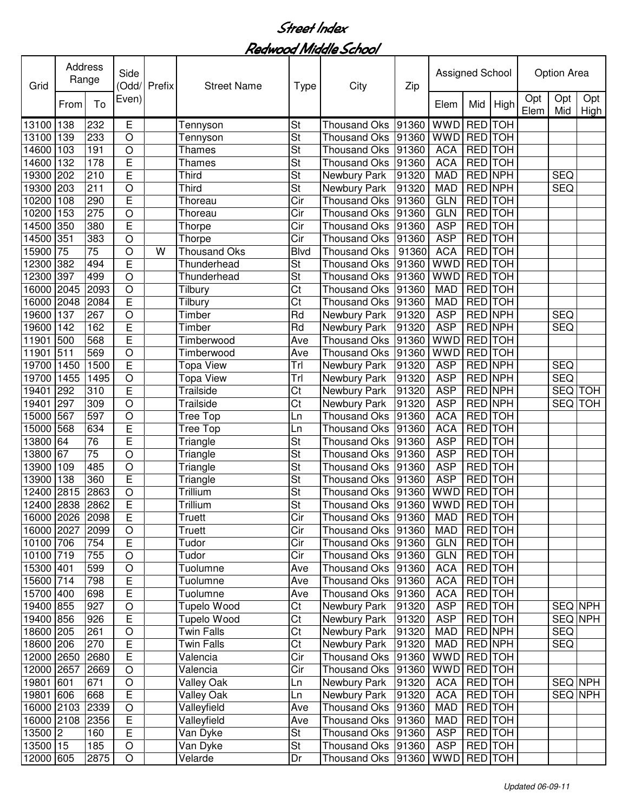| Opt<br>Opt<br>Opt<br>Even)<br>To<br>From<br>Mid<br>High<br>Elem<br>Mid<br>Elem<br>High<br><b>WWD</b><br><b>RED</b><br>138<br>232<br>E<br>St<br>91360<br><b>TOH</b><br>13100<br><b>Thousand Oks</b><br>Tennyson<br>233<br>St<br>139<br><b>WWD</b><br>RED TOH<br>13100<br>O<br><b>Thousand Oks</b><br>91360<br>Tennyson<br>$\circ$<br>St<br>RED TOH<br>14600<br>103<br>191<br>91360<br><b>ACA</b><br><b>Thousand Oks</b><br><b>Thames</b><br>E<br>St<br><b>ACA</b><br>14600<br>132<br>178<br>RED TOH<br><b>Thames</b><br><b>Thousand Oks</b><br>91360<br>E<br>210<br>St<br>RED NPH<br>19300<br>202<br>Third<br>Newbury Park<br>91320<br><b>MAD</b><br><b>SEQ</b><br>211<br>$\circ$<br>St<br><b>RED NPH</b><br><b>SEQ</b><br>19300<br>203<br>Third<br>91320<br><b>MAD</b><br>Newbury Park<br>E<br>290<br>Cir<br><b>GLN</b><br>RED TOH<br>10200<br>108<br><b>Thousand Oks</b><br>91360<br>Thoreau<br>275<br>10200<br>153<br>$\overline{\text{Cir}}$<br><b>GLN</b><br><b>RED</b> TOH<br>$\circ$<br>91360<br>Thoreau<br><b>Thousand Oks</b><br>380<br>E<br>$\overline{\text{Cir}}$<br><b>ASP</b><br><b>RED</b> TOH<br>14500<br>350<br>91360<br>Thorpe<br><b>Thousand Oks</b><br>Cir<br>351<br>383<br><b>ASP</b><br><b>RED</b> TOH<br>14500<br>$\circ$<br>91360<br>Thorpe<br><b>Thousand Oks</b><br>75<br>$\overline{75}$<br><b>RED</b> TOH<br>15900<br>$\circ$<br><b>Blvd</b><br>91360<br><b>ACA</b><br><b>Thousand Oks</b><br><b>Thousand Oks</b><br>W<br><b>RED TOH</b><br>382<br>494<br>E<br><b>WWD</b><br>12300<br>Thunderhead<br>St<br>91360<br><b>Thousand Oks</b><br>$\overline{\mathsf{St}}$<br><b>RED</b> TOH<br>397<br>499<br>$\circ$<br><b>Thousand Oks</b><br><b>WWD</b><br>12300<br>Thunderhead<br>91360<br>$\overline{\text{Ct}}$<br><b>RED</b> TOH<br>16000<br>2045<br>2093<br>$\circ$<br><b>Thousand Oks</b><br>91360<br><b>MAD</b><br>Tilbury<br>E<br>$\overline{\text{Ct}}$<br><b>RED</b> TOH<br>2048<br>2084<br><b>Thousand Oks</b><br><b>MAD</b><br>16000<br>91360<br>Tilbury<br><b>ASP</b><br><b>RED NPH</b><br>19600<br>137<br>267<br>$\circ$<br>Timber<br>Rd<br>Newbury Park<br>91320<br><b>SEQ</b><br>E<br><b>ASP</b><br>19600<br>Timber<br>Rd<br>Newbury Park<br><b>RED NPH</b><br><b>SEQ</b><br>142<br>162<br>91320<br>E<br>11901<br>568<br><b>WWD</b><br>RED TOH<br>500<br>Timberwood<br>Ave<br><b>Thousand Oks</b><br>91360<br><b>RED</b> TOH<br>11901<br>511<br>569<br><b>WWD</b><br>$\bigcirc$<br>Timberwood<br>Ave<br><b>Thousand Oks</b><br>91360<br>E<br>RED NPH<br>19700<br>1450<br>1500<br>Trl<br>91320<br><b>ASP</b><br><b>SEQ</b><br><b>Topa View</b><br>Newbury Park<br>Trl<br><b>ASP</b><br>RED NPH<br><b>SEQ</b><br>19700<br>1455<br>1495<br><b>Topa View</b><br>91320<br>$\bigcirc$<br>Newbury Park<br>E<br>Ct<br><b>ASP</b><br>RED NPH<br>SEQ TOH<br>19401<br>292<br>310<br>Trailside<br>91320<br>Newbury Park<br>309<br>Ct<br><b>ASP</b><br><b>RED NPH</b><br>SEQ<br><b>TOH</b><br>19401<br>297<br>$\bigcirc$<br>Trailside<br>91320<br>Newbury Park<br>567<br>597<br><b>ACA</b><br>RED TOH<br>15000<br>$\circ$<br>91360<br><b>Tree Top</b><br><b>Thousand Oks</b><br>Ln<br>E<br>634<br><b>ACA</b><br>RED TOH<br>15000<br>568<br>Tree Top<br>91360<br><b>Thousand Oks</b><br>Ln<br>$\overline{76}$<br>E<br>St<br>RED TOH<br>13800<br>64<br>Triangle<br>91360<br><b>ASP</b><br><b>Thousand Oks</b><br>$\overline{75}$<br>$\overline{O}$<br>$\overline{\mathsf{St}}$<br>67<br>RED TOH<br>13800<br><b>ASP</b><br>Triangle<br><b>Thousand Oks</b><br>91360<br>485<br>$\circ$<br>St<br>RED TOH<br>109<br><b>ASP</b><br>13900<br>Triangle<br>91360<br><b>Thousand Oks</b><br>E<br>360<br>St<br><b>ASP</b><br>RED TOH<br>13900<br>138<br>Triangle<br><b>Thousand Oks</b><br>91360<br>2863<br>$\circ$<br>St<br><b>WWD</b><br><b>TOH</b><br>2815<br>Trillium<br><b>RED</b><br>12400<br>91360<br>Thousand Oks<br>E<br>2838<br>2862<br>Trillium<br>St<br><b>WWD</b><br>RED TOH<br>12400<br>91360<br>Thousand Oks<br>16000 2026 2098<br>Е<br>Truett<br>Cir<br>Thousand Oks  91360<br>MAD<br><b>IREDITOH</b><br>Cir<br>Truett<br>RED TOH<br>16000 2027<br>2099<br>O<br>Thousand Oks<br>91360<br>MAD<br>E<br>Cir<br>10100 706<br>754<br>Tudor<br>Thousand Oks<br><b>GLN</b><br>RED TOH<br>91360<br>755<br>Cir<br>10100 719<br>Tudor<br><b>Thousand Oks</b><br>91360<br><b>GLN</b><br>RED TOH<br>O<br>15300 401<br>599<br><b>ACA</b><br>RED TOH<br>$\circ$<br>Tuolumne<br><b>Thousand Oks</b><br>91360<br>Ave<br>15600 714<br>798<br>E<br><b>ACA</b><br>RED TOH<br>Tuolumne<br><b>Thousand Oks</b><br>91360<br>Ave<br>E<br><b>ACA</b><br>RED TOH<br>15700 400<br>698<br>Tuolumne<br>Ave<br><b>Thousand Oks</b><br>91360<br>$\overline{\text{C}t}$<br>19400 855<br>927<br>$\bigcirc$<br><b>ASP</b><br>RED TOH<br>SEQ NPH<br>Tupelo Wood<br>Newbury Park<br>91320<br>E<br>$\overline{\text{C}t}$<br><b>SEQ NPH</b><br>19400 856<br>926<br><b>ASP</b><br>RED TOH<br>Tupelo Wood<br>Newbury Park<br>91320<br>$\overline{\text{C}t}$<br><b>SEQ</b><br>18600 205<br>261<br>91320<br><b>MAD</b><br>RED NPH<br>$\circ$<br><b>Twin Falls</b><br>Newbury Park<br>E<br>$\overline{\text{Ct}}$<br>270<br>RED NPH<br><b>SEQ</b><br>18600 206<br><b>Twin Falls</b><br>Newbury Park<br>91320<br><b>MAD</b><br>E<br>Cir<br>12000 2650<br>2680<br>Valencia<br>Thousand Oks<br>91360<br>WWD RED TOH<br>Cir<br>WWD RED TOH<br>12000 2657<br>2669<br>$\bigcirc$<br><b>Thousand Oks</b><br>91360<br>Valencia<br>RED TOH<br>SEQ NPH<br>19801 601<br>671<br>O<br>Valley Oak<br>Newbury Park<br>91320<br><b>ACA</b><br>Ln<br>$\mathsf E$<br>Valley Oak<br><b>ACA</b><br>RED TOH<br>SEQ NPH<br>19801<br>606<br>668<br>Newbury Park<br>91320<br>Ln<br>$\circ$<br>16000 2103<br>2339<br>Valleyfield<br>RED TOH<br>Ave<br>Thousand Oks<br><b>MAD</b><br>91360<br>E<br>RED TOH<br>16000 2108<br>2356<br>Thousand Oks<br>91360<br><b>MAD</b><br>Valleyfield<br>Ave<br>E<br>13500 2<br><b>St</b><br>Thousand Oks<br><b>ASP</b><br>RED TOH<br>160<br>Van Dyke<br>91360<br>13500 15<br>O<br><b>St</b><br>185<br>Thousand Oks 91360<br><b>ASP</b><br>RED TOH<br>Van Dyke<br>12000 605<br>Thousand Oks 91360<br>WWD RED TOH | Grid | Address<br>Range |      | Side<br>(Odd/ | Prefix | <b>Street Name</b> | Type | City | Zip | Assigned School |  | <b>Option Area</b> |  |
|---------------------------------------------------------------------------------------------------------------------------------------------------------------------------------------------------------------------------------------------------------------------------------------------------------------------------------------------------------------------------------------------------------------------------------------------------------------------------------------------------------------------------------------------------------------------------------------------------------------------------------------------------------------------------------------------------------------------------------------------------------------------------------------------------------------------------------------------------------------------------------------------------------------------------------------------------------------------------------------------------------------------------------------------------------------------------------------------------------------------------------------------------------------------------------------------------------------------------------------------------------------------------------------------------------------------------------------------------------------------------------------------------------------------------------------------------------------------------------------------------------------------------------------------------------------------------------------------------------------------------------------------------------------------------------------------------------------------------------------------------------------------------------------------------------------------------------------------------------------------------------------------------------------------------------------------------------------------------------------------------------------------------------------------------------------------------------------------------------------------------------------------------------------------------------------------------------------------------------------------------------------------------------------------------------------------------------------------------------------------------------------------------------------------------------------------------------------------------------------------------------------------------------------------------------------------------------------------------------------------------------------------------------------------------------------------------------------------------------------------------------------------------------------------------------------------------------------------------------------------------------------------------------------------------------------------------------------------------------------------------------------------------------------------------------------------------------------------------------------------------------------------------------------------------------------------------------------------------------------------------------------------------------------------------------------------------------------------------------------------------------------------------------------------------------------------------------------------------------------------------------------------------------------------------------------------------------------------------------------------------------------------------------------------------------------------------------------------------------------------------------------------------------------------------------------------------------------------------------------------------------------------------------------------------------------------------------------------------------------------------------------------------------------------------------------------------------------------------------------------------------------------------------------------------------------------------------------------------------------------------------------------------------------------------------------------------------------------------------------------------------------------------------------------------------------------------------------------------------------------------------------------------------------------------------------------------------------------------------------------------------------------------------------------------------------------------------------------------------------------------------------------------------------------------------------------------------------------------------------------------------------------------------------------------------------------------------------------------------------------------------------------------------------------------------------------------------------------------------------------------------------------------------------------------------------------------------------------------------------------------------------------------------------------------------------------------------------------------------------------------------------------------------------------------------------------------------------------------------------------------------------------------------------------------------------------------------------------------------------------------------------------------------------------------------------------------------------------------------------------------------------------------------------------------------------------------------------------------------------------------------------------------------------------------------------------------------------------------------------------------------------------------------------------------------------------------------------------------------------|------|------------------|------|---------------|--------|--------------------|------|------|-----|-----------------|--|--------------------|--|
|                                                                                                                                                                                                                                                                                                                                                                                                                                                                                                                                                                                                                                                                                                                                                                                                                                                                                                                                                                                                                                                                                                                                                                                                                                                                                                                                                                                                                                                                                                                                                                                                                                                                                                                                                                                                                                                                                                                                                                                                                                                                                                                                                                                                                                                                                                                                                                                                                                                                                                                                                                                                                                                                                                                                                                                                                                                                                                                                                                                                                                                                                                                                                                                                                                                                                                                                                                                                                                                                                                                                                                                                                                                                                                                                                                                                                                                                                                                                                                                                                                                                                                                                                                                                                                                                                                                                                                                                                                                                                                                                                                                                                                                                                                                                                                                                                                                                                                                                                                                                                                                                                                                                                                                                                                                                                                                                                                                                                                                                                                                                                                                                                                                                                                                                                                                                                                                                                                                                                                                                                                                                                                               |      |                  |      |               |        |                    |      |      |     |                 |  |                    |  |
|                                                                                                                                                                                                                                                                                                                                                                                                                                                                                                                                                                                                                                                                                                                                                                                                                                                                                                                                                                                                                                                                                                                                                                                                                                                                                                                                                                                                                                                                                                                                                                                                                                                                                                                                                                                                                                                                                                                                                                                                                                                                                                                                                                                                                                                                                                                                                                                                                                                                                                                                                                                                                                                                                                                                                                                                                                                                                                                                                                                                                                                                                                                                                                                                                                                                                                                                                                                                                                                                                                                                                                                                                                                                                                                                                                                                                                                                                                                                                                                                                                                                                                                                                                                                                                                                                                                                                                                                                                                                                                                                                                                                                                                                                                                                                                                                                                                                                                                                                                                                                                                                                                                                                                                                                                                                                                                                                                                                                                                                                                                                                                                                                                                                                                                                                                                                                                                                                                                                                                                                                                                                                                               |      |                  |      |               |        |                    |      |      |     |                 |  |                    |  |
|                                                                                                                                                                                                                                                                                                                                                                                                                                                                                                                                                                                                                                                                                                                                                                                                                                                                                                                                                                                                                                                                                                                                                                                                                                                                                                                                                                                                                                                                                                                                                                                                                                                                                                                                                                                                                                                                                                                                                                                                                                                                                                                                                                                                                                                                                                                                                                                                                                                                                                                                                                                                                                                                                                                                                                                                                                                                                                                                                                                                                                                                                                                                                                                                                                                                                                                                                                                                                                                                                                                                                                                                                                                                                                                                                                                                                                                                                                                                                                                                                                                                                                                                                                                                                                                                                                                                                                                                                                                                                                                                                                                                                                                                                                                                                                                                                                                                                                                                                                                                                                                                                                                                                                                                                                                                                                                                                                                                                                                                                                                                                                                                                                                                                                                                                                                                                                                                                                                                                                                                                                                                                                               |      |                  |      |               |        |                    |      |      |     |                 |  |                    |  |
|                                                                                                                                                                                                                                                                                                                                                                                                                                                                                                                                                                                                                                                                                                                                                                                                                                                                                                                                                                                                                                                                                                                                                                                                                                                                                                                                                                                                                                                                                                                                                                                                                                                                                                                                                                                                                                                                                                                                                                                                                                                                                                                                                                                                                                                                                                                                                                                                                                                                                                                                                                                                                                                                                                                                                                                                                                                                                                                                                                                                                                                                                                                                                                                                                                                                                                                                                                                                                                                                                                                                                                                                                                                                                                                                                                                                                                                                                                                                                                                                                                                                                                                                                                                                                                                                                                                                                                                                                                                                                                                                                                                                                                                                                                                                                                                                                                                                                                                                                                                                                                                                                                                                                                                                                                                                                                                                                                                                                                                                                                                                                                                                                                                                                                                                                                                                                                                                                                                                                                                                                                                                                                               |      |                  |      |               |        |                    |      |      |     |                 |  |                    |  |
|                                                                                                                                                                                                                                                                                                                                                                                                                                                                                                                                                                                                                                                                                                                                                                                                                                                                                                                                                                                                                                                                                                                                                                                                                                                                                                                                                                                                                                                                                                                                                                                                                                                                                                                                                                                                                                                                                                                                                                                                                                                                                                                                                                                                                                                                                                                                                                                                                                                                                                                                                                                                                                                                                                                                                                                                                                                                                                                                                                                                                                                                                                                                                                                                                                                                                                                                                                                                                                                                                                                                                                                                                                                                                                                                                                                                                                                                                                                                                                                                                                                                                                                                                                                                                                                                                                                                                                                                                                                                                                                                                                                                                                                                                                                                                                                                                                                                                                                                                                                                                                                                                                                                                                                                                                                                                                                                                                                                                                                                                                                                                                                                                                                                                                                                                                                                                                                                                                                                                                                                                                                                                                               |      |                  |      |               |        |                    |      |      |     |                 |  |                    |  |
|                                                                                                                                                                                                                                                                                                                                                                                                                                                                                                                                                                                                                                                                                                                                                                                                                                                                                                                                                                                                                                                                                                                                                                                                                                                                                                                                                                                                                                                                                                                                                                                                                                                                                                                                                                                                                                                                                                                                                                                                                                                                                                                                                                                                                                                                                                                                                                                                                                                                                                                                                                                                                                                                                                                                                                                                                                                                                                                                                                                                                                                                                                                                                                                                                                                                                                                                                                                                                                                                                                                                                                                                                                                                                                                                                                                                                                                                                                                                                                                                                                                                                                                                                                                                                                                                                                                                                                                                                                                                                                                                                                                                                                                                                                                                                                                                                                                                                                                                                                                                                                                                                                                                                                                                                                                                                                                                                                                                                                                                                                                                                                                                                                                                                                                                                                                                                                                                                                                                                                                                                                                                                                               |      |                  |      |               |        |                    |      |      |     |                 |  |                    |  |
|                                                                                                                                                                                                                                                                                                                                                                                                                                                                                                                                                                                                                                                                                                                                                                                                                                                                                                                                                                                                                                                                                                                                                                                                                                                                                                                                                                                                                                                                                                                                                                                                                                                                                                                                                                                                                                                                                                                                                                                                                                                                                                                                                                                                                                                                                                                                                                                                                                                                                                                                                                                                                                                                                                                                                                                                                                                                                                                                                                                                                                                                                                                                                                                                                                                                                                                                                                                                                                                                                                                                                                                                                                                                                                                                                                                                                                                                                                                                                                                                                                                                                                                                                                                                                                                                                                                                                                                                                                                                                                                                                                                                                                                                                                                                                                                                                                                                                                                                                                                                                                                                                                                                                                                                                                                                                                                                                                                                                                                                                                                                                                                                                                                                                                                                                                                                                                                                                                                                                                                                                                                                                                               |      |                  |      |               |        |                    |      |      |     |                 |  |                    |  |
|                                                                                                                                                                                                                                                                                                                                                                                                                                                                                                                                                                                                                                                                                                                                                                                                                                                                                                                                                                                                                                                                                                                                                                                                                                                                                                                                                                                                                                                                                                                                                                                                                                                                                                                                                                                                                                                                                                                                                                                                                                                                                                                                                                                                                                                                                                                                                                                                                                                                                                                                                                                                                                                                                                                                                                                                                                                                                                                                                                                                                                                                                                                                                                                                                                                                                                                                                                                                                                                                                                                                                                                                                                                                                                                                                                                                                                                                                                                                                                                                                                                                                                                                                                                                                                                                                                                                                                                                                                                                                                                                                                                                                                                                                                                                                                                                                                                                                                                                                                                                                                                                                                                                                                                                                                                                                                                                                                                                                                                                                                                                                                                                                                                                                                                                                                                                                                                                                                                                                                                                                                                                                                               |      |                  |      |               |        |                    |      |      |     |                 |  |                    |  |
|                                                                                                                                                                                                                                                                                                                                                                                                                                                                                                                                                                                                                                                                                                                                                                                                                                                                                                                                                                                                                                                                                                                                                                                                                                                                                                                                                                                                                                                                                                                                                                                                                                                                                                                                                                                                                                                                                                                                                                                                                                                                                                                                                                                                                                                                                                                                                                                                                                                                                                                                                                                                                                                                                                                                                                                                                                                                                                                                                                                                                                                                                                                                                                                                                                                                                                                                                                                                                                                                                                                                                                                                                                                                                                                                                                                                                                                                                                                                                                                                                                                                                                                                                                                                                                                                                                                                                                                                                                                                                                                                                                                                                                                                                                                                                                                                                                                                                                                                                                                                                                                                                                                                                                                                                                                                                                                                                                                                                                                                                                                                                                                                                                                                                                                                                                                                                                                                                                                                                                                                                                                                                                               |      |                  |      |               |        |                    |      |      |     |                 |  |                    |  |
|                                                                                                                                                                                                                                                                                                                                                                                                                                                                                                                                                                                                                                                                                                                                                                                                                                                                                                                                                                                                                                                                                                                                                                                                                                                                                                                                                                                                                                                                                                                                                                                                                                                                                                                                                                                                                                                                                                                                                                                                                                                                                                                                                                                                                                                                                                                                                                                                                                                                                                                                                                                                                                                                                                                                                                                                                                                                                                                                                                                                                                                                                                                                                                                                                                                                                                                                                                                                                                                                                                                                                                                                                                                                                                                                                                                                                                                                                                                                                                                                                                                                                                                                                                                                                                                                                                                                                                                                                                                                                                                                                                                                                                                                                                                                                                                                                                                                                                                                                                                                                                                                                                                                                                                                                                                                                                                                                                                                                                                                                                                                                                                                                                                                                                                                                                                                                                                                                                                                                                                                                                                                                                               |      |                  |      |               |        |                    |      |      |     |                 |  |                    |  |
|                                                                                                                                                                                                                                                                                                                                                                                                                                                                                                                                                                                                                                                                                                                                                                                                                                                                                                                                                                                                                                                                                                                                                                                                                                                                                                                                                                                                                                                                                                                                                                                                                                                                                                                                                                                                                                                                                                                                                                                                                                                                                                                                                                                                                                                                                                                                                                                                                                                                                                                                                                                                                                                                                                                                                                                                                                                                                                                                                                                                                                                                                                                                                                                                                                                                                                                                                                                                                                                                                                                                                                                                                                                                                                                                                                                                                                                                                                                                                                                                                                                                                                                                                                                                                                                                                                                                                                                                                                                                                                                                                                                                                                                                                                                                                                                                                                                                                                                                                                                                                                                                                                                                                                                                                                                                                                                                                                                                                                                                                                                                                                                                                                                                                                                                                                                                                                                                                                                                                                                                                                                                                                               |      |                  |      |               |        |                    |      |      |     |                 |  |                    |  |
|                                                                                                                                                                                                                                                                                                                                                                                                                                                                                                                                                                                                                                                                                                                                                                                                                                                                                                                                                                                                                                                                                                                                                                                                                                                                                                                                                                                                                                                                                                                                                                                                                                                                                                                                                                                                                                                                                                                                                                                                                                                                                                                                                                                                                                                                                                                                                                                                                                                                                                                                                                                                                                                                                                                                                                                                                                                                                                                                                                                                                                                                                                                                                                                                                                                                                                                                                                                                                                                                                                                                                                                                                                                                                                                                                                                                                                                                                                                                                                                                                                                                                                                                                                                                                                                                                                                                                                                                                                                                                                                                                                                                                                                                                                                                                                                                                                                                                                                                                                                                                                                                                                                                                                                                                                                                                                                                                                                                                                                                                                                                                                                                                                                                                                                                                                                                                                                                                                                                                                                                                                                                                                               |      |                  |      |               |        |                    |      |      |     |                 |  |                    |  |
|                                                                                                                                                                                                                                                                                                                                                                                                                                                                                                                                                                                                                                                                                                                                                                                                                                                                                                                                                                                                                                                                                                                                                                                                                                                                                                                                                                                                                                                                                                                                                                                                                                                                                                                                                                                                                                                                                                                                                                                                                                                                                                                                                                                                                                                                                                                                                                                                                                                                                                                                                                                                                                                                                                                                                                                                                                                                                                                                                                                                                                                                                                                                                                                                                                                                                                                                                                                                                                                                                                                                                                                                                                                                                                                                                                                                                                                                                                                                                                                                                                                                                                                                                                                                                                                                                                                                                                                                                                                                                                                                                                                                                                                                                                                                                                                                                                                                                                                                                                                                                                                                                                                                                                                                                                                                                                                                                                                                                                                                                                                                                                                                                                                                                                                                                                                                                                                                                                                                                                                                                                                                                                               |      |                  |      |               |        |                    |      |      |     |                 |  |                    |  |
|                                                                                                                                                                                                                                                                                                                                                                                                                                                                                                                                                                                                                                                                                                                                                                                                                                                                                                                                                                                                                                                                                                                                                                                                                                                                                                                                                                                                                                                                                                                                                                                                                                                                                                                                                                                                                                                                                                                                                                                                                                                                                                                                                                                                                                                                                                                                                                                                                                                                                                                                                                                                                                                                                                                                                                                                                                                                                                                                                                                                                                                                                                                                                                                                                                                                                                                                                                                                                                                                                                                                                                                                                                                                                                                                                                                                                                                                                                                                                                                                                                                                                                                                                                                                                                                                                                                                                                                                                                                                                                                                                                                                                                                                                                                                                                                                                                                                                                                                                                                                                                                                                                                                                                                                                                                                                                                                                                                                                                                                                                                                                                                                                                                                                                                                                                                                                                                                                                                                                                                                                                                                                                               |      |                  |      |               |        |                    |      |      |     |                 |  |                    |  |
|                                                                                                                                                                                                                                                                                                                                                                                                                                                                                                                                                                                                                                                                                                                                                                                                                                                                                                                                                                                                                                                                                                                                                                                                                                                                                                                                                                                                                                                                                                                                                                                                                                                                                                                                                                                                                                                                                                                                                                                                                                                                                                                                                                                                                                                                                                                                                                                                                                                                                                                                                                                                                                                                                                                                                                                                                                                                                                                                                                                                                                                                                                                                                                                                                                                                                                                                                                                                                                                                                                                                                                                                                                                                                                                                                                                                                                                                                                                                                                                                                                                                                                                                                                                                                                                                                                                                                                                                                                                                                                                                                                                                                                                                                                                                                                                                                                                                                                                                                                                                                                                                                                                                                                                                                                                                                                                                                                                                                                                                                                                                                                                                                                                                                                                                                                                                                                                                                                                                                                                                                                                                                                               |      |                  |      |               |        |                    |      |      |     |                 |  |                    |  |
|                                                                                                                                                                                                                                                                                                                                                                                                                                                                                                                                                                                                                                                                                                                                                                                                                                                                                                                                                                                                                                                                                                                                                                                                                                                                                                                                                                                                                                                                                                                                                                                                                                                                                                                                                                                                                                                                                                                                                                                                                                                                                                                                                                                                                                                                                                                                                                                                                                                                                                                                                                                                                                                                                                                                                                                                                                                                                                                                                                                                                                                                                                                                                                                                                                                                                                                                                                                                                                                                                                                                                                                                                                                                                                                                                                                                                                                                                                                                                                                                                                                                                                                                                                                                                                                                                                                                                                                                                                                                                                                                                                                                                                                                                                                                                                                                                                                                                                                                                                                                                                                                                                                                                                                                                                                                                                                                                                                                                                                                                                                                                                                                                                                                                                                                                                                                                                                                                                                                                                                                                                                                                                               |      |                  |      |               |        |                    |      |      |     |                 |  |                    |  |
|                                                                                                                                                                                                                                                                                                                                                                                                                                                                                                                                                                                                                                                                                                                                                                                                                                                                                                                                                                                                                                                                                                                                                                                                                                                                                                                                                                                                                                                                                                                                                                                                                                                                                                                                                                                                                                                                                                                                                                                                                                                                                                                                                                                                                                                                                                                                                                                                                                                                                                                                                                                                                                                                                                                                                                                                                                                                                                                                                                                                                                                                                                                                                                                                                                                                                                                                                                                                                                                                                                                                                                                                                                                                                                                                                                                                                                                                                                                                                                                                                                                                                                                                                                                                                                                                                                                                                                                                                                                                                                                                                                                                                                                                                                                                                                                                                                                                                                                                                                                                                                                                                                                                                                                                                                                                                                                                                                                                                                                                                                                                                                                                                                                                                                                                                                                                                                                                                                                                                                                                                                                                                                               |      |                  |      |               |        |                    |      |      |     |                 |  |                    |  |
|                                                                                                                                                                                                                                                                                                                                                                                                                                                                                                                                                                                                                                                                                                                                                                                                                                                                                                                                                                                                                                                                                                                                                                                                                                                                                                                                                                                                                                                                                                                                                                                                                                                                                                                                                                                                                                                                                                                                                                                                                                                                                                                                                                                                                                                                                                                                                                                                                                                                                                                                                                                                                                                                                                                                                                                                                                                                                                                                                                                                                                                                                                                                                                                                                                                                                                                                                                                                                                                                                                                                                                                                                                                                                                                                                                                                                                                                                                                                                                                                                                                                                                                                                                                                                                                                                                                                                                                                                                                                                                                                                                                                                                                                                                                                                                                                                                                                                                                                                                                                                                                                                                                                                                                                                                                                                                                                                                                                                                                                                                                                                                                                                                                                                                                                                                                                                                                                                                                                                                                                                                                                                                               |      |                  |      |               |        |                    |      |      |     |                 |  |                    |  |
|                                                                                                                                                                                                                                                                                                                                                                                                                                                                                                                                                                                                                                                                                                                                                                                                                                                                                                                                                                                                                                                                                                                                                                                                                                                                                                                                                                                                                                                                                                                                                                                                                                                                                                                                                                                                                                                                                                                                                                                                                                                                                                                                                                                                                                                                                                                                                                                                                                                                                                                                                                                                                                                                                                                                                                                                                                                                                                                                                                                                                                                                                                                                                                                                                                                                                                                                                                                                                                                                                                                                                                                                                                                                                                                                                                                                                                                                                                                                                                                                                                                                                                                                                                                                                                                                                                                                                                                                                                                                                                                                                                                                                                                                                                                                                                                                                                                                                                                                                                                                                                                                                                                                                                                                                                                                                                                                                                                                                                                                                                                                                                                                                                                                                                                                                                                                                                                                                                                                                                                                                                                                                                               |      |                  |      |               |        |                    |      |      |     |                 |  |                    |  |
|                                                                                                                                                                                                                                                                                                                                                                                                                                                                                                                                                                                                                                                                                                                                                                                                                                                                                                                                                                                                                                                                                                                                                                                                                                                                                                                                                                                                                                                                                                                                                                                                                                                                                                                                                                                                                                                                                                                                                                                                                                                                                                                                                                                                                                                                                                                                                                                                                                                                                                                                                                                                                                                                                                                                                                                                                                                                                                                                                                                                                                                                                                                                                                                                                                                                                                                                                                                                                                                                                                                                                                                                                                                                                                                                                                                                                                                                                                                                                                                                                                                                                                                                                                                                                                                                                                                                                                                                                                                                                                                                                                                                                                                                                                                                                                                                                                                                                                                                                                                                                                                                                                                                                                                                                                                                                                                                                                                                                                                                                                                                                                                                                                                                                                                                                                                                                                                                                                                                                                                                                                                                                                               |      |                  |      |               |        |                    |      |      |     |                 |  |                    |  |
|                                                                                                                                                                                                                                                                                                                                                                                                                                                                                                                                                                                                                                                                                                                                                                                                                                                                                                                                                                                                                                                                                                                                                                                                                                                                                                                                                                                                                                                                                                                                                                                                                                                                                                                                                                                                                                                                                                                                                                                                                                                                                                                                                                                                                                                                                                                                                                                                                                                                                                                                                                                                                                                                                                                                                                                                                                                                                                                                                                                                                                                                                                                                                                                                                                                                                                                                                                                                                                                                                                                                                                                                                                                                                                                                                                                                                                                                                                                                                                                                                                                                                                                                                                                                                                                                                                                                                                                                                                                                                                                                                                                                                                                                                                                                                                                                                                                                                                                                                                                                                                                                                                                                                                                                                                                                                                                                                                                                                                                                                                                                                                                                                                                                                                                                                                                                                                                                                                                                                                                                                                                                                                               |      |                  |      |               |        |                    |      |      |     |                 |  |                    |  |
|                                                                                                                                                                                                                                                                                                                                                                                                                                                                                                                                                                                                                                                                                                                                                                                                                                                                                                                                                                                                                                                                                                                                                                                                                                                                                                                                                                                                                                                                                                                                                                                                                                                                                                                                                                                                                                                                                                                                                                                                                                                                                                                                                                                                                                                                                                                                                                                                                                                                                                                                                                                                                                                                                                                                                                                                                                                                                                                                                                                                                                                                                                                                                                                                                                                                                                                                                                                                                                                                                                                                                                                                                                                                                                                                                                                                                                                                                                                                                                                                                                                                                                                                                                                                                                                                                                                                                                                                                                                                                                                                                                                                                                                                                                                                                                                                                                                                                                                                                                                                                                                                                                                                                                                                                                                                                                                                                                                                                                                                                                                                                                                                                                                                                                                                                                                                                                                                                                                                                                                                                                                                                                               |      |                  |      |               |        |                    |      |      |     |                 |  |                    |  |
|                                                                                                                                                                                                                                                                                                                                                                                                                                                                                                                                                                                                                                                                                                                                                                                                                                                                                                                                                                                                                                                                                                                                                                                                                                                                                                                                                                                                                                                                                                                                                                                                                                                                                                                                                                                                                                                                                                                                                                                                                                                                                                                                                                                                                                                                                                                                                                                                                                                                                                                                                                                                                                                                                                                                                                                                                                                                                                                                                                                                                                                                                                                                                                                                                                                                                                                                                                                                                                                                                                                                                                                                                                                                                                                                                                                                                                                                                                                                                                                                                                                                                                                                                                                                                                                                                                                                                                                                                                                                                                                                                                                                                                                                                                                                                                                                                                                                                                                                                                                                                                                                                                                                                                                                                                                                                                                                                                                                                                                                                                                                                                                                                                                                                                                                                                                                                                                                                                                                                                                                                                                                                                               |      |                  |      |               |        |                    |      |      |     |                 |  |                    |  |
|                                                                                                                                                                                                                                                                                                                                                                                                                                                                                                                                                                                                                                                                                                                                                                                                                                                                                                                                                                                                                                                                                                                                                                                                                                                                                                                                                                                                                                                                                                                                                                                                                                                                                                                                                                                                                                                                                                                                                                                                                                                                                                                                                                                                                                                                                                                                                                                                                                                                                                                                                                                                                                                                                                                                                                                                                                                                                                                                                                                                                                                                                                                                                                                                                                                                                                                                                                                                                                                                                                                                                                                                                                                                                                                                                                                                                                                                                                                                                                                                                                                                                                                                                                                                                                                                                                                                                                                                                                                                                                                                                                                                                                                                                                                                                                                                                                                                                                                                                                                                                                                                                                                                                                                                                                                                                                                                                                                                                                                                                                                                                                                                                                                                                                                                                                                                                                                                                                                                                                                                                                                                                                               |      |                  |      |               |        |                    |      |      |     |                 |  |                    |  |
|                                                                                                                                                                                                                                                                                                                                                                                                                                                                                                                                                                                                                                                                                                                                                                                                                                                                                                                                                                                                                                                                                                                                                                                                                                                                                                                                                                                                                                                                                                                                                                                                                                                                                                                                                                                                                                                                                                                                                                                                                                                                                                                                                                                                                                                                                                                                                                                                                                                                                                                                                                                                                                                                                                                                                                                                                                                                                                                                                                                                                                                                                                                                                                                                                                                                                                                                                                                                                                                                                                                                                                                                                                                                                                                                                                                                                                                                                                                                                                                                                                                                                                                                                                                                                                                                                                                                                                                                                                                                                                                                                                                                                                                                                                                                                                                                                                                                                                                                                                                                                                                                                                                                                                                                                                                                                                                                                                                                                                                                                                                                                                                                                                                                                                                                                                                                                                                                                                                                                                                                                                                                                                               |      |                  |      |               |        |                    |      |      |     |                 |  |                    |  |
|                                                                                                                                                                                                                                                                                                                                                                                                                                                                                                                                                                                                                                                                                                                                                                                                                                                                                                                                                                                                                                                                                                                                                                                                                                                                                                                                                                                                                                                                                                                                                                                                                                                                                                                                                                                                                                                                                                                                                                                                                                                                                                                                                                                                                                                                                                                                                                                                                                                                                                                                                                                                                                                                                                                                                                                                                                                                                                                                                                                                                                                                                                                                                                                                                                                                                                                                                                                                                                                                                                                                                                                                                                                                                                                                                                                                                                                                                                                                                                                                                                                                                                                                                                                                                                                                                                                                                                                                                                                                                                                                                                                                                                                                                                                                                                                                                                                                                                                                                                                                                                                                                                                                                                                                                                                                                                                                                                                                                                                                                                                                                                                                                                                                                                                                                                                                                                                                                                                                                                                                                                                                                                               |      |                  |      |               |        |                    |      |      |     |                 |  |                    |  |
|                                                                                                                                                                                                                                                                                                                                                                                                                                                                                                                                                                                                                                                                                                                                                                                                                                                                                                                                                                                                                                                                                                                                                                                                                                                                                                                                                                                                                                                                                                                                                                                                                                                                                                                                                                                                                                                                                                                                                                                                                                                                                                                                                                                                                                                                                                                                                                                                                                                                                                                                                                                                                                                                                                                                                                                                                                                                                                                                                                                                                                                                                                                                                                                                                                                                                                                                                                                                                                                                                                                                                                                                                                                                                                                                                                                                                                                                                                                                                                                                                                                                                                                                                                                                                                                                                                                                                                                                                                                                                                                                                                                                                                                                                                                                                                                                                                                                                                                                                                                                                                                                                                                                                                                                                                                                                                                                                                                                                                                                                                                                                                                                                                                                                                                                                                                                                                                                                                                                                                                                                                                                                                               |      |                  |      |               |        |                    |      |      |     |                 |  |                    |  |
|                                                                                                                                                                                                                                                                                                                                                                                                                                                                                                                                                                                                                                                                                                                                                                                                                                                                                                                                                                                                                                                                                                                                                                                                                                                                                                                                                                                                                                                                                                                                                                                                                                                                                                                                                                                                                                                                                                                                                                                                                                                                                                                                                                                                                                                                                                                                                                                                                                                                                                                                                                                                                                                                                                                                                                                                                                                                                                                                                                                                                                                                                                                                                                                                                                                                                                                                                                                                                                                                                                                                                                                                                                                                                                                                                                                                                                                                                                                                                                                                                                                                                                                                                                                                                                                                                                                                                                                                                                                                                                                                                                                                                                                                                                                                                                                                                                                                                                                                                                                                                                                                                                                                                                                                                                                                                                                                                                                                                                                                                                                                                                                                                                                                                                                                                                                                                                                                                                                                                                                                                                                                                                               |      |                  |      |               |        |                    |      |      |     |                 |  |                    |  |
|                                                                                                                                                                                                                                                                                                                                                                                                                                                                                                                                                                                                                                                                                                                                                                                                                                                                                                                                                                                                                                                                                                                                                                                                                                                                                                                                                                                                                                                                                                                                                                                                                                                                                                                                                                                                                                                                                                                                                                                                                                                                                                                                                                                                                                                                                                                                                                                                                                                                                                                                                                                                                                                                                                                                                                                                                                                                                                                                                                                                                                                                                                                                                                                                                                                                                                                                                                                                                                                                                                                                                                                                                                                                                                                                                                                                                                                                                                                                                                                                                                                                                                                                                                                                                                                                                                                                                                                                                                                                                                                                                                                                                                                                                                                                                                                                                                                                                                                                                                                                                                                                                                                                                                                                                                                                                                                                                                                                                                                                                                                                                                                                                                                                                                                                                                                                                                                                                                                                                                                                                                                                                                               |      |                  |      |               |        |                    |      |      |     |                 |  |                    |  |
|                                                                                                                                                                                                                                                                                                                                                                                                                                                                                                                                                                                                                                                                                                                                                                                                                                                                                                                                                                                                                                                                                                                                                                                                                                                                                                                                                                                                                                                                                                                                                                                                                                                                                                                                                                                                                                                                                                                                                                                                                                                                                                                                                                                                                                                                                                                                                                                                                                                                                                                                                                                                                                                                                                                                                                                                                                                                                                                                                                                                                                                                                                                                                                                                                                                                                                                                                                                                                                                                                                                                                                                                                                                                                                                                                                                                                                                                                                                                                                                                                                                                                                                                                                                                                                                                                                                                                                                                                                                                                                                                                                                                                                                                                                                                                                                                                                                                                                                                                                                                                                                                                                                                                                                                                                                                                                                                                                                                                                                                                                                                                                                                                                                                                                                                                                                                                                                                                                                                                                                                                                                                                                               |      |                  |      |               |        |                    |      |      |     |                 |  |                    |  |
|                                                                                                                                                                                                                                                                                                                                                                                                                                                                                                                                                                                                                                                                                                                                                                                                                                                                                                                                                                                                                                                                                                                                                                                                                                                                                                                                                                                                                                                                                                                                                                                                                                                                                                                                                                                                                                                                                                                                                                                                                                                                                                                                                                                                                                                                                                                                                                                                                                                                                                                                                                                                                                                                                                                                                                                                                                                                                                                                                                                                                                                                                                                                                                                                                                                                                                                                                                                                                                                                                                                                                                                                                                                                                                                                                                                                                                                                                                                                                                                                                                                                                                                                                                                                                                                                                                                                                                                                                                                                                                                                                                                                                                                                                                                                                                                                                                                                                                                                                                                                                                                                                                                                                                                                                                                                                                                                                                                                                                                                                                                                                                                                                                                                                                                                                                                                                                                                                                                                                                                                                                                                                                               |      |                  |      |               |        |                    |      |      |     |                 |  |                    |  |
|                                                                                                                                                                                                                                                                                                                                                                                                                                                                                                                                                                                                                                                                                                                                                                                                                                                                                                                                                                                                                                                                                                                                                                                                                                                                                                                                                                                                                                                                                                                                                                                                                                                                                                                                                                                                                                                                                                                                                                                                                                                                                                                                                                                                                                                                                                                                                                                                                                                                                                                                                                                                                                                                                                                                                                                                                                                                                                                                                                                                                                                                                                                                                                                                                                                                                                                                                                                                                                                                                                                                                                                                                                                                                                                                                                                                                                                                                                                                                                                                                                                                                                                                                                                                                                                                                                                                                                                                                                                                                                                                                                                                                                                                                                                                                                                                                                                                                                                                                                                                                                                                                                                                                                                                                                                                                                                                                                                                                                                                                                                                                                                                                                                                                                                                                                                                                                                                                                                                                                                                                                                                                                               |      |                  |      |               |        |                    |      |      |     |                 |  |                    |  |
|                                                                                                                                                                                                                                                                                                                                                                                                                                                                                                                                                                                                                                                                                                                                                                                                                                                                                                                                                                                                                                                                                                                                                                                                                                                                                                                                                                                                                                                                                                                                                                                                                                                                                                                                                                                                                                                                                                                                                                                                                                                                                                                                                                                                                                                                                                                                                                                                                                                                                                                                                                                                                                                                                                                                                                                                                                                                                                                                                                                                                                                                                                                                                                                                                                                                                                                                                                                                                                                                                                                                                                                                                                                                                                                                                                                                                                                                                                                                                                                                                                                                                                                                                                                                                                                                                                                                                                                                                                                                                                                                                                                                                                                                                                                                                                                                                                                                                                                                                                                                                                                                                                                                                                                                                                                                                                                                                                                                                                                                                                                                                                                                                                                                                                                                                                                                                                                                                                                                                                                                                                                                                                               |      |                  |      |               |        |                    |      |      |     |                 |  |                    |  |
|                                                                                                                                                                                                                                                                                                                                                                                                                                                                                                                                                                                                                                                                                                                                                                                                                                                                                                                                                                                                                                                                                                                                                                                                                                                                                                                                                                                                                                                                                                                                                                                                                                                                                                                                                                                                                                                                                                                                                                                                                                                                                                                                                                                                                                                                                                                                                                                                                                                                                                                                                                                                                                                                                                                                                                                                                                                                                                                                                                                                                                                                                                                                                                                                                                                                                                                                                                                                                                                                                                                                                                                                                                                                                                                                                                                                                                                                                                                                                                                                                                                                                                                                                                                                                                                                                                                                                                                                                                                                                                                                                                                                                                                                                                                                                                                                                                                                                                                                                                                                                                                                                                                                                                                                                                                                                                                                                                                                                                                                                                                                                                                                                                                                                                                                                                                                                                                                                                                                                                                                                                                                                                               |      |                  |      |               |        |                    |      |      |     |                 |  |                    |  |
|                                                                                                                                                                                                                                                                                                                                                                                                                                                                                                                                                                                                                                                                                                                                                                                                                                                                                                                                                                                                                                                                                                                                                                                                                                                                                                                                                                                                                                                                                                                                                                                                                                                                                                                                                                                                                                                                                                                                                                                                                                                                                                                                                                                                                                                                                                                                                                                                                                                                                                                                                                                                                                                                                                                                                                                                                                                                                                                                                                                                                                                                                                                                                                                                                                                                                                                                                                                                                                                                                                                                                                                                                                                                                                                                                                                                                                                                                                                                                                                                                                                                                                                                                                                                                                                                                                                                                                                                                                                                                                                                                                                                                                                                                                                                                                                                                                                                                                                                                                                                                                                                                                                                                                                                                                                                                                                                                                                                                                                                                                                                                                                                                                                                                                                                                                                                                                                                                                                                                                                                                                                                                                               |      |                  |      |               |        |                    |      |      |     |                 |  |                    |  |
|                                                                                                                                                                                                                                                                                                                                                                                                                                                                                                                                                                                                                                                                                                                                                                                                                                                                                                                                                                                                                                                                                                                                                                                                                                                                                                                                                                                                                                                                                                                                                                                                                                                                                                                                                                                                                                                                                                                                                                                                                                                                                                                                                                                                                                                                                                                                                                                                                                                                                                                                                                                                                                                                                                                                                                                                                                                                                                                                                                                                                                                                                                                                                                                                                                                                                                                                                                                                                                                                                                                                                                                                                                                                                                                                                                                                                                                                                                                                                                                                                                                                                                                                                                                                                                                                                                                                                                                                                                                                                                                                                                                                                                                                                                                                                                                                                                                                                                                                                                                                                                                                                                                                                                                                                                                                                                                                                                                                                                                                                                                                                                                                                                                                                                                                                                                                                                                                                                                                                                                                                                                                                                               |      |                  |      |               |        |                    |      |      |     |                 |  |                    |  |
|                                                                                                                                                                                                                                                                                                                                                                                                                                                                                                                                                                                                                                                                                                                                                                                                                                                                                                                                                                                                                                                                                                                                                                                                                                                                                                                                                                                                                                                                                                                                                                                                                                                                                                                                                                                                                                                                                                                                                                                                                                                                                                                                                                                                                                                                                                                                                                                                                                                                                                                                                                                                                                                                                                                                                                                                                                                                                                                                                                                                                                                                                                                                                                                                                                                                                                                                                                                                                                                                                                                                                                                                                                                                                                                                                                                                                                                                                                                                                                                                                                                                                                                                                                                                                                                                                                                                                                                                                                                                                                                                                                                                                                                                                                                                                                                                                                                                                                                                                                                                                                                                                                                                                                                                                                                                                                                                                                                                                                                                                                                                                                                                                                                                                                                                                                                                                                                                                                                                                                                                                                                                                                               |      |                  |      |               |        |                    |      |      |     |                 |  |                    |  |
|                                                                                                                                                                                                                                                                                                                                                                                                                                                                                                                                                                                                                                                                                                                                                                                                                                                                                                                                                                                                                                                                                                                                                                                                                                                                                                                                                                                                                                                                                                                                                                                                                                                                                                                                                                                                                                                                                                                                                                                                                                                                                                                                                                                                                                                                                                                                                                                                                                                                                                                                                                                                                                                                                                                                                                                                                                                                                                                                                                                                                                                                                                                                                                                                                                                                                                                                                                                                                                                                                                                                                                                                                                                                                                                                                                                                                                                                                                                                                                                                                                                                                                                                                                                                                                                                                                                                                                                                                                                                                                                                                                                                                                                                                                                                                                                                                                                                                                                                                                                                                                                                                                                                                                                                                                                                                                                                                                                                                                                                                                                                                                                                                                                                                                                                                                                                                                                                                                                                                                                                                                                                                                               |      |                  |      |               |        |                    |      |      |     |                 |  |                    |  |
|                                                                                                                                                                                                                                                                                                                                                                                                                                                                                                                                                                                                                                                                                                                                                                                                                                                                                                                                                                                                                                                                                                                                                                                                                                                                                                                                                                                                                                                                                                                                                                                                                                                                                                                                                                                                                                                                                                                                                                                                                                                                                                                                                                                                                                                                                                                                                                                                                                                                                                                                                                                                                                                                                                                                                                                                                                                                                                                                                                                                                                                                                                                                                                                                                                                                                                                                                                                                                                                                                                                                                                                                                                                                                                                                                                                                                                                                                                                                                                                                                                                                                                                                                                                                                                                                                                                                                                                                                                                                                                                                                                                                                                                                                                                                                                                                                                                                                                                                                                                                                                                                                                                                                                                                                                                                                                                                                                                                                                                                                                                                                                                                                                                                                                                                                                                                                                                                                                                                                                                                                                                                                                               |      |                  |      |               |        |                    |      |      |     |                 |  |                    |  |
|                                                                                                                                                                                                                                                                                                                                                                                                                                                                                                                                                                                                                                                                                                                                                                                                                                                                                                                                                                                                                                                                                                                                                                                                                                                                                                                                                                                                                                                                                                                                                                                                                                                                                                                                                                                                                                                                                                                                                                                                                                                                                                                                                                                                                                                                                                                                                                                                                                                                                                                                                                                                                                                                                                                                                                                                                                                                                                                                                                                                                                                                                                                                                                                                                                                                                                                                                                                                                                                                                                                                                                                                                                                                                                                                                                                                                                                                                                                                                                                                                                                                                                                                                                                                                                                                                                                                                                                                                                                                                                                                                                                                                                                                                                                                                                                                                                                                                                                                                                                                                                                                                                                                                                                                                                                                                                                                                                                                                                                                                                                                                                                                                                                                                                                                                                                                                                                                                                                                                                                                                                                                                                               |      |                  |      |               |        |                    |      |      |     |                 |  |                    |  |
|                                                                                                                                                                                                                                                                                                                                                                                                                                                                                                                                                                                                                                                                                                                                                                                                                                                                                                                                                                                                                                                                                                                                                                                                                                                                                                                                                                                                                                                                                                                                                                                                                                                                                                                                                                                                                                                                                                                                                                                                                                                                                                                                                                                                                                                                                                                                                                                                                                                                                                                                                                                                                                                                                                                                                                                                                                                                                                                                                                                                                                                                                                                                                                                                                                                                                                                                                                                                                                                                                                                                                                                                                                                                                                                                                                                                                                                                                                                                                                                                                                                                                                                                                                                                                                                                                                                                                                                                                                                                                                                                                                                                                                                                                                                                                                                                                                                                                                                                                                                                                                                                                                                                                                                                                                                                                                                                                                                                                                                                                                                                                                                                                                                                                                                                                                                                                                                                                                                                                                                                                                                                                                               |      |                  |      |               |        |                    |      |      |     |                 |  |                    |  |
|                                                                                                                                                                                                                                                                                                                                                                                                                                                                                                                                                                                                                                                                                                                                                                                                                                                                                                                                                                                                                                                                                                                                                                                                                                                                                                                                                                                                                                                                                                                                                                                                                                                                                                                                                                                                                                                                                                                                                                                                                                                                                                                                                                                                                                                                                                                                                                                                                                                                                                                                                                                                                                                                                                                                                                                                                                                                                                                                                                                                                                                                                                                                                                                                                                                                                                                                                                                                                                                                                                                                                                                                                                                                                                                                                                                                                                                                                                                                                                                                                                                                                                                                                                                                                                                                                                                                                                                                                                                                                                                                                                                                                                                                                                                                                                                                                                                                                                                                                                                                                                                                                                                                                                                                                                                                                                                                                                                                                                                                                                                                                                                                                                                                                                                                                                                                                                                                                                                                                                                                                                                                                                               |      |                  |      |               |        |                    |      |      |     |                 |  |                    |  |
|                                                                                                                                                                                                                                                                                                                                                                                                                                                                                                                                                                                                                                                                                                                                                                                                                                                                                                                                                                                                                                                                                                                                                                                                                                                                                                                                                                                                                                                                                                                                                                                                                                                                                                                                                                                                                                                                                                                                                                                                                                                                                                                                                                                                                                                                                                                                                                                                                                                                                                                                                                                                                                                                                                                                                                                                                                                                                                                                                                                                                                                                                                                                                                                                                                                                                                                                                                                                                                                                                                                                                                                                                                                                                                                                                                                                                                                                                                                                                                                                                                                                                                                                                                                                                                                                                                                                                                                                                                                                                                                                                                                                                                                                                                                                                                                                                                                                                                                                                                                                                                                                                                                                                                                                                                                                                                                                                                                                                                                                                                                                                                                                                                                                                                                                                                                                                                                                                                                                                                                                                                                                                                               |      |                  |      |               |        |                    |      |      |     |                 |  |                    |  |
|                                                                                                                                                                                                                                                                                                                                                                                                                                                                                                                                                                                                                                                                                                                                                                                                                                                                                                                                                                                                                                                                                                                                                                                                                                                                                                                                                                                                                                                                                                                                                                                                                                                                                                                                                                                                                                                                                                                                                                                                                                                                                                                                                                                                                                                                                                                                                                                                                                                                                                                                                                                                                                                                                                                                                                                                                                                                                                                                                                                                                                                                                                                                                                                                                                                                                                                                                                                                                                                                                                                                                                                                                                                                                                                                                                                                                                                                                                                                                                                                                                                                                                                                                                                                                                                                                                                                                                                                                                                                                                                                                                                                                                                                                                                                                                                                                                                                                                                                                                                                                                                                                                                                                                                                                                                                                                                                                                                                                                                                                                                                                                                                                                                                                                                                                                                                                                                                                                                                                                                                                                                                                                               |      |                  |      |               |        |                    |      |      |     |                 |  |                    |  |
|                                                                                                                                                                                                                                                                                                                                                                                                                                                                                                                                                                                                                                                                                                                                                                                                                                                                                                                                                                                                                                                                                                                                                                                                                                                                                                                                                                                                                                                                                                                                                                                                                                                                                                                                                                                                                                                                                                                                                                                                                                                                                                                                                                                                                                                                                                                                                                                                                                                                                                                                                                                                                                                                                                                                                                                                                                                                                                                                                                                                                                                                                                                                                                                                                                                                                                                                                                                                                                                                                                                                                                                                                                                                                                                                                                                                                                                                                                                                                                                                                                                                                                                                                                                                                                                                                                                                                                                                                                                                                                                                                                                                                                                                                                                                                                                                                                                                                                                                                                                                                                                                                                                                                                                                                                                                                                                                                                                                                                                                                                                                                                                                                                                                                                                                                                                                                                                                                                                                                                                                                                                                                                               |      |                  |      |               |        |                    |      |      |     |                 |  |                    |  |
|                                                                                                                                                                                                                                                                                                                                                                                                                                                                                                                                                                                                                                                                                                                                                                                                                                                                                                                                                                                                                                                                                                                                                                                                                                                                                                                                                                                                                                                                                                                                                                                                                                                                                                                                                                                                                                                                                                                                                                                                                                                                                                                                                                                                                                                                                                                                                                                                                                                                                                                                                                                                                                                                                                                                                                                                                                                                                                                                                                                                                                                                                                                                                                                                                                                                                                                                                                                                                                                                                                                                                                                                                                                                                                                                                                                                                                                                                                                                                                                                                                                                                                                                                                                                                                                                                                                                                                                                                                                                                                                                                                                                                                                                                                                                                                                                                                                                                                                                                                                                                                                                                                                                                                                                                                                                                                                                                                                                                                                                                                                                                                                                                                                                                                                                                                                                                                                                                                                                                                                                                                                                                                               |      |                  |      |               |        |                    |      |      |     |                 |  |                    |  |
|                                                                                                                                                                                                                                                                                                                                                                                                                                                                                                                                                                                                                                                                                                                                                                                                                                                                                                                                                                                                                                                                                                                                                                                                                                                                                                                                                                                                                                                                                                                                                                                                                                                                                                                                                                                                                                                                                                                                                                                                                                                                                                                                                                                                                                                                                                                                                                                                                                                                                                                                                                                                                                                                                                                                                                                                                                                                                                                                                                                                                                                                                                                                                                                                                                                                                                                                                                                                                                                                                                                                                                                                                                                                                                                                                                                                                                                                                                                                                                                                                                                                                                                                                                                                                                                                                                                                                                                                                                                                                                                                                                                                                                                                                                                                                                                                                                                                                                                                                                                                                                                                                                                                                                                                                                                                                                                                                                                                                                                                                                                                                                                                                                                                                                                                                                                                                                                                                                                                                                                                                                                                                                               |      |                  |      |               |        |                    |      |      |     |                 |  |                    |  |
|                                                                                                                                                                                                                                                                                                                                                                                                                                                                                                                                                                                                                                                                                                                                                                                                                                                                                                                                                                                                                                                                                                                                                                                                                                                                                                                                                                                                                                                                                                                                                                                                                                                                                                                                                                                                                                                                                                                                                                                                                                                                                                                                                                                                                                                                                                                                                                                                                                                                                                                                                                                                                                                                                                                                                                                                                                                                                                                                                                                                                                                                                                                                                                                                                                                                                                                                                                                                                                                                                                                                                                                                                                                                                                                                                                                                                                                                                                                                                                                                                                                                                                                                                                                                                                                                                                                                                                                                                                                                                                                                                                                                                                                                                                                                                                                                                                                                                                                                                                                                                                                                                                                                                                                                                                                                                                                                                                                                                                                                                                                                                                                                                                                                                                                                                                                                                                                                                                                                                                                                                                                                                                               |      |                  |      |               |        |                    |      |      |     |                 |  |                    |  |
|                                                                                                                                                                                                                                                                                                                                                                                                                                                                                                                                                                                                                                                                                                                                                                                                                                                                                                                                                                                                                                                                                                                                                                                                                                                                                                                                                                                                                                                                                                                                                                                                                                                                                                                                                                                                                                                                                                                                                                                                                                                                                                                                                                                                                                                                                                                                                                                                                                                                                                                                                                                                                                                                                                                                                                                                                                                                                                                                                                                                                                                                                                                                                                                                                                                                                                                                                                                                                                                                                                                                                                                                                                                                                                                                                                                                                                                                                                                                                                                                                                                                                                                                                                                                                                                                                                                                                                                                                                                                                                                                                                                                                                                                                                                                                                                                                                                                                                                                                                                                                                                                                                                                                                                                                                                                                                                                                                                                                                                                                                                                                                                                                                                                                                                                                                                                                                                                                                                                                                                                                                                                                                               |      |                  |      |               |        |                    |      |      |     |                 |  |                    |  |
|                                                                                                                                                                                                                                                                                                                                                                                                                                                                                                                                                                                                                                                                                                                                                                                                                                                                                                                                                                                                                                                                                                                                                                                                                                                                                                                                                                                                                                                                                                                                                                                                                                                                                                                                                                                                                                                                                                                                                                                                                                                                                                                                                                                                                                                                                                                                                                                                                                                                                                                                                                                                                                                                                                                                                                                                                                                                                                                                                                                                                                                                                                                                                                                                                                                                                                                                                                                                                                                                                                                                                                                                                                                                                                                                                                                                                                                                                                                                                                                                                                                                                                                                                                                                                                                                                                                                                                                                                                                                                                                                                                                                                                                                                                                                                                                                                                                                                                                                                                                                                                                                                                                                                                                                                                                                                                                                                                                                                                                                                                                                                                                                                                                                                                                                                                                                                                                                                                                                                                                                                                                                                                               |      |                  |      |               |        |                    |      |      |     |                 |  |                    |  |
|                                                                                                                                                                                                                                                                                                                                                                                                                                                                                                                                                                                                                                                                                                                                                                                                                                                                                                                                                                                                                                                                                                                                                                                                                                                                                                                                                                                                                                                                                                                                                                                                                                                                                                                                                                                                                                                                                                                                                                                                                                                                                                                                                                                                                                                                                                                                                                                                                                                                                                                                                                                                                                                                                                                                                                                                                                                                                                                                                                                                                                                                                                                                                                                                                                                                                                                                                                                                                                                                                                                                                                                                                                                                                                                                                                                                                                                                                                                                                                                                                                                                                                                                                                                                                                                                                                                                                                                                                                                                                                                                                                                                                                                                                                                                                                                                                                                                                                                                                                                                                                                                                                                                                                                                                                                                                                                                                                                                                                                                                                                                                                                                                                                                                                                                                                                                                                                                                                                                                                                                                                                                                                               |      |                  |      |               |        |                    |      |      |     |                 |  |                    |  |
|                                                                                                                                                                                                                                                                                                                                                                                                                                                                                                                                                                                                                                                                                                                                                                                                                                                                                                                                                                                                                                                                                                                                                                                                                                                                                                                                                                                                                                                                                                                                                                                                                                                                                                                                                                                                                                                                                                                                                                                                                                                                                                                                                                                                                                                                                                                                                                                                                                                                                                                                                                                                                                                                                                                                                                                                                                                                                                                                                                                                                                                                                                                                                                                                                                                                                                                                                                                                                                                                                                                                                                                                                                                                                                                                                                                                                                                                                                                                                                                                                                                                                                                                                                                                                                                                                                                                                                                                                                                                                                                                                                                                                                                                                                                                                                                                                                                                                                                                                                                                                                                                                                                                                                                                                                                                                                                                                                                                                                                                                                                                                                                                                                                                                                                                                                                                                                                                                                                                                                                                                                                                                                               |      |                  | 2875 | $\bigcirc$    |        | Velarde            | Dr   |      |     |                 |  |                    |  |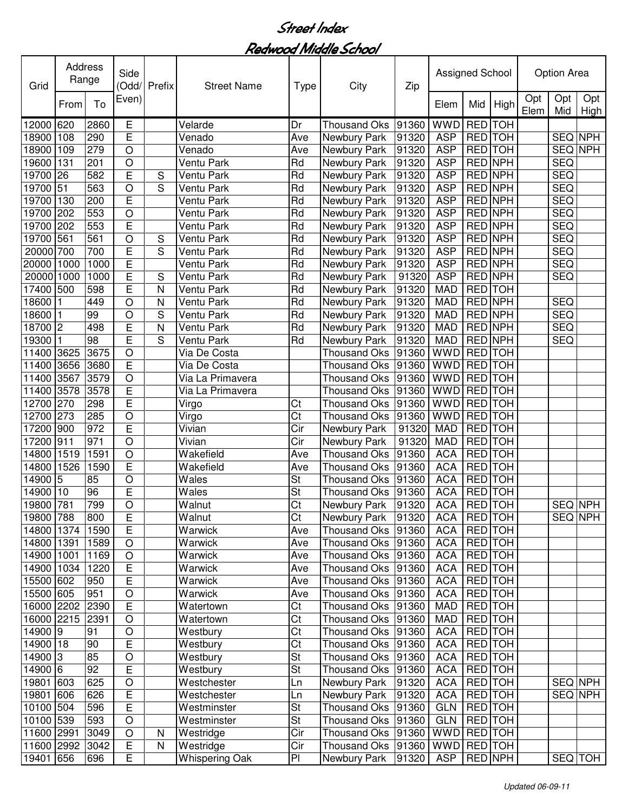| Grid       | Address<br>Range |      | Side<br>(Odd/  | Prefix         | <b>Street Name</b>    | <b>Type</b>            | City                | Zip   | Assigned School |                |         |             | <b>Option Area</b> |                |
|------------|------------------|------|----------------|----------------|-----------------------|------------------------|---------------------|-------|-----------------|----------------|---------|-------------|--------------------|----------------|
|            | From             | To   | Even)          |                |                       |                        |                     |       | Elem            | Mid            | High    | Opt<br>Elem | Opt<br>Mid         | Opt<br>High    |
| 12000      | 620              | 2860 | Е              |                | Velarde               | Dr                     | <b>Thousand Oks</b> | 91360 | <b>WWD</b>      | RED TOH        |         |             |                    |                |
| 18900      | 108              | 290  | E              |                | Venado                | Ave                    | Newbury Park        | 91320 | <b>ASP</b>      | <b>RED</b> TOH |         |             | SEQ NPH            |                |
| 18900      | 109              | 279  | $\bigcirc$     |                | Venado                | Ave                    | Newbury Park        | 91320 | <b>ASP</b>      | RED TOH        |         |             | SEQ NPH            |                |
| 19600      | 131              | 201  | $\circ$        |                | Ventu Park            | Rd                     | Newbury Park        | 91320 | <b>ASP</b>      | <b>RED NPH</b> |         |             | <b>SEQ</b>         |                |
| 19700      | 26               | 582  | E              | S              | Ventu Park            | Rd                     | Newbury Park        | 91320 | <b>ASP</b>      | <b>RED NPH</b> |         |             | <b>SEQ</b>         |                |
| 19700      | 51               | 563  | $\circ$        | $\overline{S}$ | Ventu Park            | Rd                     | Newbury Park        | 91320 | <b>ASP</b>      | <b>RED NPH</b> |         |             | <b>SEQ</b>         |                |
| 19700      | 130              | 200  | E              |                | Ventu Park            | Rd                     | Newbury Park        | 91320 | <b>ASP</b>      | <b>RED NPH</b> |         |             | <b>SEQ</b>         |                |
| 19700      | 202              | 553  | $\circ$        |                | Ventu Park            | Rd                     | Newbury Park        | 91320 | <b>ASP</b>      | <b>RED NPH</b> |         |             | <b>SEQ</b>         |                |
| 19700      | 202              | 553  | E              |                | Ventu Park            | Rd                     | Newbury Park        | 91320 | <b>ASP</b>      | <b>RED NPH</b> |         |             | <b>SEQ</b>         |                |
| 19700      | 561              | 561  | $\circ$        | S              | Ventu Park            | Rd                     | Newbury Park        | 91320 | <b>ASP</b>      | <b>RED NPH</b> |         |             | <b>SEQ</b>         |                |
| 20000 700  |                  | 700  | Ē              | S              | Ventu Park            | Rd                     | Newbury Park        | 91320 | <b>ASP</b>      | <b>RED NPH</b> |         |             | SEQ                |                |
| 20000      | 1000             | 1000 | E              |                | Ventu Park            | Rd                     | Newbury Park        | 91320 | <b>ASP</b>      | <b>RED NPH</b> |         |             | SEQ                |                |
| 20000 1000 |                  | 1000 | E              | S              | Ventu Park            | Rd                     | Newbury Park        | 91320 | <b>ASP</b>      | <b>RED NPH</b> |         |             | SEQ                |                |
| 17400      | 500              | 598  | E              | N              | Ventu Park            | Rd                     | Newbury Park        | 91320 | <b>MAD</b>      | <b>RED</b> TOH |         |             |                    |                |
| 18600      |                  | 449  | $\overline{O}$ | N              | Ventu Park            | Rd                     | Newbury Park        | 91320 | <b>MAD</b>      | <b>RED NPH</b> |         |             | <b>SEQ</b>         |                |
| 18600      |                  | 99   | O              | $\mathbf S$    | Ventu Park            | Rd                     | Newbury Park        | 91320 | <b>MAD</b>      | <b>RED NPH</b> |         |             | SEQ                |                |
| 18700      | $\overline{c}$   | 498  | E              | N              | Ventu Park            | Rd                     | Newbury Park        | 91320 | <b>MAD</b>      | <b>RED NPH</b> |         |             | SEQ                |                |
| 19300      |                  | 98   | E              | S              | Ventu Park            | Rd                     | Newbury Park        | 91320 | <b>MAD</b>      | RED NPH        |         |             | <b>SEQ</b>         |                |
| 11400      | 3625             | 3675 | $\bigcirc$     |                | Via De Costa          |                        | <b>Thousand Oks</b> | 91360 | <b>WWD</b>      | RED TOH        |         |             |                    |                |
| 11400      | 3656             | 3680 | E              |                | Via De Costa          |                        | <b>Thousand Oks</b> | 91360 | <b>WWD</b>      | RED TOH        |         |             |                    |                |
| 11400      | 3567             | 3579 | $\bigcirc$     |                | Via La Primavera      |                        | <b>Thousand Oks</b> | 91360 | <b>WWD</b>      | RED TOH        |         |             |                    |                |
| 11400      | 3578             | 3578 | $\mathsf E$    |                | Via La Primavera      |                        | <b>Thousand Oks</b> | 91360 | <b>WWD</b>      | RED TOH        |         |             |                    |                |
| 12700      | 270              | 298  | E              |                | Virgo                 | Ct                     | <b>Thousand Oks</b> | 91360 | <b>WWD</b>      | RED TOH        |         |             |                    |                |
| 12700      | 273              | 285  | $\circ$        |                | Virgo                 | Ct                     | <b>Thousand Oks</b> | 91360 | <b>WWD</b>      | RED TOH        |         |             |                    |                |
| 17200      | 900              | 972  | E              |                | Vivian                | Cir                    | Newbury Park        | 91320 | <b>MAD</b>      | RED TOH        |         |             |                    |                |
| 17200      | 911              | 971  | $\circ$        |                | Vivian                | Cir                    | Newbury Park        | 91320 | <b>MAD</b>      | RED TOH        |         |             |                    |                |
| 14800      | 1519             | 1591 | $\bigcirc$     |                | Wakefield             | Ave                    | <b>Thousand Oks</b> | 91360 | <b>ACA</b>      | RED TOH        |         |             |                    |                |
| 14800      | 1526             | 1590 | E              |                | Wakefield             | Ave                    | <b>Thousand Oks</b> | 91360 | <b>ACA</b>      | RED TOH        |         |             |                    |                |
| 14900      | $\overline{5}$   | 85   | $\bigcirc$     |                | Wales                 | <b>St</b>              | <b>Thousand Oks</b> | 91360 | <b>ACA</b>      | RED TOH        |         |             |                    |                |
| 14900      | 10               | 96   | E              |                | Wales                 | St                     | <b>Thousand Oks</b> | 91360 | <b>ACA</b>      | <b>RED</b> TOH |         |             |                    |                |
| 19800      | 781              | 799  | $\circ$        |                | Walnut                | Ct                     | Newbury Park        | 91320 | <b>ACA</b>      | RED TOH        |         |             | SEQ NPH            |                |
| 19800 788  |                  | 800  | E              |                | Walnut                | Ct                     | Newbury Park        | 91320 | ACA RED TOH     |                |         |             |                    | <b>SEQ NPH</b> |
| 14800 1374 |                  | 1590 | E              |                | Warwick               | Ave                    | <b>Thousand Oks</b> | 91360 | <b>ACA</b>      | RED TOH        |         |             |                    |                |
| 14800 1391 |                  | 1589 | $\bigcirc$     |                | Warwick               | Ave                    | Thousand Oks        | 91360 | <b>ACA</b>      |                | RED TOH |             |                    |                |
| 14900 1001 |                  | 1169 | O              |                | Warwick               | Ave                    | <b>Thousand Oks</b> | 91360 | <b>ACA</b>      | RED TOH        |         |             |                    |                |
| 14900 1034 |                  | 1220 | E              |                | Warwick               | Ave                    | <b>Thousand Oks</b> | 91360 | <b>ACA</b>      | RED TOH        |         |             |                    |                |
| 15500 602  |                  | 950  | E              |                | Warwick               | Ave                    | <b>Thousand Oks</b> | 91360 | <b>ACA</b>      | RED TOH        |         |             |                    |                |
| 15500 605  |                  | 951  | $\bigcirc$     |                | Warwick               | Ave                    | Thousand Oks        | 91360 | <b>ACA</b>      | RED TOH        |         |             |                    |                |
| 16000 2202 |                  | 2390 | $\overline{E}$ |                | Watertown             | Ct                     | <b>Thousand Oks</b> | 91360 | <b>MAD</b>      | RED TOH        |         |             |                    |                |
| 16000      | 2215 2391        |      | $\circ$        |                | Watertown             | $\overline{\text{Ct}}$ | <b>Thousand Oks</b> | 91360 | <b>MAD</b>      | RED TOH        |         |             |                    |                |
| 14900 9    |                  | 91   | $\bigcirc$     |                | Westbury              | $\overline{\text{C}t}$ | <b>Thousand Oks</b> | 91360 | <b>ACA</b>      | RED TOH        |         |             |                    |                |
| 14900 18   |                  | 90   | E              |                | Westbury              | $\overline{\text{Ct}}$ | <b>Thousand Oks</b> | 91360 | <b>ACA</b>      | RED TOH        |         |             |                    |                |
| 14900 3    |                  | 85   | $\bigcirc$     |                | Westbury              | St                     | <b>Thousand Oks</b> | 91360 | <b>ACA</b>      | RED TOH        |         |             |                    |                |
| 14900 6    |                  | 92   | E              |                | Westbury              | St                     | <b>Thousand Oks</b> | 91360 | <b>ACA</b>      | <b>RED</b> TOH |         |             |                    |                |
| 19801 603  |                  | 625  | $\bigcirc$     |                | Westchester           | Ln                     | Newbury Park        | 91320 | <b>ACA</b>      | RED TOH        |         |             | SEQ NPH            |                |
| 19801      | 606              | 626  | E              |                | Westchester           | Ln                     | Newbury Park        | 91320 | <b>ACA</b>      | RED TOH        |         |             |                    | SEQ NPH        |
| 10100 504  |                  | 596  | E              |                | Westminster           | <b>St</b>              | Thousand Oks        | 91360 | <b>GLN</b>      | RED TOH        |         |             |                    |                |
| 10100 539  |                  | 593  | $\bigcirc$     |                | Westminster           | <b>St</b>              | Thousand Oks        | 91360 | <b>GLN</b>      | RED TOH        |         |             |                    |                |
| 11600 2991 |                  | 3049 | $\bigcirc$     | N              | Westridge             | Cir                    | Thousand Oks        | 91360 | <b>WWD</b>      | RED TOH        |         |             |                    |                |
| 11600 2992 |                  | 3042 | $\overline{E}$ | N              | Westridge             | Cir                    | <b>Thousand Oks</b> | 91360 | <b>WWD</b>      | RED TOH        |         |             |                    |                |
| 19401      | 656              | 696  | E              |                | <b>Whispering Oak</b> | P <sub>1</sub>         | Newbury Park        | 91320 | <b>ASP</b>      | RED NPH        |         |             |                    | SEQ TOH        |
|            |                  |      |                |                |                       |                        |                     |       |                 |                |         |             |                    |                |